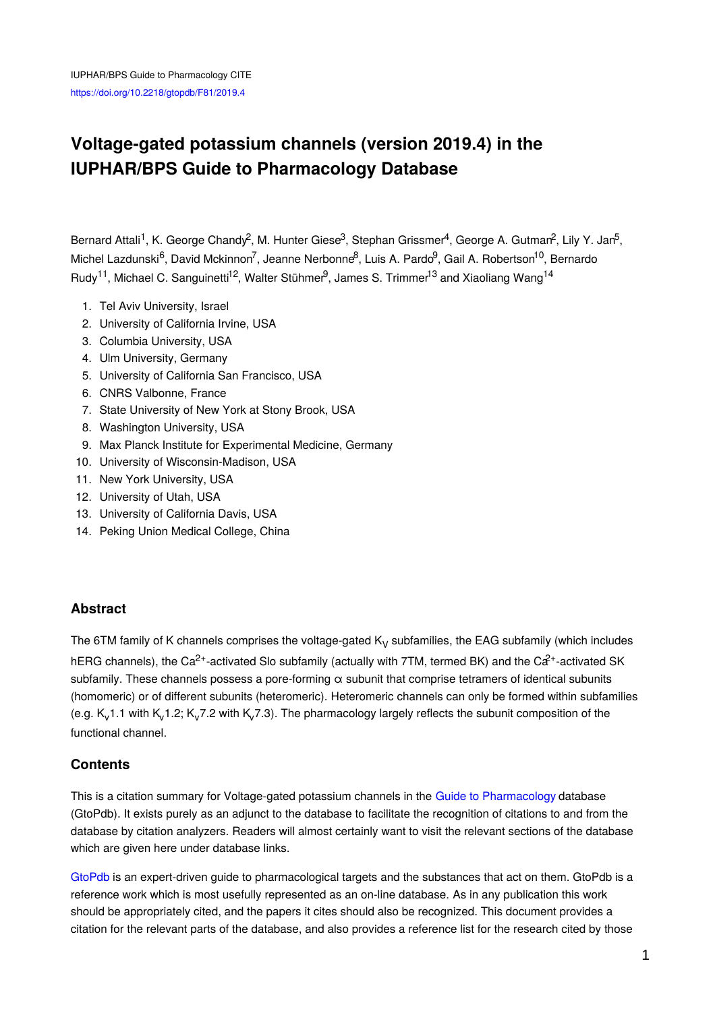# **Voltage-gated potassium channels (version 2019.4) in the IUPHAR/BPS Guide to Pharmacology Database**

Bernard Attali<sup>1</sup>, K. George Chandy<sup>2</sup>, M. Hunter Giese<sup>3</sup>, Stephan Grissmer<sup>4</sup>, George A. Gutmar<sup>2</sup>, Lily Y. Jan<sup>5</sup>, Michel Lazdunski<sup>6</sup>, David Mckinnon<sup>7</sup>, Jeanne Nerbonne<sup>8</sup>, Luis A. Pardo<sup>9</sup>, Gail A. Robertson<sup>10</sup>, Bernardo Rudy<sup>11</sup>, Michael C. Sanguinetti<sup>12</sup>, Walter Stühmer<sup>9</sup>, James S. Trimmer<sup>13</sup> and Xiaoliang Wang<sup>14</sup>

- 1. Tel Aviv University, Israel
- 2. University of California Irvine, USA
- 3. Columbia University, USA
- 4. Ulm University, Germany
- 5. University of California San Francisco, USA
- 6. CNRS Valbonne, France
- 7. State University of New York at Stony Brook, USA
- 8. Washington University, USA
- 9. Max Planck Institute for Experimental Medicine, Germany
- 10. University of Wisconsin-Madison, USA
- 11. New York University, USA
- 12. University of Utah, USA
- 13. University of California Davis, USA
- 14. Peking Union Medical College, China

## **Abstract**

The 6TM family of K channels comprises the voltage-gated  $K<sub>V</sub>$  subfamilies, the EAG subfamily (which includes hERG channels), the Ca<sup>2+</sup>-activated Slo subfamily (actually with 7TM, termed BK) and the Ca<sup>2+</sup>-activated SK subfamily. These channels possess a pore-forming α subunit that comprise tetramers of identical subunits (homomeric) or of different subunits (heteromeric). Heteromeric channels can only be formed within subfamilies (e.g.  $K_v$ 1.1 with  $K_v$ 1.2;  $K_v$ 7.2 with  $K_v$ 7.3). The pharmacology largely reflects the subunit composition of the functional channel.

## **Contents**

This is a citation summary for Voltage-gated potassium channels in the Guide to [Pharmacology](http://www.guidetopharmacology.org/) database (GtoPdb). It exists purely as an adjunct to the database to facilitate the recognition of citations to and from the database by citation analyzers. Readers will almost certainly want to visit the relevant sections of the database which are given here under database links.

[GtoPdb](http://www.guidetopharmacology.org/) is an expert-driven guide to pharmacological targets and the substances that act on them. GtoPdb is a reference work which is most usefully represented as an on-line database. As in any publication this work should be appropriately cited, and the papers it cites should also be recognized. This document provides a citation for the relevant parts of the database, and also provides a reference list for the research cited by those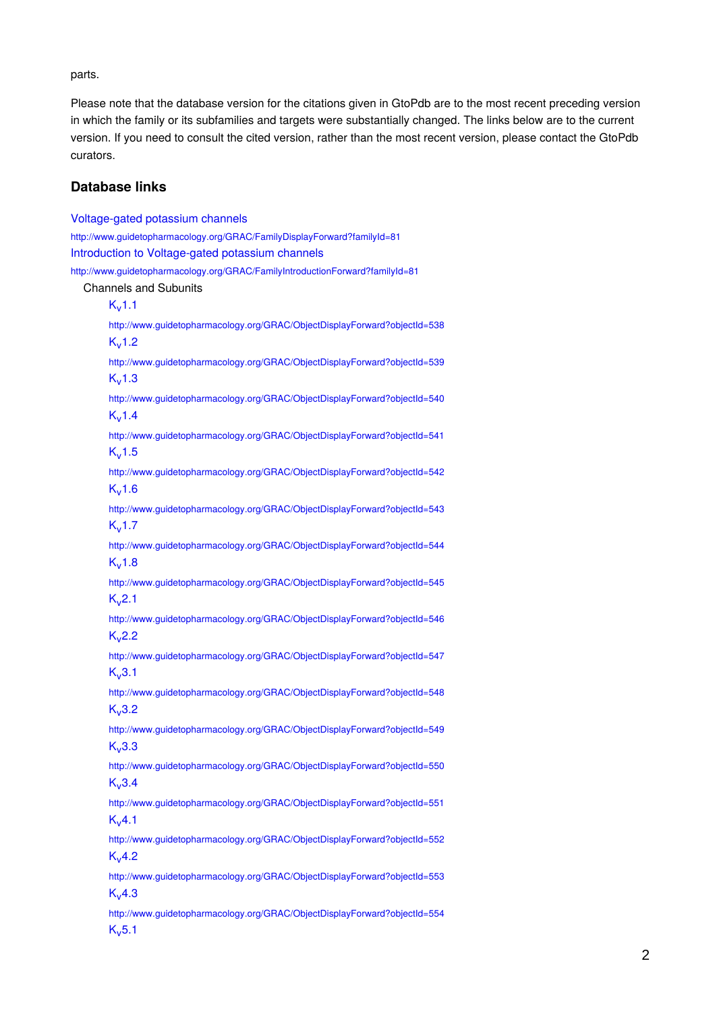parts.

Please note that the database version for the citations given in GtoPdb are to the most recent preceding version in which the family or its subfamilies and targets were substantially changed. The links below are to the current version. If you need to consult the cited version, rather than the most recent version, please contact the GtoPdb curators.

#### **Database links**

[Voltage-gated](http://www.guidetopharmacology.org/GRAC/FamilyDisplayForward?familyId=81) potassium channels <http://www.guidetopharmacology.org/GRAC/FamilyDisplayForward?familyId=81> Introduction to [Voltage-gated](http://www.guidetopharmacology.org/GRAC/FamilyIntroductionForward?familyId=81) potassium channels <http://www.guidetopharmacology.org/GRAC/FamilyIntroductionForward?familyId=81> Channels and Subunits  $K_v 1.1$  $K_v 1.1$ <http://www.guidetopharmacology.org/GRAC/ObjectDisplayForward?objectId=538>  $K<sub>v</sub>1.2$  $K<sub>v</sub>1.2$ <http://www.guidetopharmacology.org/GRAC/ObjectDisplayForward?objectId=539>  $K<sub>v</sub>1.3$  $K<sub>v</sub>1.3$ <http://www.guidetopharmacology.org/GRAC/ObjectDisplayForward?objectId=540>  $K_v 1.4$  $K_v 1.4$ <http://www.guidetopharmacology.org/GRAC/ObjectDisplayForward?objectId=541>  $K_v$ [1.5](http://www.guidetopharmacology.org/GRAC/ObjectDisplayForward?objectId=542) <http://www.guidetopharmacology.org/GRAC/ObjectDisplayForward?objectId=542>  $K_v$ [1.6](http://www.guidetopharmacology.org/GRAC/ObjectDisplayForward?objectId=543) <http://www.guidetopharmacology.org/GRAC/ObjectDisplayForward?objectId=543>  $K<sub>v</sub>1.7$  $K<sub>v</sub>1.7$ <http://www.guidetopharmacology.org/GRAC/ObjectDisplayForward?objectId=544>  $K, 1.8$  $K, 1.8$ <http://www.guidetopharmacology.org/GRAC/ObjectDisplayForward?objectId=545>  $K<sub>v</sub>2.1$  $K<sub>v</sub>2.1$ <http://www.guidetopharmacology.org/GRAC/ObjectDisplayForward?objectId=546>  $K_v2.2$  $K_v2.2$ <http://www.guidetopharmacology.org/GRAC/ObjectDisplayForward?objectId=547>  $K_v3.1$  $K_v3.1$ <http://www.guidetopharmacology.org/GRAC/ObjectDisplayForward?objectId=548>  $K_v3.2$  $K_v3.2$ <http://www.guidetopharmacology.org/GRAC/ObjectDisplayForward?objectId=549>  $K<sub>v</sub>3.3$  $K<sub>v</sub>3.3$ <http://www.guidetopharmacology.org/GRAC/ObjectDisplayForward?objectId=550>  $K, 3.4$  $K, 3.4$ <http://www.guidetopharmacology.org/GRAC/ObjectDisplayForward?objectId=551>  $K_v4.1$  $K_v4.1$ <http://www.guidetopharmacology.org/GRAC/ObjectDisplayForward?objectId=552>  $K_v$ [4.2](http://www.guidetopharmacology.org/GRAC/ObjectDisplayForward?objectId=553) <http://www.guidetopharmacology.org/GRAC/ObjectDisplayForward?objectId=553>  $K_v4.3$  $K_v4.3$ <http://www.guidetopharmacology.org/GRAC/ObjectDisplayForward?objectId=554>  $K<sub>v</sub>5.1$  $K<sub>v</sub>5.1$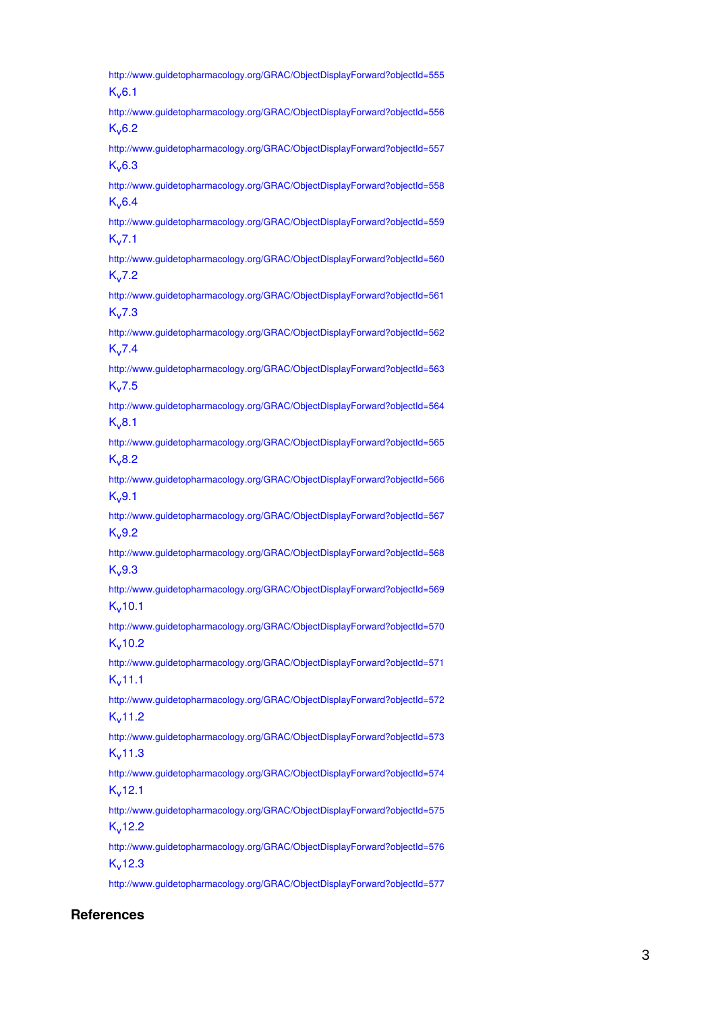<http://www.guidetopharmacology.org/GRAC/ObjectDisplayForward?objectId=555>  $K_v 6.1$  $K_v 6.1$ <http://www.guidetopharmacology.org/GRAC/ObjectDisplayForward?objectId=556>  $K, 6.2$  $K, 6.2$ <http://www.guidetopharmacology.org/GRAC/ObjectDisplayForward?objectId=557>  $K, 6.3$  $K, 6.3$ <http://www.guidetopharmacology.org/GRAC/ObjectDisplayForward?objectId=558>  $K_v 6.4$  $K_v 6.4$ <http://www.guidetopharmacology.org/GRAC/ObjectDisplayForward?objectId=559>  $K_v$ [7.1](http://www.guidetopharmacology.org/GRAC/ObjectDisplayForward?objectId=560) <http://www.guidetopharmacology.org/GRAC/ObjectDisplayForward?objectId=560>  $K_v$ [7.2](http://www.guidetopharmacology.org/GRAC/ObjectDisplayForward?objectId=561) <http://www.guidetopharmacology.org/GRAC/ObjectDisplayForward?objectId=561>  $K_v 7.3$  $K_v 7.3$ <http://www.guidetopharmacology.org/GRAC/ObjectDisplayForward?objectId=562>  $K_v$ [7.4](http://www.guidetopharmacology.org/GRAC/ObjectDisplayForward?objectId=563) <http://www.guidetopharmacology.org/GRAC/ObjectDisplayForward?objectId=563>  $K_v$ [7.5](http://www.guidetopharmacology.org/GRAC/ObjectDisplayForward?objectId=564) <http://www.guidetopharmacology.org/GRAC/ObjectDisplayForward?objectId=564>  $K_v8.1$  $K_v8.1$ <http://www.guidetopharmacology.org/GRAC/ObjectDisplayForward?objectId=565>  $K_v, 8.2$  $K_v, 8.2$ <http://www.guidetopharmacology.org/GRAC/ObjectDisplayForward?objectId=566>  $K_v$ [9.1](http://www.guidetopharmacology.org/GRAC/ObjectDisplayForward?objectId=567) <http://www.guidetopharmacology.org/GRAC/ObjectDisplayForward?objectId=567>  $K_v9.2$  $K_v9.2$ <http://www.guidetopharmacology.org/GRAC/ObjectDisplayForward?objectId=568>  $K<sub>v</sub>9.3$  $K<sub>v</sub>9.3$ <http://www.guidetopharmacology.org/GRAC/ObjectDisplayForward?objectId=569>  $K_v$ [10.1](http://www.guidetopharmacology.org/GRAC/ObjectDisplayForward?objectId=570) <http://www.guidetopharmacology.org/GRAC/ObjectDisplayForward?objectId=570>  $K_v$ [10.2](http://www.guidetopharmacology.org/GRAC/ObjectDisplayForward?objectId=571) <http://www.guidetopharmacology.org/GRAC/ObjectDisplayForward?objectId=571>  $K<sub>v</sub>11.1$  $K<sub>v</sub>11.1$ <http://www.guidetopharmacology.org/GRAC/ObjectDisplayForward?objectId=572>  $K_v$ [11.2](http://www.guidetopharmacology.org/GRAC/ObjectDisplayForward?objectId=573) <http://www.guidetopharmacology.org/GRAC/ObjectDisplayForward?objectId=573>  $K_v$ [11.3](http://www.guidetopharmacology.org/GRAC/ObjectDisplayForward?objectId=574) <http://www.guidetopharmacology.org/GRAC/ObjectDisplayForward?objectId=574>  $K<sub>v</sub>12.1$  $K<sub>v</sub>12.1$ <http://www.guidetopharmacology.org/GRAC/ObjectDisplayForward?objectId=575>  $K<sub>v</sub>12.2$  $K<sub>v</sub>12.2$ <http://www.guidetopharmacology.org/GRAC/ObjectDisplayForward?objectId=576>  $K_v$ [12.3](http://www.guidetopharmacology.org/GRAC/ObjectDisplayForward?objectId=577) <http://www.guidetopharmacology.org/GRAC/ObjectDisplayForward?objectId=577>

#### **References**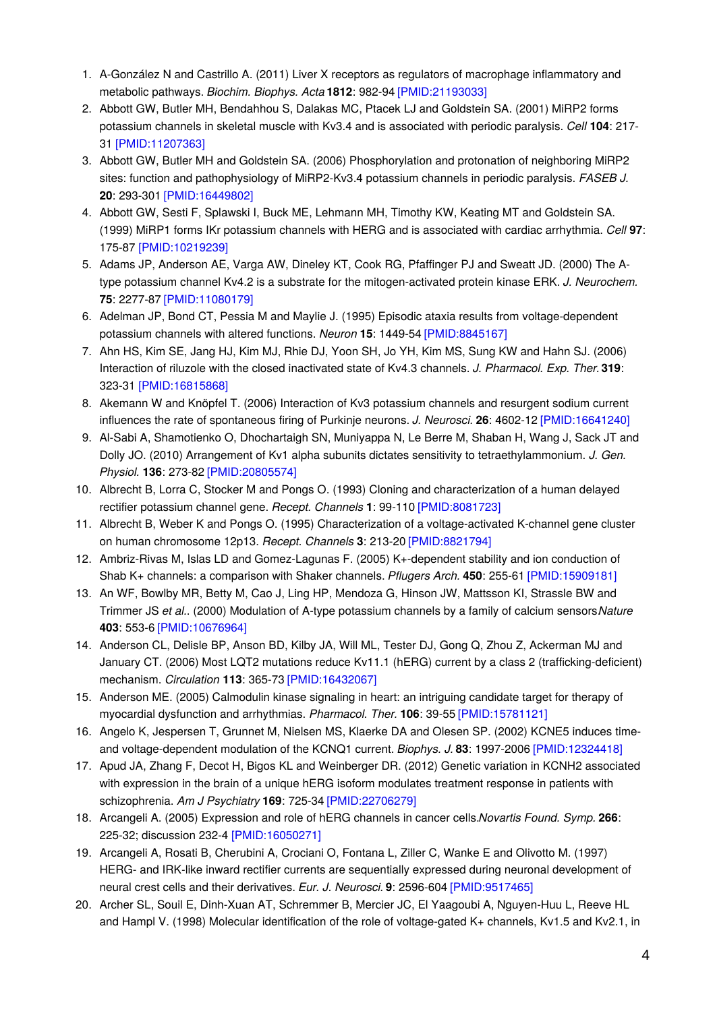- 1. A-González N and Castrillo A. (2011) Liver X receptors as regulators of macrophage inflammatory and metabolic pathways. *Biochim. Biophys. Acta* **1812**: 982-94 [\[PMID:21193033\]](http://www.ncbi.nlm.nih.gov/pubmed/21193033?dopt=AbstractPlus)
- 2. Abbott GW, Butler MH, Bendahhou S, Dalakas MC, Ptacek LJ and Goldstein SA. (2001) MiRP2 forms potassium channels in skeletal muscle with Kv3.4 and is associated with periodic paralysis. *Cell* **104**: 217- 31 [\[PMID:11207363\]](http://www.ncbi.nlm.nih.gov/pubmed/11207363?dopt=AbstractPlus)
- 3. Abbott GW, Butler MH and Goldstein SA. (2006) Phosphorylation and protonation of neighboring MiRP2 sites: function and pathophysiology of MiRP2-Kv3.4 potassium channels in periodic paralysis. *FASEB J.* **20**: 293-301 [\[PMID:16449802\]](http://www.ncbi.nlm.nih.gov/pubmed/16449802?dopt=AbstractPlus)
- 4. Abbott GW, Sesti F, Splawski I, Buck ME, Lehmann MH, Timothy KW, Keating MT and Goldstein SA. (1999) MiRP1 forms IKr potassium channels with HERG and is associated with cardiac arrhythmia. *Cell* **97**: 175-87 [\[PMID:10219239\]](http://www.ncbi.nlm.nih.gov/pubmed/10219239?dopt=AbstractPlus)
- 5. Adams JP, Anderson AE, Varga AW, Dineley KT, Cook RG, Pfaffinger PJ and Sweatt JD. (2000) The Atype potassium channel Kv4.2 is a substrate for the mitogen-activated protein kinase ERK. *J. Neurochem.* **75**: 2277-87 [\[PMID:11080179\]](http://www.ncbi.nlm.nih.gov/pubmed/11080179?dopt=AbstractPlus)
- 6. Adelman JP, Bond CT, Pessia M and Maylie J. (1995) Episodic ataxia results from voltage-dependent potassium channels with altered functions. *Neuron* **15**: 1449-54 [\[PMID:8845167\]](http://www.ncbi.nlm.nih.gov/pubmed/8845167?dopt=AbstractPlus)
- 7. Ahn HS, Kim SE, Jang HJ, Kim MJ, Rhie DJ, Yoon SH, Jo YH, Kim MS, Sung KW and Hahn SJ. (2006) Interaction of riluzole with the closed inactivated state of Kv4.3 channels. *J. Pharmacol. Exp. Ther.***319**: 323-31 [\[PMID:16815868\]](http://www.ncbi.nlm.nih.gov/pubmed/16815868?dopt=AbstractPlus)
- 8. Akemann W and Knöpfel T. (2006) Interaction of Kv3 potassium channels and resurgent sodium current influences the rate of spontaneous firing of Purkinje neurons. *J. Neurosci.* **26**: 4602-12 [\[PMID:16641240\]](http://www.ncbi.nlm.nih.gov/pubmed/16641240?dopt=AbstractPlus)
- 9. Al-Sabi A, Shamotienko O, Dhochartaigh SN, Muniyappa N, Le Berre M, Shaban H, Wang J, Sack JT and Dolly JO. (2010) Arrangement of Kv1 alpha subunits dictates sensitivity to tetraethylammonium. *J. Gen. Physiol.* **136**: 273-82 [\[PMID:20805574\]](http://www.ncbi.nlm.nih.gov/pubmed/20805574?dopt=AbstractPlus)
- 10. Albrecht B, Lorra C, Stocker M and Pongs O. (1993) Cloning and characterization of a human delayed rectifier potassium channel gene. *Recept. Channels* **1**: 99-110 [\[PMID:8081723\]](http://www.ncbi.nlm.nih.gov/pubmed/8081723?dopt=AbstractPlus)
- 11. Albrecht B, Weber K and Pongs O. (1995) Characterization of a voltage-activated K-channel gene cluster on human chromosome 12p13. *Recept. Channels* **3**: 213-20 [\[PMID:8821794\]](http://www.ncbi.nlm.nih.gov/pubmed/8821794?dopt=AbstractPlus)
- 12. Ambriz-Rivas M, Islas LD and Gomez-Lagunas F. (2005) K+-dependent stability and ion conduction of Shab K+ channels: a comparison with Shaker channels. *Pflugers Arch.* **450**: 255-61 [\[PMID:15909181\]](http://www.ncbi.nlm.nih.gov/pubmed/15909181?dopt=AbstractPlus)
- 13. An WF, Bowlby MR, Betty M, Cao J, Ling HP, Mendoza G, Hinson JW, Mattsson KI, Strassle BW and Trimmer JS *et al.*. (2000) Modulation of A-type potassium channels by a family of calcium sensors.*Nature* **403**: 553-6 [\[PMID:10676964\]](http://www.ncbi.nlm.nih.gov/pubmed/10676964?dopt=AbstractPlus)
- 14. Anderson CL, Delisle BP, Anson BD, Kilby JA, Will ML, Tester DJ, Gong Q, Zhou Z, Ackerman MJ and January CT. (2006) Most LQT2 mutations reduce Kv11.1 (hERG) current by a class 2 (trafficking-deficient) mechanism. *Circulation* **113**: 365-73 [\[PMID:16432067\]](http://www.ncbi.nlm.nih.gov/pubmed/16432067?dopt=AbstractPlus)
- 15. Anderson ME. (2005) Calmodulin kinase signaling in heart: an intriguing candidate target for therapy of myocardial dysfunction and arrhythmias. *Pharmacol. Ther.* **106**: 39-55 [\[PMID:15781121\]](http://www.ncbi.nlm.nih.gov/pubmed/15781121?dopt=AbstractPlus)
- 16. Angelo K, Jespersen T, Grunnet M, Nielsen MS, Klaerke DA and Olesen SP. (2002) KCNE5 induces timeand voltage-dependent modulation of the KCNQ1 current. *Biophys. J.* **83**: 1997-2006 [\[PMID:12324418\]](http://www.ncbi.nlm.nih.gov/pubmed/12324418?dopt=AbstractPlus)
- 17. Apud JA, Zhang F, Decot H, Bigos KL and Weinberger DR. (2012) Genetic variation in KCNH2 associated with expression in the brain of a unique hERG isoform modulates treatment response in patients with schizophrenia. *Am J Psychiatry* **169**: 725-34 [\[PMID:22706279\]](http://www.ncbi.nlm.nih.gov/pubmed/22706279?dopt=AbstractPlus)
- 18. Arcangeli A. (2005) Expression and role of hERG channels in cancer cells.*Novartis Found. Symp.* **266**: 225-32; discussion 232-4 [\[PMID:16050271\]](http://www.ncbi.nlm.nih.gov/pubmed/16050271?dopt=AbstractPlus)
- 19. Arcangeli A, Rosati B, Cherubini A, Crociani O, Fontana L, Ziller C, Wanke E and Olivotto M. (1997) HERG- and IRK-like inward rectifier currents are sequentially expressed during neuronal development of neural crest cells and their derivatives. *Eur. J. Neurosci.* **9**: 2596-604 [\[PMID:9517465\]](http://www.ncbi.nlm.nih.gov/pubmed/9517465?dopt=AbstractPlus)
- 20. Archer SL, Souil E, Dinh-Xuan AT, Schremmer B, Mercier JC, El Yaagoubi A, Nguyen-Huu L, Reeve HL and Hampl V. (1998) Molecular identification of the role of voltage-gated K+ channels, Kv1.5 and Kv2.1, in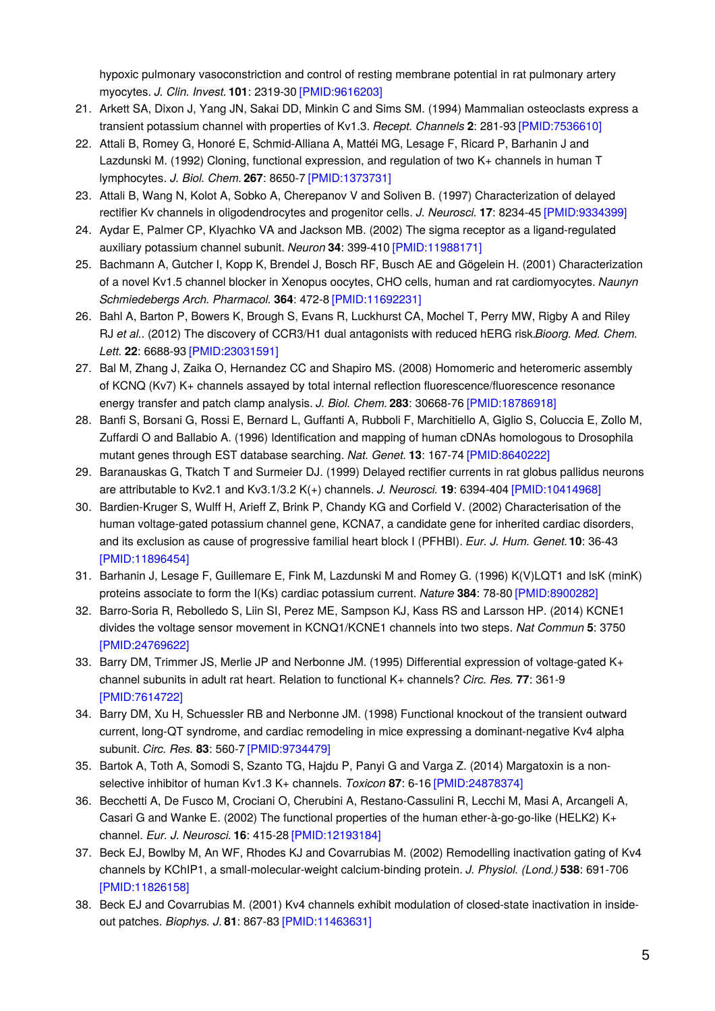hypoxic pulmonary vasoconstriction and control of resting membrane potential in rat pulmonary artery myocytes. *J. Clin. Invest.* **101**: 2319-30 [\[PMID:9616203\]](http://www.ncbi.nlm.nih.gov/pubmed/9616203?dopt=AbstractPlus)

- 21. Arkett SA, Dixon J, Yang JN, Sakai DD, Minkin C and Sims SM. (1994) Mammalian osteoclasts express a transient potassium channel with properties of Kv1.3. *Recept. Channels* **2**: 281-93 [\[PMID:7536610\]](http://www.ncbi.nlm.nih.gov/pubmed/7536610?dopt=AbstractPlus)
- 22. Attali B, Romey G, Honoré E, Schmid-Alliana A, Mattéi MG, Lesage F, Ricard P, Barhanin J and Lazdunski M. (1992) Cloning, functional expression, and regulation of two K+ channels in human T lymphocytes. *J. Biol. Chem.* **267**: 8650-7 [\[PMID:1373731\]](http://www.ncbi.nlm.nih.gov/pubmed/1373731?dopt=AbstractPlus)
- 23. Attali B, Wang N, Kolot A, Sobko A, Cherepanov V and Soliven B. (1997) Characterization of delayed rectifier Kv channels in oligodendrocytes and progenitor cells. *J. Neurosci.* **17**: 8234-45 [\[PMID:9334399\]](http://www.ncbi.nlm.nih.gov/pubmed/9334399?dopt=AbstractPlus)
- 24. Aydar E, Palmer CP, Klyachko VA and Jackson MB. (2002) The sigma receptor as a ligand-regulated auxiliary potassium channel subunit. *Neuron* **34**: 399-410 [\[PMID:11988171\]](http://www.ncbi.nlm.nih.gov/pubmed/11988171?dopt=AbstractPlus)
- 25. Bachmann A, Gutcher I, Kopp K, Brendel J, Bosch RF, Busch AE and Gögelein H. (2001) Characterization of a novel Kv1.5 channel blocker in Xenopus oocytes, CHO cells, human and rat cardiomyocytes. *Naunyn Schmiedebergs Arch. Pharmacol.* **364**: 472-8 [\[PMID:11692231\]](http://www.ncbi.nlm.nih.gov/pubmed/11692231?dopt=AbstractPlus)
- 26. Bahl A, Barton P, Bowers K, Brough S, Evans R, Luckhurst CA, Mochel T, Perry MW, Rigby A and Riley RJ *et al.*. (2012) The discovery of CCR3/H1 dual antagonists with reduced hERG risk.*Bioorg. Med. Chem. Lett.* **22**: 6688-93 [\[PMID:23031591\]](http://www.ncbi.nlm.nih.gov/pubmed/23031591?dopt=AbstractPlus)
- 27. Bal M, Zhang J, Zaika O, Hernandez CC and Shapiro MS. (2008) Homomeric and heteromeric assembly of KCNQ (Kv7) K+ channels assayed by total internal reflection fluorescence/fluorescence resonance energy transfer and patch clamp analysis. *J. Biol. Chem.* **283**: 30668-76 [\[PMID:18786918\]](http://www.ncbi.nlm.nih.gov/pubmed/18786918?dopt=AbstractPlus)
- 28. Banfi S, Borsani G, Rossi E, Bernard L, Guffanti A, Rubboli F, Marchitiello A, Giglio S, Coluccia E, Zollo M, Zuffardi O and Ballabio A. (1996) Identification and mapping of human cDNAs homologous to Drosophila mutant genes through EST database searching. *Nat. Genet.* **13**: 167-74 [\[PMID:8640222\]](http://www.ncbi.nlm.nih.gov/pubmed/8640222?dopt=AbstractPlus)
- 29. Baranauskas G, Tkatch T and Surmeier DJ. (1999) Delayed rectifier currents in rat globus pallidus neurons are attributable to Kv2.1 and Kv3.1/3.2 K(+) channels. *J. Neurosci.* **19**: 6394-404 [\[PMID:10414968\]](http://www.ncbi.nlm.nih.gov/pubmed/10414968?dopt=AbstractPlus)
- 30. Bardien-Kruger S, Wulff H, Arieff Z, Brink P, Chandy KG and Corfield V. (2002) Characterisation of the human voltage-gated potassium channel gene, KCNA7, a candidate gene for inherited cardiac disorders, and its exclusion as cause of progressive familial heart block I (PFHBI). *Eur. J. Hum. Genet.***10**: 36-43 [\[PMID:11896454\]](http://www.ncbi.nlm.nih.gov/pubmed/11896454?dopt=AbstractPlus)
- 31. Barhanin J, Lesage F, Guillemare E, Fink M, Lazdunski M and Romey G. (1996) K(V)LQT1 and lsK (minK) proteins associate to form the I(Ks) cardiac potassium current. *Nature* **384**: 78-80 [\[PMID:8900282\]](http://www.ncbi.nlm.nih.gov/pubmed/8900282?dopt=AbstractPlus)
- 32. Barro-Soria R, Rebolledo S, Liin SI, Perez ME, Sampson KJ, Kass RS and Larsson HP. (2014) KCNE1 divides the voltage sensor movement in KCNQ1/KCNE1 channels into two steps. *Nat Commun* **5**: 3750 [\[PMID:24769622\]](http://www.ncbi.nlm.nih.gov/pubmed/24769622?dopt=AbstractPlus)
- 33. Barry DM, Trimmer JS, Merlie JP and Nerbonne JM. (1995) Differential expression of voltage-gated K+ channel subunits in adult rat heart. Relation to functional K+ channels? *Circ. Res.* **77**: 361-9 [\[PMID:7614722\]](http://www.ncbi.nlm.nih.gov/pubmed/7614722?dopt=AbstractPlus)
- 34. Barry DM, Xu H, Schuessler RB and Nerbonne JM. (1998) Functional knockout of the transient outward current, long-QT syndrome, and cardiac remodeling in mice expressing a dominant-negative Kv4 alpha subunit. *Circ. Res.* **83**: 560-7 [\[PMID:9734479\]](http://www.ncbi.nlm.nih.gov/pubmed/9734479?dopt=AbstractPlus)
- 35. Bartok A, Toth A, Somodi S, Szanto TG, Hajdu P, Panyi G and Varga Z. (2014) Margatoxin is a nonselective inhibitor of human Kv1.3 K+ channels. *Toxicon* **87**: 6-16 [\[PMID:24878374\]](http://www.ncbi.nlm.nih.gov/pubmed/24878374?dopt=AbstractPlus)
- 36. Becchetti A, De Fusco M, Crociani O, Cherubini A, Restano-Cassulini R, Lecchi M, Masi A, Arcangeli A, Casari G and Wanke E. (2002) The functional properties of the human ether-à-go-go-like (HELK2) K+ channel. *Eur. J. Neurosci.* **16**: 415-28 [\[PMID:12193184\]](http://www.ncbi.nlm.nih.gov/pubmed/12193184?dopt=AbstractPlus)
- 37. Beck EJ, Bowlby M, An WF, Rhodes KJ and Covarrubias M. (2002) Remodelling inactivation gating of Kv4 channels by KChIP1, a small-molecular-weight calcium-binding protein. *J. Physiol. (Lond.)* **538**: 691-706 [\[PMID:11826158\]](http://www.ncbi.nlm.nih.gov/pubmed/11826158?dopt=AbstractPlus)
- 38. Beck EJ and Covarrubias M. (2001) Kv4 channels exhibit modulation of closed-state inactivation in insideout patches. *Biophys. J.* **81**: 867-83 [\[PMID:11463631\]](http://www.ncbi.nlm.nih.gov/pubmed/11463631?dopt=AbstractPlus)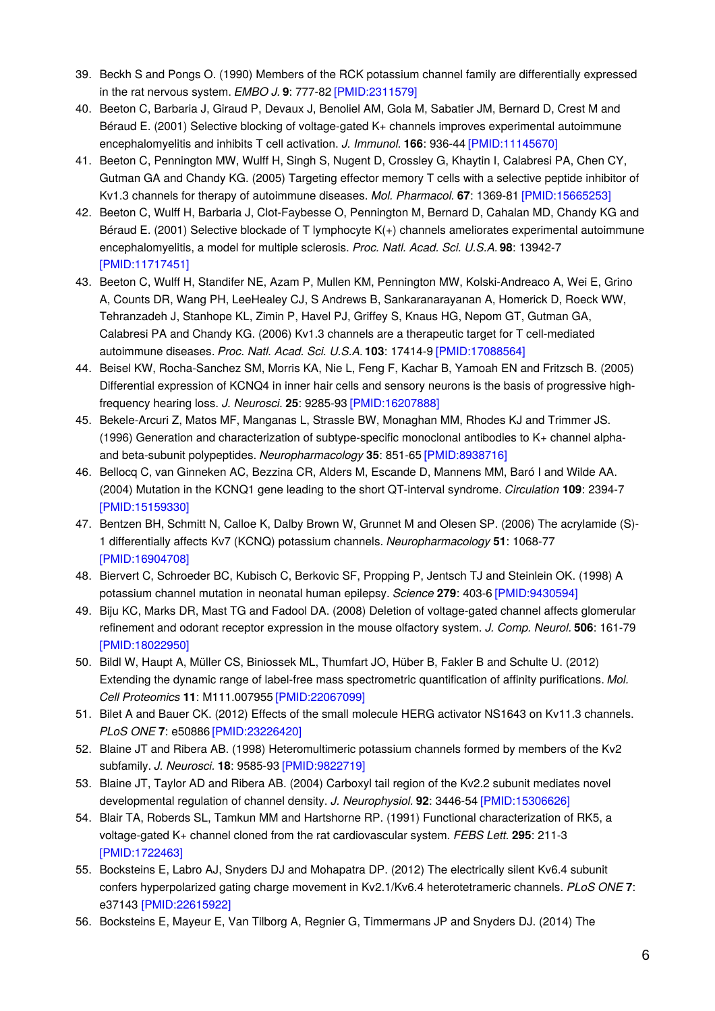- 39. Beckh S and Pongs O. (1990) Members of the RCK potassium channel family are differentially expressed in the rat nervous system. *EMBO J.* **9**: 777-82 [\[PMID:2311579\]](http://www.ncbi.nlm.nih.gov/pubmed/2311579?dopt=AbstractPlus)
- 40. Beeton C, Barbaria J, Giraud P, Devaux J, Benoliel AM, Gola M, Sabatier JM, Bernard D, Crest M and Béraud E. (2001) Selective blocking of voltage-gated K+ channels improves experimental autoimmune encephalomyelitis and inhibits T cell activation. *J. Immunol.* **166**: 936-44 [\[PMID:11145670\]](http://www.ncbi.nlm.nih.gov/pubmed/11145670?dopt=AbstractPlus)
- 41. Beeton C, Pennington MW, Wulff H, Singh S, Nugent D, Crossley G, Khaytin I, Calabresi PA, Chen CY, Gutman GA and Chandy KG. (2005) Targeting effector memory T cells with a selective peptide inhibitor of Kv1.3 channels for therapy of autoimmune diseases. *Mol. Pharmacol.* **67**: 1369-81 [\[PMID:15665253\]](http://www.ncbi.nlm.nih.gov/pubmed/15665253?dopt=AbstractPlus)
- 42. Beeton C, Wulff H, Barbaria J, Clot-Faybesse O, Pennington M, Bernard D, Cahalan MD, Chandy KG and Béraud E. (2001) Selective blockade of T lymphocyte K(+) channels ameliorates experimental autoimmune encephalomyelitis, a model for multiple sclerosis. *Proc. Natl. Acad. Sci. U.S.A.* **98**: 13942-7 [\[PMID:11717451\]](http://www.ncbi.nlm.nih.gov/pubmed/11717451?dopt=AbstractPlus)
- 43. Beeton C, Wulff H, Standifer NE, Azam P, Mullen KM, Pennington MW, Kolski-Andreaco A, Wei E, Grino A, Counts DR, Wang PH, LeeHealey CJ, S Andrews B, Sankaranarayanan A, Homerick D, Roeck WW, Tehranzadeh J, Stanhope KL, Zimin P, Havel PJ, Griffey S, Knaus HG, Nepom GT, Gutman GA, Calabresi PA and Chandy KG. (2006) Kv1.3 channels are a therapeutic target for T cell-mediated autoimmune diseases. *Proc. Natl. Acad. Sci. U.S.A.* **103**: 17414-9 [\[PMID:17088564\]](http://www.ncbi.nlm.nih.gov/pubmed/17088564?dopt=AbstractPlus)
- 44. Beisel KW, Rocha-Sanchez SM, Morris KA, Nie L, Feng F, Kachar B, Yamoah EN and Fritzsch B. (2005) Differential expression of KCNQ4 in inner hair cells and sensory neurons is the basis of progressive highfrequency hearing loss. *J. Neurosci.* **25**: 9285-93 [\[PMID:16207888\]](http://www.ncbi.nlm.nih.gov/pubmed/16207888?dopt=AbstractPlus)
- 45. Bekele-Arcuri Z, Matos MF, Manganas L, Strassle BW, Monaghan MM, Rhodes KJ and Trimmer JS. (1996) Generation and characterization of subtype-specific monoclonal antibodies to K+ channel alphaand beta-subunit polypeptides. *Neuropharmacology* **35**: 851-65 [\[PMID:8938716\]](http://www.ncbi.nlm.nih.gov/pubmed/8938716?dopt=AbstractPlus)
- 46. Bellocq C, van Ginneken AC, Bezzina CR, Alders M, Escande D, Mannens MM, Baró I and Wilde AA. (2004) Mutation in the KCNQ1 gene leading to the short QT-interval syndrome. *Circulation* **109**: 2394-7 [\[PMID:15159330\]](http://www.ncbi.nlm.nih.gov/pubmed/15159330?dopt=AbstractPlus)
- 47. Bentzen BH, Schmitt N, Calloe K, Dalby Brown W, Grunnet M and Olesen SP. (2006) The acrylamide (S)- 1 differentially affects Kv7 (KCNQ) potassium channels. *Neuropharmacology* **51**: 1068-77 [\[PMID:16904708\]](http://www.ncbi.nlm.nih.gov/pubmed/16904708?dopt=AbstractPlus)
- 48. Biervert C, Schroeder BC, Kubisch C, Berkovic SF, Propping P, Jentsch TJ and Steinlein OK. (1998) A potassium channel mutation in neonatal human epilepsy. *Science* **279**: 403-6 [\[PMID:9430594\]](http://www.ncbi.nlm.nih.gov/pubmed/9430594?dopt=AbstractPlus)
- 49. Biju KC, Marks DR, Mast TG and Fadool DA. (2008) Deletion of voltage-gated channel affects glomerular refinement and odorant receptor expression in the mouse olfactory system. *J. Comp. Neurol.* **506**: 161-79 [\[PMID:18022950\]](http://www.ncbi.nlm.nih.gov/pubmed/18022950?dopt=AbstractPlus)
- 50. Bildl W, Haupt A, Müller CS, Biniossek ML, Thumfart JO, Hüber B, Fakler B and Schulte U. (2012) Extending the dynamic range of label-free mass spectrometric quantification of affinity purifications. *Mol. Cell Proteomics* **11**: M111.007955 [\[PMID:22067099\]](http://www.ncbi.nlm.nih.gov/pubmed/22067099?dopt=AbstractPlus)
- 51. Bilet A and Bauer CK. (2012) Effects of the small molecule HERG activator NS1643 on Kv11.3 channels. *PLoS ONE* **7**: e50886 [\[PMID:23226420\]](http://www.ncbi.nlm.nih.gov/pubmed/23226420?dopt=AbstractPlus)
- 52. Blaine JT and Ribera AB. (1998) Heteromultimeric potassium channels formed by members of the Kv2 subfamily. *J. Neurosci.* **18**: 9585-93 [\[PMID:9822719\]](http://www.ncbi.nlm.nih.gov/pubmed/9822719?dopt=AbstractPlus)
- 53. Blaine JT, Taylor AD and Ribera AB. (2004) Carboxyl tail region of the Kv2.2 subunit mediates novel developmental regulation of channel density. *J. Neurophysiol.* **92**: 3446-54 [\[PMID:15306626\]](http://www.ncbi.nlm.nih.gov/pubmed/15306626?dopt=AbstractPlus)
- 54. Blair TA, Roberds SL, Tamkun MM and Hartshorne RP. (1991) Functional characterization of RK5, a voltage-gated K+ channel cloned from the rat cardiovascular system. *FEBS Lett.* **295**: 211-3 [\[PMID:1722463\]](http://www.ncbi.nlm.nih.gov/pubmed/1722463?dopt=AbstractPlus)
- 55. Bocksteins E, Labro AJ, Snyders DJ and Mohapatra DP. (2012) The electrically silent Kv6.4 subunit confers hyperpolarized gating charge movement in Kv2.1/Kv6.4 heterotetrameric channels. *PLoS ONE* **7**: e37143 [\[PMID:22615922\]](http://www.ncbi.nlm.nih.gov/pubmed/22615922?dopt=AbstractPlus)
- 56. Bocksteins E, Mayeur E, Van Tilborg A, Regnier G, Timmermans JP and Snyders DJ. (2014) The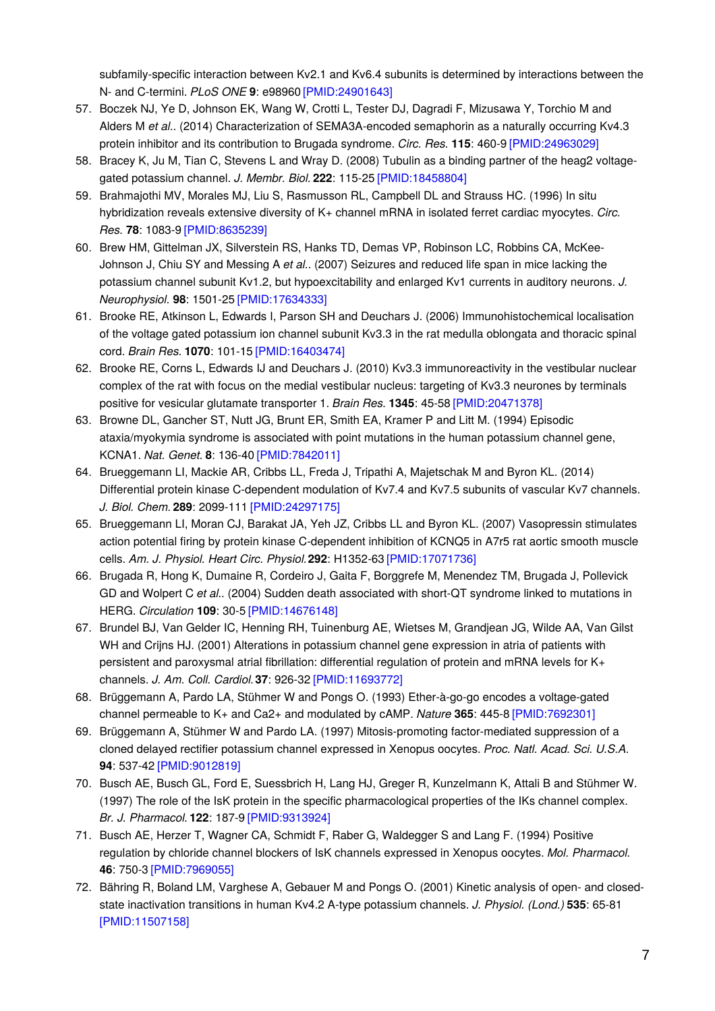subfamily-specific interaction between Kv2.1 and Kv6.4 subunits is determined by interactions between the N- and C-termini. *PLoS ONE* **9**: e98960 [\[PMID:24901643\]](http://www.ncbi.nlm.nih.gov/pubmed/24901643?dopt=AbstractPlus)

- 57. Boczek NJ, Ye D, Johnson EK, Wang W, Crotti L, Tester DJ, Dagradi F, Mizusawa Y, Torchio M and Alders M *et al.*. (2014) Characterization of SEMA3A-encoded semaphorin as a naturally occurring Kv4.3 protein inhibitor and its contribution to Brugada syndrome. *Circ. Res.* **115**: 460-9 [\[PMID:24963029\]](http://www.ncbi.nlm.nih.gov/pubmed/24963029?dopt=AbstractPlus)
- 58. Bracey K, Ju M, Tian C, Stevens L and Wray D. (2008) Tubulin as a binding partner of the heag2 voltagegated potassium channel. *J. Membr. Biol.* **222**: 115-25 [\[PMID:18458804\]](http://www.ncbi.nlm.nih.gov/pubmed/18458804?dopt=AbstractPlus)
- 59. Brahmajothi MV, Morales MJ, Liu S, Rasmusson RL, Campbell DL and Strauss HC. (1996) In situ hybridization reveals extensive diversity of K+ channel mRNA in isolated ferret cardiac myocytes. *Circ. Res.* **78**: 1083-9 [\[PMID:8635239\]](http://www.ncbi.nlm.nih.gov/pubmed/8635239?dopt=AbstractPlus)
- 60. Brew HM, Gittelman JX, Silverstein RS, Hanks TD, Demas VP, Robinson LC, Robbins CA, McKee-Johnson J, Chiu SY and Messing A *et al.*. (2007) Seizures and reduced life span in mice lacking the potassium channel subunit Kv1.2, but hypoexcitability and enlarged Kv1 currents in auditory neurons. *J. Neurophysiol.* **98**: 1501-25 [\[PMID:17634333\]](http://www.ncbi.nlm.nih.gov/pubmed/17634333?dopt=AbstractPlus)
- 61. Brooke RE, Atkinson L, Edwards I, Parson SH and Deuchars J. (2006) Immunohistochemical localisation of the voltage gated potassium ion channel subunit Kv3.3 in the rat medulla oblongata and thoracic spinal cord. *Brain Res.* **1070**: 101-15 [\[PMID:16403474\]](http://www.ncbi.nlm.nih.gov/pubmed/16403474?dopt=AbstractPlus)
- 62. Brooke RE, Corns L, Edwards IJ and Deuchars J. (2010) Kv3.3 immunoreactivity in the vestibular nuclear complex of the rat with focus on the medial vestibular nucleus: targeting of Kv3.3 neurones by terminals positive for vesicular glutamate transporter 1. *Brain Res.* **1345**: 45-58 [\[PMID:20471378\]](http://www.ncbi.nlm.nih.gov/pubmed/20471378?dopt=AbstractPlus)
- 63. Browne DL, Gancher ST, Nutt JG, Brunt ER, Smith EA, Kramer P and Litt M. (1994) Episodic ataxia/myokymia syndrome is associated with point mutations in the human potassium channel gene, KCNA1. *Nat. Genet.* **8**: 136-40 [\[PMID:7842011\]](http://www.ncbi.nlm.nih.gov/pubmed/7842011?dopt=AbstractPlus)
- 64. Brueggemann LI, Mackie AR, Cribbs LL, Freda J, Tripathi A, Majetschak M and Byron KL. (2014) Differential protein kinase C-dependent modulation of Kv7.4 and Kv7.5 subunits of vascular Kv7 channels. *J. Biol. Chem.* **289**: 2099-111 [\[PMID:24297175\]](http://www.ncbi.nlm.nih.gov/pubmed/24297175?dopt=AbstractPlus)
- 65. Brueggemann LI, Moran CJ, Barakat JA, Yeh JZ, Cribbs LL and Byron KL. (2007) Vasopressin stimulates action potential firing by protein kinase C-dependent inhibition of KCNQ5 in A7r5 rat aortic smooth muscle cells. *Am. J. Physiol. Heart Circ. Physiol.***292**: H1352-63 [\[PMID:17071736\]](http://www.ncbi.nlm.nih.gov/pubmed/17071736?dopt=AbstractPlus)
- 66. Brugada R, Hong K, Dumaine R, Cordeiro J, Gaita F, Borggrefe M, Menendez TM, Brugada J, Pollevick GD and Wolpert C *et al.*. (2004) Sudden death associated with short-QT syndrome linked to mutations in HERG. *Circulation* **109**: 30-5 [\[PMID:14676148\]](http://www.ncbi.nlm.nih.gov/pubmed/14676148?dopt=AbstractPlus)
- 67. Brundel BJ, Van Gelder IC, Henning RH, Tuinenburg AE, Wietses M, Grandjean JG, Wilde AA, Van Gilst WH and Crijns HJ. (2001) Alterations in potassium channel gene expression in atria of patients with persistent and paroxysmal atrial fibrillation: differential regulation of protein and mRNA levels for K+ channels. *J. Am. Coll. Cardiol.***37**: 926-32 [\[PMID:11693772\]](http://www.ncbi.nlm.nih.gov/pubmed/11693772?dopt=AbstractPlus)
- 68. Brüggemann A, Pardo LA, Stühmer W and Pongs O. (1993) Ether-à-go-go encodes a voltage-gated channel permeable to K+ and Ca2+ and modulated by cAMP. *Nature* **365**: 445-8 [\[PMID:7692301\]](http://www.ncbi.nlm.nih.gov/pubmed/7692301?dopt=AbstractPlus)
- 69. Brüggemann A, Stühmer W and Pardo LA. (1997) Mitosis-promoting factor-mediated suppression of a cloned delayed rectifier potassium channel expressed in Xenopus oocytes. *Proc. Natl. Acad. Sci. U.S.A.* **94**: 537-42 [\[PMID:9012819\]](http://www.ncbi.nlm.nih.gov/pubmed/9012819?dopt=AbstractPlus)
- 70. Busch AE, Busch GL, Ford E, Suessbrich H, Lang HJ, Greger R, Kunzelmann K, Attali B and Stühmer W. (1997) The role of the IsK protein in the specific pharmacological properties of the IKs channel complex. *Br. J. Pharmacol.* **122**: 187-9 [\[PMID:9313924\]](http://www.ncbi.nlm.nih.gov/pubmed/9313924?dopt=AbstractPlus)
- 71. Busch AE, Herzer T, Wagner CA, Schmidt F, Raber G, Waldegger S and Lang F. (1994) Positive regulation by chloride channel blockers of IsK channels expressed in Xenopus oocytes. *Mol. Pharmacol.* **46**: 750-3 [\[PMID:7969055\]](http://www.ncbi.nlm.nih.gov/pubmed/7969055?dopt=AbstractPlus)
- 72. Bähring R, Boland LM, Varghese A, Gebauer M and Pongs O. (2001) Kinetic analysis of open- and closedstate inactivation transitions in human Kv4.2 A-type potassium channels. *J. Physiol. (Lond.)* **535**: 65-81 [\[PMID:11507158\]](http://www.ncbi.nlm.nih.gov/pubmed/11507158?dopt=AbstractPlus)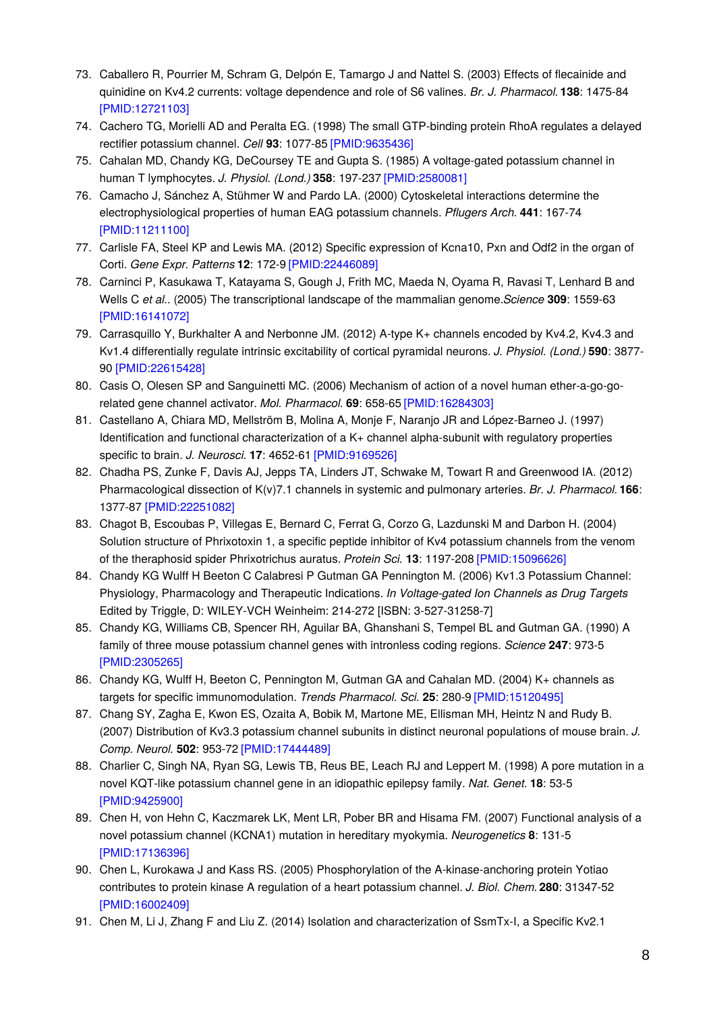- 73. Caballero R, Pourrier M, Schram G, Delpón E, Tamargo J and Nattel S. (2003) Effects of flecainide and quinidine on Kv4.2 currents: voltage dependence and role of S6 valines. *Br. J. Pharmacol.* **138**: 1475-84 [\[PMID:12721103\]](http://www.ncbi.nlm.nih.gov/pubmed/12721103?dopt=AbstractPlus)
- 74. Cachero TG, Morielli AD and Peralta EG. (1998) The small GTP-binding protein RhoA regulates a delayed rectifier potassium channel. *Cell* **93**: 1077-85 [\[PMID:9635436\]](http://www.ncbi.nlm.nih.gov/pubmed/9635436?dopt=AbstractPlus)
- 75. Cahalan MD, Chandy KG, DeCoursey TE and Gupta S. (1985) A voltage-gated potassium channel in human T lymphocytes. *J. Physiol. (Lond.)* **358**: 197-237 [\[PMID:2580081\]](http://www.ncbi.nlm.nih.gov/pubmed/2580081?dopt=AbstractPlus)
- 76. Camacho J, Sánchez A, Stühmer W and Pardo LA. (2000) Cytoskeletal interactions determine the electrophysiological properties of human EAG potassium channels. *Pflugers Arch.* **441**: 167-74 [\[PMID:11211100\]](http://www.ncbi.nlm.nih.gov/pubmed/11211100?dopt=AbstractPlus)
- 77. Carlisle FA, Steel KP and Lewis MA. (2012) Specific expression of Kcna10, Pxn and Odf2 in the organ of Corti. *Gene Expr. Patterns* **12**: 172-9 [\[PMID:22446089\]](http://www.ncbi.nlm.nih.gov/pubmed/22446089?dopt=AbstractPlus)
- 78. Carninci P, Kasukawa T, Katayama S, Gough J, Frith MC, Maeda N, Oyama R, Ravasi T, Lenhard B and Wells C *et al.*. (2005) The transcriptional landscape of the mammalian genome.*Science* **309**: 1559-63 [\[PMID:16141072\]](http://www.ncbi.nlm.nih.gov/pubmed/16141072?dopt=AbstractPlus)
- 79. Carrasquillo Y, Burkhalter A and Nerbonne JM. (2012) A-type K+ channels encoded by Kv4.2, Kv4.3 and Kv1.4 differentially regulate intrinsic excitability of cortical pyramidal neurons. *J. Physiol. (Lond.)* **590**: 3877- 90 [\[PMID:22615428\]](http://www.ncbi.nlm.nih.gov/pubmed/22615428?dopt=AbstractPlus)
- 80. Casis O, Olesen SP and Sanguinetti MC. (2006) Mechanism of action of a novel human ether-a-go-gorelated gene channel activator. *Mol. Pharmacol.* **69**: 658-65 [\[PMID:16284303\]](http://www.ncbi.nlm.nih.gov/pubmed/16284303?dopt=AbstractPlus)
- 81. Castellano A, Chiara MD, Mellström B, Molina A, Monje F, Naranjo JR and López-Barneo J. (1997) Identification and functional characterization of a K+ channel alpha-subunit with regulatory properties specific to brain. *J. Neurosci.* **17**: 4652-61 [\[PMID:9169526\]](http://www.ncbi.nlm.nih.gov/pubmed/9169526?dopt=AbstractPlus)
- 82. Chadha PS, Zunke F, Davis AJ, Jepps TA, Linders JT, Schwake M, Towart R and Greenwood IA. (2012) Pharmacological dissection of K(v)7.1 channels in systemic and pulmonary arteries. *Br. J. Pharmacol.* **166**: 1377-87 [\[PMID:22251082\]](http://www.ncbi.nlm.nih.gov/pubmed/22251082?dopt=AbstractPlus)
- 83. Chagot B, Escoubas P, Villegas E, Bernard C, Ferrat G, Corzo G, Lazdunski M and Darbon H. (2004) Solution structure of Phrixotoxin 1, a specific peptide inhibitor of Kv4 potassium channels from the venom of the theraphosid spider Phrixotrichus auratus. *Protein Sci.* **13**: 1197-208 [\[PMID:15096626\]](http://www.ncbi.nlm.nih.gov/pubmed/15096626?dopt=AbstractPlus)
- 84. Chandy KG Wulff H Beeton C Calabresi P Gutman GA Pennington M. (2006) Kv1.3 Potassium Channel: Physiology, Pharmacology and Therapeutic Indications. *In Voltage-gated Ion Channels as Drug Targets* Edited by Triggle, D: WILEY-VCH Weinheim: 214-272 [ISBN: 3-527-31258-7]
- 85. Chandy KG, Williams CB, Spencer RH, Aguilar BA, Ghanshani S, Tempel BL and Gutman GA. (1990) A family of three mouse potassium channel genes with intronless coding regions. *Science* **247**: 973-5 [\[PMID:2305265\]](http://www.ncbi.nlm.nih.gov/pubmed/2305265?dopt=AbstractPlus)
- 86. Chandy KG, Wulff H, Beeton C, Pennington M, Gutman GA and Cahalan MD. (2004) K+ channels as targets for specific immunomodulation. *Trends Pharmacol. Sci.* **25**: 280-9 [\[PMID:15120495\]](http://www.ncbi.nlm.nih.gov/pubmed/15120495?dopt=AbstractPlus)
- 87. Chang SY, Zagha E, Kwon ES, Ozaita A, Bobik M, Martone ME, Ellisman MH, Heintz N and Rudy B. (2007) Distribution of Kv3.3 potassium channel subunits in distinct neuronal populations of mouse brain. *J. Comp. Neurol.* **502**: 953-72 [\[PMID:17444489\]](http://www.ncbi.nlm.nih.gov/pubmed/17444489?dopt=AbstractPlus)
- 88. Charlier C, Singh NA, Ryan SG, Lewis TB, Reus BE, Leach RJ and Leppert M. (1998) A pore mutation in a novel KQT-like potassium channel gene in an idiopathic epilepsy family. *Nat. Genet.* **18**: 53-5 [\[PMID:9425900\]](http://www.ncbi.nlm.nih.gov/pubmed/9425900?dopt=AbstractPlus)
- 89. Chen H, von Hehn C, Kaczmarek LK, Ment LR, Pober BR and Hisama FM. (2007) Functional analysis of a novel potassium channel (KCNA1) mutation in hereditary myokymia. *Neurogenetics* **8**: 131-5 [\[PMID:17136396\]](http://www.ncbi.nlm.nih.gov/pubmed/17136396?dopt=AbstractPlus)
- 90. Chen L, Kurokawa J and Kass RS. (2005) Phosphorylation of the A-kinase-anchoring protein Yotiao contributes to protein kinase A regulation of a heart potassium channel. *J. Biol. Chem.* **280**: 31347-52 [\[PMID:16002409\]](http://www.ncbi.nlm.nih.gov/pubmed/16002409?dopt=AbstractPlus)
- 91. Chen M, Li J, Zhang F and Liu Z. (2014) Isolation and characterization of SsmTx-I, a Specific Kv2.1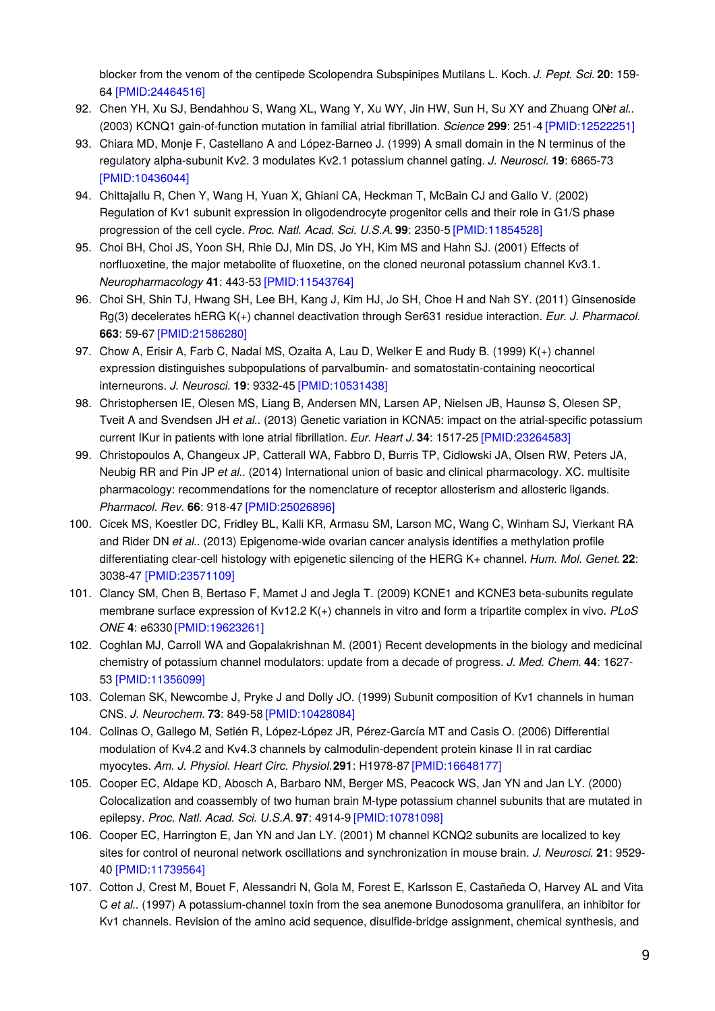blocker from the venom of the centipede Scolopendra Subspinipes Mutilans L. Koch. *J. Pept. Sci.* **20**: 159- 64 [\[PMID:24464516\]](http://www.ncbi.nlm.nih.gov/pubmed/24464516?dopt=AbstractPlus)

- 92. Chen YH, Xu SJ, Bendahhou S, Wang XL, Wang Y, Xu WY, Jin HW, Sun H, Su XY and Zhuang QN*et al.*. (2003) KCNQ1 gain-of-function mutation in familial atrial fibrillation. *Science* **299**: 251-4 [\[PMID:12522251\]](http://www.ncbi.nlm.nih.gov/pubmed/12522251?dopt=AbstractPlus)
- 93. Chiara MD, Monje F, Castellano A and López-Barneo J. (1999) A small domain in the N terminus of the regulatory alpha-subunit Kv2. 3 modulates Kv2.1 potassium channel gating. *J. Neurosci.* **19**: 6865-73 [\[PMID:10436044\]](http://www.ncbi.nlm.nih.gov/pubmed/10436044?dopt=AbstractPlus)
- 94. Chittajallu R, Chen Y, Wang H, Yuan X, Ghiani CA, Heckman T, McBain CJ and Gallo V. (2002) Regulation of Kv1 subunit expression in oligodendrocyte progenitor cells and their role in G1/S phase progression of the cell cycle. *Proc. Natl. Acad. Sci. U.S.A.* **99**: 2350-5 [\[PMID:11854528\]](http://www.ncbi.nlm.nih.gov/pubmed/11854528?dopt=AbstractPlus)
- 95. Choi BH, Choi JS, Yoon SH, Rhie DJ, Min DS, Jo YH, Kim MS and Hahn SJ. (2001) Effects of norfluoxetine, the major metabolite of fluoxetine, on the cloned neuronal potassium channel Kv3.1. *Neuropharmacology* **41**: 443-53 [\[PMID:11543764\]](http://www.ncbi.nlm.nih.gov/pubmed/11543764?dopt=AbstractPlus)
- 96. Choi SH, Shin TJ, Hwang SH, Lee BH, Kang J, Kim HJ, Jo SH, Choe H and Nah SY. (2011) Ginsenoside Rg(3) decelerates hERG K(+) channel deactivation through Ser631 residue interaction. *Eur. J. Pharmacol.* **663**: 59-67 [\[PMID:21586280\]](http://www.ncbi.nlm.nih.gov/pubmed/21586280?dopt=AbstractPlus)
- 97. Chow A, Erisir A, Farb C, Nadal MS, Ozaita A, Lau D, Welker E and Rudy B. (1999) K(+) channel expression distinguishes subpopulations of parvalbumin- and somatostatin-containing neocortical interneurons. *J. Neurosci.* **19**: 9332-45 [\[PMID:10531438\]](http://www.ncbi.nlm.nih.gov/pubmed/10531438?dopt=AbstractPlus)
- 98. Christophersen IE, Olesen MS, Liang B, Andersen MN, Larsen AP, Nielsen JB, Haunsø S, Olesen SP, Tveit A and Svendsen JH *et al.*. (2013) Genetic variation in KCNA5: impact on the atrial-specific potassium current IKur in patients with lone atrial fibrillation. *Eur. Heart J.* **34**: 1517-25 [\[PMID:23264583\]](http://www.ncbi.nlm.nih.gov/pubmed/23264583?dopt=AbstractPlus)
- 99. Christopoulos A, Changeux JP, Catterall WA, Fabbro D, Burris TP, Cidlowski JA, Olsen RW, Peters JA, Neubig RR and Pin JP *et al.*. (2014) International union of basic and clinical pharmacology. XC. multisite pharmacology: recommendations for the nomenclature of receptor allosterism and allosteric ligands. *Pharmacol. Rev.* **66**: 918-47 [\[PMID:25026896\]](http://www.ncbi.nlm.nih.gov/pubmed/25026896?dopt=AbstractPlus)
- 100. Cicek MS, Koestler DC, Fridley BL, Kalli KR, Armasu SM, Larson MC, Wang C, Winham SJ, Vierkant RA and Rider DN *et al.*. (2013) Epigenome-wide ovarian cancer analysis identifies a methylation profile differentiating clear-cell histology with epigenetic silencing of the HERG K+ channel. *Hum. Mol. Genet.* **22**: 3038-47 [\[PMID:23571109\]](http://www.ncbi.nlm.nih.gov/pubmed/23571109?dopt=AbstractPlus)
- 101. Clancy SM, Chen B, Bertaso F, Mamet J and Jegla T. (2009) KCNE1 and KCNE3 beta-subunits regulate membrane surface expression of Kv12.2 K(+) channels in vitro and form a tripartite complex in vivo. *PLoS ONE* **4**: e6330 [\[PMID:19623261\]](http://www.ncbi.nlm.nih.gov/pubmed/19623261?dopt=AbstractPlus)
- 102. Coghlan MJ, Carroll WA and Gopalakrishnan M. (2001) Recent developments in the biology and medicinal chemistry of potassium channel modulators: update from a decade of progress. *J. Med. Chem.* **44**: 1627- 53 [\[PMID:11356099\]](http://www.ncbi.nlm.nih.gov/pubmed/11356099?dopt=AbstractPlus)
- 103. Coleman SK, Newcombe J, Pryke J and Dolly JO. (1999) Subunit composition of Kv1 channels in human CNS. *J. Neurochem.* **73**: 849-58 [\[PMID:10428084\]](http://www.ncbi.nlm.nih.gov/pubmed/10428084?dopt=AbstractPlus)
- 104. Colinas O, Gallego M, Setién R, López-López JR, Pérez-García MT and Casis O. (2006) Differential modulation of Kv4.2 and Kv4.3 channels by calmodulin-dependent protein kinase II in rat cardiac myocytes. *Am. J. Physiol. Heart Circ. Physiol.***291**: H1978-87 [\[PMID:16648177\]](http://www.ncbi.nlm.nih.gov/pubmed/16648177?dopt=AbstractPlus)
- 105. Cooper EC, Aldape KD, Abosch A, Barbaro NM, Berger MS, Peacock WS, Jan YN and Jan LY. (2000) Colocalization and coassembly of two human brain M-type potassium channel subunits that are mutated in epilepsy. *Proc. Natl. Acad. Sci. U.S.A.* **97**: 4914-9 [\[PMID:10781098\]](http://www.ncbi.nlm.nih.gov/pubmed/10781098?dopt=AbstractPlus)
- 106. Cooper EC, Harrington E, Jan YN and Jan LY. (2001) M channel KCNQ2 subunits are localized to key sites for control of neuronal network oscillations and synchronization in mouse brain. *J. Neurosci.* **21**: 9529- 40 [\[PMID:11739564\]](http://www.ncbi.nlm.nih.gov/pubmed/11739564?dopt=AbstractPlus)
- 107. Cotton J, Crest M, Bouet F, Alessandri N, Gola M, Forest E, Karlsson E, Castañeda O, Harvey AL and Vita C *et al.*. (1997) A potassium-channel toxin from the sea anemone Bunodosoma granulifera, an inhibitor for Kv1 channels. Revision of the amino acid sequence, disulfide-bridge assignment, chemical synthesis, and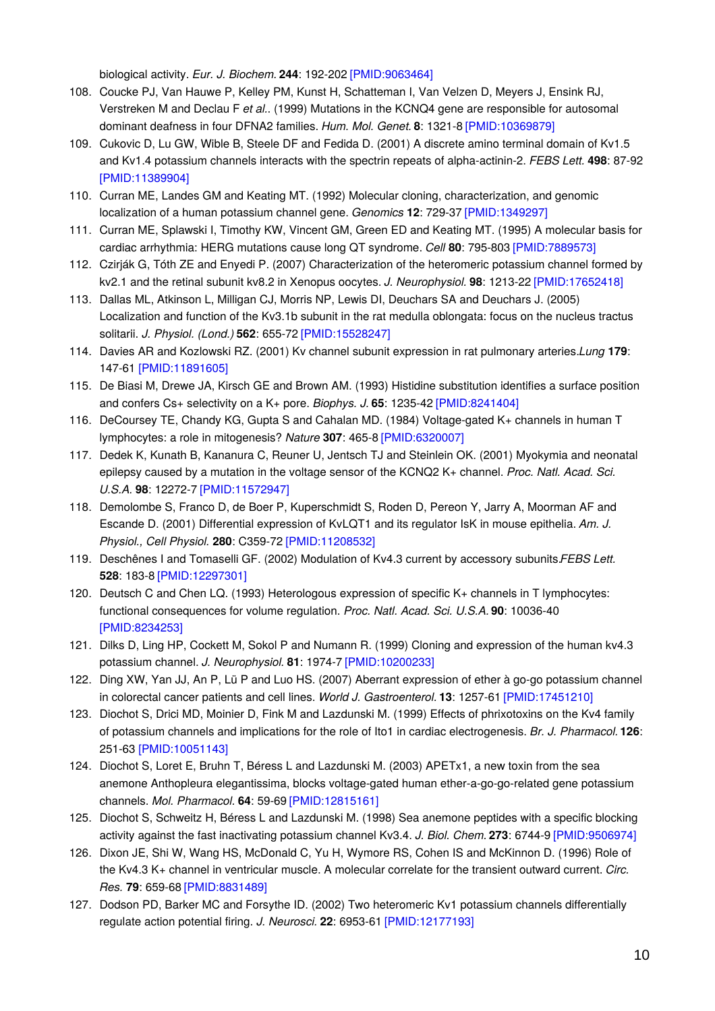biological activity. *Eur. J. Biochem.* **244**: 192-202 [\[PMID:9063464\]](http://www.ncbi.nlm.nih.gov/pubmed/9063464?dopt=AbstractPlus)

- 108. Coucke PJ, Van Hauwe P, Kelley PM, Kunst H, Schatteman I, Van Velzen D, Meyers J, Ensink RJ, Verstreken M and Declau F *et al.*. (1999) Mutations in the KCNQ4 gene are responsible for autosomal dominant deafness in four DFNA2 families. *Hum. Mol. Genet.* **8**: 1321-8 [\[PMID:10369879\]](http://www.ncbi.nlm.nih.gov/pubmed/10369879?dopt=AbstractPlus)
- 109. Cukovic D, Lu GW, Wible B, Steele DF and Fedida D. (2001) A discrete amino terminal domain of Kv1.5 and Kv1.4 potassium channels interacts with the spectrin repeats of alpha-actinin-2. *FEBS Lett.* **498**: 87-92 [\[PMID:11389904\]](http://www.ncbi.nlm.nih.gov/pubmed/11389904?dopt=AbstractPlus)
- 110. Curran ME, Landes GM and Keating MT. (1992) Molecular cloning, characterization, and genomic localization of a human potassium channel gene. *Genomics* **12**: 729-37 [\[PMID:1349297\]](http://www.ncbi.nlm.nih.gov/pubmed/1349297?dopt=AbstractPlus)
- 111. Curran ME, Splawski I, Timothy KW, Vincent GM, Green ED and Keating MT. (1995) A molecular basis for cardiac arrhythmia: HERG mutations cause long QT syndrome. *Cell* **80**: 795-803 [\[PMID:7889573\]](http://www.ncbi.nlm.nih.gov/pubmed/7889573?dopt=AbstractPlus)
- 112. Czirják G, Tóth ZE and Enyedi P. (2007) Characterization of the heteromeric potassium channel formed by kv2.1 and the retinal subunit kv8.2 in Xenopus oocytes. *J. Neurophysiol.* **98**: 1213-22 [\[PMID:17652418\]](http://www.ncbi.nlm.nih.gov/pubmed/17652418?dopt=AbstractPlus)
- 113. Dallas ML, Atkinson L, Milligan CJ, Morris NP, Lewis DI, Deuchars SA and Deuchars J. (2005) Localization and function of the Kv3.1b subunit in the rat medulla oblongata: focus on the nucleus tractus solitarii. *J. Physiol. (Lond.)* **562**: 655-72 [\[PMID:15528247\]](http://www.ncbi.nlm.nih.gov/pubmed/15528247?dopt=AbstractPlus)
- 114. Davies AR and Kozlowski RZ. (2001) Kv channel subunit expression in rat pulmonary arteries.*Lung* **179**: 147-61 [\[PMID:11891605\]](http://www.ncbi.nlm.nih.gov/pubmed/11891605?dopt=AbstractPlus)
- 115. De Biasi M, Drewe JA, Kirsch GE and Brown AM. (1993) Histidine substitution identifies a surface position and confers Cs+ selectivity on a K+ pore. *Biophys. J.* **65**: 1235-42 [\[PMID:8241404\]](http://www.ncbi.nlm.nih.gov/pubmed/8241404?dopt=AbstractPlus)
- 116. DeCoursey TE, Chandy KG, Gupta S and Cahalan MD. (1984) Voltage-gated K+ channels in human T lymphocytes: a role in mitogenesis? *Nature* **307**: 465-8 [\[PMID:6320007\]](http://www.ncbi.nlm.nih.gov/pubmed/6320007?dopt=AbstractPlus)
- 117. Dedek K, Kunath B, Kananura C, Reuner U, Jentsch TJ and Steinlein OK. (2001) Myokymia and neonatal epilepsy caused by a mutation in the voltage sensor of the KCNQ2 K+ channel. *Proc. Natl. Acad. Sci. U.S.A.* **98**: 12272-7 [\[PMID:11572947\]](http://www.ncbi.nlm.nih.gov/pubmed/11572947?dopt=AbstractPlus)
- 118. Demolombe S, Franco D, de Boer P, Kuperschmidt S, Roden D, Pereon Y, Jarry A, Moorman AF and Escande D. (2001) Differential expression of KvLQT1 and its regulator IsK in mouse epithelia. *Am. J. Physiol., Cell Physiol.* **280**: C359-72 [\[PMID:11208532\]](http://www.ncbi.nlm.nih.gov/pubmed/11208532?dopt=AbstractPlus)
- 119. Deschênes I and Tomaselli GF. (2002) Modulation of Kv4.3 current by accessory subunits.*FEBS Lett.* **528**: 183-8 [\[PMID:12297301\]](http://www.ncbi.nlm.nih.gov/pubmed/12297301?dopt=AbstractPlus)
- 120. Deutsch C and Chen LQ. (1993) Heterologous expression of specific K+ channels in T lymphocytes: functional consequences for volume regulation. *Proc. Natl. Acad. Sci. U.S.A.* **90**: 10036-40 [\[PMID:8234253\]](http://www.ncbi.nlm.nih.gov/pubmed/8234253?dopt=AbstractPlus)
- 121. Dilks D, Ling HP, Cockett M, Sokol P and Numann R. (1999) Cloning and expression of the human kv4.3 potassium channel. *J. Neurophysiol.* **81**: 1974-7 [\[PMID:10200233\]](http://www.ncbi.nlm.nih.gov/pubmed/10200233?dopt=AbstractPlus)
- 122. Ding XW, Yan JJ, An P, Lü P and Luo HS. (2007) Aberrant expression of ether à go-go potassium channel in colorectal cancer patients and cell lines. *World J. Gastroenterol.* **13**: 1257-61 [\[PMID:17451210\]](http://www.ncbi.nlm.nih.gov/pubmed/17451210?dopt=AbstractPlus)
- 123. Diochot S, Drici MD, Moinier D, Fink M and Lazdunski M. (1999) Effects of phrixotoxins on the Kv4 family of potassium channels and implications for the role of Ito1 in cardiac electrogenesis. *Br. J. Pharmacol.* **126**: 251-63 [\[PMID:10051143\]](http://www.ncbi.nlm.nih.gov/pubmed/10051143?dopt=AbstractPlus)
- 124. Diochot S, Loret E, Bruhn T, Béress L and Lazdunski M. (2003) APETx1, a new toxin from the sea anemone Anthopleura elegantissima, blocks voltage-gated human ether-a-go-go-related gene potassium channels. *Mol. Pharmacol.* **64**: 59-69 [\[PMID:12815161\]](http://www.ncbi.nlm.nih.gov/pubmed/12815161?dopt=AbstractPlus)
- 125. Diochot S, Schweitz H, Béress L and Lazdunski M. (1998) Sea anemone peptides with a specific blocking activity against the fast inactivating potassium channel Kv3.4. *J. Biol. Chem.* **273**: 6744-9 [\[PMID:9506974\]](http://www.ncbi.nlm.nih.gov/pubmed/9506974?dopt=AbstractPlus)
- 126. Dixon JE, Shi W, Wang HS, McDonald C, Yu H, Wymore RS, Cohen IS and McKinnon D. (1996) Role of the Kv4.3 K+ channel in ventricular muscle. A molecular correlate for the transient outward current. *Circ. Res.* **79**: 659-68 [\[PMID:8831489\]](http://www.ncbi.nlm.nih.gov/pubmed/8831489?dopt=AbstractPlus)
- 127. Dodson PD, Barker MC and Forsythe ID. (2002) Two heteromeric Kv1 potassium channels differentially regulate action potential firing. *J. Neurosci.* **22**: 6953-61 [\[PMID:12177193\]](http://www.ncbi.nlm.nih.gov/pubmed/12177193?dopt=AbstractPlus)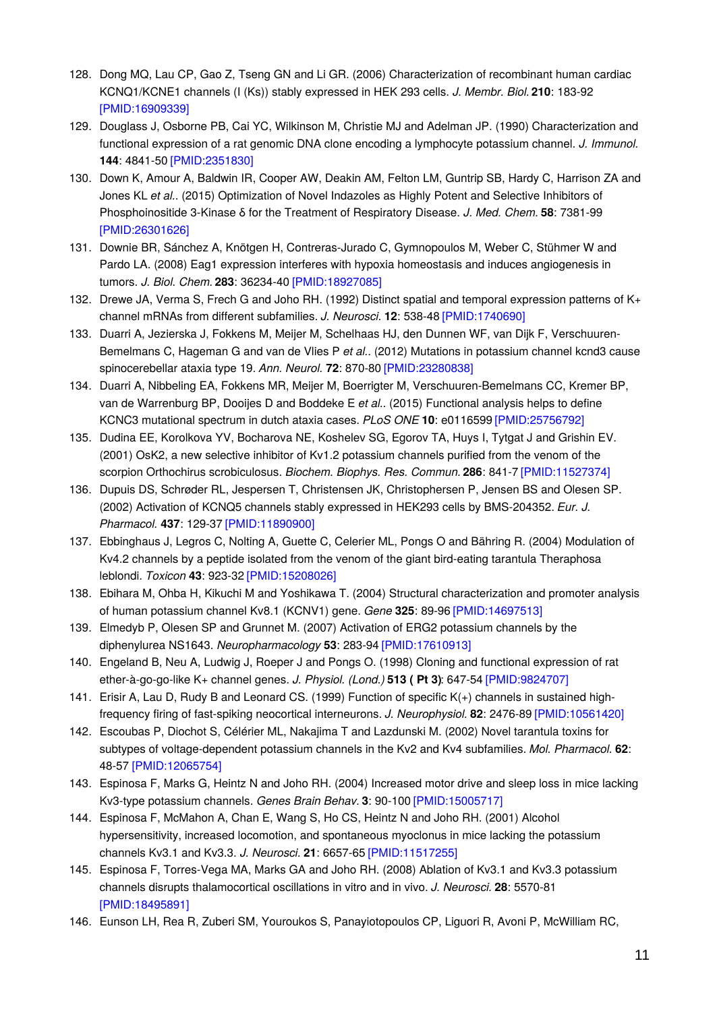- 128. Dong MQ, Lau CP, Gao Z, Tseng GN and Li GR. (2006) Characterization of recombinant human cardiac KCNQ1/KCNE1 channels (I (Ks)) stably expressed in HEK 293 cells. *J. Membr. Biol.* **210**: 183-92 [\[PMID:16909339\]](http://www.ncbi.nlm.nih.gov/pubmed/16909339?dopt=AbstractPlus)
- 129. Douglass J, Osborne PB, Cai YC, Wilkinson M, Christie MJ and Adelman JP. (1990) Characterization and functional expression of a rat genomic DNA clone encoding a lymphocyte potassium channel. *J. Immunol.* **144**: 4841-50 [\[PMID:2351830\]](http://www.ncbi.nlm.nih.gov/pubmed/2351830?dopt=AbstractPlus)
- 130. Down K, Amour A, Baldwin IR, Cooper AW, Deakin AM, Felton LM, Guntrip SB, Hardy C, Harrison ZA and Jones KL *et al.*. (2015) Optimization of Novel Indazoles as Highly Potent and Selective Inhibitors of Phosphoinositide 3-Kinase δ for the Treatment of Respiratory Disease. *J. Med. Chem.* **58**: 7381-99 [\[PMID:26301626\]](http://www.ncbi.nlm.nih.gov/pubmed/26301626?dopt=AbstractPlus)
- 131. Downie BR, Sánchez A, Knötgen H, Contreras-Jurado C, Gymnopoulos M, Weber C, Stühmer W and Pardo LA. (2008) Eag1 expression interferes with hypoxia homeostasis and induces angiogenesis in tumors. *J. Biol. Chem.* **283**: 36234-40 [\[PMID:18927085\]](http://www.ncbi.nlm.nih.gov/pubmed/18927085?dopt=AbstractPlus)
- 132. Drewe JA, Verma S, Frech G and Joho RH. (1992) Distinct spatial and temporal expression patterns of K+ channel mRNAs from different subfamilies. *J. Neurosci.* **12**: 538-48 [\[PMID:1740690\]](http://www.ncbi.nlm.nih.gov/pubmed/1740690?dopt=AbstractPlus)
- 133. Duarri A, Jezierska J, Fokkens M, Meijer M, Schelhaas HJ, den Dunnen WF, van Dijk F, Verschuuren-Bemelmans C, Hageman G and van de Vlies P *et al.*. (2012) Mutations in potassium channel kcnd3 cause spinocerebellar ataxia type 19. *Ann. Neurol.* **72**: 870-80 [\[PMID:23280838\]](http://www.ncbi.nlm.nih.gov/pubmed/23280838?dopt=AbstractPlus)
- 134. Duarri A, Nibbeling EA, Fokkens MR, Meijer M, Boerrigter M, Verschuuren-Bemelmans CC, Kremer BP, van de Warrenburg BP, Dooijes D and Boddeke E *et al.*. (2015) Functional analysis helps to define KCNC3 mutational spectrum in dutch ataxia cases. *PLoS ONE* **10**: e0116599 [\[PMID:25756792\]](http://www.ncbi.nlm.nih.gov/pubmed/25756792?dopt=AbstractPlus)
- 135. Dudina EE, Korolkova YV, Bocharova NE, Koshelev SG, Egorov TA, Huys I, Tytgat J and Grishin EV. (2001) OsK2, a new selective inhibitor of Kv1.2 potassium channels purified from the venom of the scorpion Orthochirus scrobiculosus. *Biochem. Biophys. Res. Commun.* **286**: 841-7 [\[PMID:11527374\]](http://www.ncbi.nlm.nih.gov/pubmed/11527374?dopt=AbstractPlus)
- 136. Dupuis DS, Schrøder RL, Jespersen T, Christensen JK, Christophersen P, Jensen BS and Olesen SP. (2002) Activation of KCNQ5 channels stably expressed in HEK293 cells by BMS-204352. *Eur. J. Pharmacol.* **437**: 129-37 [\[PMID:11890900\]](http://www.ncbi.nlm.nih.gov/pubmed/11890900?dopt=AbstractPlus)
- 137. Ebbinghaus J, Legros C, Nolting A, Guette C, Celerier ML, Pongs O and Bähring R. (2004) Modulation of Kv4.2 channels by a peptide isolated from the venom of the giant bird-eating tarantula Theraphosa leblondi. *Toxicon* **43**: 923-32 [\[PMID:15208026\]](http://www.ncbi.nlm.nih.gov/pubmed/15208026?dopt=AbstractPlus)
- 138. Ebihara M, Ohba H, Kikuchi M and Yoshikawa T. (2004) Structural characterization and promoter analysis of human potassium channel Kv8.1 (KCNV1) gene. *Gene* **325**: 89-96 [\[PMID:14697513\]](http://www.ncbi.nlm.nih.gov/pubmed/14697513?dopt=AbstractPlus)
- 139. Elmedyb P, Olesen SP and Grunnet M. (2007) Activation of ERG2 potassium channels by the diphenylurea NS1643. *Neuropharmacology* **53**: 283-94 [\[PMID:17610913\]](http://www.ncbi.nlm.nih.gov/pubmed/17610913?dopt=AbstractPlus)
- 140. Engeland B, Neu A, Ludwig J, Roeper J and Pongs O. (1998) Cloning and functional expression of rat ether-à-go-go-like K+ channel genes. *J. Physiol. (Lond.)* **513 ( Pt 3)**: 647-54 [\[PMID:9824707\]](http://www.ncbi.nlm.nih.gov/pubmed/9824707?dopt=AbstractPlus)
- 141. Erisir A, Lau D, Rudy B and Leonard CS. (1999) Function of specific K(+) channels in sustained highfrequency firing of fast-spiking neocortical interneurons. *J. Neurophysiol.* **82**: 2476-89 [\[PMID:10561420\]](http://www.ncbi.nlm.nih.gov/pubmed/10561420?dopt=AbstractPlus)
- 142. Escoubas P, Diochot S, Célérier ML, Nakajima T and Lazdunski M. (2002) Novel tarantula toxins for subtypes of voltage-dependent potassium channels in the Kv2 and Kv4 subfamilies. *Mol. Pharmacol.* **62**: 48-57 [\[PMID:12065754\]](http://www.ncbi.nlm.nih.gov/pubmed/12065754?dopt=AbstractPlus)
- 143. Espinosa F, Marks G, Heintz N and Joho RH. (2004) Increased motor drive and sleep loss in mice lacking Kv3-type potassium channels. *Genes Brain Behav.* **3**: 90-100 [\[PMID:15005717\]](http://www.ncbi.nlm.nih.gov/pubmed/15005717?dopt=AbstractPlus)
- 144. Espinosa F, McMahon A, Chan E, Wang S, Ho CS, Heintz N and Joho RH. (2001) Alcohol hypersensitivity, increased locomotion, and spontaneous myoclonus in mice lacking the potassium channels Kv3.1 and Kv3.3. *J. Neurosci.* **21**: 6657-65 [\[PMID:11517255\]](http://www.ncbi.nlm.nih.gov/pubmed/11517255?dopt=AbstractPlus)
- 145. Espinosa F, Torres-Vega MA, Marks GA and Joho RH. (2008) Ablation of Kv3.1 and Kv3.3 potassium channels disrupts thalamocortical oscillations in vitro and in vivo. *J. Neurosci.* **28**: 5570-81 [\[PMID:18495891\]](http://www.ncbi.nlm.nih.gov/pubmed/18495891?dopt=AbstractPlus)
- 146. Eunson LH, Rea R, Zuberi SM, Youroukos S, Panayiotopoulos CP, Liguori R, Avoni P, McWilliam RC,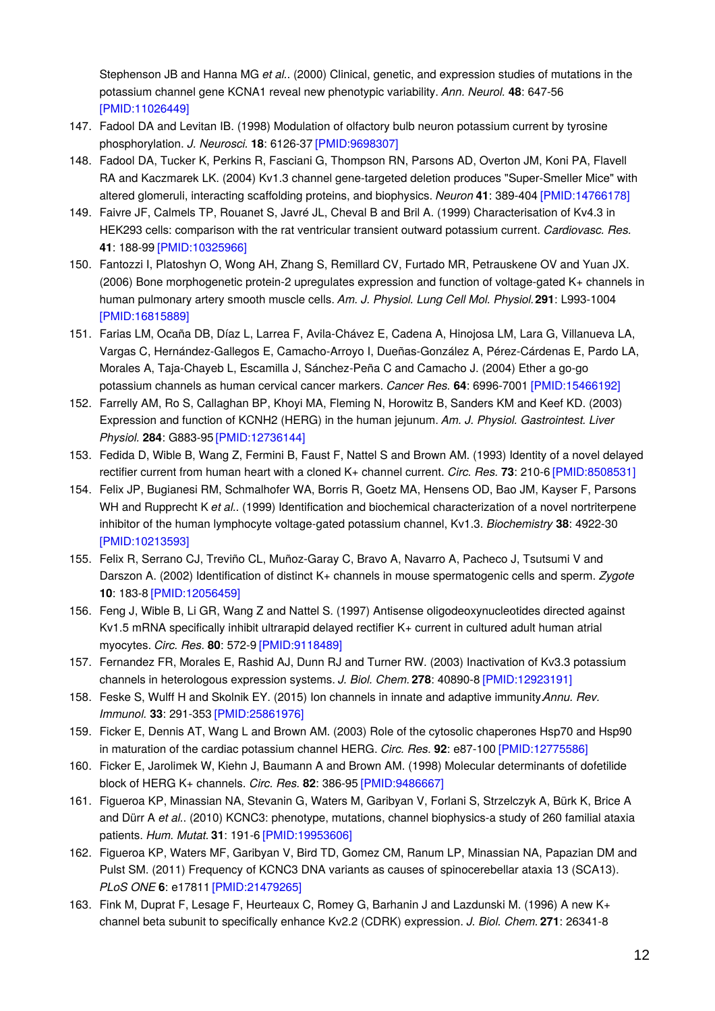Stephenson JB and Hanna MG *et al.*. (2000) Clinical, genetic, and expression studies of mutations in the potassium channel gene KCNA1 reveal new phenotypic variability. *Ann. Neurol.* **48**: 647-56 [\[PMID:11026449\]](http://www.ncbi.nlm.nih.gov/pubmed/11026449?dopt=AbstractPlus)

- 147. Fadool DA and Levitan IB. (1998) Modulation of olfactory bulb neuron potassium current by tyrosine phosphorylation. *J. Neurosci.* **18**: 6126-37 [\[PMID:9698307\]](http://www.ncbi.nlm.nih.gov/pubmed/9698307?dopt=AbstractPlus)
- 148. Fadool DA, Tucker K, Perkins R, Fasciani G, Thompson RN, Parsons AD, Overton JM, Koni PA, Flavell RA and Kaczmarek LK. (2004) Kv1.3 channel gene-targeted deletion produces "Super-Smeller Mice" with altered glomeruli, interacting scaffolding proteins, and biophysics. *Neuron* **41**: 389-404 [\[PMID:14766178\]](http://www.ncbi.nlm.nih.gov/pubmed/14766178?dopt=AbstractPlus)
- 149. Faivre JF, Calmels TP, Rouanet S, Javré JL, Cheval B and Bril A. (1999) Characterisation of Kv4.3 in HEK293 cells: comparison with the rat ventricular transient outward potassium current. *Cardiovasc. Res.* **41**: 188-99 [\[PMID:10325966\]](http://www.ncbi.nlm.nih.gov/pubmed/10325966?dopt=AbstractPlus)
- 150. Fantozzi I, Platoshyn O, Wong AH, Zhang S, Remillard CV, Furtado MR, Petrauskene OV and Yuan JX. (2006) Bone morphogenetic protein-2 upregulates expression and function of voltage-gated K+ channels in human pulmonary artery smooth muscle cells. *Am. J. Physiol. Lung Cell Mol. Physiol.***291**: L993-1004 [\[PMID:16815889\]](http://www.ncbi.nlm.nih.gov/pubmed/16815889?dopt=AbstractPlus)
- 151. Farias LM, Ocaña DB, Díaz L, Larrea F, Avila-Chávez E, Cadena A, Hinojosa LM, Lara G, Villanueva LA, Vargas C, Hernández-Gallegos E, Camacho-Arroyo I, Dueñas-González A, Pérez-Cárdenas E, Pardo LA, Morales A, Taja-Chayeb L, Escamilla J, Sánchez-Peña C and Camacho J. (2004) Ether a go-go potassium channels as human cervical cancer markers. *Cancer Res.* **64**: 6996-7001 [\[PMID:15466192\]](http://www.ncbi.nlm.nih.gov/pubmed/15466192?dopt=AbstractPlus)
- 152. Farrelly AM, Ro S, Callaghan BP, Khoyi MA, Fleming N, Horowitz B, Sanders KM and Keef KD. (2003) Expression and function of KCNH2 (HERG) in the human jejunum. *Am. J. Physiol. Gastrointest. Liver Physiol.* **284**: G883-95 [\[PMID:12736144\]](http://www.ncbi.nlm.nih.gov/pubmed/12736144?dopt=AbstractPlus)
- 153. Fedida D, Wible B, Wang Z, Fermini B, Faust F, Nattel S and Brown AM. (1993) Identity of a novel delayed rectifier current from human heart with a cloned K+ channel current. *Circ. Res.* **73**: 210-6 [\[PMID:8508531\]](http://www.ncbi.nlm.nih.gov/pubmed/8508531?dopt=AbstractPlus)
- 154. Felix JP, Bugianesi RM, Schmalhofer WA, Borris R, Goetz MA, Hensens OD, Bao JM, Kayser F, Parsons WH and Rupprecht K *et al.*. (1999) Identification and biochemical characterization of a novel nortriterpene inhibitor of the human lymphocyte voltage-gated potassium channel, Kv1.3. *Biochemistry* **38**: 4922-30 [\[PMID:10213593\]](http://www.ncbi.nlm.nih.gov/pubmed/10213593?dopt=AbstractPlus)
- 155. Felix R, Serrano CJ, Treviño CL, Muñoz-Garay C, Bravo A, Navarro A, Pacheco J, Tsutsumi V and Darszon A. (2002) Identification of distinct K+ channels in mouse spermatogenic cells and sperm. *Zygote* **10**: 183-8 [\[PMID:12056459\]](http://www.ncbi.nlm.nih.gov/pubmed/12056459?dopt=AbstractPlus)
- 156. Feng J, Wible B, Li GR, Wang Z and Nattel S. (1997) Antisense oligodeoxynucleotides directed against Kv1.5 mRNA specifically inhibit ultrarapid delayed rectifier K+ current in cultured adult human atrial myocytes. *Circ. Res.* **80**: 572-9 [\[PMID:9118489\]](http://www.ncbi.nlm.nih.gov/pubmed/9118489?dopt=AbstractPlus)
- 157. Fernandez FR, Morales E, Rashid AJ, Dunn RJ and Turner RW. (2003) Inactivation of Kv3.3 potassium channels in heterologous expression systems. *J. Biol. Chem.* **278**: 40890-8 [\[PMID:12923191\]](http://www.ncbi.nlm.nih.gov/pubmed/12923191?dopt=AbstractPlus)
- 158. Feske S, Wulff H and Skolnik EY. (2015) Ion channels in innate and adaptive immunity.*Annu. Rev. Immunol.* **33**: 291-353 [\[PMID:25861976\]](http://www.ncbi.nlm.nih.gov/pubmed/25861976?dopt=AbstractPlus)
- 159. Ficker E, Dennis AT, Wang L and Brown AM. (2003) Role of the cytosolic chaperones Hsp70 and Hsp90 in maturation of the cardiac potassium channel HERG. *Circ. Res.* **92**: e87-100 [\[PMID:12775586\]](http://www.ncbi.nlm.nih.gov/pubmed/12775586?dopt=AbstractPlus)
- 160. Ficker E, Jarolimek W, Kiehn J, Baumann A and Brown AM. (1998) Molecular determinants of dofetilide block of HERG K+ channels. *Circ. Res.* **82**: 386-95 [\[PMID:9486667\]](http://www.ncbi.nlm.nih.gov/pubmed/9486667?dopt=AbstractPlus)
- 161. Figueroa KP, Minassian NA, Stevanin G, Waters M, Garibyan V, Forlani S, Strzelczyk A, Bürk K, Brice A and Dürr A *et al.*. (2010) KCNC3: phenotype, mutations, channel biophysics-a study of 260 familial ataxia patients. *Hum. Mutat.* **31**: 191-6 [\[PMID:19953606\]](http://www.ncbi.nlm.nih.gov/pubmed/19953606?dopt=AbstractPlus)
- 162. Figueroa KP, Waters MF, Garibyan V, Bird TD, Gomez CM, Ranum LP, Minassian NA, Papazian DM and Pulst SM. (2011) Frequency of KCNC3 DNA variants as causes of spinocerebellar ataxia 13 (SCA13). *PLoS ONE* **6**: e17811 [\[PMID:21479265\]](http://www.ncbi.nlm.nih.gov/pubmed/21479265?dopt=AbstractPlus)
- 163. Fink M, Duprat F, Lesage F, Heurteaux C, Romey G, Barhanin J and Lazdunski M. (1996) A new K+ channel beta subunit to specifically enhance Kv2.2 (CDRK) expression. *J. Biol. Chem.* **271**: 26341-8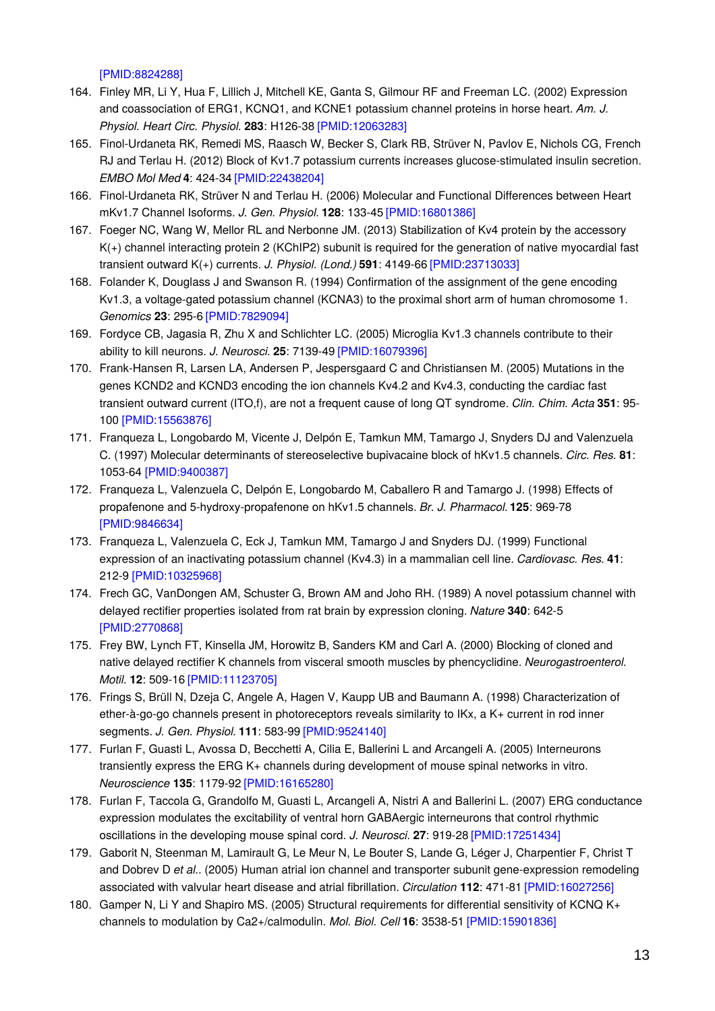[\[PMID:8824288\]](http://www.ncbi.nlm.nih.gov/pubmed/8824288?dopt=AbstractPlus)

- 164. Finley MR, Li Y, Hua F, Lillich J, Mitchell KE, Ganta S, Gilmour RF and Freeman LC. (2002) Expression and coassociation of ERG1, KCNQ1, and KCNE1 potassium channel proteins in horse heart. *Am. J. Physiol. Heart Circ. Physiol.* **283**: H126-38 [\[PMID:12063283\]](http://www.ncbi.nlm.nih.gov/pubmed/12063283?dopt=AbstractPlus)
- 165. Finol-Urdaneta RK, Remedi MS, Raasch W, Becker S, Clark RB, Strüver N, Pavlov E, Nichols CG, French RJ and Terlau H. (2012) Block of Kv1.7 potassium currents increases glucose-stimulated insulin secretion. *EMBO Mol Med* **4**: 424-34 [\[PMID:22438204\]](http://www.ncbi.nlm.nih.gov/pubmed/22438204?dopt=AbstractPlus)
- 166. Finol-Urdaneta RK, Strüver N and Terlau H. (2006) Molecular and Functional Differences between Heart mKv1.7 Channel Isoforms. *J. Gen. Physiol.* **128**: 133-45 [\[PMID:16801386\]](http://www.ncbi.nlm.nih.gov/pubmed/16801386?dopt=AbstractPlus)
- 167. Foeger NC, Wang W, Mellor RL and Nerbonne JM. (2013) Stabilization of Kv4 protein by the accessory K(+) channel interacting protein 2 (KChIP2) subunit is required for the generation of native myocardial fast transient outward K(+) currents. *J. Physiol. (Lond.)* **591**: 4149-66 [\[PMID:23713033\]](http://www.ncbi.nlm.nih.gov/pubmed/23713033?dopt=AbstractPlus)
- 168. Folander K, Douglass J and Swanson R. (1994) Confirmation of the assignment of the gene encoding Kv1.3, a voltage-gated potassium channel (KCNA3) to the proximal short arm of human chromosome 1. *Genomics* **23**: 295-6 [\[PMID:7829094\]](http://www.ncbi.nlm.nih.gov/pubmed/7829094?dopt=AbstractPlus)
- 169. Fordyce CB, Jagasia R, Zhu X and Schlichter LC. (2005) Microglia Kv1.3 channels contribute to their ability to kill neurons. *J. Neurosci.* **25**: 7139-49 [\[PMID:16079396\]](http://www.ncbi.nlm.nih.gov/pubmed/16079396?dopt=AbstractPlus)
- 170. Frank-Hansen R, Larsen LA, Andersen P, Jespersgaard C and Christiansen M. (2005) Mutations in the genes KCND2 and KCND3 encoding the ion channels Kv4.2 and Kv4.3, conducting the cardiac fast transient outward current (ITO,f), are not a frequent cause of long QT syndrome. *Clin. Chim. Acta* **351**: 95- 100 [\[PMID:15563876\]](http://www.ncbi.nlm.nih.gov/pubmed/15563876?dopt=AbstractPlus)
- 171. Franqueza L, Longobardo M, Vicente J, Delpón E, Tamkun MM, Tamargo J, Snyders DJ and Valenzuela C. (1997) Molecular determinants of stereoselective bupivacaine block of hKv1.5 channels. *Circ. Res.* **81**: 1053-64 [\[PMID:9400387\]](http://www.ncbi.nlm.nih.gov/pubmed/9400387?dopt=AbstractPlus)
- 172. Franqueza L, Valenzuela C, Delpón E, Longobardo M, Caballero R and Tamargo J. (1998) Effects of propafenone and 5-hydroxy-propafenone on hKv1.5 channels. *Br. J. Pharmacol.* **125**: 969-78 [\[PMID:9846634\]](http://www.ncbi.nlm.nih.gov/pubmed/9846634?dopt=AbstractPlus)
- 173. Franqueza L, Valenzuela C, Eck J, Tamkun MM, Tamargo J and Snyders DJ. (1999) Functional expression of an inactivating potassium channel (Kv4.3) in a mammalian cell line. *Cardiovasc. Res.* **41**: 212-9 [\[PMID:10325968\]](http://www.ncbi.nlm.nih.gov/pubmed/10325968?dopt=AbstractPlus)
- 174. Frech GC, VanDongen AM, Schuster G, Brown AM and Joho RH. (1989) A novel potassium channel with delayed rectifier properties isolated from rat brain by expression cloning. *Nature* **340**: 642-5 [\[PMID:2770868\]](http://www.ncbi.nlm.nih.gov/pubmed/2770868?dopt=AbstractPlus)
- 175. Frey BW, Lynch FT, Kinsella JM, Horowitz B, Sanders KM and Carl A. (2000) Blocking of cloned and native delayed rectifier K channels from visceral smooth muscles by phencyclidine. *Neurogastroenterol. Motil.* **12**: 509-16 [\[PMID:11123705\]](http://www.ncbi.nlm.nih.gov/pubmed/11123705?dopt=AbstractPlus)
- 176. Frings S, Brüll N, Dzeja C, Angele A, Hagen V, Kaupp UB and Baumann A. (1998) Characterization of ether-à-go-go channels present in photoreceptors reveals similarity to IKx, a K+ current in rod inner segments. *J. Gen. Physiol.* **111**: 583-99 [\[PMID:9524140\]](http://www.ncbi.nlm.nih.gov/pubmed/9524140?dopt=AbstractPlus)
- 177. Furlan F, Guasti L, Avossa D, Becchetti A, Cilia E, Ballerini L and Arcangeli A. (2005) Interneurons transiently express the ERG K+ channels during development of mouse spinal networks in vitro. *Neuroscience* **135**: 1179-92 [\[PMID:16165280\]](http://www.ncbi.nlm.nih.gov/pubmed/16165280?dopt=AbstractPlus)
- 178. Furlan F, Taccola G, Grandolfo M, Guasti L, Arcangeli A, Nistri A and Ballerini L. (2007) ERG conductance expression modulates the excitability of ventral horn GABAergic interneurons that control rhythmic oscillations in the developing mouse spinal cord. *J. Neurosci.* **27**: 919-28 [\[PMID:17251434\]](http://www.ncbi.nlm.nih.gov/pubmed/17251434?dopt=AbstractPlus)
- 179. Gaborit N, Steenman M, Lamirault G, Le Meur N, Le Bouter S, Lande G, Léger J, Charpentier F, Christ T and Dobrev D *et al.*. (2005) Human atrial ion channel and transporter subunit gene-expression remodeling associated with valvular heart disease and atrial fibrillation. *Circulation* **112**: 471-81 [\[PMID:16027256\]](http://www.ncbi.nlm.nih.gov/pubmed/16027256?dopt=AbstractPlus)
- 180. Gamper N, Li Y and Shapiro MS. (2005) Structural requirements for differential sensitivity of KCNQ K+ channels to modulation by Ca2+/calmodulin. *Mol. Biol. Cell* **16**: 3538-51 [\[PMID:15901836\]](http://www.ncbi.nlm.nih.gov/pubmed/15901836?dopt=AbstractPlus)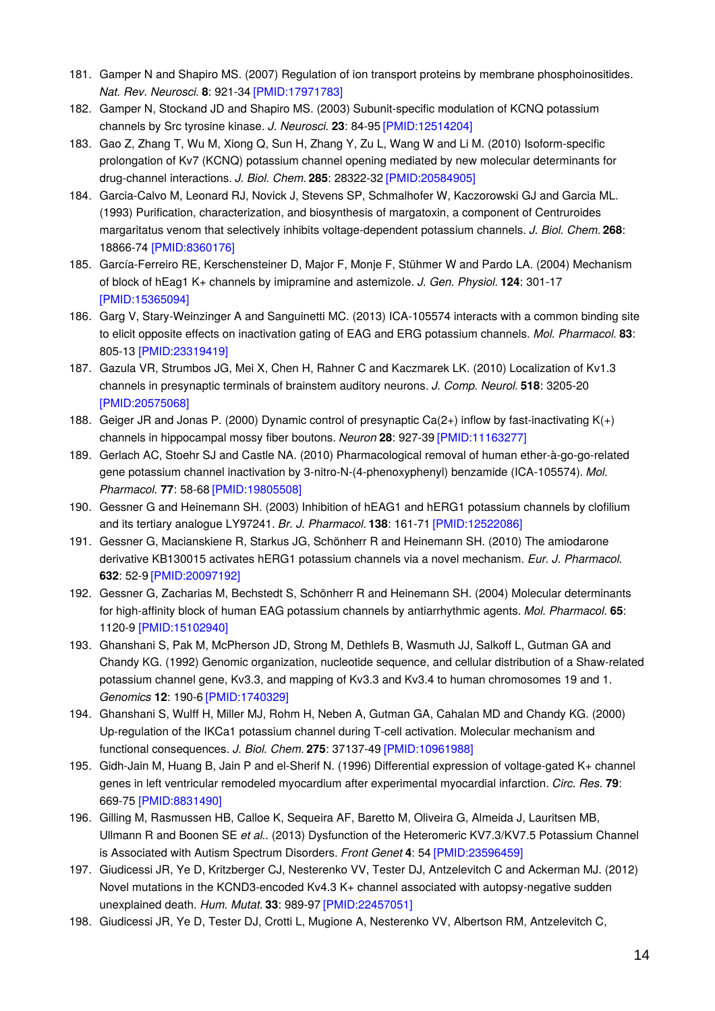- 181. Gamper N and Shapiro MS. (2007) Regulation of ion transport proteins by membrane phosphoinositides. *Nat. Rev. Neurosci.* **8**: 921-34 [\[PMID:17971783\]](http://www.ncbi.nlm.nih.gov/pubmed/17971783?dopt=AbstractPlus)
- 182. Gamper N, Stockand JD and Shapiro MS. (2003) Subunit-specific modulation of KCNQ potassium channels by Src tyrosine kinase. *J. Neurosci.* **23**: 84-95 [\[PMID:12514204\]](http://www.ncbi.nlm.nih.gov/pubmed/12514204?dopt=AbstractPlus)
- 183. Gao Z, Zhang T, Wu M, Xiong Q, Sun H, Zhang Y, Zu L, Wang W and Li M. (2010) Isoform-specific prolongation of Kv7 (KCNQ) potassium channel opening mediated by new molecular determinants for drug-channel interactions. *J. Biol. Chem.* **285**: 28322-32 [\[PMID:20584905\]](http://www.ncbi.nlm.nih.gov/pubmed/20584905?dopt=AbstractPlus)
- 184. Garcia-Calvo M, Leonard RJ, Novick J, Stevens SP, Schmalhofer W, Kaczorowski GJ and Garcia ML. (1993) Purification, characterization, and biosynthesis of margatoxin, a component of Centruroides margaritatus venom that selectively inhibits voltage-dependent potassium channels. *J. Biol. Chem.* **268**: 18866-74 [\[PMID:8360176\]](http://www.ncbi.nlm.nih.gov/pubmed/8360176?dopt=AbstractPlus)
- 185. García-Ferreiro RE, Kerschensteiner D, Major F, Monje F, Stühmer W and Pardo LA. (2004) Mechanism of block of hEag1 K+ channels by imipramine and astemizole. *J. Gen. Physiol.* **124**: 301-17 [\[PMID:15365094\]](http://www.ncbi.nlm.nih.gov/pubmed/15365094?dopt=AbstractPlus)
- 186. Garg V, Stary-Weinzinger A and Sanguinetti MC. (2013) ICA-105574 interacts with a common binding site to elicit opposite effects on inactivation gating of EAG and ERG potassium channels. *Mol. Pharmacol.* **83**: 805-13 [\[PMID:23319419\]](http://www.ncbi.nlm.nih.gov/pubmed/23319419?dopt=AbstractPlus)
- 187. Gazula VR, Strumbos JG, Mei X, Chen H, Rahner C and Kaczmarek LK. (2010) Localization of Kv1.3 channels in presynaptic terminals of brainstem auditory neurons. *J. Comp. Neurol.* **518**: 3205-20 [\[PMID:20575068\]](http://www.ncbi.nlm.nih.gov/pubmed/20575068?dopt=AbstractPlus)
- 188. Geiger JR and Jonas P. (2000) Dynamic control of presynaptic Ca(2+) inflow by fast-inactivating K(+) channels in hippocampal mossy fiber boutons. *Neuron* **28**: 927-39 [\[PMID:11163277\]](http://www.ncbi.nlm.nih.gov/pubmed/11163277?dopt=AbstractPlus)
- 189. Gerlach AC, Stoehr SJ and Castle NA. (2010) Pharmacological removal of human ether-à-go-go-related gene potassium channel inactivation by 3-nitro-N-(4-phenoxyphenyl) benzamide (ICA-105574). *Mol. Pharmacol.* **77**: 58-68 [\[PMID:19805508\]](http://www.ncbi.nlm.nih.gov/pubmed/19805508?dopt=AbstractPlus)
- 190. Gessner G and Heinemann SH. (2003) Inhibition of hEAG1 and hERG1 potassium channels by clofilium and its tertiary analogue LY97241. *Br. J. Pharmacol.* **138**: 161-71 [\[PMID:12522086\]](http://www.ncbi.nlm.nih.gov/pubmed/12522086?dopt=AbstractPlus)
- 191. Gessner G, Macianskiene R, Starkus JG, Schönherr R and Heinemann SH. (2010) The amiodarone derivative KB130015 activates hERG1 potassium channels via a novel mechanism. *Eur. J. Pharmacol.* **632**: 52-9 [\[PMID:20097192\]](http://www.ncbi.nlm.nih.gov/pubmed/20097192?dopt=AbstractPlus)
- 192. Gessner G, Zacharias M, Bechstedt S, Schönherr R and Heinemann SH. (2004) Molecular determinants for high-affinity block of human EAG potassium channels by antiarrhythmic agents. *Mol. Pharmacol.* **65**: 1120-9 [\[PMID:15102940\]](http://www.ncbi.nlm.nih.gov/pubmed/15102940?dopt=AbstractPlus)
- 193. Ghanshani S, Pak M, McPherson JD, Strong M, Dethlefs B, Wasmuth JJ, Salkoff L, Gutman GA and Chandy KG. (1992) Genomic organization, nucleotide sequence, and cellular distribution of a Shaw-related potassium channel gene, Kv3.3, and mapping of Kv3.3 and Kv3.4 to human chromosomes 19 and 1. *Genomics* **12**: 190-6 [\[PMID:1740329\]](http://www.ncbi.nlm.nih.gov/pubmed/1740329?dopt=AbstractPlus)
- 194. Ghanshani S, Wulff H, Miller MJ, Rohm H, Neben A, Gutman GA, Cahalan MD and Chandy KG. (2000) Up-regulation of the IKCa1 potassium channel during T-cell activation. Molecular mechanism and functional consequences. *J. Biol. Chem.* **275**: 37137-49 [\[PMID:10961988\]](http://www.ncbi.nlm.nih.gov/pubmed/10961988?dopt=AbstractPlus)
- 195. Gidh-Jain M, Huang B, Jain P and el-Sherif N. (1996) Differential expression of voltage-gated K+ channel genes in left ventricular remodeled myocardium after experimental myocardial infarction. *Circ. Res.* **79**: 669-75 [\[PMID:8831490\]](http://www.ncbi.nlm.nih.gov/pubmed/8831490?dopt=AbstractPlus)
- 196. Gilling M, Rasmussen HB, Calloe K, Sequeira AF, Baretto M, Oliveira G, Almeida J, Lauritsen MB, Ullmann R and Boonen SE *et al.*. (2013) Dysfunction of the Heteromeric KV7.3/KV7.5 Potassium Channel is Associated with Autism Spectrum Disorders. *Front Genet* **4**: 54 [\[PMID:23596459\]](http://www.ncbi.nlm.nih.gov/pubmed/23596459?dopt=AbstractPlus)
- 197. Giudicessi JR, Ye D, Kritzberger CJ, Nesterenko VV, Tester DJ, Antzelevitch C and Ackerman MJ. (2012) Novel mutations in the KCND3-encoded Kv4.3 K+ channel associated with autopsy-negative sudden unexplained death. *Hum. Mutat.* **33**: 989-97 [\[PMID:22457051\]](http://www.ncbi.nlm.nih.gov/pubmed/22457051?dopt=AbstractPlus)
- 198. Giudicessi JR, Ye D, Tester DJ, Crotti L, Mugione A, Nesterenko VV, Albertson RM, Antzelevitch C,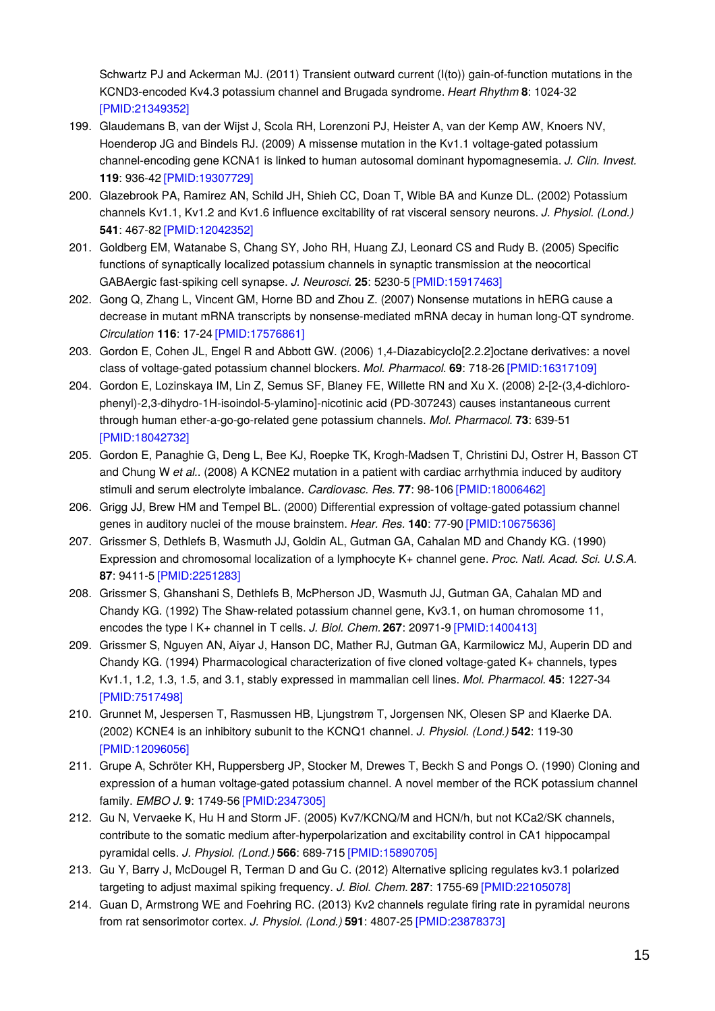Schwartz PJ and Ackerman MJ. (2011) Transient outward current (I(to)) gain-of-function mutations in the KCND3-encoded Kv4.3 potassium channel and Brugada syndrome. *Heart Rhythm* **8**: 1024-32 [\[PMID:21349352\]](http://www.ncbi.nlm.nih.gov/pubmed/21349352?dopt=AbstractPlus)

- 199. Glaudemans B, van der Wijst J, Scola RH, Lorenzoni PJ, Heister A, van der Kemp AW, Knoers NV, Hoenderop JG and Bindels RJ. (2009) A missense mutation in the Kv1.1 voltage-gated potassium channel-encoding gene KCNA1 is linked to human autosomal dominant hypomagnesemia. *J. Clin. Invest.* **119**: 936-42 [\[PMID:19307729\]](http://www.ncbi.nlm.nih.gov/pubmed/19307729?dopt=AbstractPlus)
- 200. Glazebrook PA, Ramirez AN, Schild JH, Shieh CC, Doan T, Wible BA and Kunze DL. (2002) Potassium channels Kv1.1, Kv1.2 and Kv1.6 influence excitability of rat visceral sensory neurons. *J. Physiol. (Lond.)* **541**: 467-82 [\[PMID:12042352\]](http://www.ncbi.nlm.nih.gov/pubmed/12042352?dopt=AbstractPlus)
- 201. Goldberg EM, Watanabe S, Chang SY, Joho RH, Huang ZJ, Leonard CS and Rudy B. (2005) Specific functions of synaptically localized potassium channels in synaptic transmission at the neocortical GABAergic fast-spiking cell synapse. *J. Neurosci.* **25**: 5230-5 [\[PMID:15917463\]](http://www.ncbi.nlm.nih.gov/pubmed/15917463?dopt=AbstractPlus)
- 202. Gong Q, Zhang L, Vincent GM, Horne BD and Zhou Z. (2007) Nonsense mutations in hERG cause a decrease in mutant mRNA transcripts by nonsense-mediated mRNA decay in human long-QT syndrome. *Circulation* **116**: 17-24 [\[PMID:17576861\]](http://www.ncbi.nlm.nih.gov/pubmed/17576861?dopt=AbstractPlus)
- 203. Gordon E, Cohen JL, Engel R and Abbott GW. (2006) 1,4-Diazabicyclo[2.2.2]octane derivatives: a novel class of voltage-gated potassium channel blockers. *Mol. Pharmacol.* **69**: 718-26 [\[PMID:16317109\]](http://www.ncbi.nlm.nih.gov/pubmed/16317109?dopt=AbstractPlus)
- 204. Gordon E, Lozinskaya IM, Lin Z, Semus SF, Blaney FE, Willette RN and Xu X. (2008) 2-[2-(3,4-dichlorophenyl)-2,3-dihydro-1H-isoindol-5-ylamino]-nicotinic acid (PD-307243) causes instantaneous current through human ether-a-go-go-related gene potassium channels. *Mol. Pharmacol.* **73**: 639-51 [\[PMID:18042732\]](http://www.ncbi.nlm.nih.gov/pubmed/18042732?dopt=AbstractPlus)
- 205. Gordon E, Panaghie G, Deng L, Bee KJ, Roepke TK, Krogh-Madsen T, Christini DJ, Ostrer H, Basson CT and Chung W *et al.*. (2008) A KCNE2 mutation in a patient with cardiac arrhythmia induced by auditory stimuli and serum electrolyte imbalance. *Cardiovasc. Res.* **77**: 98-106 [\[PMID:18006462\]](http://www.ncbi.nlm.nih.gov/pubmed/18006462?dopt=AbstractPlus)
- 206. Grigg JJ, Brew HM and Tempel BL. (2000) Differential expression of voltage-gated potassium channel genes in auditory nuclei of the mouse brainstem. *Hear. Res.* **140**: 77-90 [\[PMID:10675636\]](http://www.ncbi.nlm.nih.gov/pubmed/10675636?dopt=AbstractPlus)
- 207. Grissmer S, Dethlefs B, Wasmuth JJ, Goldin AL, Gutman GA, Cahalan MD and Chandy KG. (1990) Expression and chromosomal localization of a lymphocyte K+ channel gene. *Proc. Natl. Acad. Sci. U.S.A.* **87**: 9411-5 [\[PMID:2251283\]](http://www.ncbi.nlm.nih.gov/pubmed/2251283?dopt=AbstractPlus)
- 208. Grissmer S, Ghanshani S, Dethlefs B, McPherson JD, Wasmuth JJ, Gutman GA, Cahalan MD and Chandy KG. (1992) The Shaw-related potassium channel gene, Kv3.1, on human chromosome 11, encodes the type l K+ channel in T cells. *J. Biol. Chem.* **267**: 20971-9 [\[PMID:1400413\]](http://www.ncbi.nlm.nih.gov/pubmed/1400413?dopt=AbstractPlus)
- 209. Grissmer S, Nguyen AN, Aiyar J, Hanson DC, Mather RJ, Gutman GA, Karmilowicz MJ, Auperin DD and Chandy KG. (1994) Pharmacological characterization of five cloned voltage-gated K+ channels, types Kv1.1, 1.2, 1.3, 1.5, and 3.1, stably expressed in mammalian cell lines. *Mol. Pharmacol.* **45**: 1227-34 [\[PMID:7517498\]](http://www.ncbi.nlm.nih.gov/pubmed/7517498?dopt=AbstractPlus)
- 210. Grunnet M, Jespersen T, Rasmussen HB, Ljungstrøm T, Jorgensen NK, Olesen SP and Klaerke DA. (2002) KCNE4 is an inhibitory subunit to the KCNQ1 channel. *J. Physiol. (Lond.)* **542**: 119-30 [\[PMID:12096056\]](http://www.ncbi.nlm.nih.gov/pubmed/12096056?dopt=AbstractPlus)
- 211. Grupe A, Schröter KH, Ruppersberg JP, Stocker M, Drewes T, Beckh S and Pongs O. (1990) Cloning and expression of a human voltage-gated potassium channel. A novel member of the RCK potassium channel family. *EMBO J.* **9**: 1749-56 [\[PMID:2347305\]](http://www.ncbi.nlm.nih.gov/pubmed/2347305?dopt=AbstractPlus)
- 212. Gu N, Vervaeke K, Hu H and Storm JF. (2005) Kv7/KCNQ/M and HCN/h, but not KCa2/SK channels, contribute to the somatic medium after-hyperpolarization and excitability control in CA1 hippocampal pyramidal cells. *J. Physiol. (Lond.)* **566**: 689-715 [\[PMID:15890705\]](http://www.ncbi.nlm.nih.gov/pubmed/15890705?dopt=AbstractPlus)
- 213. Gu Y, Barry J, McDougel R, Terman D and Gu C. (2012) Alternative splicing regulates kv3.1 polarized targeting to adjust maximal spiking frequency. *J. Biol. Chem.* **287**: 1755-69 [\[PMID:22105078\]](http://www.ncbi.nlm.nih.gov/pubmed/22105078?dopt=AbstractPlus)
- 214. Guan D, Armstrong WE and Foehring RC. (2013) Kv2 channels regulate firing rate in pyramidal neurons from rat sensorimotor cortex. *J. Physiol. (Lond.)* **591**: 4807-25 [\[PMID:23878373\]](http://www.ncbi.nlm.nih.gov/pubmed/23878373?dopt=AbstractPlus)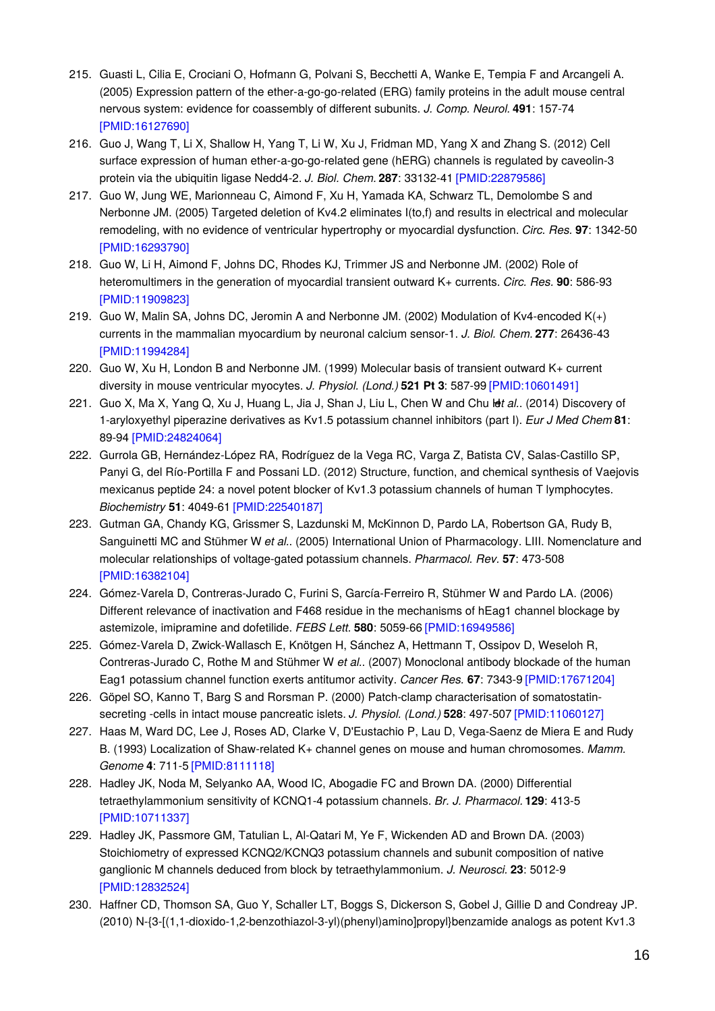- 215. Guasti L, Cilia E, Crociani O, Hofmann G, Polvani S, Becchetti A, Wanke E, Tempia F and Arcangeli A. (2005) Expression pattern of the ether-a-go-go-related (ERG) family proteins in the adult mouse central nervous system: evidence for coassembly of different subunits. *J. Comp. Neurol.* **491**: 157-74 [\[PMID:16127690\]](http://www.ncbi.nlm.nih.gov/pubmed/16127690?dopt=AbstractPlus)
- 216. Guo J, Wang T, Li X, Shallow H, Yang T, Li W, Xu J, Fridman MD, Yang X and Zhang S. (2012) Cell surface expression of human ether-a-go-go-related gene (hERG) channels is regulated by caveolin-3 protein via the ubiquitin ligase Nedd4-2. *J. Biol. Chem.* **287**: 33132-41 [\[PMID:22879586\]](http://www.ncbi.nlm.nih.gov/pubmed/22879586?dopt=AbstractPlus)
- 217. Guo W, Jung WE, Marionneau C, Aimond F, Xu H, Yamada KA, Schwarz TL, Demolombe S and Nerbonne JM. (2005) Targeted deletion of Kv4.2 eliminates I(to,f) and results in electrical and molecular remodeling, with no evidence of ventricular hypertrophy or myocardial dysfunction. *Circ. Res.* **97**: 1342-50 [\[PMID:16293790\]](http://www.ncbi.nlm.nih.gov/pubmed/16293790?dopt=AbstractPlus)
- 218. Guo W, Li H, Aimond F, Johns DC, Rhodes KJ, Trimmer JS and Nerbonne JM. (2002) Role of heteromultimers in the generation of myocardial transient outward K+ currents. *Circ. Res.* **90**: 586-93 [\[PMID:11909823\]](http://www.ncbi.nlm.nih.gov/pubmed/11909823?dopt=AbstractPlus)
- 219. Guo W, Malin SA, Johns DC, Jeromin A and Nerbonne JM. (2002) Modulation of Kv4-encoded K(+) currents in the mammalian myocardium by neuronal calcium sensor-1. *J. Biol. Chem.* **277**: 26436-43 [\[PMID:11994284\]](http://www.ncbi.nlm.nih.gov/pubmed/11994284?dopt=AbstractPlus)
- 220. Guo W, Xu H, London B and Nerbonne JM. (1999) Molecular basis of transient outward K+ current diversity in mouse ventricular myocytes. *J. Physiol. (Lond.)* **521 Pt 3**: 587-99 [\[PMID:10601491\]](http://www.ncbi.nlm.nih.gov/pubmed/10601491?dopt=AbstractPlus)
- 221. Guo X, Ma X, Yang Q, Xu J, Huang L, Jia J, Shan J, Liu L, Chen W and Chu H*et al.*. (2014) Discovery of 1-aryloxyethyl piperazine derivatives as Kv1.5 potassium channel inhibitors (part I). *Eur J Med Chem* **81**: 89-94 [\[PMID:24824064\]](http://www.ncbi.nlm.nih.gov/pubmed/24824064?dopt=AbstractPlus)
- 222. Gurrola GB, Hernández-López RA, Rodríguez de la Vega RC, Varga Z, Batista CV, Salas-Castillo SP, Panyi G, del Río-Portilla F and Possani LD. (2012) Structure, function, and chemical synthesis of Vaejovis mexicanus peptide 24: a novel potent blocker of Kv1.3 potassium channels of human T lymphocytes. *Biochemistry* **51**: 4049-61 [\[PMID:22540187\]](http://www.ncbi.nlm.nih.gov/pubmed/22540187?dopt=AbstractPlus)
- 223. Gutman GA, Chandy KG, Grissmer S, Lazdunski M, McKinnon D, Pardo LA, Robertson GA, Rudy B, Sanguinetti MC and Stühmer W *et al.*. (2005) International Union of Pharmacology. LIII. Nomenclature and molecular relationships of voltage-gated potassium channels. *Pharmacol. Rev.* **57**: 473-508 [\[PMID:16382104\]](http://www.ncbi.nlm.nih.gov/pubmed/16382104?dopt=AbstractPlus)
- 224. Gómez-Varela D, Contreras-Jurado C, Furini S, García-Ferreiro R, Stühmer W and Pardo LA. (2006) Different relevance of inactivation and F468 residue in the mechanisms of hEag1 channel blockage by astemizole, imipramine and dofetilide. *FEBS Lett.* **580**: 5059-66 [\[PMID:16949586\]](http://www.ncbi.nlm.nih.gov/pubmed/16949586?dopt=AbstractPlus)
- 225. Gómez-Varela D, Zwick-Wallasch E, Knötgen H, Sánchez A, Hettmann T, Ossipov D, Weseloh R, Contreras-Jurado C, Rothe M and Stühmer W *et al.*. (2007) Monoclonal antibody blockade of the human Eag1 potassium channel function exerts antitumor activity. *Cancer Res.* **67**: 7343-9 [\[PMID:17671204\]](http://www.ncbi.nlm.nih.gov/pubmed/17671204?dopt=AbstractPlus)
- 226. Göpel SO, Kanno T, Barg S and Rorsman P. (2000) Patch-clamp characterisation of somatostatinsecreting -cells in intact mouse pancreatic islets. *J. Physiol. (Lond.)* **528**: 497-507 [\[PMID:11060127\]](http://www.ncbi.nlm.nih.gov/pubmed/11060127?dopt=AbstractPlus)
- 227. Haas M, Ward DC, Lee J, Roses AD, Clarke V, D'Eustachio P, Lau D, Vega-Saenz de Miera E and Rudy B. (1993) Localization of Shaw-related K+ channel genes on mouse and human chromosomes. *Mamm. Genome* **4**: 711-5 [\[PMID:8111118\]](http://www.ncbi.nlm.nih.gov/pubmed/8111118?dopt=AbstractPlus)
- 228. Hadley JK, Noda M, Selyanko AA, Wood IC, Abogadie FC and Brown DA. (2000) Differential tetraethylammonium sensitivity of KCNQ1-4 potassium channels. *Br. J. Pharmacol.* **129**: 413-5 [\[PMID:10711337\]](http://www.ncbi.nlm.nih.gov/pubmed/10711337?dopt=AbstractPlus)
- 229. Hadley JK, Passmore GM, Tatulian L, Al-Qatari M, Ye F, Wickenden AD and Brown DA. (2003) Stoichiometry of expressed KCNQ2/KCNQ3 potassium channels and subunit composition of native ganglionic M channels deduced from block by tetraethylammonium. *J. Neurosci.* **23**: 5012-9 [\[PMID:12832524\]](http://www.ncbi.nlm.nih.gov/pubmed/12832524?dopt=AbstractPlus)
- 230. Haffner CD, Thomson SA, Guo Y, Schaller LT, Boggs S, Dickerson S, Gobel J, Gillie D and Condreay JP. (2010) N-{3-[(1,1-dioxido-1,2-benzothiazol-3-yl)(phenyl)amino]propyl}benzamide analogs as potent Kv1.3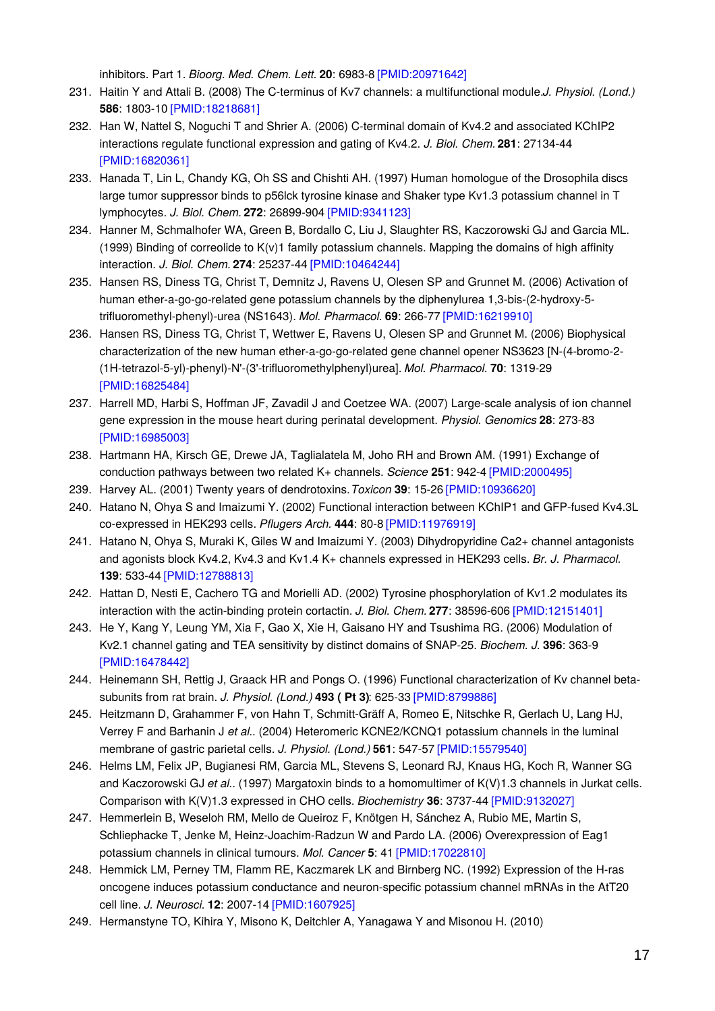inhibitors. Part 1. *Bioorg. Med. Chem. Lett.* **20**: 6983-8 [\[PMID:20971642\]](http://www.ncbi.nlm.nih.gov/pubmed/20971642?dopt=AbstractPlus)

- 231. Haitin Y and Attali B. (2008) The C-terminus of Kv7 channels: a multifunctional module.*J. Physiol. (Lond.)* **586**: 1803-10 [\[PMID:18218681\]](http://www.ncbi.nlm.nih.gov/pubmed/18218681?dopt=AbstractPlus)
- 232. Han W, Nattel S, Noguchi T and Shrier A. (2006) C-terminal domain of Kv4.2 and associated KChIP2 interactions regulate functional expression and gating of Kv4.2. *J. Biol. Chem.* **281**: 27134-44 [\[PMID:16820361\]](http://www.ncbi.nlm.nih.gov/pubmed/16820361?dopt=AbstractPlus)
- 233. Hanada T, Lin L, Chandy KG, Oh SS and Chishti AH. (1997) Human homologue of the Drosophila discs large tumor suppressor binds to p56lck tyrosine kinase and Shaker type Kv1.3 potassium channel in T lymphocytes. *J. Biol. Chem.* **272**: 26899-904 [\[PMID:9341123\]](http://www.ncbi.nlm.nih.gov/pubmed/9341123?dopt=AbstractPlus)
- 234. Hanner M, Schmalhofer WA, Green B, Bordallo C, Liu J, Slaughter RS, Kaczorowski GJ and Garcia ML. (1999) Binding of correolide to K(v)1 family potassium channels. Mapping the domains of high affinity interaction. *J. Biol. Chem.* **274**: 25237-44 [\[PMID:10464244\]](http://www.ncbi.nlm.nih.gov/pubmed/10464244?dopt=AbstractPlus)
- 235. Hansen RS, Diness TG, Christ T, Demnitz J, Ravens U, Olesen SP and Grunnet M. (2006) Activation of human ether-a-go-go-related gene potassium channels by the diphenylurea 1,3-bis-(2-hydroxy-5 trifluoromethyl-phenyl)-urea (NS1643). *Mol. Pharmacol.* **69**: 266-77 [\[PMID:16219910\]](http://www.ncbi.nlm.nih.gov/pubmed/16219910?dopt=AbstractPlus)
- 236. Hansen RS, Diness TG, Christ T, Wettwer E, Ravens U, Olesen SP and Grunnet M. (2006) Biophysical characterization of the new human ether-a-go-go-related gene channel opener NS3623 [N-(4-bromo-2- (1H-tetrazol-5-yl)-phenyl)-N'-(3'-trifluoromethylphenyl)urea]. *Mol. Pharmacol.* **70**: 1319-29 [\[PMID:16825484\]](http://www.ncbi.nlm.nih.gov/pubmed/16825484?dopt=AbstractPlus)
- 237. Harrell MD, Harbi S, Hoffman JF, Zavadil J and Coetzee WA. (2007) Large-scale analysis of ion channel gene expression in the mouse heart during perinatal development. *Physiol. Genomics* **28**: 273-83 [\[PMID:16985003\]](http://www.ncbi.nlm.nih.gov/pubmed/16985003?dopt=AbstractPlus)
- 238. Hartmann HA, Kirsch GE, Drewe JA, Taglialatela M, Joho RH and Brown AM. (1991) Exchange of conduction pathways between two related K+ channels. *Science* **251**: 942-4 [\[PMID:2000495\]](http://www.ncbi.nlm.nih.gov/pubmed/2000495?dopt=AbstractPlus)
- 239. Harvey AL. (2001) Twenty years of dendrotoxins.*Toxicon* **39**: 15-26 [\[PMID:10936620\]](http://www.ncbi.nlm.nih.gov/pubmed/10936620?dopt=AbstractPlus)
- 240. Hatano N, Ohya S and Imaizumi Y. (2002) Functional interaction between KChIP1 and GFP-fused Kv4.3L co-expressed in HEK293 cells. *Pflugers Arch.* **444**: 80-8 [\[PMID:11976919\]](http://www.ncbi.nlm.nih.gov/pubmed/11976919?dopt=AbstractPlus)
- 241. Hatano N, Ohya S, Muraki K, Giles W and Imaizumi Y. (2003) Dihydropyridine Ca2+ channel antagonists and agonists block Kv4.2, Kv4.3 and Kv1.4 K+ channels expressed in HEK293 cells. *Br. J. Pharmacol.* **139**: 533-44 [\[PMID:12788813\]](http://www.ncbi.nlm.nih.gov/pubmed/12788813?dopt=AbstractPlus)
- 242. Hattan D, Nesti E, Cachero TG and Morielli AD. (2002) Tyrosine phosphorylation of Kv1.2 modulates its interaction with the actin-binding protein cortactin. *J. Biol. Chem.* **277**: 38596-606 [\[PMID:12151401\]](http://www.ncbi.nlm.nih.gov/pubmed/12151401?dopt=AbstractPlus)
- 243. He Y, Kang Y, Leung YM, Xia F, Gao X, Xie H, Gaisano HY and Tsushima RG. (2006) Modulation of Kv2.1 channel gating and TEA sensitivity by distinct domains of SNAP-25. *Biochem. J.* **396**: 363-9 [\[PMID:16478442\]](http://www.ncbi.nlm.nih.gov/pubmed/16478442?dopt=AbstractPlus)
- 244. Heinemann SH, Rettig J, Graack HR and Pongs O. (1996) Functional characterization of Kv channel betasubunits from rat brain. *J. Physiol. (Lond.)* **493 ( Pt 3)**: 625-33 [\[PMID:8799886\]](http://www.ncbi.nlm.nih.gov/pubmed/8799886?dopt=AbstractPlus)
- 245. Heitzmann D, Grahammer F, von Hahn T, Schmitt-Gräff A, Romeo E, Nitschke R, Gerlach U, Lang HJ, Verrey F and Barhanin J *et al.*. (2004) Heteromeric KCNE2/KCNQ1 potassium channels in the luminal membrane of gastric parietal cells. *J. Physiol. (Lond.)* **561**: 547-57 [\[PMID:15579540\]](http://www.ncbi.nlm.nih.gov/pubmed/15579540?dopt=AbstractPlus)
- 246. Helms LM, Felix JP, Bugianesi RM, Garcia ML, Stevens S, Leonard RJ, Knaus HG, Koch R, Wanner SG and Kaczorowski GJ *et al.*. (1997) Margatoxin binds to a homomultimer of K(V)1.3 channels in Jurkat cells. Comparison with K(V)1.3 expressed in CHO cells. *Biochemistry* **36**: 3737-44 [\[PMID:9132027\]](http://www.ncbi.nlm.nih.gov/pubmed/9132027?dopt=AbstractPlus)
- 247. Hemmerlein B, Weseloh RM, Mello de Queiroz F, Knötgen H, Sánchez A, Rubio ME, Martin S, Schliephacke T, Jenke M, Heinz-Joachim-Radzun W and Pardo LA. (2006) Overexpression of Eag1 potassium channels in clinical tumours. *Mol. Cancer* **5**: 41 [\[PMID:17022810\]](http://www.ncbi.nlm.nih.gov/pubmed/17022810?dopt=AbstractPlus)
- 248. Hemmick LM, Perney TM, Flamm RE, Kaczmarek LK and Birnberg NC. (1992) Expression of the H-ras oncogene induces potassium conductance and neuron-specific potassium channel mRNAs in the AtT20 cell line. *J. Neurosci.* **12**: 2007-14 [\[PMID:1607925\]](http://www.ncbi.nlm.nih.gov/pubmed/1607925?dopt=AbstractPlus)
- 249. Hermanstyne TO, Kihira Y, Misono K, Deitchler A, Yanagawa Y and Misonou H. (2010)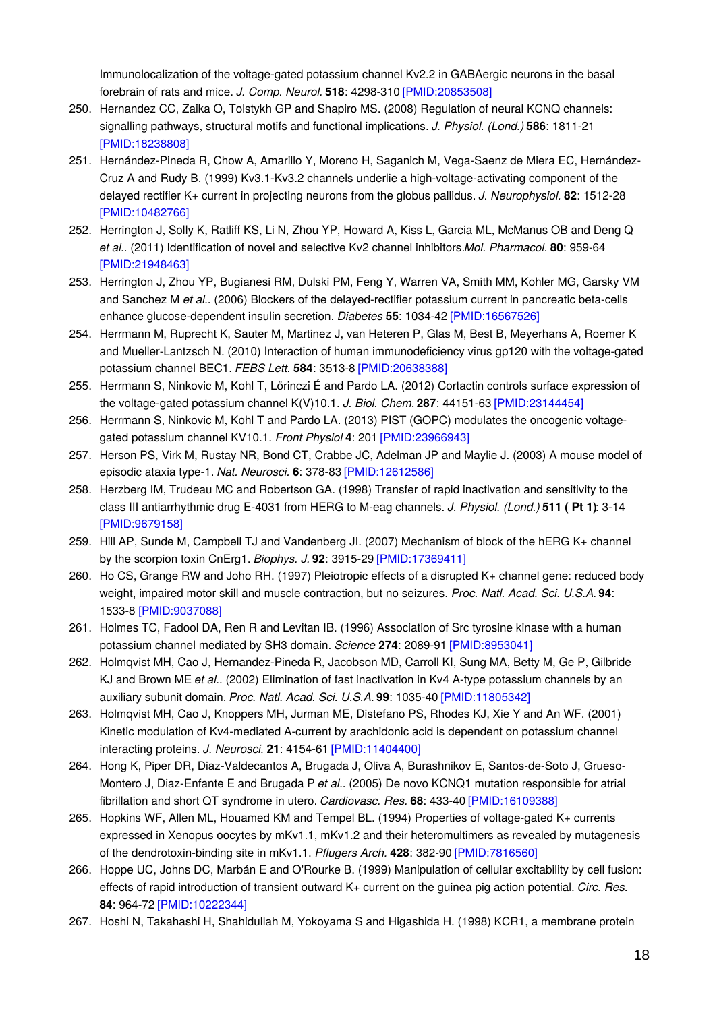Immunolocalization of the voltage-gated potassium channel Kv2.2 in GABAergic neurons in the basal forebrain of rats and mice. *J. Comp. Neurol.* **518**: 4298-310 [\[PMID:20853508\]](http://www.ncbi.nlm.nih.gov/pubmed/20853508?dopt=AbstractPlus)

- 250. Hernandez CC, Zaika O, Tolstykh GP and Shapiro MS. (2008) Regulation of neural KCNQ channels: signalling pathways, structural motifs and functional implications. *J. Physiol. (Lond.)* **586**: 1811-21 [\[PMID:18238808\]](http://www.ncbi.nlm.nih.gov/pubmed/18238808?dopt=AbstractPlus)
- 251. Hernández-Pineda R, Chow A, Amarillo Y, Moreno H, Saganich M, Vega-Saenz de Miera EC, Hernández-Cruz A and Rudy B. (1999) Kv3.1-Kv3.2 channels underlie a high-voltage-activating component of the delayed rectifier K+ current in projecting neurons from the globus pallidus. *J. Neurophysiol.* **82**: 1512-28 [\[PMID:10482766\]](http://www.ncbi.nlm.nih.gov/pubmed/10482766?dopt=AbstractPlus)
- 252. Herrington J, Solly K, Ratliff KS, Li N, Zhou YP, Howard A, Kiss L, Garcia ML, McManus OB and Deng Q *et al.*. (2011) Identification of novel and selective Kv2 channel inhibitors.*Mol. Pharmacol.* **80**: 959-64 [\[PMID:21948463\]](http://www.ncbi.nlm.nih.gov/pubmed/21948463?dopt=AbstractPlus)
- 253. Herrington J, Zhou YP, Bugianesi RM, Dulski PM, Feng Y, Warren VA, Smith MM, Kohler MG, Garsky VM and Sanchez M *et al.*. (2006) Blockers of the delayed-rectifier potassium current in pancreatic beta-cells enhance glucose-dependent insulin secretion. *Diabetes* **55**: 1034-42 [\[PMID:16567526\]](http://www.ncbi.nlm.nih.gov/pubmed/16567526?dopt=AbstractPlus)
- 254. Herrmann M, Ruprecht K, Sauter M, Martinez J, van Heteren P, Glas M, Best B, Meyerhans A, Roemer K and Mueller-Lantzsch N. (2010) Interaction of human immunodeficiency virus gp120 with the voltage-gated potassium channel BEC1. *FEBS Lett.* **584**: 3513-8 [\[PMID:20638388\]](http://www.ncbi.nlm.nih.gov/pubmed/20638388?dopt=AbstractPlus)
- 255. Herrmann S, Ninkovic M, Kohl T, Lörinczi É and Pardo LA. (2012) Cortactin controls surface expression of the voltage-gated potassium channel K(V)10.1. *J. Biol. Chem.* **287**: 44151-63 [\[PMID:23144454\]](http://www.ncbi.nlm.nih.gov/pubmed/23144454?dopt=AbstractPlus)
- 256. Herrmann S, Ninkovic M, Kohl T and Pardo LA. (2013) PIST (GOPC) modulates the oncogenic voltagegated potassium channel KV10.1. *Front Physiol* **4**: 201 [\[PMID:23966943\]](http://www.ncbi.nlm.nih.gov/pubmed/23966943?dopt=AbstractPlus)
- 257. Herson PS, Virk M, Rustay NR, Bond CT, Crabbe JC, Adelman JP and Maylie J. (2003) A mouse model of episodic ataxia type-1. *Nat. Neurosci.* **6**: 378-83 [\[PMID:12612586\]](http://www.ncbi.nlm.nih.gov/pubmed/12612586?dopt=AbstractPlus)
- 258. Herzberg IM, Trudeau MC and Robertson GA. (1998) Transfer of rapid inactivation and sensitivity to the class III antiarrhythmic drug E-4031 from HERG to M-eag channels. *J. Physiol. (Lond.)* **511 ( Pt 1)**: 3-14 [\[PMID:9679158\]](http://www.ncbi.nlm.nih.gov/pubmed/9679158?dopt=AbstractPlus)
- 259. Hill AP, Sunde M, Campbell TJ and Vandenberg JI. (2007) Mechanism of block of the hERG K+ channel by the scorpion toxin CnErg1. *Biophys. J.* **92**: 3915-29 [\[PMID:17369411\]](http://www.ncbi.nlm.nih.gov/pubmed/17369411?dopt=AbstractPlus)
- 260. Ho CS, Grange RW and Joho RH. (1997) Pleiotropic effects of a disrupted K+ channel gene: reduced body weight, impaired motor skill and muscle contraction, but no seizures. *Proc. Natl. Acad. Sci. U.S.A.* **94**: 1533-8 [\[PMID:9037088\]](http://www.ncbi.nlm.nih.gov/pubmed/9037088?dopt=AbstractPlus)
- 261. Holmes TC, Fadool DA, Ren R and Levitan IB. (1996) Association of Src tyrosine kinase with a human potassium channel mediated by SH3 domain. *Science* **274**: 2089-91 [\[PMID:8953041\]](http://www.ncbi.nlm.nih.gov/pubmed/8953041?dopt=AbstractPlus)
- 262. Holmqvist MH, Cao J, Hernandez-Pineda R, Jacobson MD, Carroll KI, Sung MA, Betty M, Ge P, Gilbride KJ and Brown ME *et al.*. (2002) Elimination of fast inactivation in Kv4 A-type potassium channels by an auxiliary subunit domain. *Proc. Natl. Acad. Sci. U.S.A.* **99**: 1035-40 [\[PMID:11805342\]](http://www.ncbi.nlm.nih.gov/pubmed/11805342?dopt=AbstractPlus)
- 263. Holmqvist MH, Cao J, Knoppers MH, Jurman ME, Distefano PS, Rhodes KJ, Xie Y and An WF. (2001) Kinetic modulation of Kv4-mediated A-current by arachidonic acid is dependent on potassium channel interacting proteins. *J. Neurosci.* **21**: 4154-61 [\[PMID:11404400\]](http://www.ncbi.nlm.nih.gov/pubmed/11404400?dopt=AbstractPlus)
- 264. Hong K, Piper DR, Diaz-Valdecantos A, Brugada J, Oliva A, Burashnikov E, Santos-de-Soto J, Grueso-Montero J, Diaz-Enfante E and Brugada P *et al.*. (2005) De novo KCNQ1 mutation responsible for atrial fibrillation and short QT syndrome in utero. *Cardiovasc. Res.* **68**: 433-40 [\[PMID:16109388\]](http://www.ncbi.nlm.nih.gov/pubmed/16109388?dopt=AbstractPlus)
- 265. Hopkins WF, Allen ML, Houamed KM and Tempel BL. (1994) Properties of voltage-gated K+ currents expressed in Xenopus oocytes by mKv1.1, mKv1.2 and their heteromultimers as revealed by mutagenesis of the dendrotoxin-binding site in mKv1.1. *Pflugers Arch.* **428**: 382-90 [\[PMID:7816560\]](http://www.ncbi.nlm.nih.gov/pubmed/7816560?dopt=AbstractPlus)
- 266. Hoppe UC, Johns DC, Marbán E and O'Rourke B. (1999) Manipulation of cellular excitability by cell fusion: effects of rapid introduction of transient outward K+ current on the guinea pig action potential. *Circ. Res.* **84**: 964-72 [\[PMID:10222344\]](http://www.ncbi.nlm.nih.gov/pubmed/10222344?dopt=AbstractPlus)
- 267. Hoshi N, Takahashi H, Shahidullah M, Yokoyama S and Higashida H. (1998) KCR1, a membrane protein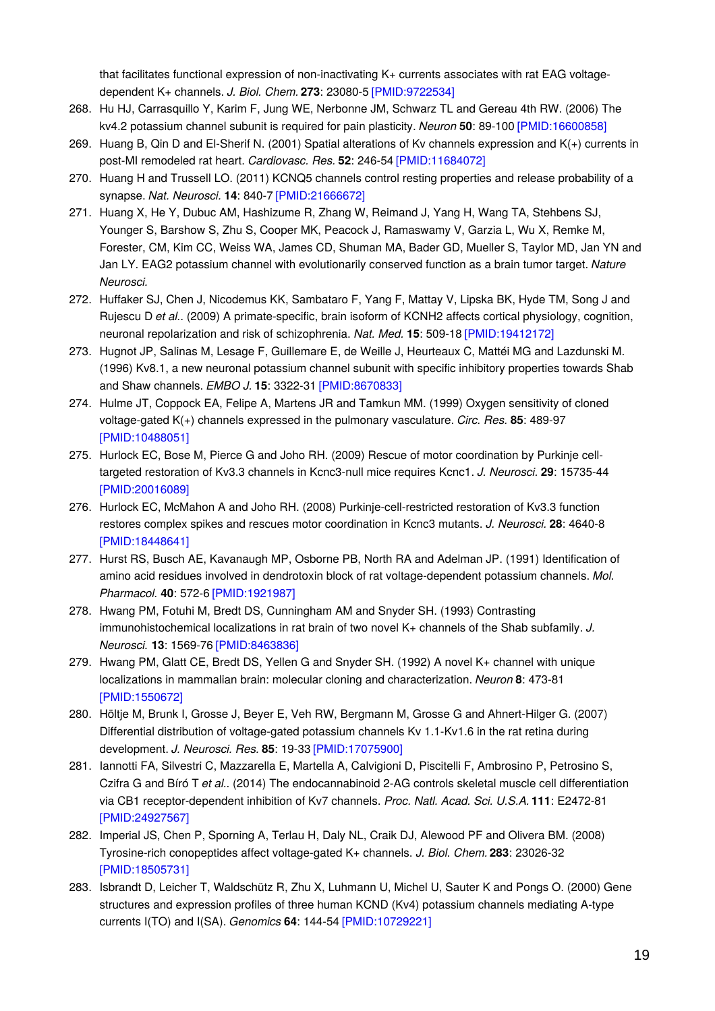that facilitates functional expression of non-inactivating K+ currents associates with rat EAG voltagedependent K+ channels. *J. Biol. Chem.* **273**: 23080-5 [\[PMID:9722534\]](http://www.ncbi.nlm.nih.gov/pubmed/9722534?dopt=AbstractPlus)

- 268. Hu HJ, Carrasquillo Y, Karim F, Jung WE, Nerbonne JM, Schwarz TL and Gereau 4th RW. (2006) The kv4.2 potassium channel subunit is required for pain plasticity. *Neuron* **50**: 89-100 [\[PMID:16600858\]](http://www.ncbi.nlm.nih.gov/pubmed/16600858?dopt=AbstractPlus)
- 269. Huang B, Qin D and El-Sherif N. (2001) Spatial alterations of Kv channels expression and K(+) currents in post-MI remodeled rat heart. *Cardiovasc. Res.* **52**: 246-54 [\[PMID:11684072\]](http://www.ncbi.nlm.nih.gov/pubmed/11684072?dopt=AbstractPlus)
- 270. Huang H and Trussell LO. (2011) KCNQ5 channels control resting properties and release probability of a synapse. *Nat. Neurosci.* **14**: 840-7 [\[PMID:21666672\]](http://www.ncbi.nlm.nih.gov/pubmed/21666672?dopt=AbstractPlus)
- 271. Huang X, He Y, Dubuc AM, Hashizume R, Zhang W, Reimand J, Yang H, Wang TA, Stehbens SJ, Younger S, Barshow S, Zhu S, Cooper MK, Peacock J, Ramaswamy V, Garzia L, Wu X, Remke M, Forester, CM, Kim CC, Weiss WA, James CD, Shuman MA, Bader GD, Mueller S, Taylor MD, Jan YN and Jan LY. EAG2 potassium channel with evolutionarily conserved function as a brain tumor target. *Nature Neurosci.*
- 272. Huffaker SJ, Chen J, Nicodemus KK, Sambataro F, Yang F, Mattay V, Lipska BK, Hyde TM, Song J and Rujescu D *et al.*. (2009) A primate-specific, brain isoform of KCNH2 affects cortical physiology, cognition, neuronal repolarization and risk of schizophrenia. *Nat. Med.* **15**: 509-18 [\[PMID:19412172\]](http://www.ncbi.nlm.nih.gov/pubmed/19412172?dopt=AbstractPlus)
- 273. Hugnot JP, Salinas M, Lesage F, Guillemare E, de Weille J, Heurteaux C, Mattéi MG and Lazdunski M. (1996) Kv8.1, a new neuronal potassium channel subunit with specific inhibitory properties towards Shab and Shaw channels. *EMBO J.* **15**: 3322-31 [\[PMID:8670833\]](http://www.ncbi.nlm.nih.gov/pubmed/8670833?dopt=AbstractPlus)
- 274. Hulme JT, Coppock EA, Felipe A, Martens JR and Tamkun MM. (1999) Oxygen sensitivity of cloned voltage-gated K(+) channels expressed in the pulmonary vasculature. *Circ. Res.* **85**: 489-97 [\[PMID:10488051\]](http://www.ncbi.nlm.nih.gov/pubmed/10488051?dopt=AbstractPlus)
- 275. Hurlock EC, Bose M, Pierce G and Joho RH. (2009) Rescue of motor coordination by Purkinje celltargeted restoration of Kv3.3 channels in Kcnc3-null mice requires Kcnc1. *J. Neurosci.* **29**: 15735-44 [\[PMID:20016089\]](http://www.ncbi.nlm.nih.gov/pubmed/20016089?dopt=AbstractPlus)
- 276. Hurlock EC, McMahon A and Joho RH. (2008) Purkinje-cell-restricted restoration of Kv3.3 function restores complex spikes and rescues motor coordination in Kcnc3 mutants. *J. Neurosci.* **28**: 4640-8 [\[PMID:18448641\]](http://www.ncbi.nlm.nih.gov/pubmed/18448641?dopt=AbstractPlus)
- 277. Hurst RS, Busch AE, Kavanaugh MP, Osborne PB, North RA and Adelman JP. (1991) Identification of amino acid residues involved in dendrotoxin block of rat voltage-dependent potassium channels. *Mol. Pharmacol.* **40**: 572-6 [\[PMID:1921987\]](http://www.ncbi.nlm.nih.gov/pubmed/1921987?dopt=AbstractPlus)
- 278. Hwang PM, Fotuhi M, Bredt DS, Cunningham AM and Snyder SH. (1993) Contrasting immunohistochemical localizations in rat brain of two novel K+ channels of the Shab subfamily. *J. Neurosci.* **13**: 1569-76 [\[PMID:8463836\]](http://www.ncbi.nlm.nih.gov/pubmed/8463836?dopt=AbstractPlus)
- 279. Hwang PM, Glatt CE, Bredt DS, Yellen G and Snyder SH. (1992) A novel K+ channel with unique localizations in mammalian brain: molecular cloning and characterization. *Neuron* **8**: 473-81 [\[PMID:1550672\]](http://www.ncbi.nlm.nih.gov/pubmed/1550672?dopt=AbstractPlus)
- 280. Höltje M, Brunk I, Grosse J, Beyer E, Veh RW, Bergmann M, Grosse G and Ahnert-Hilger G. (2007) Differential distribution of voltage-gated potassium channels Kv 1.1-Kv1.6 in the rat retina during development. *J. Neurosci. Res.* **85**: 19-33 [\[PMID:17075900\]](http://www.ncbi.nlm.nih.gov/pubmed/17075900?dopt=AbstractPlus)
- 281. Iannotti FA, Silvestri C, Mazzarella E, Martella A, Calvigioni D, Piscitelli F, Ambrosino P, Petrosino S, Czifra G and Bíró T *et al.*. (2014) The endocannabinoid 2-AG controls skeletal muscle cell differentiation via CB1 receptor-dependent inhibition of Kv7 channels. *Proc. Natl. Acad. Sci. U.S.A.* **111**: E2472-81 [\[PMID:24927567\]](http://www.ncbi.nlm.nih.gov/pubmed/24927567?dopt=AbstractPlus)
- 282. Imperial JS, Chen P, Sporning A, Terlau H, Daly NL, Craik DJ, Alewood PF and Olivera BM. (2008) Tyrosine-rich conopeptides affect voltage-gated K+ channels. *J. Biol. Chem.* **283**: 23026-32 [\[PMID:18505731\]](http://www.ncbi.nlm.nih.gov/pubmed/18505731?dopt=AbstractPlus)
- 283. Isbrandt D, Leicher T, Waldschütz R, Zhu X, Luhmann U, Michel U, Sauter K and Pongs O. (2000) Gene structures and expression profiles of three human KCND (Kv4) potassium channels mediating A-type currents I(TO) and I(SA). *Genomics* **64**: 144-54 [\[PMID:10729221\]](http://www.ncbi.nlm.nih.gov/pubmed/10729221?dopt=AbstractPlus)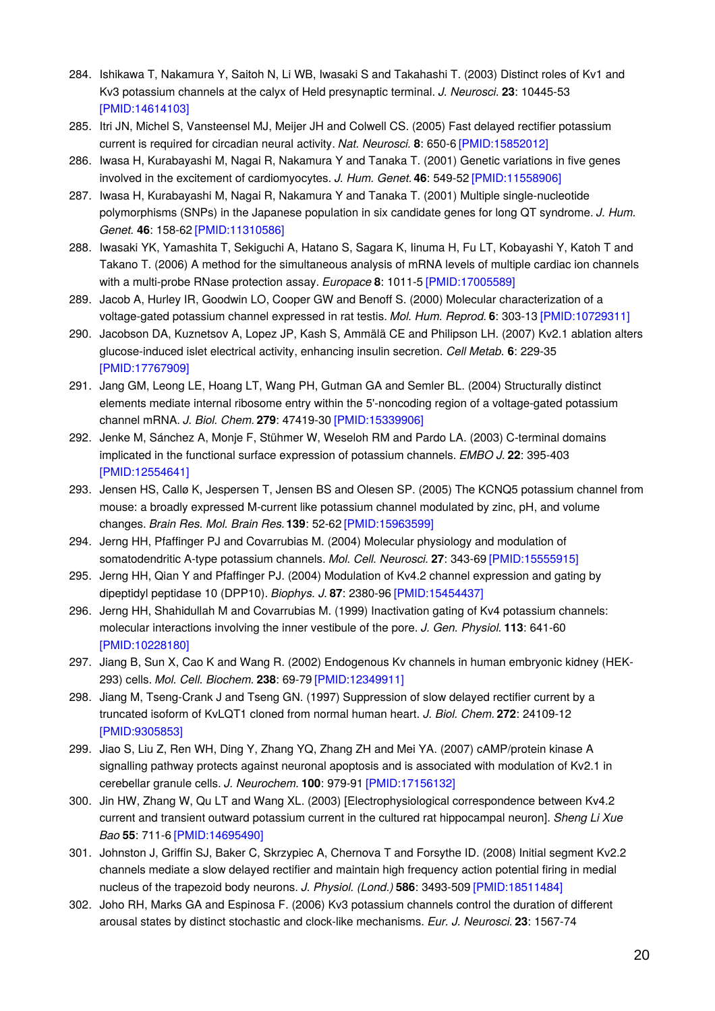- 284. Ishikawa T, Nakamura Y, Saitoh N, Li WB, Iwasaki S and Takahashi T. (2003) Distinct roles of Kv1 and Kv3 potassium channels at the calyx of Held presynaptic terminal. *J. Neurosci.* **23**: 10445-53 [\[PMID:14614103\]](http://www.ncbi.nlm.nih.gov/pubmed/14614103?dopt=AbstractPlus)
- 285. Itri JN, Michel S, Vansteensel MJ, Meijer JH and Colwell CS. (2005) Fast delayed rectifier potassium current is required for circadian neural activity. *Nat. Neurosci.* **8**: 650-6 [\[PMID:15852012\]](http://www.ncbi.nlm.nih.gov/pubmed/15852012?dopt=AbstractPlus)
- 286. Iwasa H, Kurabayashi M, Nagai R, Nakamura Y and Tanaka T. (2001) Genetic variations in five genes involved in the excitement of cardiomyocytes. *J. Hum. Genet.* **46**: 549-52 [\[PMID:11558906\]](http://www.ncbi.nlm.nih.gov/pubmed/11558906?dopt=AbstractPlus)
- 287. Iwasa H, Kurabayashi M, Nagai R, Nakamura Y and Tanaka T. (2001) Multiple single-nucleotide polymorphisms (SNPs) in the Japanese population in six candidate genes for long QT syndrome. *J. Hum. Genet.* **46**: 158-62 [\[PMID:11310586\]](http://www.ncbi.nlm.nih.gov/pubmed/11310586?dopt=AbstractPlus)
- 288. Iwasaki YK, Yamashita T, Sekiguchi A, Hatano S, Sagara K, Iinuma H, Fu LT, Kobayashi Y, Katoh T and Takano T. (2006) A method for the simultaneous analysis of mRNA levels of multiple cardiac ion channels with a multi-probe RNase protection assay. *Europace* **8**: 1011-5 [\[PMID:17005589\]](http://www.ncbi.nlm.nih.gov/pubmed/17005589?dopt=AbstractPlus)
- 289. Jacob A, Hurley IR, Goodwin LO, Cooper GW and Benoff S. (2000) Molecular characterization of a voltage-gated potassium channel expressed in rat testis. *Mol. Hum. Reprod.* **6**: 303-13 [\[PMID:10729311\]](http://www.ncbi.nlm.nih.gov/pubmed/10729311?dopt=AbstractPlus)
- 290. Jacobson DA, Kuznetsov A, Lopez JP, Kash S, Ammälä CE and Philipson LH. (2007) Kv2.1 ablation alters glucose-induced islet electrical activity, enhancing insulin secretion. *Cell Metab.* **6**: 229-35 [\[PMID:17767909\]](http://www.ncbi.nlm.nih.gov/pubmed/17767909?dopt=AbstractPlus)
- 291. Jang GM, Leong LE, Hoang LT, Wang PH, Gutman GA and Semler BL. (2004) Structurally distinct elements mediate internal ribosome entry within the 5'-noncoding region of a voltage-gated potassium channel mRNA. *J. Biol. Chem.* **279**: 47419-30 [\[PMID:15339906\]](http://www.ncbi.nlm.nih.gov/pubmed/15339906?dopt=AbstractPlus)
- 292. Jenke M, Sánchez A, Monje F, Stühmer W, Weseloh RM and Pardo LA. (2003) C-terminal domains implicated in the functional surface expression of potassium channels. *EMBO J.* **22**: 395-403 [\[PMID:12554641\]](http://www.ncbi.nlm.nih.gov/pubmed/12554641?dopt=AbstractPlus)
- 293. Jensen HS, Callø K, Jespersen T, Jensen BS and Olesen SP. (2005) The KCNQ5 potassium channel from mouse: a broadly expressed M-current like potassium channel modulated by zinc, pH, and volume changes. *Brain Res. Mol. Brain Res.***139**: 52-62 [\[PMID:15963599\]](http://www.ncbi.nlm.nih.gov/pubmed/15963599?dopt=AbstractPlus)
- 294. Jerng HH, Pfaffinger PJ and Covarrubias M. (2004) Molecular physiology and modulation of somatodendritic A-type potassium channels. *Mol. Cell. Neurosci.* **27**: 343-69 [\[PMID:15555915\]](http://www.ncbi.nlm.nih.gov/pubmed/15555915?dopt=AbstractPlus)
- 295. Jerng HH, Qian Y and Pfaffinger PJ. (2004) Modulation of Kv4.2 channel expression and gating by dipeptidyl peptidase 10 (DPP10). *Biophys. J.* **87**: 2380-96 [\[PMID:15454437\]](http://www.ncbi.nlm.nih.gov/pubmed/15454437?dopt=AbstractPlus)
- 296. Jerng HH, Shahidullah M and Covarrubias M. (1999) Inactivation gating of Kv4 potassium channels: molecular interactions involving the inner vestibule of the pore. *J. Gen. Physiol.* **113**: 641-60 [\[PMID:10228180\]](http://www.ncbi.nlm.nih.gov/pubmed/10228180?dopt=AbstractPlus)
- 297. Jiang B, Sun X, Cao K and Wang R. (2002) Endogenous Kv channels in human embryonic kidney (HEK-293) cells. *Mol. Cell. Biochem.* **238**: 69-79 [\[PMID:12349911\]](http://www.ncbi.nlm.nih.gov/pubmed/12349911?dopt=AbstractPlus)
- 298. Jiang M, Tseng-Crank J and Tseng GN. (1997) Suppression of slow delayed rectifier current by a truncated isoform of KvLQT1 cloned from normal human heart. *J. Biol. Chem.* **272**: 24109-12 [\[PMID:9305853\]](http://www.ncbi.nlm.nih.gov/pubmed/9305853?dopt=AbstractPlus)
- 299. Jiao S, Liu Z, Ren WH, Ding Y, Zhang YQ, Zhang ZH and Mei YA. (2007) cAMP/protein kinase A signalling pathway protects against neuronal apoptosis and is associated with modulation of Kv2.1 in cerebellar granule cells. *J. Neurochem.* **100**: 979-91 [\[PMID:17156132\]](http://www.ncbi.nlm.nih.gov/pubmed/17156132?dopt=AbstractPlus)
- 300. Jin HW, Zhang W, Qu LT and Wang XL. (2003) [Electrophysiological correspondence between Kv4.2 current and transient outward potassium current in the cultured rat hippocampal neuron]. *Sheng Li Xue Bao* **55**: 711-6 [\[PMID:14695490\]](http://www.ncbi.nlm.nih.gov/pubmed/14695490?dopt=AbstractPlus)
- 301. Johnston J, Griffin SJ, Baker C, Skrzypiec A, Chernova T and Forsythe ID. (2008) Initial segment Kv2.2 channels mediate a slow delayed rectifier and maintain high frequency action potential firing in medial nucleus of the trapezoid body neurons. *J. Physiol. (Lond.)* **586**: 3493-509 [\[PMID:18511484\]](http://www.ncbi.nlm.nih.gov/pubmed/18511484?dopt=AbstractPlus)
- 302. Joho RH, Marks GA and Espinosa F. (2006) Kv3 potassium channels control the duration of different arousal states by distinct stochastic and clock-like mechanisms. *Eur. J. Neurosci.* **23**: 1567-74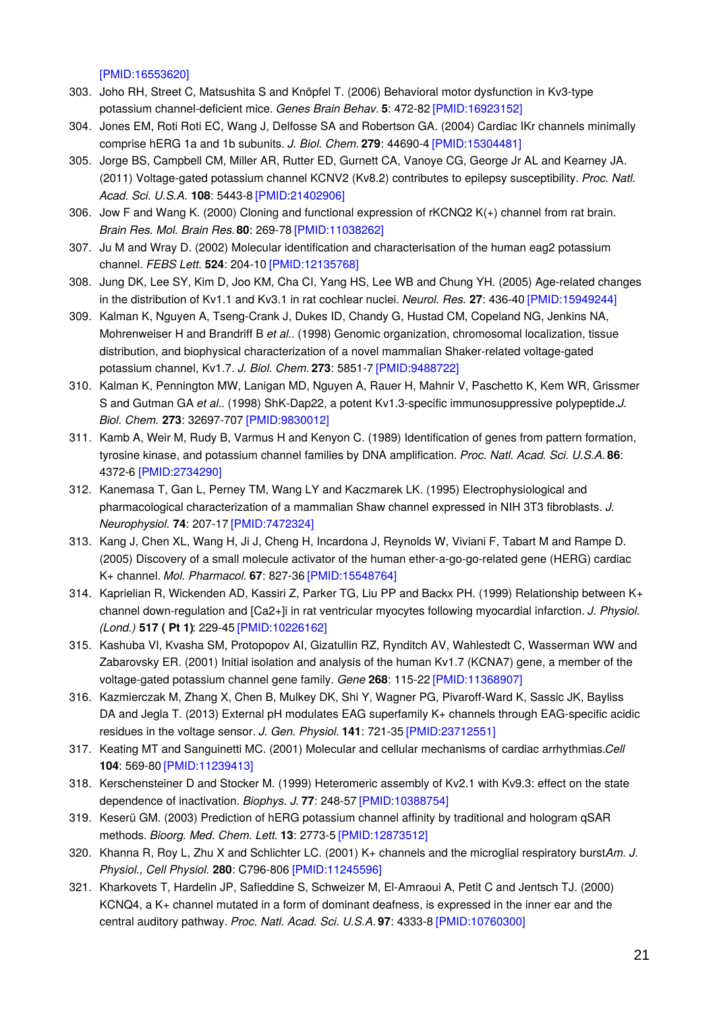[\[PMID:16553620\]](http://www.ncbi.nlm.nih.gov/pubmed/16553620?dopt=AbstractPlus)

- 303. Joho RH, Street C, Matsushita S and Knöpfel T. (2006) Behavioral motor dysfunction in Kv3-type potassium channel-deficient mice. *Genes Brain Behav.* **5**: 472-82 [\[PMID:16923152\]](http://www.ncbi.nlm.nih.gov/pubmed/16923152?dopt=AbstractPlus)
- 304. Jones EM, Roti Roti EC, Wang J, Delfosse SA and Robertson GA. (2004) Cardiac IKr channels minimally comprise hERG 1a and 1b subunits. *J. Biol. Chem.* **279**: 44690-4 [\[PMID:15304481\]](http://www.ncbi.nlm.nih.gov/pubmed/15304481?dopt=AbstractPlus)
- 305. Jorge BS, Campbell CM, Miller AR, Rutter ED, Gurnett CA, Vanoye CG, George Jr AL and Kearney JA. (2011) Voltage-gated potassium channel KCNV2 (Kv8.2) contributes to epilepsy susceptibility. *Proc. Natl. Acad. Sci. U.S.A.* **108**: 5443-8 [\[PMID:21402906\]](http://www.ncbi.nlm.nih.gov/pubmed/21402906?dopt=AbstractPlus)
- 306. Jow F and Wang K. (2000) Cloning and functional expression of rKCNQ2 K(+) channel from rat brain. *Brain Res. Mol. Brain Res.***80**: 269-78 [\[PMID:11038262\]](http://www.ncbi.nlm.nih.gov/pubmed/11038262?dopt=AbstractPlus)
- 307. Ju M and Wray D. (2002) Molecular identification and characterisation of the human eag2 potassium channel. *FEBS Lett.* **524**: 204-10 [\[PMID:12135768\]](http://www.ncbi.nlm.nih.gov/pubmed/12135768?dopt=AbstractPlus)
- 308. Jung DK, Lee SY, Kim D, Joo KM, Cha CI, Yang HS, Lee WB and Chung YH. (2005) Age-related changes in the distribution of Kv1.1 and Kv3.1 in rat cochlear nuclei. *Neurol. Res.* **27**: 436-40 [\[PMID:15949244\]](http://www.ncbi.nlm.nih.gov/pubmed/15949244?dopt=AbstractPlus)
- 309. Kalman K, Nguyen A, Tseng-Crank J, Dukes ID, Chandy G, Hustad CM, Copeland NG, Jenkins NA, Mohrenweiser H and Brandriff B *et al.*. (1998) Genomic organization, chromosomal localization, tissue distribution, and biophysical characterization of a novel mammalian Shaker-related voltage-gated potassium channel, Kv1.7. *J. Biol. Chem.* **273**: 5851-7 [\[PMID:9488722\]](http://www.ncbi.nlm.nih.gov/pubmed/9488722?dopt=AbstractPlus)
- 310. Kalman K, Pennington MW, Lanigan MD, Nguyen A, Rauer H, Mahnir V, Paschetto K, Kem WR, Grissmer S and Gutman GA *et al.*. (1998) ShK-Dap22, a potent Kv1.3-specific immunosuppressive polypeptide.*J. Biol. Chem.* **273**: 32697-707 [\[PMID:9830012\]](http://www.ncbi.nlm.nih.gov/pubmed/9830012?dopt=AbstractPlus)
- 311. Kamb A, Weir M, Rudy B, Varmus H and Kenyon C. (1989) Identification of genes from pattern formation, tyrosine kinase, and potassium channel families by DNA amplification. *Proc. Natl. Acad. Sci. U.S.A.* **86**: 4372-6 [\[PMID:2734290\]](http://www.ncbi.nlm.nih.gov/pubmed/2734290?dopt=AbstractPlus)
- 312. Kanemasa T, Gan L, Perney TM, Wang LY and Kaczmarek LK. (1995) Electrophysiological and pharmacological characterization of a mammalian Shaw channel expressed in NIH 3T3 fibroblasts. *J. Neurophysiol.* **74**: 207-17 [\[PMID:7472324\]](http://www.ncbi.nlm.nih.gov/pubmed/7472324?dopt=AbstractPlus)
- 313. Kang J, Chen XL, Wang H, Ji J, Cheng H, Incardona J, Reynolds W, Viviani F, Tabart M and Rampe D. (2005) Discovery of a small molecule activator of the human ether-a-go-go-related gene (HERG) cardiac K+ channel. *Mol. Pharmacol.* **67**: 827-36 [\[PMID:15548764\]](http://www.ncbi.nlm.nih.gov/pubmed/15548764?dopt=AbstractPlus)
- 314. Kaprielian R, Wickenden AD, Kassiri Z, Parker TG, Liu PP and Backx PH. (1999) Relationship between K+ channel down-regulation and [Ca2+]i in rat ventricular myocytes following myocardial infarction. *J. Physiol. (Lond.)* **517 ( Pt 1)**: 229-45 [\[PMID:10226162\]](http://www.ncbi.nlm.nih.gov/pubmed/10226162?dopt=AbstractPlus)
- 315. Kashuba VI, Kvasha SM, Protopopov AI, Gizatullin RZ, Rynditch AV, Wahlestedt C, Wasserman WW and Zabarovsky ER. (2001) Initial isolation and analysis of the human Kv1.7 (KCNA7) gene, a member of the voltage-gated potassium channel gene family. *Gene* **268**: 115-22 [\[PMID:11368907\]](http://www.ncbi.nlm.nih.gov/pubmed/11368907?dopt=AbstractPlus)
- 316. Kazmierczak M, Zhang X, Chen B, Mulkey DK, Shi Y, Wagner PG, Pivaroff-Ward K, Sassic JK, Bayliss DA and Jegla T. (2013) External pH modulates EAG superfamily K+ channels through EAG-specific acidic residues in the voltage sensor. *J. Gen. Physiol.* **141**: 721-35 [\[PMID:23712551\]](http://www.ncbi.nlm.nih.gov/pubmed/23712551?dopt=AbstractPlus)
- 317. Keating MT and Sanguinetti MC. (2001) Molecular and cellular mechanisms of cardiac arrhythmias.*Cell* **104**: 569-80 [\[PMID:11239413\]](http://www.ncbi.nlm.nih.gov/pubmed/11239413?dopt=AbstractPlus)
- 318. Kerschensteiner D and Stocker M. (1999) Heteromeric assembly of Kv2.1 with Kv9.3: effect on the state dependence of inactivation. *Biophys. J.* **77**: 248-57 [\[PMID:10388754\]](http://www.ncbi.nlm.nih.gov/pubmed/10388754?dopt=AbstractPlus)
- 319. Keserü GM. (2003) Prediction of hERG potassium channel affinity by traditional and hologram qSAR methods. *Bioorg. Med. Chem. Lett.* **13**: 2773-5 [\[PMID:12873512\]](http://www.ncbi.nlm.nih.gov/pubmed/12873512?dopt=AbstractPlus)
- 320. Khanna R, Roy L, Zhu X and Schlichter LC. (2001) K+ channels and the microglial respiratory burstAm. *J. Physiol., Cell Physiol.* **280**: C796-806 [\[PMID:11245596\]](http://www.ncbi.nlm.nih.gov/pubmed/11245596?dopt=AbstractPlus)
- 321. Kharkovets T, Hardelin JP, Safieddine S, Schweizer M, El-Amraoui A, Petit C and Jentsch TJ. (2000) KCNQ4, a K+ channel mutated in a form of dominant deafness, is expressed in the inner ear and the central auditory pathway. *Proc. Natl. Acad. Sci. U.S.A.* **97**: 4333-8 [\[PMID:10760300\]](http://www.ncbi.nlm.nih.gov/pubmed/10760300?dopt=AbstractPlus)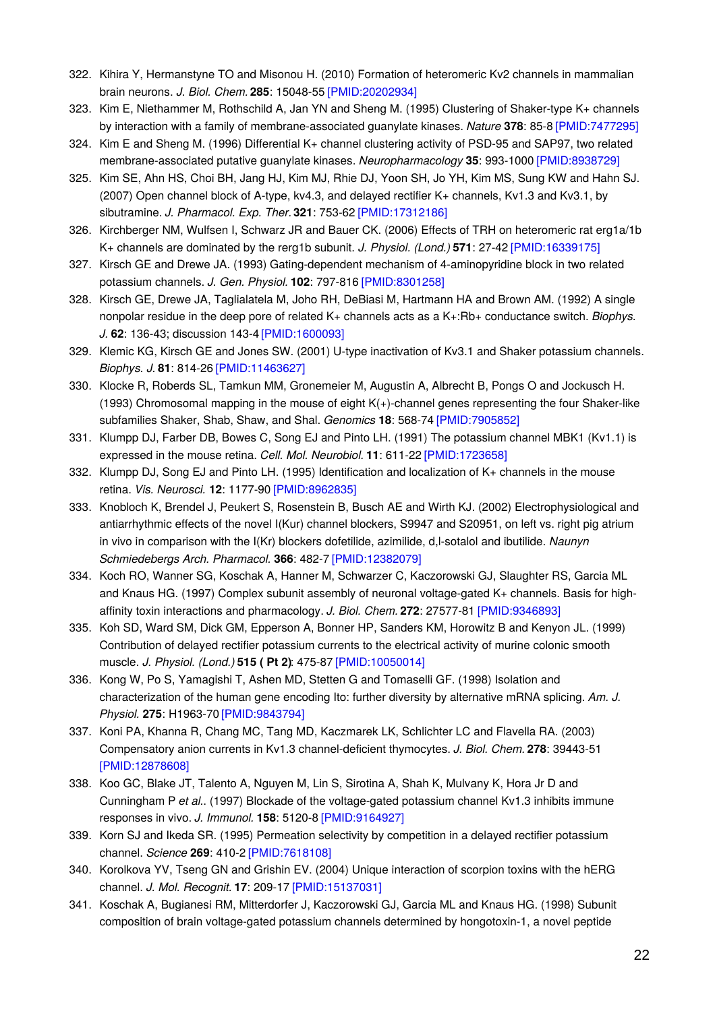- 322. Kihira Y, Hermanstyne TO and Misonou H. (2010) Formation of heteromeric Kv2 channels in mammalian brain neurons. *J. Biol. Chem.* **285**: 15048-55 [\[PMID:20202934\]](http://www.ncbi.nlm.nih.gov/pubmed/20202934?dopt=AbstractPlus)
- 323. Kim E, Niethammer M, Rothschild A, Jan YN and Sheng M. (1995) Clustering of Shaker-type K+ channels by interaction with a family of membrane-associated guanylate kinases. *Nature* **378**: 85-8 [\[PMID:7477295\]](http://www.ncbi.nlm.nih.gov/pubmed/7477295?dopt=AbstractPlus)
- 324. Kim E and Sheng M. (1996) Differential K+ channel clustering activity of PSD-95 and SAP97, two related membrane-associated putative guanylate kinases. *Neuropharmacology* **35**: 993-1000 [\[PMID:8938729\]](http://www.ncbi.nlm.nih.gov/pubmed/8938729?dopt=AbstractPlus)
- 325. Kim SE, Ahn HS, Choi BH, Jang HJ, Kim MJ, Rhie DJ, Yoon SH, Jo YH, Kim MS, Sung KW and Hahn SJ. (2007) Open channel block of A-type, kv4.3, and delayed rectifier K+ channels, Kv1.3 and Kv3.1, by sibutramine. *J. Pharmacol. Exp. Ther.***321**: 753-62 [\[PMID:17312186\]](http://www.ncbi.nlm.nih.gov/pubmed/17312186?dopt=AbstractPlus)
- 326. Kirchberger NM, Wulfsen I, Schwarz JR and Bauer CK. (2006) Effects of TRH on heteromeric rat erg1a/1b K+ channels are dominated by the rerg1b subunit. *J. Physiol. (Lond.)* **571**: 27-42 [\[PMID:16339175\]](http://www.ncbi.nlm.nih.gov/pubmed/16339175?dopt=AbstractPlus)
- 327. Kirsch GE and Drewe JA. (1993) Gating-dependent mechanism of 4-aminopyridine block in two related potassium channels. *J. Gen. Physiol.* **102**: 797-816 [\[PMID:8301258\]](http://www.ncbi.nlm.nih.gov/pubmed/8301258?dopt=AbstractPlus)
- 328. Kirsch GE, Drewe JA, Taglialatela M, Joho RH, DeBiasi M, Hartmann HA and Brown AM. (1992) A single nonpolar residue in the deep pore of related K+ channels acts as a K+:Rb+ conductance switch. *Biophys. J.* **62**: 136-43; discussion 143-4 [\[PMID:1600093\]](http://www.ncbi.nlm.nih.gov/pubmed/1600093?dopt=AbstractPlus)
- 329. Klemic KG, Kirsch GE and Jones SW. (2001) U-type inactivation of Kv3.1 and Shaker potassium channels. *Biophys. J.* **81**: 814-26 [\[PMID:11463627\]](http://www.ncbi.nlm.nih.gov/pubmed/11463627?dopt=AbstractPlus)
- 330. Klocke R, Roberds SL, Tamkun MM, Gronemeier M, Augustin A, Albrecht B, Pongs O and Jockusch H. (1993) Chromosomal mapping in the mouse of eight K(+)-channel genes representing the four Shaker-like subfamilies Shaker, Shab, Shaw, and Shal. *Genomics* **18**: 568-74 [\[PMID:7905852\]](http://www.ncbi.nlm.nih.gov/pubmed/7905852?dopt=AbstractPlus)
- 331. Klumpp DJ, Farber DB, Bowes C, Song EJ and Pinto LH. (1991) The potassium channel MBK1 (Kv1.1) is expressed in the mouse retina. *Cell. Mol. Neurobiol.* **11**: 611-22 [\[PMID:1723658\]](http://www.ncbi.nlm.nih.gov/pubmed/1723658?dopt=AbstractPlus)
- 332. Klumpp DJ, Song EJ and Pinto LH. (1995) Identification and localization of K+ channels in the mouse retina. *Vis. Neurosci.* **12**: 1177-90 [\[PMID:8962835\]](http://www.ncbi.nlm.nih.gov/pubmed/8962835?dopt=AbstractPlus)
- 333. Knobloch K, Brendel J, Peukert S, Rosenstein B, Busch AE and Wirth KJ. (2002) Electrophysiological and antiarrhythmic effects of the novel I(Kur) channel blockers, S9947 and S20951, on left vs. right pig atrium in vivo in comparison with the I(Kr) blockers dofetilide, azimilide, d,l-sotalol and ibutilide. *Naunyn Schmiedebergs Arch. Pharmacol.* **366**: 482-7 [\[PMID:12382079\]](http://www.ncbi.nlm.nih.gov/pubmed/12382079?dopt=AbstractPlus)
- 334. Koch RO, Wanner SG, Koschak A, Hanner M, Schwarzer C, Kaczorowski GJ, Slaughter RS, Garcia ML and Knaus HG. (1997) Complex subunit assembly of neuronal voltage-gated K+ channels. Basis for highaffinity toxin interactions and pharmacology. *J. Biol. Chem.* **272**: 27577-81 [\[PMID:9346893\]](http://www.ncbi.nlm.nih.gov/pubmed/9346893?dopt=AbstractPlus)
- 335. Koh SD, Ward SM, Dick GM, Epperson A, Bonner HP, Sanders KM, Horowitz B and Kenyon JL. (1999) Contribution of delayed rectifier potassium currents to the electrical activity of murine colonic smooth muscle. *J. Physiol. (Lond.)* **515 ( Pt 2)**: 475-87 [\[PMID:10050014\]](http://www.ncbi.nlm.nih.gov/pubmed/10050014?dopt=AbstractPlus)
- 336. Kong W, Po S, Yamagishi T, Ashen MD, Stetten G and Tomaselli GF. (1998) Isolation and characterization of the human gene encoding Ito: further diversity by alternative mRNA splicing. *Am. J. Physiol.* **275**: H1963-70 [\[PMID:9843794\]](http://www.ncbi.nlm.nih.gov/pubmed/9843794?dopt=AbstractPlus)
- 337. Koni PA, Khanna R, Chang MC, Tang MD, Kaczmarek LK, Schlichter LC and Flavella RA. (2003) Compensatory anion currents in Kv1.3 channel-deficient thymocytes. *J. Biol. Chem.* **278**: 39443-51 [\[PMID:12878608\]](http://www.ncbi.nlm.nih.gov/pubmed/12878608?dopt=AbstractPlus)
- 338. Koo GC, Blake JT, Talento A, Nguyen M, Lin S, Sirotina A, Shah K, Mulvany K, Hora Jr D and Cunningham P *et al.*. (1997) Blockade of the voltage-gated potassium channel Kv1.3 inhibits immune responses in vivo. *J. Immunol.* **158**: 5120-8 [\[PMID:9164927\]](http://www.ncbi.nlm.nih.gov/pubmed/9164927?dopt=AbstractPlus)
- 339. Korn SJ and Ikeda SR. (1995) Permeation selectivity by competition in a delayed rectifier potassium channel. *Science* **269**: 410-2 [\[PMID:7618108\]](http://www.ncbi.nlm.nih.gov/pubmed/7618108?dopt=AbstractPlus)
- 340. Korolkova YV, Tseng GN and Grishin EV. (2004) Unique interaction of scorpion toxins with the hERG channel. *J. Mol. Recognit.* **17**: 209-17 [\[PMID:15137031\]](http://www.ncbi.nlm.nih.gov/pubmed/15137031?dopt=AbstractPlus)
- 341. Koschak A, Bugianesi RM, Mitterdorfer J, Kaczorowski GJ, Garcia ML and Knaus HG. (1998) Subunit composition of brain voltage-gated potassium channels determined by hongotoxin-1, a novel peptide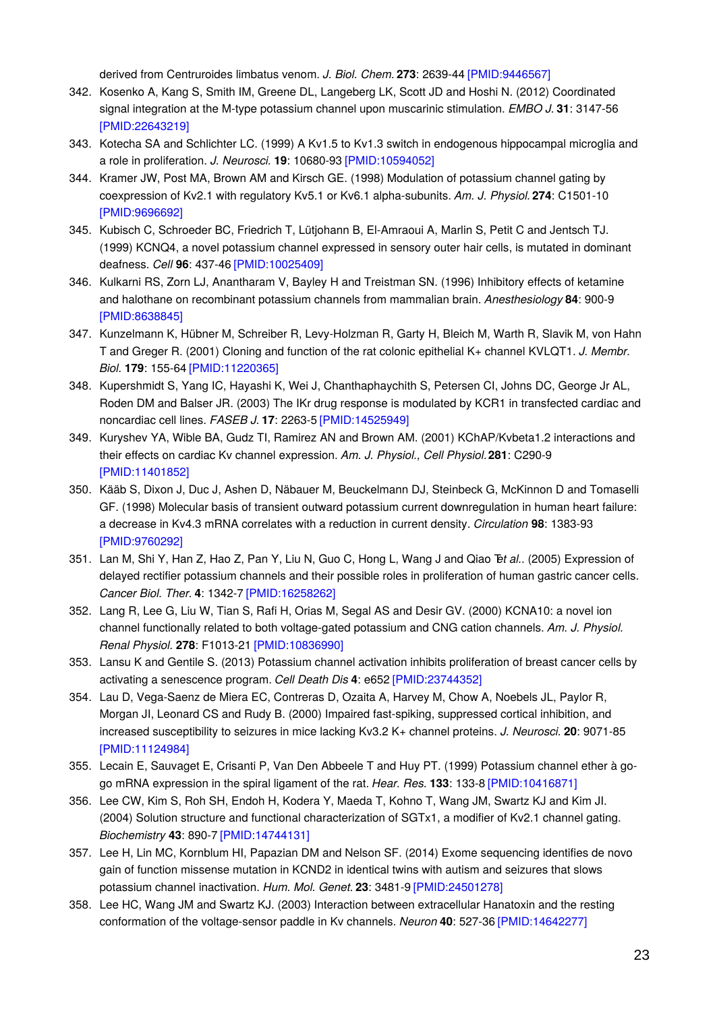derived from Centruroides limbatus venom. *J. Biol. Chem.* **273**: 2639-44 [\[PMID:9446567\]](http://www.ncbi.nlm.nih.gov/pubmed/9446567?dopt=AbstractPlus)

- 342. Kosenko A, Kang S, Smith IM, Greene DL, Langeberg LK, Scott JD and Hoshi N. (2012) Coordinated signal integration at the M-type potassium channel upon muscarinic stimulation. *EMBO J.* **31**: 3147-56 [\[PMID:22643219\]](http://www.ncbi.nlm.nih.gov/pubmed/22643219?dopt=AbstractPlus)
- 343. Kotecha SA and Schlichter LC. (1999) A Kv1.5 to Kv1.3 switch in endogenous hippocampal microglia and a role in proliferation. *J. Neurosci.* **19**: 10680-93 [\[PMID:10594052\]](http://www.ncbi.nlm.nih.gov/pubmed/10594052?dopt=AbstractPlus)
- 344. Kramer JW, Post MA, Brown AM and Kirsch GE. (1998) Modulation of potassium channel gating by coexpression of Kv2.1 with regulatory Kv5.1 or Kv6.1 alpha-subunits. *Am. J. Physiol.* **274**: C1501-10 [\[PMID:9696692\]](http://www.ncbi.nlm.nih.gov/pubmed/9696692?dopt=AbstractPlus)
- 345. Kubisch C, Schroeder BC, Friedrich T, Lütjohann B, El-Amraoui A, Marlin S, Petit C and Jentsch TJ. (1999) KCNQ4, a novel potassium channel expressed in sensory outer hair cells, is mutated in dominant deafness. *Cell* **96**: 437-46 [\[PMID:10025409\]](http://www.ncbi.nlm.nih.gov/pubmed/10025409?dopt=AbstractPlus)
- 346. Kulkarni RS, Zorn LJ, Anantharam V, Bayley H and Treistman SN. (1996) Inhibitory effects of ketamine and halothane on recombinant potassium channels from mammalian brain. *Anesthesiology* **84**: 900-9 [\[PMID:8638845\]](http://www.ncbi.nlm.nih.gov/pubmed/8638845?dopt=AbstractPlus)
- 347. Kunzelmann K, Hübner M, Schreiber R, Levy-Holzman R, Garty H, Bleich M, Warth R, Slavik M, von Hahn T and Greger R. (2001) Cloning and function of the rat colonic epithelial K+ channel KVLQT1. *J. Membr. Biol.* **179**: 155-64 [\[PMID:11220365\]](http://www.ncbi.nlm.nih.gov/pubmed/11220365?dopt=AbstractPlus)
- 348. Kupershmidt S, Yang IC, Hayashi K, Wei J, Chanthaphaychith S, Petersen CI, Johns DC, George Jr AL, Roden DM and Balser JR. (2003) The IKr drug response is modulated by KCR1 in transfected cardiac and noncardiac cell lines. *FASEB J.* **17**: 2263-5 [\[PMID:14525949\]](http://www.ncbi.nlm.nih.gov/pubmed/14525949?dopt=AbstractPlus)
- 349. Kuryshev YA, Wible BA, Gudz TI, Ramirez AN and Brown AM. (2001) KChAP/Kvbeta1.2 interactions and their effects on cardiac Kv channel expression. *Am. J. Physiol., Cell Physiol.***281**: C290-9 [\[PMID:11401852\]](http://www.ncbi.nlm.nih.gov/pubmed/11401852?dopt=AbstractPlus)
- 350. Kääb S, Dixon J, Duc J, Ashen D, Näbauer M, Beuckelmann DJ, Steinbeck G, McKinnon D and Tomaselli GF. (1998) Molecular basis of transient outward potassium current downregulation in human heart failure: a decrease in Kv4.3 mRNA correlates with a reduction in current density. *Circulation* **98**: 1383-93 [\[PMID:9760292\]](http://www.ncbi.nlm.nih.gov/pubmed/9760292?dopt=AbstractPlus)
- 351. Lan M, Shi Y, Han Z, Hao Z, Pan Y, Liu N, Guo C, Hong L, Wang J and Qiao T*et al.*. (2005) Expression of delayed rectifier potassium channels and their possible roles in proliferation of human gastric cancer cells. *Cancer Biol. Ther.* **4**: 1342-7 [\[PMID:16258262\]](http://www.ncbi.nlm.nih.gov/pubmed/16258262?dopt=AbstractPlus)
- 352. Lang R, Lee G, Liu W, Tian S, Rafi H, Orias M, Segal AS and Desir GV. (2000) KCNA10: a novel ion channel functionally related to both voltage-gated potassium and CNG cation channels. *Am. J. Physiol. Renal Physiol.* **278**: F1013-21 [\[PMID:10836990\]](http://www.ncbi.nlm.nih.gov/pubmed/10836990?dopt=AbstractPlus)
- 353. Lansu K and Gentile S. (2013) Potassium channel activation inhibits proliferation of breast cancer cells by activating a senescence program. *Cell Death Dis* **4**: e652 [\[PMID:23744352\]](http://www.ncbi.nlm.nih.gov/pubmed/23744352?dopt=AbstractPlus)
- 354. Lau D, Vega-Saenz de Miera EC, Contreras D, Ozaita A, Harvey M, Chow A, Noebels JL, Paylor R, Morgan JI, Leonard CS and Rudy B. (2000) Impaired fast-spiking, suppressed cortical inhibition, and increased susceptibility to seizures in mice lacking Kv3.2 K+ channel proteins. *J. Neurosci.* **20**: 9071-85 [\[PMID:11124984\]](http://www.ncbi.nlm.nih.gov/pubmed/11124984?dopt=AbstractPlus)
- 355. Lecain E, Sauvaget E, Crisanti P, Van Den Abbeele T and Huy PT. (1999) Potassium channel ether à gogo mRNA expression in the spiral ligament of the rat. *Hear. Res.* **133**: 133-8 [\[PMID:10416871\]](http://www.ncbi.nlm.nih.gov/pubmed/10416871?dopt=AbstractPlus)
- 356. Lee CW, Kim S, Roh SH, Endoh H, Kodera Y, Maeda T, Kohno T, Wang JM, Swartz KJ and Kim JI. (2004) Solution structure and functional characterization of SGTx1, a modifier of Kv2.1 channel gating. *Biochemistry* **43**: 890-7 [\[PMID:14744131\]](http://www.ncbi.nlm.nih.gov/pubmed/14744131?dopt=AbstractPlus)
- 357. Lee H, Lin MC, Kornblum HI, Papazian DM and Nelson SF. (2014) Exome sequencing identifies de novo gain of function missense mutation in KCND2 in identical twins with autism and seizures that slows potassium channel inactivation. *Hum. Mol. Genet.* **23**: 3481-9 [\[PMID:24501278\]](http://www.ncbi.nlm.nih.gov/pubmed/24501278?dopt=AbstractPlus)
- 358. Lee HC, Wang JM and Swartz KJ. (2003) Interaction between extracellular Hanatoxin and the resting conformation of the voltage-sensor paddle in Kv channels. *Neuron* **40**: 527-36 [\[PMID:14642277\]](http://www.ncbi.nlm.nih.gov/pubmed/14642277?dopt=AbstractPlus)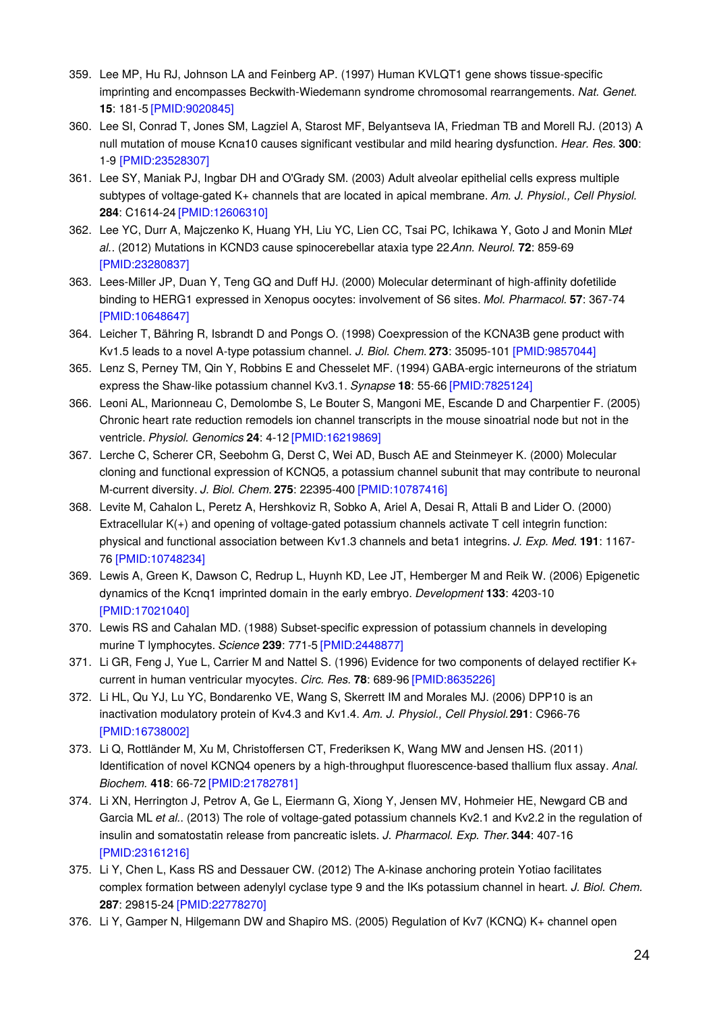- 359. Lee MP, Hu RJ, Johnson LA and Feinberg AP. (1997) Human KVLQT1 gene shows tissue-specific imprinting and encompasses Beckwith-Wiedemann syndrome chromosomal rearrangements. *Nat. Genet.* **15**: 181-5 [\[PMID:9020845\]](http://www.ncbi.nlm.nih.gov/pubmed/9020845?dopt=AbstractPlus)
- 360. Lee SI, Conrad T, Jones SM, Lagziel A, Starost MF, Belyantseva IA, Friedman TB and Morell RJ. (2013) A null mutation of mouse Kcna10 causes significant vestibular and mild hearing dysfunction. *Hear. Res.* **300**: 1-9 [\[PMID:23528307\]](http://www.ncbi.nlm.nih.gov/pubmed/23528307?dopt=AbstractPlus)
- 361. Lee SY, Maniak PJ, Ingbar DH and O'Grady SM. (2003) Adult alveolar epithelial cells express multiple subtypes of voltage-gated K+ channels that are located in apical membrane. *Am. J. Physiol., Cell Physiol.* **284**: C1614-24 [\[PMID:12606310\]](http://www.ncbi.nlm.nih.gov/pubmed/12606310?dopt=AbstractPlus)
- 362. Lee YC, Durr A, Majczenko K, Huang YH, Liu YC, Lien CC, Tsai PC, Ichikawa Y, Goto J and Monin ML*et al.*. (2012) Mutations in KCND3 cause spinocerebellar ataxia type 22.*Ann. Neurol.* **72**: 859-69 [\[PMID:23280837\]](http://www.ncbi.nlm.nih.gov/pubmed/23280837?dopt=AbstractPlus)
- 363. Lees-Miller JP, Duan Y, Teng GQ and Duff HJ. (2000) Molecular determinant of high-affinity dofetilide binding to HERG1 expressed in Xenopus oocytes: involvement of S6 sites. *Mol. Pharmacol.* **57**: 367-74 [\[PMID:10648647\]](http://www.ncbi.nlm.nih.gov/pubmed/10648647?dopt=AbstractPlus)
- 364. Leicher T, Bähring R, Isbrandt D and Pongs O. (1998) Coexpression of the KCNA3B gene product with Kv1.5 leads to a novel A-type potassium channel. *J. Biol. Chem.* **273**: 35095-101 [\[PMID:9857044\]](http://www.ncbi.nlm.nih.gov/pubmed/9857044?dopt=AbstractPlus)
- 365. Lenz S, Perney TM, Qin Y, Robbins E and Chesselet MF. (1994) GABA-ergic interneurons of the striatum express the Shaw-like potassium channel Kv3.1. *Synapse* **18**: 55-66 [\[PMID:7825124\]](http://www.ncbi.nlm.nih.gov/pubmed/7825124?dopt=AbstractPlus)
- 366. Leoni AL, Marionneau C, Demolombe S, Le Bouter S, Mangoni ME, Escande D and Charpentier F. (2005) Chronic heart rate reduction remodels ion channel transcripts in the mouse sinoatrial node but not in the ventricle. *Physiol. Genomics* **24**: 4-12 [\[PMID:16219869\]](http://www.ncbi.nlm.nih.gov/pubmed/16219869?dopt=AbstractPlus)
- 367. Lerche C, Scherer CR, Seebohm G, Derst C, Wei AD, Busch AE and Steinmeyer K. (2000) Molecular cloning and functional expression of KCNQ5, a potassium channel subunit that may contribute to neuronal M-current diversity. *J. Biol. Chem.* **275**: 22395-400 [\[PMID:10787416\]](http://www.ncbi.nlm.nih.gov/pubmed/10787416?dopt=AbstractPlus)
- 368. Levite M, Cahalon L, Peretz A, Hershkoviz R, Sobko A, Ariel A, Desai R, Attali B and Lider O. (2000) Extracellular K(+) and opening of voltage-gated potassium channels activate T cell integrin function: physical and functional association between Kv1.3 channels and beta1 integrins. *J. Exp. Med.* **191**: 1167- 76 [\[PMID:10748234\]](http://www.ncbi.nlm.nih.gov/pubmed/10748234?dopt=AbstractPlus)
- 369. Lewis A, Green K, Dawson C, Redrup L, Huynh KD, Lee JT, Hemberger M and Reik W. (2006) Epigenetic dynamics of the Kcnq1 imprinted domain in the early embryo. *Development* **133**: 4203-10 [\[PMID:17021040\]](http://www.ncbi.nlm.nih.gov/pubmed/17021040?dopt=AbstractPlus)
- 370. Lewis RS and Cahalan MD. (1988) Subset-specific expression of potassium channels in developing murine T lymphocytes. *Science* **239**: 771-5 [\[PMID:2448877\]](http://www.ncbi.nlm.nih.gov/pubmed/2448877?dopt=AbstractPlus)
- 371. Li GR, Feng J, Yue L, Carrier M and Nattel S. (1996) Evidence for two components of delayed rectifier K+ current in human ventricular myocytes. *Circ. Res.* **78**: 689-96 [\[PMID:8635226\]](http://www.ncbi.nlm.nih.gov/pubmed/8635226?dopt=AbstractPlus)
- 372. Li HL, Qu YJ, Lu YC, Bondarenko VE, Wang S, Skerrett IM and Morales MJ. (2006) DPP10 is an inactivation modulatory protein of Kv4.3 and Kv1.4. *Am. J. Physiol., Cell Physiol.***291**: C966-76 [\[PMID:16738002\]](http://www.ncbi.nlm.nih.gov/pubmed/16738002?dopt=AbstractPlus)
- 373. Li Q, Rottländer M, Xu M, Christoffersen CT, Frederiksen K, Wang MW and Jensen HS. (2011) Identification of novel KCNQ4 openers by a high-throughput fluorescence-based thallium flux assay. *Anal. Biochem.* **418**: 66-72 [\[PMID:21782781\]](http://www.ncbi.nlm.nih.gov/pubmed/21782781?dopt=AbstractPlus)
- 374. Li XN, Herrington J, Petrov A, Ge L, Eiermann G, Xiong Y, Jensen MV, Hohmeier HE, Newgard CB and Garcia ML *et al.*. (2013) The role of voltage-gated potassium channels Kv2.1 and Kv2.2 in the regulation of insulin and somatostatin release from pancreatic islets. *J. Pharmacol. Exp. Ther.***344**: 407-16 [\[PMID:23161216\]](http://www.ncbi.nlm.nih.gov/pubmed/23161216?dopt=AbstractPlus)
- 375. Li Y, Chen L, Kass RS and Dessauer CW. (2012) The A-kinase anchoring protein Yotiao facilitates complex formation between adenylyl cyclase type 9 and the IKs potassium channel in heart. *J. Biol. Chem.* **287**: 29815-24 [\[PMID:22778270\]](http://www.ncbi.nlm.nih.gov/pubmed/22778270?dopt=AbstractPlus)
- 376. Li Y, Gamper N, Hilgemann DW and Shapiro MS. (2005) Regulation of Kv7 (KCNQ) K+ channel open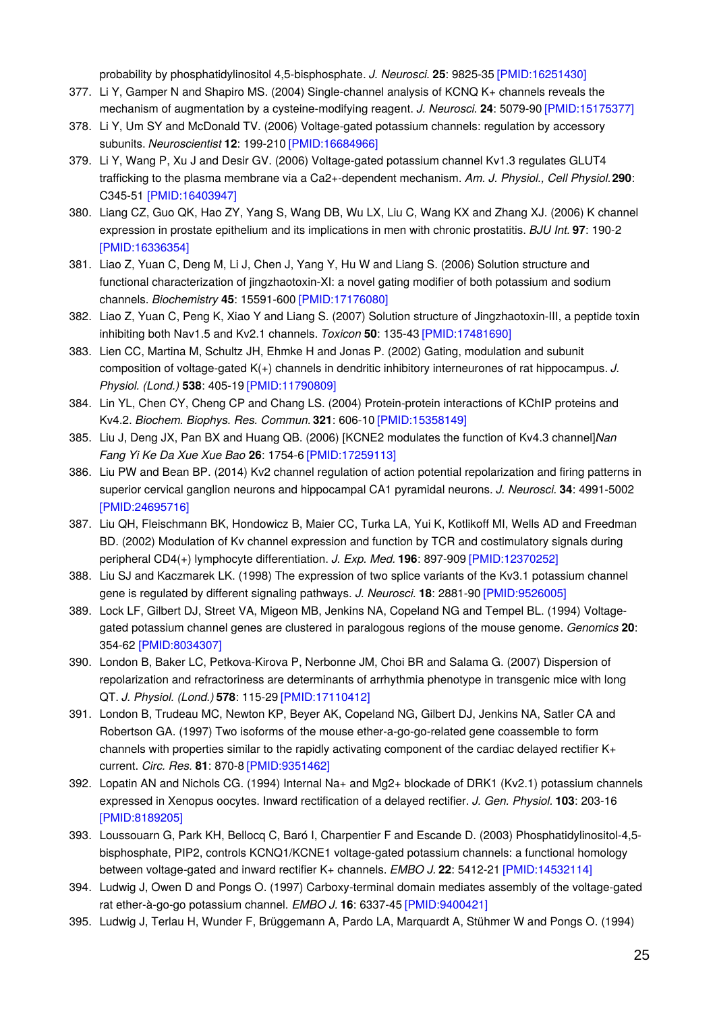probability by phosphatidylinositol 4,5-bisphosphate. *J. Neurosci.* **25**: 9825-35 [\[PMID:16251430\]](http://www.ncbi.nlm.nih.gov/pubmed/16251430?dopt=AbstractPlus)

- 377. Li Y, Gamper N and Shapiro MS. (2004) Single-channel analysis of KCNQ K+ channels reveals the mechanism of augmentation by a cysteine-modifying reagent. *J. Neurosci.* **24**: 5079-90 [\[PMID:15175377\]](http://www.ncbi.nlm.nih.gov/pubmed/15175377?dopt=AbstractPlus)
- 378. Li Y, Um SY and McDonald TV. (2006) Voltage-gated potassium channels: regulation by accessory subunits. *Neuroscientist* **12**: 199-210 [\[PMID:16684966\]](http://www.ncbi.nlm.nih.gov/pubmed/16684966?dopt=AbstractPlus)
- 379. Li Y, Wang P, Xu J and Desir GV. (2006) Voltage-gated potassium channel Kv1.3 regulates GLUT4 trafficking to the plasma membrane via a Ca2+-dependent mechanism. *Am. J. Physiol., Cell Physiol.***290**: C345-51 [\[PMID:16403947\]](http://www.ncbi.nlm.nih.gov/pubmed/16403947?dopt=AbstractPlus)
- 380. Liang CZ, Guo QK, Hao ZY, Yang S, Wang DB, Wu LX, Liu C, Wang KX and Zhang XJ. (2006) K channel expression in prostate epithelium and its implications in men with chronic prostatitis. *BJU Int.* **97**: 190-2 [\[PMID:16336354\]](http://www.ncbi.nlm.nih.gov/pubmed/16336354?dopt=AbstractPlus)
- 381. Liao Z, Yuan C, Deng M, Li J, Chen J, Yang Y, Hu W and Liang S. (2006) Solution structure and functional characterization of jingzhaotoxin-XI: a novel gating modifier of both potassium and sodium channels. *Biochemistry* **45**: 15591-600 [\[PMID:17176080\]](http://www.ncbi.nlm.nih.gov/pubmed/17176080?dopt=AbstractPlus)
- 382. Liao Z, Yuan C, Peng K, Xiao Y and Liang S. (2007) Solution structure of Jingzhaotoxin-III, a peptide toxin inhibiting both Nav1.5 and Kv2.1 channels. *Toxicon* **50**: 135-43 [\[PMID:17481690\]](http://www.ncbi.nlm.nih.gov/pubmed/17481690?dopt=AbstractPlus)
- 383. Lien CC, Martina M, Schultz JH, Ehmke H and Jonas P. (2002) Gating, modulation and subunit composition of voltage-gated K(+) channels in dendritic inhibitory interneurones of rat hippocampus. *J. Physiol. (Lond.)* **538**: 405-19 [\[PMID:11790809\]](http://www.ncbi.nlm.nih.gov/pubmed/11790809?dopt=AbstractPlus)
- 384. Lin YL, Chen CY, Cheng CP and Chang LS. (2004) Protein-protein interactions of KChIP proteins and Kv4.2. *Biochem. Biophys. Res. Commun.* **321**: 606-10 [\[PMID:15358149\]](http://www.ncbi.nlm.nih.gov/pubmed/15358149?dopt=AbstractPlus)
- 385. Liu J, Deng JX, Pan BX and Huang QB. (2006) [KCNE2 modulates the function of Kv4.3 channel].*Nan Fang Yi Ke Da Xue Xue Bao* **26**: 1754-6 [\[PMID:17259113\]](http://www.ncbi.nlm.nih.gov/pubmed/17259113?dopt=AbstractPlus)
- 386. Liu PW and Bean BP. (2014) Kv2 channel regulation of action potential repolarization and firing patterns in superior cervical ganglion neurons and hippocampal CA1 pyramidal neurons. *J. Neurosci.* **34**: 4991-5002 [\[PMID:24695716\]](http://www.ncbi.nlm.nih.gov/pubmed/24695716?dopt=AbstractPlus)
- 387. Liu QH, Fleischmann BK, Hondowicz B, Maier CC, Turka LA, Yui K, Kotlikoff MI, Wells AD and Freedman BD. (2002) Modulation of Kv channel expression and function by TCR and costimulatory signals during peripheral CD4(+) lymphocyte differentiation. *J. Exp. Med.* **196**: 897-909 [\[PMID:12370252\]](http://www.ncbi.nlm.nih.gov/pubmed/12370252?dopt=AbstractPlus)
- 388. Liu SJ and Kaczmarek LK. (1998) The expression of two splice variants of the Kv3.1 potassium channel gene is regulated by different signaling pathways. *J. Neurosci.* **18**: 2881-90 [\[PMID:9526005\]](http://www.ncbi.nlm.nih.gov/pubmed/9526005?dopt=AbstractPlus)
- 389. Lock LF, Gilbert DJ, Street VA, Migeon MB, Jenkins NA, Copeland NG and Tempel BL. (1994) Voltagegated potassium channel genes are clustered in paralogous regions of the mouse genome. *Genomics* **20**: 354-62 [\[PMID:8034307\]](http://www.ncbi.nlm.nih.gov/pubmed/8034307?dopt=AbstractPlus)
- 390. London B, Baker LC, Petkova-Kirova P, Nerbonne JM, Choi BR and Salama G. (2007) Dispersion of repolarization and refractoriness are determinants of arrhythmia phenotype in transgenic mice with long QT. *J. Physiol. (Lond.)* **578**: 115-29 [\[PMID:17110412\]](http://www.ncbi.nlm.nih.gov/pubmed/17110412?dopt=AbstractPlus)
- 391. London B, Trudeau MC, Newton KP, Beyer AK, Copeland NG, Gilbert DJ, Jenkins NA, Satler CA and Robertson GA. (1997) Two isoforms of the mouse ether-a-go-go-related gene coassemble to form channels with properties similar to the rapidly activating component of the cardiac delayed rectifier  $K_{+}$ current. *Circ. Res.* **81**: 870-8 [\[PMID:9351462\]](http://www.ncbi.nlm.nih.gov/pubmed/9351462?dopt=AbstractPlus)
- 392. Lopatin AN and Nichols CG. (1994) Internal Na+ and Mg2+ blockade of DRK1 (Kv2.1) potassium channels expressed in Xenopus oocytes. Inward rectification of a delayed rectifier. *J. Gen. Physiol.* **103**: 203-16 [\[PMID:8189205\]](http://www.ncbi.nlm.nih.gov/pubmed/8189205?dopt=AbstractPlus)
- 393. Loussouarn G, Park KH, Bellocq C, Baró I, Charpentier F and Escande D. (2003) Phosphatidylinositol-4,5 bisphosphate, PIP2, controls KCNQ1/KCNE1 voltage-gated potassium channels: a functional homology between voltage-gated and inward rectifier K+ channels. *EMBO J.* **22**: 5412-21 [\[PMID:14532114\]](http://www.ncbi.nlm.nih.gov/pubmed/14532114?dopt=AbstractPlus)
- 394. Ludwig J, Owen D and Pongs O. (1997) Carboxy-terminal domain mediates assembly of the voltage-gated rat ether-à-go-go potassium channel. *EMBO J.* **16**: 6337-45 [\[PMID:9400421\]](http://www.ncbi.nlm.nih.gov/pubmed/9400421?dopt=AbstractPlus)
- 395. Ludwig J, Terlau H, Wunder F, Brüggemann A, Pardo LA, Marquardt A, Stühmer W and Pongs O. (1994)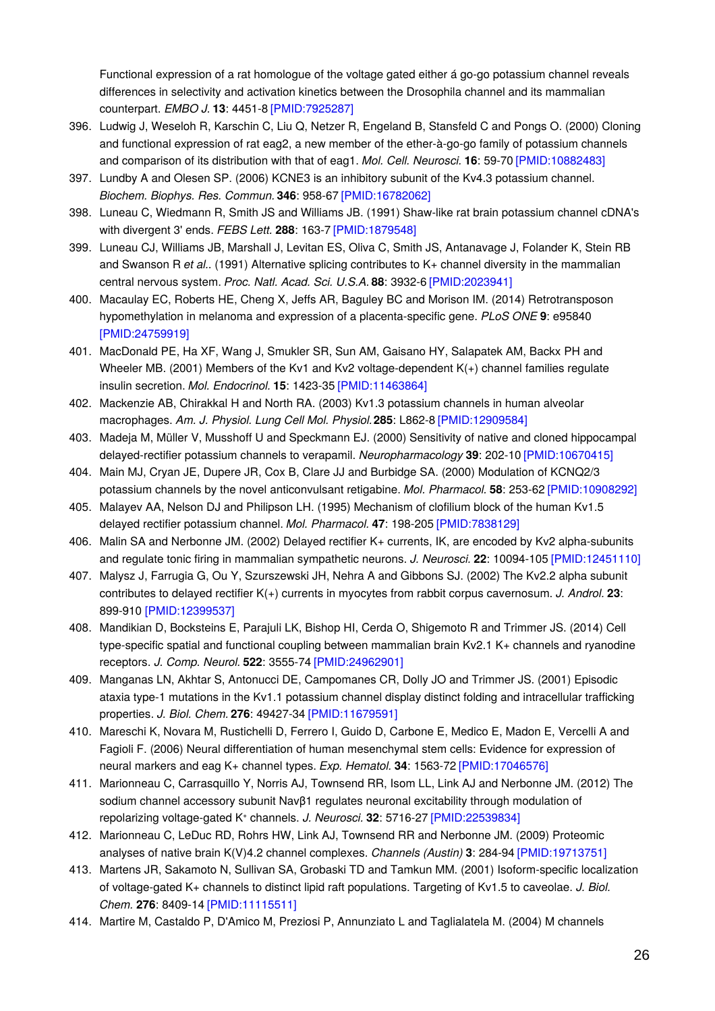Functional expression of a rat homologue of the voltage gated either á go-go potassium channel reveals differences in selectivity and activation kinetics between the Drosophila channel and its mammalian counterpart. *EMBO J.* **13**: 4451-8 [\[PMID:7925287\]](http://www.ncbi.nlm.nih.gov/pubmed/7925287?dopt=AbstractPlus)

- 396. Ludwig J, Weseloh R, Karschin C, Liu Q, Netzer R, Engeland B, Stansfeld C and Pongs O. (2000) Cloning and functional expression of rat eag2, a new member of the ether-à-go-go family of potassium channels and comparison of its distribution with that of eag1. *Mol. Cell. Neurosci.* **16**: 59-70 [\[PMID:10882483\]](http://www.ncbi.nlm.nih.gov/pubmed/10882483?dopt=AbstractPlus)
- 397. Lundby A and Olesen SP. (2006) KCNE3 is an inhibitory subunit of the Kv4.3 potassium channel. *Biochem. Biophys. Res. Commun.* **346**: 958-67 [\[PMID:16782062\]](http://www.ncbi.nlm.nih.gov/pubmed/16782062?dopt=AbstractPlus)
- 398. Luneau C, Wiedmann R, Smith JS and Williams JB. (1991) Shaw-like rat brain potassium channel cDNA's with divergent 3' ends. *FEBS Lett.* **288**: 163-7 [\[PMID:1879548\]](http://www.ncbi.nlm.nih.gov/pubmed/1879548?dopt=AbstractPlus)
- 399. Luneau CJ, Williams JB, Marshall J, Levitan ES, Oliva C, Smith JS, Antanavage J, Folander K, Stein RB and Swanson R *et al.*. (1991) Alternative splicing contributes to K+ channel diversity in the mammalian central nervous system. *Proc. Natl. Acad. Sci. U.S.A.* **88**: 3932-6 [\[PMID:2023941\]](http://www.ncbi.nlm.nih.gov/pubmed/2023941?dopt=AbstractPlus)
- 400. Macaulay EC, Roberts HE, Cheng X, Jeffs AR, Baguley BC and Morison IM. (2014) Retrotransposon hypomethylation in melanoma and expression of a placenta-specific gene. *PLoS ONE* **9**: e95840 [\[PMID:24759919\]](http://www.ncbi.nlm.nih.gov/pubmed/24759919?dopt=AbstractPlus)
- 401. MacDonald PE, Ha XF, Wang J, Smukler SR, Sun AM, Gaisano HY, Salapatek AM, Backx PH and Wheeler MB. (2001) Members of the Kv1 and Kv2 voltage-dependent K(+) channel families regulate insulin secretion. *Mol. Endocrinol.* **15**: 1423-35 [\[PMID:11463864\]](http://www.ncbi.nlm.nih.gov/pubmed/11463864?dopt=AbstractPlus)
- 402. Mackenzie AB, Chirakkal H and North RA. (2003) Kv1.3 potassium channels in human alveolar macrophages. *Am. J. Physiol. Lung Cell Mol. Physiol.***285**: L862-8 [\[PMID:12909584\]](http://www.ncbi.nlm.nih.gov/pubmed/12909584?dopt=AbstractPlus)
- 403. Madeja M, Müller V, Musshoff U and Speckmann EJ. (2000) Sensitivity of native and cloned hippocampal delayed-rectifier potassium channels to verapamil. *Neuropharmacology* **39**: 202-10 [\[PMID:10670415\]](http://www.ncbi.nlm.nih.gov/pubmed/10670415?dopt=AbstractPlus)
- 404. Main MJ, Cryan JE, Dupere JR, Cox B, Clare JJ and Burbidge SA. (2000) Modulation of KCNQ2/3 potassium channels by the novel anticonvulsant retigabine. *Mol. Pharmacol.* **58**: 253-62 [\[PMID:10908292\]](http://www.ncbi.nlm.nih.gov/pubmed/10908292?dopt=AbstractPlus)
- 405. Malayev AA, Nelson DJ and Philipson LH. (1995) Mechanism of clofilium block of the human Kv1.5 delayed rectifier potassium channel. *Mol. Pharmacol.* **47**: 198-205 [\[PMID:7838129\]](http://www.ncbi.nlm.nih.gov/pubmed/7838129?dopt=AbstractPlus)
- 406. Malin SA and Nerbonne JM. (2002) Delayed rectifier K+ currents, IK, are encoded by Kv2 alpha-subunits and regulate tonic firing in mammalian sympathetic neurons. *J. Neurosci.* **22**: 10094-105 [\[PMID:12451110\]](http://www.ncbi.nlm.nih.gov/pubmed/12451110?dopt=AbstractPlus)
- 407. Malysz J, Farrugia G, Ou Y, Szurszewski JH, Nehra A and Gibbons SJ. (2002) The Kv2.2 alpha subunit contributes to delayed rectifier K(+) currents in myocytes from rabbit corpus cavernosum. *J. Androl.* **23**: 899-910 [\[PMID:12399537\]](http://www.ncbi.nlm.nih.gov/pubmed/12399537?dopt=AbstractPlus)
- 408. Mandikian D, Bocksteins E, Parajuli LK, Bishop HI, Cerda O, Shigemoto R and Trimmer JS. (2014) Cell type-specific spatial and functional coupling between mammalian brain Kv2.1 K+ channels and ryanodine receptors. *J. Comp. Neurol.* **522**: 3555-74 [\[PMID:24962901\]](http://www.ncbi.nlm.nih.gov/pubmed/24962901?dopt=AbstractPlus)
- 409. Manganas LN, Akhtar S, Antonucci DE, Campomanes CR, Dolly JO and Trimmer JS. (2001) Episodic ataxia type-1 mutations in the Kv1.1 potassium channel display distinct folding and intracellular trafficking properties. *J. Biol. Chem.* **276**: 49427-34 [\[PMID:11679591\]](http://www.ncbi.nlm.nih.gov/pubmed/11679591?dopt=AbstractPlus)
- 410. Mareschi K, Novara M, Rustichelli D, Ferrero I, Guido D, Carbone E, Medico E, Madon E, Vercelli A and Fagioli F. (2006) Neural differentiation of human mesenchymal stem cells: Evidence for expression of neural markers and eag K+ channel types. *Exp. Hematol.* **34**: 1563-72 [\[PMID:17046576\]](http://www.ncbi.nlm.nih.gov/pubmed/17046576?dopt=AbstractPlus)
- 411. Marionneau C, Carrasquillo Y, Norris AJ, Townsend RR, Isom LL, Link AJ and Nerbonne JM. (2012) The sodium channel accessory subunit Navβ1 regulates neuronal excitability through modulation of repolarizing voltage-gated K⁺ channels. *J. Neurosci.* **32**: 5716-27 [\[PMID:22539834\]](http://www.ncbi.nlm.nih.gov/pubmed/22539834?dopt=AbstractPlus)
- 412. Marionneau C, LeDuc RD, Rohrs HW, Link AJ, Townsend RR and Nerbonne JM. (2009) Proteomic analyses of native brain K(V)4.2 channel complexes. *Channels (Austin)* **3**: 284-94 [\[PMID:19713751\]](http://www.ncbi.nlm.nih.gov/pubmed/19713751?dopt=AbstractPlus)
- 413. Martens JR, Sakamoto N, Sullivan SA, Grobaski TD and Tamkun MM. (2001) Isoform-specific localization of voltage-gated K+ channels to distinct lipid raft populations. Targeting of Kv1.5 to caveolae. *J. Biol. Chem.* **276**: 8409-14 [\[PMID:11115511\]](http://www.ncbi.nlm.nih.gov/pubmed/11115511?dopt=AbstractPlus)
- 414. Martire M, Castaldo P, D'Amico M, Preziosi P, Annunziato L and Taglialatela M. (2004) M channels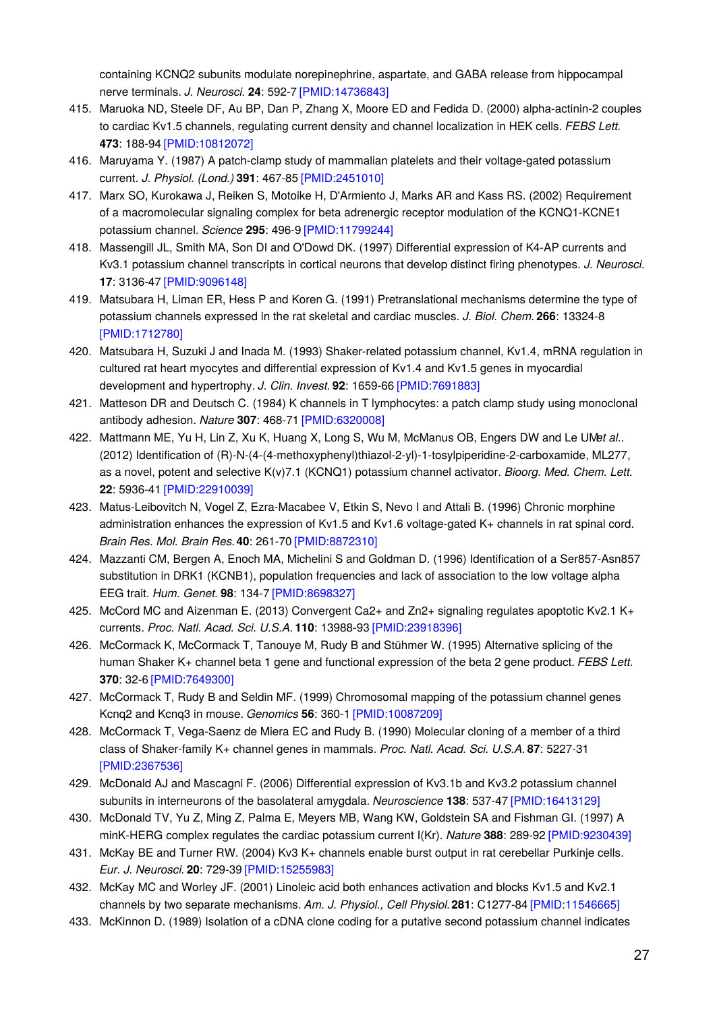containing KCNQ2 subunits modulate norepinephrine, aspartate, and GABA release from hippocampal nerve terminals. *J. Neurosci.* **24**: 592-7 [\[PMID:14736843\]](http://www.ncbi.nlm.nih.gov/pubmed/14736843?dopt=AbstractPlus)

- 415. Maruoka ND, Steele DF, Au BP, Dan P, Zhang X, Moore ED and Fedida D. (2000) alpha-actinin-2 couples to cardiac Kv1.5 channels, regulating current density and channel localization in HEK cells. *FEBS Lett.* **473**: 188-94 [\[PMID:10812072\]](http://www.ncbi.nlm.nih.gov/pubmed/10812072?dopt=AbstractPlus)
- 416. Maruyama Y. (1987) A patch-clamp study of mammalian platelets and their voltage-gated potassium current. *J. Physiol. (Lond.)* **391**: 467-85 [\[PMID:2451010\]](http://www.ncbi.nlm.nih.gov/pubmed/2451010?dopt=AbstractPlus)
- 417. Marx SO, Kurokawa J, Reiken S, Motoike H, D'Armiento J, Marks AR and Kass RS. (2002) Requirement of a macromolecular signaling complex for beta adrenergic receptor modulation of the KCNQ1-KCNE1 potassium channel. *Science* **295**: 496-9 [\[PMID:11799244\]](http://www.ncbi.nlm.nih.gov/pubmed/11799244?dopt=AbstractPlus)
- 418. Massengill JL, Smith MA, Son DI and O'Dowd DK. (1997) Differential expression of K4-AP currents and Kv3.1 potassium channel transcripts in cortical neurons that develop distinct firing phenotypes. *J. Neurosci.* **17**: 3136-47 [\[PMID:9096148\]](http://www.ncbi.nlm.nih.gov/pubmed/9096148?dopt=AbstractPlus)
- 419. Matsubara H, Liman ER, Hess P and Koren G. (1991) Pretranslational mechanisms determine the type of potassium channels expressed in the rat skeletal and cardiac muscles. *J. Biol. Chem.* **266**: 13324-8 [\[PMID:1712780\]](http://www.ncbi.nlm.nih.gov/pubmed/1712780?dopt=AbstractPlus)
- 420. Matsubara H, Suzuki J and Inada M. (1993) Shaker-related potassium channel, Kv1.4, mRNA regulation in cultured rat heart myocytes and differential expression of Kv1.4 and Kv1.5 genes in myocardial development and hypertrophy. *J. Clin. Invest.* **92**: 1659-66 [\[PMID:7691883\]](http://www.ncbi.nlm.nih.gov/pubmed/7691883?dopt=AbstractPlus)
- 421. Matteson DR and Deutsch C. (1984) K channels in T lymphocytes: a patch clamp study using monoclonal antibody adhesion. *Nature* **307**: 468-71 [\[PMID:6320008\]](http://www.ncbi.nlm.nih.gov/pubmed/6320008?dopt=AbstractPlus)
- 422. Mattmann ME, Yu H, Lin Z, Xu K, Huang X, Long S, Wu M, McManus OB, Engers DW and Le UM*et al.*. (2012) Identification of (R)-N-(4-(4-methoxyphenyl)thiazol-2-yl)-1-tosylpiperidine-2-carboxamide, ML277, as a novel, potent and selective K(v)7.1 (KCNQ1) potassium channel activator. *Bioorg. Med. Chem. Lett.* **22**: 5936-41 [\[PMID:22910039\]](http://www.ncbi.nlm.nih.gov/pubmed/22910039?dopt=AbstractPlus)
- 423. Matus-Leibovitch N, Vogel Z, Ezra-Macabee V, Etkin S, Nevo I and Attali B. (1996) Chronic morphine administration enhances the expression of Kv1.5 and Kv1.6 voltage-gated K+ channels in rat spinal cord. *Brain Res. Mol. Brain Res.***40**: 261-70 [\[PMID:8872310\]](http://www.ncbi.nlm.nih.gov/pubmed/8872310?dopt=AbstractPlus)
- 424. Mazzanti CM, Bergen A, Enoch MA, Michelini S and Goldman D. (1996) Identification of a Ser857-Asn857 substitution in DRK1 (KCNB1), population frequencies and lack of association to the low voltage alpha EEG trait. *Hum. Genet.* **98**: 134-7 [\[PMID:8698327\]](http://www.ncbi.nlm.nih.gov/pubmed/8698327?dopt=AbstractPlus)
- 425. McCord MC and Aizenman E. (2013) Convergent Ca2+ and Zn2+ signaling regulates apoptotic Kv2.1 K+ currents. *Proc. Natl. Acad. Sci. U.S.A.* **110**: 13988-93 [\[PMID:23918396\]](http://www.ncbi.nlm.nih.gov/pubmed/23918396?dopt=AbstractPlus)
- 426. McCormack K, McCormack T, Tanouye M, Rudy B and Stühmer W. (1995) Alternative splicing of the human Shaker K+ channel beta 1 gene and functional expression of the beta 2 gene product. *FEBS Lett.* **370**: 32-6 [\[PMID:7649300\]](http://www.ncbi.nlm.nih.gov/pubmed/7649300?dopt=AbstractPlus)
- 427. McCormack T, Rudy B and Seldin MF. (1999) Chromosomal mapping of the potassium channel genes Kcnq2 and Kcnq3 in mouse. *Genomics* **56**: 360-1 [\[PMID:10087209\]](http://www.ncbi.nlm.nih.gov/pubmed/10087209?dopt=AbstractPlus)
- 428. McCormack T, Vega-Saenz de Miera EC and Rudy B. (1990) Molecular cloning of a member of a third class of Shaker-family K+ channel genes in mammals. *Proc. Natl. Acad. Sci. U.S.A.* **87**: 5227-31 [\[PMID:2367536\]](http://www.ncbi.nlm.nih.gov/pubmed/2367536?dopt=AbstractPlus)
- 429. McDonald AJ and Mascagni F. (2006) Differential expression of Kv3.1b and Kv3.2 potassium channel subunits in interneurons of the basolateral amygdala. *Neuroscience* **138**: 537-47 [\[PMID:16413129\]](http://www.ncbi.nlm.nih.gov/pubmed/16413129?dopt=AbstractPlus)
- 430. McDonald TV, Yu Z, Ming Z, Palma E, Meyers MB, Wang KW, Goldstein SA and Fishman GI. (1997) A minK-HERG complex regulates the cardiac potassium current I(Kr). *Nature* **388**: 289-92 [\[PMID:9230439\]](http://www.ncbi.nlm.nih.gov/pubmed/9230439?dopt=AbstractPlus)
- 431. McKay BE and Turner RW. (2004) Kv3 K+ channels enable burst output in rat cerebellar Purkinje cells. *Eur. J. Neurosci.* **20**: 729-39 [\[PMID:15255983\]](http://www.ncbi.nlm.nih.gov/pubmed/15255983?dopt=AbstractPlus)
- 432. McKay MC and Worley JF. (2001) Linoleic acid both enhances activation and blocks Kv1.5 and Kv2.1 channels by two separate mechanisms. *Am. J. Physiol., Cell Physiol.***281**: C1277-84 [\[PMID:11546665\]](http://www.ncbi.nlm.nih.gov/pubmed/11546665?dopt=AbstractPlus)
- 433. McKinnon D. (1989) Isolation of a cDNA clone coding for a putative second potassium channel indicates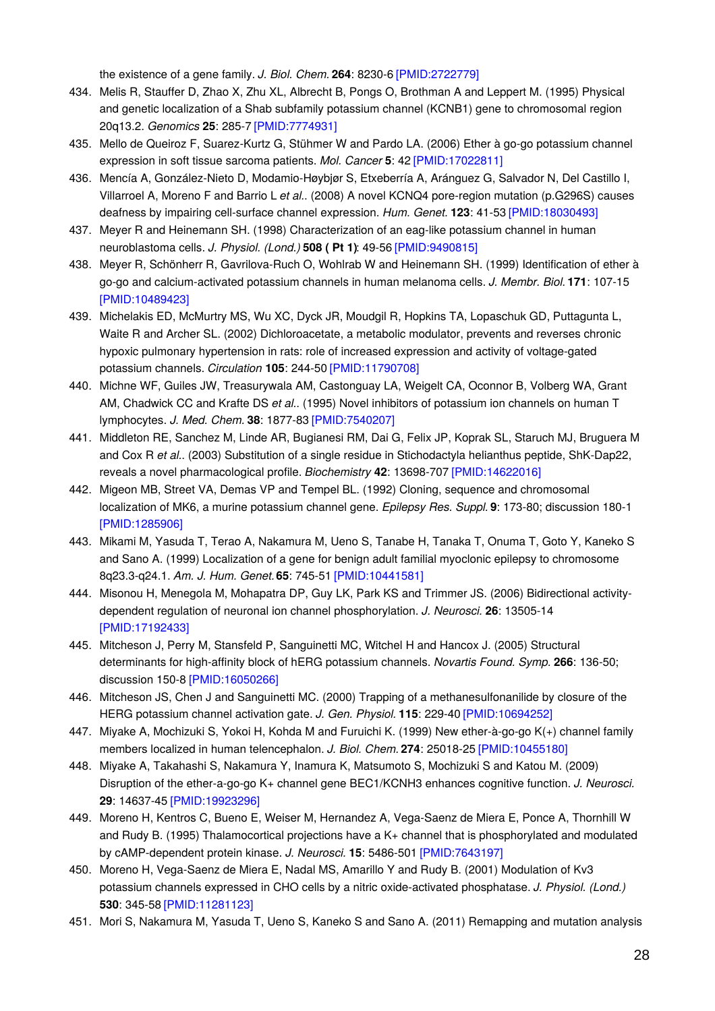the existence of a gene family. *J. Biol. Chem.* **264**: 8230-6 [\[PMID:2722779\]](http://www.ncbi.nlm.nih.gov/pubmed/2722779?dopt=AbstractPlus)

- 434. Melis R, Stauffer D, Zhao X, Zhu XL, Albrecht B, Pongs O, Brothman A and Leppert M. (1995) Physical and genetic localization of a Shab subfamily potassium channel (KCNB1) gene to chromosomal region 20q13.2. *Genomics* **25**: 285-7 [\[PMID:7774931\]](http://www.ncbi.nlm.nih.gov/pubmed/7774931?dopt=AbstractPlus)
- 435. Mello de Queiroz F, Suarez-Kurtz G, Stühmer W and Pardo LA. (2006) Ether à go-go potassium channel expression in soft tissue sarcoma patients. *Mol. Cancer* **5**: 42 [\[PMID:17022811\]](http://www.ncbi.nlm.nih.gov/pubmed/17022811?dopt=AbstractPlus)
- 436. Mencía A, González-Nieto D, Modamio-Høybjør S, Etxeberría A, Aránguez G, Salvador N, Del Castillo I, Villarroel A, Moreno F and Barrio L *et al.*. (2008) A novel KCNQ4 pore-region mutation (p.G296S) causes deafness by impairing cell-surface channel expression. *Hum. Genet.* **123**: 41-53 [\[PMID:18030493\]](http://www.ncbi.nlm.nih.gov/pubmed/18030493?dopt=AbstractPlus)
- 437. Meyer R and Heinemann SH. (1998) Characterization of an eag-like potassium channel in human neuroblastoma cells. *J. Physiol. (Lond.)* **508 ( Pt 1)**: 49-56 [\[PMID:9490815\]](http://www.ncbi.nlm.nih.gov/pubmed/9490815?dopt=AbstractPlus)
- 438. Meyer R, Schönherr R, Gavrilova-Ruch O, Wohlrab W and Heinemann SH. (1999) Identification of ether à go-go and calcium-activated potassium channels in human melanoma cells. *J. Membr. Biol.* **171**: 107-15 [\[PMID:10489423\]](http://www.ncbi.nlm.nih.gov/pubmed/10489423?dopt=AbstractPlus)
- 439. Michelakis ED, McMurtry MS, Wu XC, Dyck JR, Moudgil R, Hopkins TA, Lopaschuk GD, Puttagunta L, Waite R and Archer SL. (2002) Dichloroacetate, a metabolic modulator, prevents and reverses chronic hypoxic pulmonary hypertension in rats: role of increased expression and activity of voltage-gated potassium channels. *Circulation* **105**: 244-50 [\[PMID:11790708\]](http://www.ncbi.nlm.nih.gov/pubmed/11790708?dopt=AbstractPlus)
- 440. Michne WF, Guiles JW, Treasurywala AM, Castonguay LA, Weigelt CA, Oconnor B, Volberg WA, Grant AM, Chadwick CC and Krafte DS *et al.*. (1995) Novel inhibitors of potassium ion channels on human T lymphocytes. *J. Med. Chem.* **38**: 1877-83 [\[PMID:7540207\]](http://www.ncbi.nlm.nih.gov/pubmed/7540207?dopt=AbstractPlus)
- 441. Middleton RE, Sanchez M, Linde AR, Bugianesi RM, Dai G, Felix JP, Koprak SL, Staruch MJ, Bruguera M and Cox R *et al.*. (2003) Substitution of a single residue in Stichodactyla helianthus peptide, ShK-Dap22, reveals a novel pharmacological profile. *Biochemistry* **42**: 13698-707 [\[PMID:14622016\]](http://www.ncbi.nlm.nih.gov/pubmed/14622016?dopt=AbstractPlus)
- 442. Migeon MB, Street VA, Demas VP and Tempel BL. (1992) Cloning, sequence and chromosomal localization of MK6, a murine potassium channel gene. *Epilepsy Res. Suppl.* **9**: 173-80; discussion 180-1 [\[PMID:1285906\]](http://www.ncbi.nlm.nih.gov/pubmed/1285906?dopt=AbstractPlus)
- 443. Mikami M, Yasuda T, Terao A, Nakamura M, Ueno S, Tanabe H, Tanaka T, Onuma T, Goto Y, Kaneko S and Sano A. (1999) Localization of a gene for benign adult familial myoclonic epilepsy to chromosome 8q23.3-q24.1. *Am. J. Hum. Genet.***65**: 745-51 [\[PMID:10441581\]](http://www.ncbi.nlm.nih.gov/pubmed/10441581?dopt=AbstractPlus)
- 444. Misonou H, Menegola M, Mohapatra DP, Guy LK, Park KS and Trimmer JS. (2006) Bidirectional activitydependent regulation of neuronal ion channel phosphorylation. *J. Neurosci.* **26**: 13505-14 [\[PMID:17192433\]](http://www.ncbi.nlm.nih.gov/pubmed/17192433?dopt=AbstractPlus)
- 445. Mitcheson J, Perry M, Stansfeld P, Sanguinetti MC, Witchel H and Hancox J. (2005) Structural determinants for high-affinity block of hERG potassium channels. *Novartis Found. Symp.* **266**: 136-50; discussion 150-8 [\[PMID:16050266\]](http://www.ncbi.nlm.nih.gov/pubmed/16050266?dopt=AbstractPlus)
- 446. Mitcheson JS, Chen J and Sanguinetti MC. (2000) Trapping of a methanesulfonanilide by closure of the HERG potassium channel activation gate. *J. Gen. Physiol.* **115**: 229-40 [\[PMID:10694252\]](http://www.ncbi.nlm.nih.gov/pubmed/10694252?dopt=AbstractPlus)
- 447. Miyake A, Mochizuki S, Yokoi H, Kohda M and Furuichi K. (1999) New ether-à-go-go K(+) channel family members localized in human telencephalon. *J. Biol. Chem.* **274**: 25018-25 [\[PMID:10455180\]](http://www.ncbi.nlm.nih.gov/pubmed/10455180?dopt=AbstractPlus)
- 448. Miyake A, Takahashi S, Nakamura Y, Inamura K, Matsumoto S, Mochizuki S and Katou M. (2009) Disruption of the ether-a-go-go K+ channel gene BEC1/KCNH3 enhances cognitive function. *J. Neurosci.* **29**: 14637-45 [\[PMID:19923296\]](http://www.ncbi.nlm.nih.gov/pubmed/19923296?dopt=AbstractPlus)
- 449. Moreno H, Kentros C, Bueno E, Weiser M, Hernandez A, Vega-Saenz de Miera E, Ponce A, Thornhill W and Rudy B. (1995) Thalamocortical projections have a K+ channel that is phosphorylated and modulated by cAMP-dependent protein kinase. *J. Neurosci.* **15**: 5486-501 [\[PMID:7643197\]](http://www.ncbi.nlm.nih.gov/pubmed/7643197?dopt=AbstractPlus)
- 450. Moreno H, Vega-Saenz de Miera E, Nadal MS, Amarillo Y and Rudy B. (2001) Modulation of Kv3 potassium channels expressed in CHO cells by a nitric oxide-activated phosphatase. *J. Physiol. (Lond.)* **530**: 345-58 [\[PMID:11281123\]](http://www.ncbi.nlm.nih.gov/pubmed/11281123?dopt=AbstractPlus)
- 451. Mori S, Nakamura M, Yasuda T, Ueno S, Kaneko S and Sano A. (2011) Remapping and mutation analysis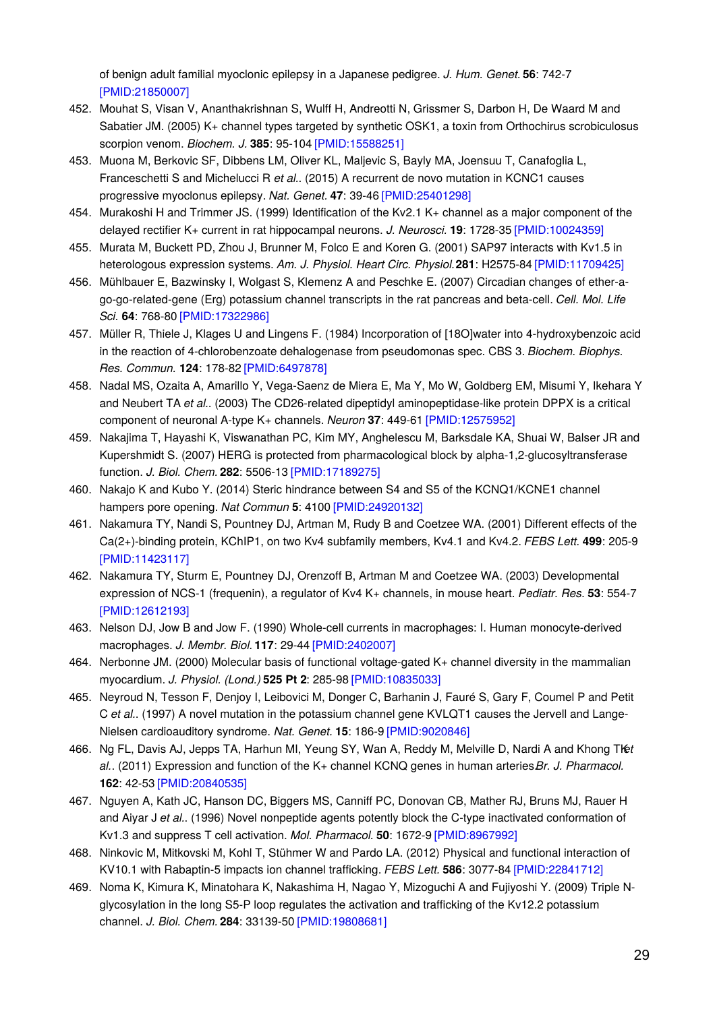of benign adult familial myoclonic epilepsy in a Japanese pedigree. *J. Hum. Genet.* **56**: 742-7 [\[PMID:21850007\]](http://www.ncbi.nlm.nih.gov/pubmed/21850007?dopt=AbstractPlus)

- 452. Mouhat S, Visan V, Ananthakrishnan S, Wulff H, Andreotti N, Grissmer S, Darbon H, De Waard M and Sabatier JM. (2005) K+ channel types targeted by synthetic OSK1, a toxin from Orthochirus scrobiculosus scorpion venom. *Biochem. J.* **385**: 95-104 [\[PMID:15588251\]](http://www.ncbi.nlm.nih.gov/pubmed/15588251?dopt=AbstractPlus)
- 453. Muona M, Berkovic SF, Dibbens LM, Oliver KL, Maljevic S, Bayly MA, Joensuu T, Canafoglia L, Franceschetti S and Michelucci R *et al.*. (2015) A recurrent de novo mutation in KCNC1 causes progressive myoclonus epilepsy. *Nat. Genet.* **47**: 39-46 [\[PMID:25401298\]](http://www.ncbi.nlm.nih.gov/pubmed/25401298?dopt=AbstractPlus)
- 454. Murakoshi H and Trimmer JS. (1999) Identification of the Kv2.1 K+ channel as a major component of the delayed rectifier K+ current in rat hippocampal neurons. *J. Neurosci.* **19**: 1728-35 [\[PMID:10024359\]](http://www.ncbi.nlm.nih.gov/pubmed/10024359?dopt=AbstractPlus)
- 455. Murata M, Buckett PD, Zhou J, Brunner M, Folco E and Koren G. (2001) SAP97 interacts with Kv1.5 in heterologous expression systems. *Am. J. Physiol. Heart Circ. Physiol.***281**: H2575-84 [\[PMID:11709425\]](http://www.ncbi.nlm.nih.gov/pubmed/11709425?dopt=AbstractPlus)
- 456. Mühlbauer E, Bazwinsky I, Wolgast S, Klemenz A and Peschke E. (2007) Circadian changes of ether-ago-go-related-gene (Erg) potassium channel transcripts in the rat pancreas and beta-cell. *Cell. Mol. Life Sci.* **64**: 768-80 [\[PMID:17322986\]](http://www.ncbi.nlm.nih.gov/pubmed/17322986?dopt=AbstractPlus)
- 457. Müller R, Thiele J, Klages U and Lingens F. (1984) Incorporation of [18O]water into 4-hydroxybenzoic acid in the reaction of 4-chlorobenzoate dehalogenase from pseudomonas spec. CBS 3. *Biochem. Biophys. Res. Commun.* **124**: 178-82 [\[PMID:6497878\]](http://www.ncbi.nlm.nih.gov/pubmed/6497878?dopt=AbstractPlus)
- 458. Nadal MS, Ozaita A, Amarillo Y, Vega-Saenz de Miera E, Ma Y, Mo W, Goldberg EM, Misumi Y, Ikehara Y and Neubert TA *et al.*. (2003) The CD26-related dipeptidyl aminopeptidase-like protein DPPX is a critical component of neuronal A-type K+ channels. *Neuron* **37**: 449-61 [\[PMID:12575952\]](http://www.ncbi.nlm.nih.gov/pubmed/12575952?dopt=AbstractPlus)
- 459. Nakajima T, Hayashi K, Viswanathan PC, Kim MY, Anghelescu M, Barksdale KA, Shuai W, Balser JR and Kupershmidt S. (2007) HERG is protected from pharmacological block by alpha-1,2-glucosyltransferase function. *J. Biol. Chem.* **282**: 5506-13 [\[PMID:17189275\]](http://www.ncbi.nlm.nih.gov/pubmed/17189275?dopt=AbstractPlus)
- 460. Nakajo K and Kubo Y. (2014) Steric hindrance between S4 and S5 of the KCNQ1/KCNE1 channel hampers pore opening. *Nat Commun* **5**: 4100 [\[PMID:24920132\]](http://www.ncbi.nlm.nih.gov/pubmed/24920132?dopt=AbstractPlus)
- 461. Nakamura TY, Nandi S, Pountney DJ, Artman M, Rudy B and Coetzee WA. (2001) Different effects of the Ca(2+)-binding protein, KChIP1, on two Kv4 subfamily members, Kv4.1 and Kv4.2. *FEBS Lett.* **499**: 205-9 [\[PMID:11423117\]](http://www.ncbi.nlm.nih.gov/pubmed/11423117?dopt=AbstractPlus)
- 462. Nakamura TY, Sturm E, Pountney DJ, Orenzoff B, Artman M and Coetzee WA. (2003) Developmental expression of NCS-1 (frequenin), a regulator of Kv4 K+ channels, in mouse heart. *Pediatr. Res.* **53**: 554-7 [\[PMID:12612193\]](http://www.ncbi.nlm.nih.gov/pubmed/12612193?dopt=AbstractPlus)
- 463. Nelson DJ, Jow B and Jow F. (1990) Whole-cell currents in macrophages: I. Human monocyte-derived macrophages. *J. Membr. Biol.* **117**: 29-44 [\[PMID:2402007\]](http://www.ncbi.nlm.nih.gov/pubmed/2402007?dopt=AbstractPlus)
- 464. Nerbonne JM. (2000) Molecular basis of functional voltage-gated K+ channel diversity in the mammalian myocardium. *J. Physiol. (Lond.)* **525 Pt 2**: 285-98 [\[PMID:10835033\]](http://www.ncbi.nlm.nih.gov/pubmed/10835033?dopt=AbstractPlus)
- 465. Neyroud N, Tesson F, Denjoy I, Leibovici M, Donger C, Barhanin J, Fauré S, Gary F, Coumel P and Petit C *et al.*. (1997) A novel mutation in the potassium channel gene KVLQT1 causes the Jervell and Lange-Nielsen cardioauditory syndrome. *Nat. Genet.* **15**: 186-9 [\[PMID:9020846\]](http://www.ncbi.nlm.nih.gov/pubmed/9020846?dopt=AbstractPlus)
- 466. Ng FL, Davis AJ, Jepps TA, Harhun MI, Yeung SY, Wan A, Reddy M, Melville D, Nardi A and Khong Tlet *al.*. (2011) Expression and function of the K+ channel KCNQ genes in human arteries Br. J. Pharmacol. **162**: 42-53 [\[PMID:20840535\]](http://www.ncbi.nlm.nih.gov/pubmed/20840535?dopt=AbstractPlus)
- 467. Nguyen A, Kath JC, Hanson DC, Biggers MS, Canniff PC, Donovan CB, Mather RJ, Bruns MJ, Rauer H and Aiyar J *et al.*. (1996) Novel nonpeptide agents potently block the C-type inactivated conformation of Kv1.3 and suppress T cell activation. *Mol. Pharmacol.* **50**: 1672-9 [\[PMID:8967992\]](http://www.ncbi.nlm.nih.gov/pubmed/8967992?dopt=AbstractPlus)
- 468. Ninkovic M, Mitkovski M, Kohl T, Stühmer W and Pardo LA. (2012) Physical and functional interaction of KV10.1 with Rabaptin-5 impacts ion channel trafficking. *FEBS Lett.* **586**: 3077-84 [\[PMID:22841712\]](http://www.ncbi.nlm.nih.gov/pubmed/22841712?dopt=AbstractPlus)
- 469. Noma K, Kimura K, Minatohara K, Nakashima H, Nagao Y, Mizoguchi A and Fujiyoshi Y. (2009) Triple Nglycosylation in the long S5-P loop regulates the activation and trafficking of the Kv12.2 potassium channel. *J. Biol. Chem.* **284**: 33139-50 [\[PMID:19808681\]](http://www.ncbi.nlm.nih.gov/pubmed/19808681?dopt=AbstractPlus)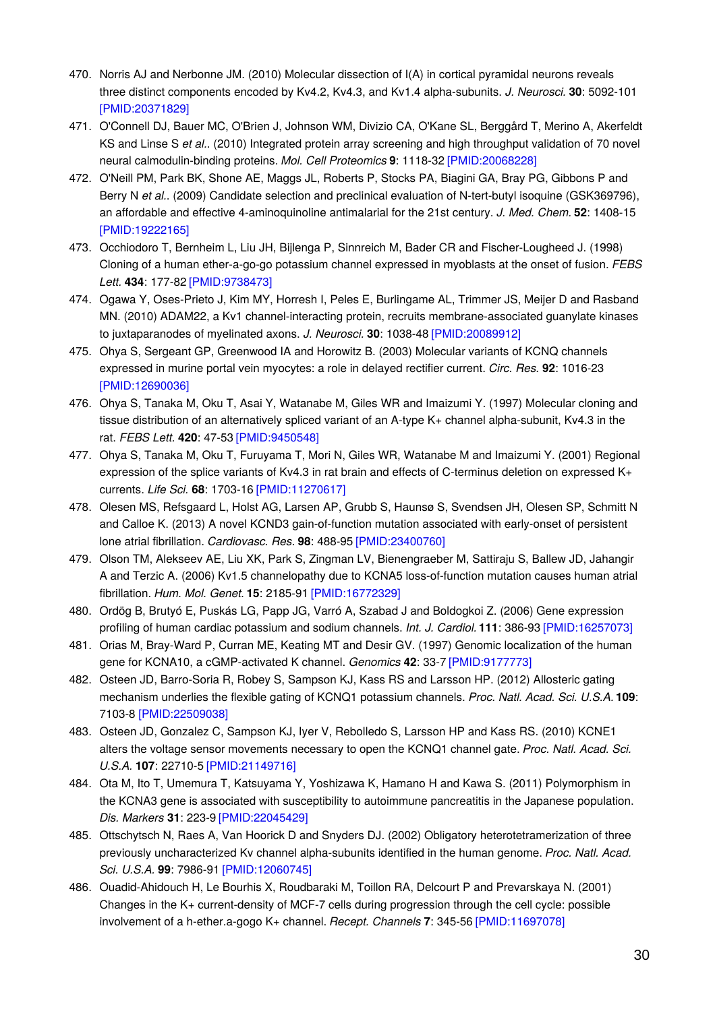- 470. Norris AJ and Nerbonne JM. (2010) Molecular dissection of I(A) in cortical pyramidal neurons reveals three distinct components encoded by Kv4.2, Kv4.3, and Kv1.4 alpha-subunits. *J. Neurosci.* **30**: 5092-101 [\[PMID:20371829\]](http://www.ncbi.nlm.nih.gov/pubmed/20371829?dopt=AbstractPlus)
- 471. O'Connell DJ, Bauer MC, O'Brien J, Johnson WM, Divizio CA, O'Kane SL, Berggård T, Merino A, Akerfeldt KS and Linse S *et al.*. (2010) Integrated protein array screening and high throughput validation of 70 novel neural calmodulin-binding proteins. *Mol. Cell Proteomics* **9**: 1118-32 [\[PMID:20068228\]](http://www.ncbi.nlm.nih.gov/pubmed/20068228?dopt=AbstractPlus)
- 472. O'Neill PM, Park BK, Shone AE, Maggs JL, Roberts P, Stocks PA, Biagini GA, Bray PG, Gibbons P and Berry N *et al.*. (2009) Candidate selection and preclinical evaluation of N-tert-butyl isoquine (GSK369796), an affordable and effective 4-aminoquinoline antimalarial for the 21st century. *J. Med. Chem.* **52**: 1408-15 [\[PMID:19222165\]](http://www.ncbi.nlm.nih.gov/pubmed/19222165?dopt=AbstractPlus)
- 473. Occhiodoro T, Bernheim L, Liu JH, Bijlenga P, Sinnreich M, Bader CR and Fischer-Lougheed J. (1998) Cloning of a human ether-a-go-go potassium channel expressed in myoblasts at the onset of fusion. *FEBS Lett.* **434**: 177-82 [\[PMID:9738473\]](http://www.ncbi.nlm.nih.gov/pubmed/9738473?dopt=AbstractPlus)
- 474. Ogawa Y, Oses-Prieto J, Kim MY, Horresh I, Peles E, Burlingame AL, Trimmer JS, Meijer D and Rasband MN. (2010) ADAM22, a Kv1 channel-interacting protein, recruits membrane-associated guanylate kinases to juxtaparanodes of myelinated axons. *J. Neurosci.* **30**: 1038-48 [\[PMID:20089912\]](http://www.ncbi.nlm.nih.gov/pubmed/20089912?dopt=AbstractPlus)
- 475. Ohya S, Sergeant GP, Greenwood IA and Horowitz B. (2003) Molecular variants of KCNQ channels expressed in murine portal vein myocytes: a role in delayed rectifier current. *Circ. Res.* **92**: 1016-23 [\[PMID:12690036\]](http://www.ncbi.nlm.nih.gov/pubmed/12690036?dopt=AbstractPlus)
- 476. Ohya S, Tanaka M, Oku T, Asai Y, Watanabe M, Giles WR and Imaizumi Y. (1997) Molecular cloning and tissue distribution of an alternatively spliced variant of an A-type K+ channel alpha-subunit, Kv4.3 in the rat. *FEBS Lett.* **420**: 47-53 [\[PMID:9450548\]](http://www.ncbi.nlm.nih.gov/pubmed/9450548?dopt=AbstractPlus)
- 477. Ohya S, Tanaka M, Oku T, Furuyama T, Mori N, Giles WR, Watanabe M and Imaizumi Y. (2001) Regional expression of the splice variants of Kv4.3 in rat brain and effects of C-terminus deletion on expressed K+ currents. *Life Sci.* **68**: 1703-16 [\[PMID:11270617\]](http://www.ncbi.nlm.nih.gov/pubmed/11270617?dopt=AbstractPlus)
- 478. Olesen MS, Refsgaard L, Holst AG, Larsen AP, Grubb S, Haunsø S, Svendsen JH, Olesen SP, Schmitt N and Calloe K. (2013) A novel KCND3 gain-of-function mutation associated with early-onset of persistent lone atrial fibrillation. *Cardiovasc. Res.* **98**: 488-95 [\[PMID:23400760\]](http://www.ncbi.nlm.nih.gov/pubmed/23400760?dopt=AbstractPlus)
- 479. Olson TM, Alekseev AE, Liu XK, Park S, Zingman LV, Bienengraeber M, Sattiraju S, Ballew JD, Jahangir A and Terzic A. (2006) Kv1.5 channelopathy due to KCNA5 loss-of-function mutation causes human atrial fibrillation. *Hum. Mol. Genet.* **15**: 2185-91 [\[PMID:16772329\]](http://www.ncbi.nlm.nih.gov/pubmed/16772329?dopt=AbstractPlus)
- 480. Ordög B, Brutyó E, Puskás LG, Papp JG, Varró A, Szabad J and Boldogkoi Z. (2006) Gene expression profiling of human cardiac potassium and sodium channels. *Int. J. Cardiol.* **111**: 386-93 [\[PMID:16257073\]](http://www.ncbi.nlm.nih.gov/pubmed/16257073?dopt=AbstractPlus)
- 481. Orias M, Bray-Ward P, Curran ME, Keating MT and Desir GV. (1997) Genomic localization of the human gene for KCNA10, a cGMP-activated K channel. *Genomics* **42**: 33-7 [\[PMID:9177773\]](http://www.ncbi.nlm.nih.gov/pubmed/9177773?dopt=AbstractPlus)
- 482. Osteen JD, Barro-Soria R, Robey S, Sampson KJ, Kass RS and Larsson HP. (2012) Allosteric gating mechanism underlies the flexible gating of KCNQ1 potassium channels. *Proc. Natl. Acad. Sci. U.S.A.* **109**: 7103-8 [\[PMID:22509038\]](http://www.ncbi.nlm.nih.gov/pubmed/22509038?dopt=AbstractPlus)
- 483. Osteen JD, Gonzalez C, Sampson KJ, Iyer V, Rebolledo S, Larsson HP and Kass RS. (2010) KCNE1 alters the voltage sensor movements necessary to open the KCNQ1 channel gate. *Proc. Natl. Acad. Sci. U.S.A.* **107**: 22710-5 [\[PMID:21149716\]](http://www.ncbi.nlm.nih.gov/pubmed/21149716?dopt=AbstractPlus)
- 484. Ota M, Ito T, Umemura T, Katsuyama Y, Yoshizawa K, Hamano H and Kawa S. (2011) Polymorphism in the KCNA3 gene is associated with susceptibility to autoimmune pancreatitis in the Japanese population. *Dis. Markers* **31**: 223-9 [\[PMID:22045429\]](http://www.ncbi.nlm.nih.gov/pubmed/22045429?dopt=AbstractPlus)
- 485. Ottschytsch N, Raes A, Van Hoorick D and Snyders DJ. (2002) Obligatory heterotetramerization of three previously uncharacterized Kv channel alpha-subunits identified in the human genome. *Proc. Natl. Acad. Sci. U.S.A.* **99**: 7986-91 [\[PMID:12060745\]](http://www.ncbi.nlm.nih.gov/pubmed/12060745?dopt=AbstractPlus)
- 486. Ouadid-Ahidouch H, Le Bourhis X, Roudbaraki M, Toillon RA, Delcourt P and Prevarskaya N. (2001) Changes in the K+ current-density of MCF-7 cells during progression through the cell cycle: possible involvement of a h-ether.a-gogo K+ channel. *Recept. Channels* **7**: 345-56 [\[PMID:11697078\]](http://www.ncbi.nlm.nih.gov/pubmed/11697078?dopt=AbstractPlus)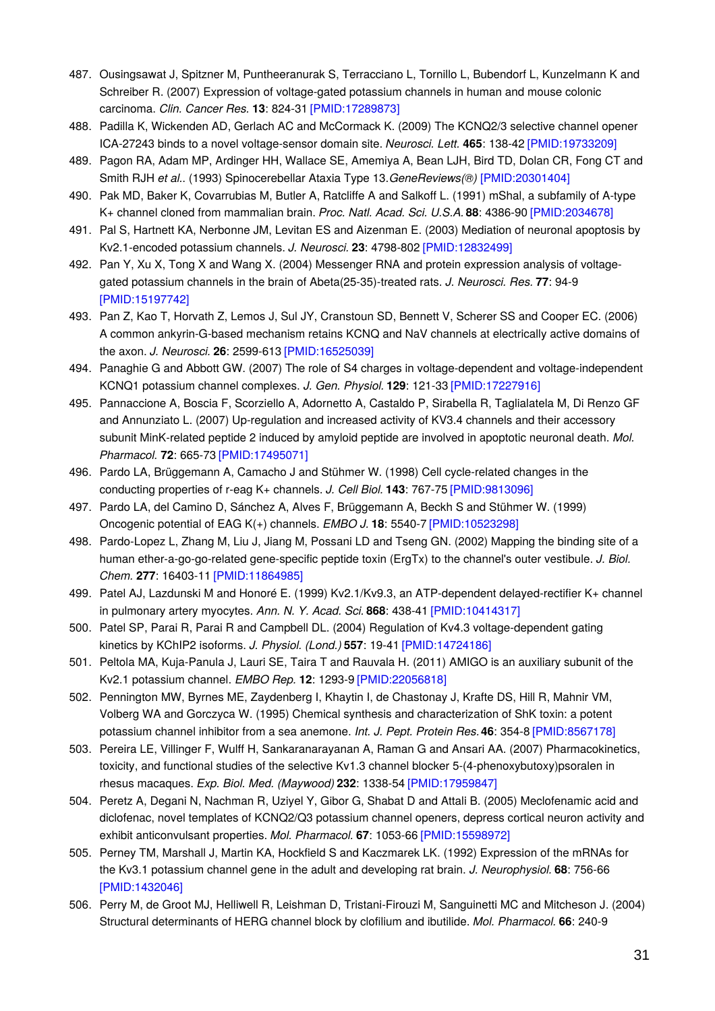- 487. Ousingsawat J, Spitzner M, Puntheeranurak S, Terracciano L, Tornillo L, Bubendorf L, Kunzelmann K and Schreiber R. (2007) Expression of voltage-gated potassium channels in human and mouse colonic carcinoma. *Clin. Cancer Res.* **13**: 824-31 [\[PMID:17289873\]](http://www.ncbi.nlm.nih.gov/pubmed/17289873?dopt=AbstractPlus)
- 488. Padilla K, Wickenden AD, Gerlach AC and McCormack K. (2009) The KCNQ2/3 selective channel opener ICA-27243 binds to a novel voltage-sensor domain site. *Neurosci. Lett.* **465**: 138-42 [\[PMID:19733209\]](http://www.ncbi.nlm.nih.gov/pubmed/19733209?dopt=AbstractPlus)
- 489. Pagon RA, Adam MP, Ardinger HH, Wallace SE, Amemiya A, Bean LJH, Bird TD, Dolan CR, Fong CT and Smith RJH *et al.*. (1993) Spinocerebellar Ataxia Type 13.*GeneReviews(®)* [\[PMID:20301404\]](http://www.ncbi.nlm.nih.gov/pubmed/20301404?dopt=AbstractPlus)
- 490. Pak MD, Baker K, Covarrubias M, Butler A, Ratcliffe A and Salkoff L. (1991) mShal, a subfamily of A-type K+ channel cloned from mammalian brain. *Proc. Natl. Acad. Sci. U.S.A.* **88**: 4386-90 [\[PMID:2034678\]](http://www.ncbi.nlm.nih.gov/pubmed/2034678?dopt=AbstractPlus)
- 491. Pal S, Hartnett KA, Nerbonne JM, Levitan ES and Aizenman E. (2003) Mediation of neuronal apoptosis by Kv2.1-encoded potassium channels. *J. Neurosci.* **23**: 4798-802 [\[PMID:12832499\]](http://www.ncbi.nlm.nih.gov/pubmed/12832499?dopt=AbstractPlus)
- 492. Pan Y, Xu X, Tong X and Wang X. (2004) Messenger RNA and protein expression analysis of voltagegated potassium channels in the brain of Abeta(25-35)-treated rats. *J. Neurosci. Res.* **77**: 94-9 [\[PMID:15197742\]](http://www.ncbi.nlm.nih.gov/pubmed/15197742?dopt=AbstractPlus)
- 493. Pan Z, Kao T, Horvath Z, Lemos J, Sul JY, Cranstoun SD, Bennett V, Scherer SS and Cooper EC. (2006) A common ankyrin-G-based mechanism retains KCNQ and NaV channels at electrically active domains of the axon. *J. Neurosci.* **26**: 2599-613 [\[PMID:16525039\]](http://www.ncbi.nlm.nih.gov/pubmed/16525039?dopt=AbstractPlus)
- 494. Panaghie G and Abbott GW. (2007) The role of S4 charges in voltage-dependent and voltage-independent KCNQ1 potassium channel complexes. *J. Gen. Physiol.* **129**: 121-33 [\[PMID:17227916\]](http://www.ncbi.nlm.nih.gov/pubmed/17227916?dopt=AbstractPlus)
- 495. Pannaccione A, Boscia F, Scorziello A, Adornetto A, Castaldo P, Sirabella R, Taglialatela M, Di Renzo GF and Annunziato L. (2007) Up-regulation and increased activity of KV3.4 channels and their accessory subunit MinK-related peptide 2 induced by amyloid peptide are involved in apoptotic neuronal death. *Mol. Pharmacol.* **72**: 665-73 [\[PMID:17495071\]](http://www.ncbi.nlm.nih.gov/pubmed/17495071?dopt=AbstractPlus)
- 496. Pardo LA, Brüggemann A, Camacho J and Stühmer W. (1998) Cell cycle-related changes in the conducting properties of r-eag K+ channels. *J. Cell Biol.* **143**: 767-75 [\[PMID:9813096\]](http://www.ncbi.nlm.nih.gov/pubmed/9813096?dopt=AbstractPlus)
- 497. Pardo LA, del Camino D, Sánchez A, Alves F, Brüggemann A, Beckh S and Stühmer W. (1999) Oncogenic potential of EAG K(+) channels. *EMBO J.* **18**: 5540-7 [\[PMID:10523298\]](http://www.ncbi.nlm.nih.gov/pubmed/10523298?dopt=AbstractPlus)
- 498. Pardo-Lopez L, Zhang M, Liu J, Jiang M, Possani LD and Tseng GN. (2002) Mapping the binding site of a human ether-a-go-go-related gene-specific peptide toxin (ErgTx) to the channel's outer vestibule. *J. Biol. Chem.* **277**: 16403-11 [\[PMID:11864985\]](http://www.ncbi.nlm.nih.gov/pubmed/11864985?dopt=AbstractPlus)
- 499. Patel AJ, Lazdunski M and Honoré E. (1999) Kv2.1/Kv9.3, an ATP-dependent delayed-rectifier K+ channel in pulmonary artery myocytes. *Ann. N. Y. Acad. Sci.* **868**: 438-41 [\[PMID:10414317\]](http://www.ncbi.nlm.nih.gov/pubmed/10414317?dopt=AbstractPlus)
- 500. Patel SP, Parai R, Parai R and Campbell DL. (2004) Regulation of Kv4.3 voltage-dependent gating kinetics by KChIP2 isoforms. *J. Physiol. (Lond.)* **557**: 19-41 [\[PMID:14724186\]](http://www.ncbi.nlm.nih.gov/pubmed/14724186?dopt=AbstractPlus)
- 501. Peltola MA, Kuja-Panula J, Lauri SE, Taira T and Rauvala H. (2011) AMIGO is an auxiliary subunit of the Kv2.1 potassium channel. *EMBO Rep.* **12**: 1293-9 [\[PMID:22056818\]](http://www.ncbi.nlm.nih.gov/pubmed/22056818?dopt=AbstractPlus)
- 502. Pennington MW, Byrnes ME, Zaydenberg I, Khaytin I, de Chastonay J, Krafte DS, Hill R, Mahnir VM, Volberg WA and Gorczyca W. (1995) Chemical synthesis and characterization of ShK toxin: a potent potassium channel inhibitor from a sea anemone. *Int. J. Pept. Protein Res.***46**: 354-8 [\[PMID:8567178\]](http://www.ncbi.nlm.nih.gov/pubmed/8567178?dopt=AbstractPlus)
- 503. Pereira LE, Villinger F, Wulff H, Sankaranarayanan A, Raman G and Ansari AA. (2007) Pharmacokinetics, toxicity, and functional studies of the selective Kv1.3 channel blocker 5-(4-phenoxybutoxy)psoralen in rhesus macaques. *Exp. Biol. Med. (Maywood)* **232**: 1338-54 [\[PMID:17959847\]](http://www.ncbi.nlm.nih.gov/pubmed/17959847?dopt=AbstractPlus)
- 504. Peretz A, Degani N, Nachman R, Uziyel Y, Gibor G, Shabat D and Attali B. (2005) Meclofenamic acid and diclofenac, novel templates of KCNQ2/Q3 potassium channel openers, depress cortical neuron activity and exhibit anticonvulsant properties. *Mol. Pharmacol.* **67**: 1053-66 [\[PMID:15598972\]](http://www.ncbi.nlm.nih.gov/pubmed/15598972?dopt=AbstractPlus)
- 505. Perney TM, Marshall J, Martin KA, Hockfield S and Kaczmarek LK. (1992) Expression of the mRNAs for the Kv3.1 potassium channel gene in the adult and developing rat brain. *J. Neurophysiol.* **68**: 756-66 [\[PMID:1432046\]](http://www.ncbi.nlm.nih.gov/pubmed/1432046?dopt=AbstractPlus)
- 506. Perry M, de Groot MJ, Helliwell R, Leishman D, Tristani-Firouzi M, Sanguinetti MC and Mitcheson J. (2004) Structural determinants of HERG channel block by clofilium and ibutilide. *Mol. Pharmacol.* **66**: 240-9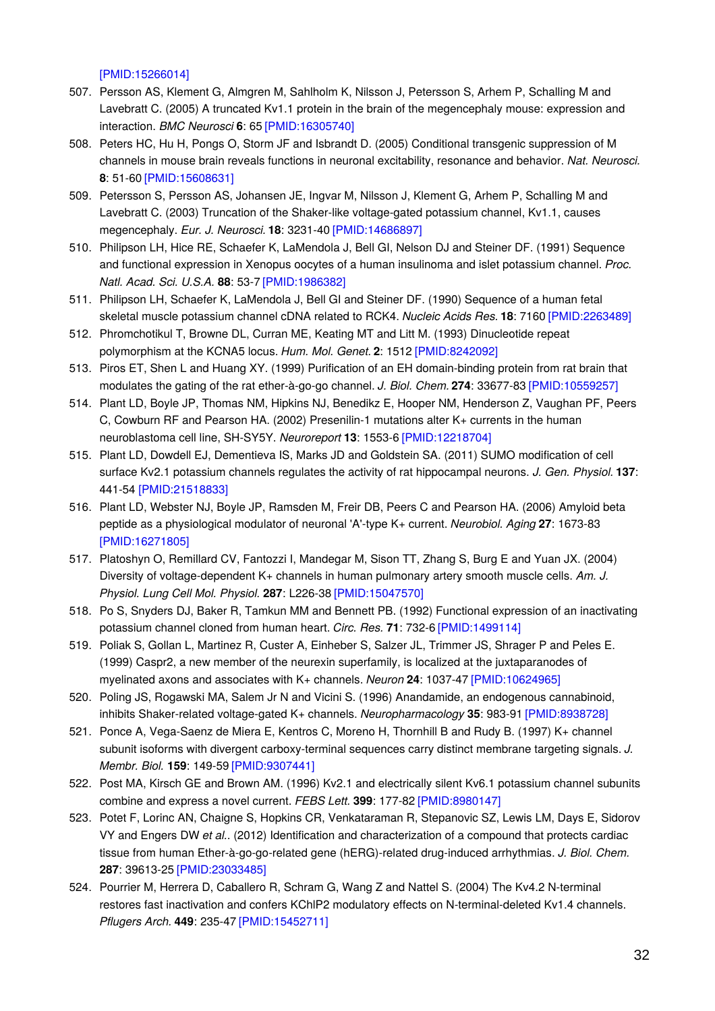[\[PMID:15266014\]](http://www.ncbi.nlm.nih.gov/pubmed/15266014?dopt=AbstractPlus)

- 507. Persson AS, Klement G, Almgren M, Sahlholm K, Nilsson J, Petersson S, Arhem P, Schalling M and Lavebratt C. (2005) A truncated Kv1.1 protein in the brain of the megencephaly mouse: expression and interaction. *BMC Neurosci* **6**: 65 [\[PMID:16305740\]](http://www.ncbi.nlm.nih.gov/pubmed/16305740?dopt=AbstractPlus)
- 508. Peters HC, Hu H, Pongs O, Storm JF and Isbrandt D. (2005) Conditional transgenic suppression of M channels in mouse brain reveals functions in neuronal excitability, resonance and behavior. *Nat. Neurosci.* **8**: 51-60 [\[PMID:15608631\]](http://www.ncbi.nlm.nih.gov/pubmed/15608631?dopt=AbstractPlus)
- 509. Petersson S, Persson AS, Johansen JE, Ingvar M, Nilsson J, Klement G, Arhem P, Schalling M and Lavebratt C. (2003) Truncation of the Shaker-like voltage-gated potassium channel, Kv1.1, causes megencephaly. *Eur. J. Neurosci.* **18**: 3231-40 [\[PMID:14686897\]](http://www.ncbi.nlm.nih.gov/pubmed/14686897?dopt=AbstractPlus)
- 510. Philipson LH, Hice RE, Schaefer K, LaMendola J, Bell GI, Nelson DJ and Steiner DF. (1991) Sequence and functional expression in Xenopus oocytes of a human insulinoma and islet potassium channel. *Proc. Natl. Acad. Sci. U.S.A.* **88**: 53-7 [\[PMID:1986382\]](http://www.ncbi.nlm.nih.gov/pubmed/1986382?dopt=AbstractPlus)
- 511. Philipson LH, Schaefer K, LaMendola J, Bell GI and Steiner DF. (1990) Sequence of a human fetal skeletal muscle potassium channel cDNA related to RCK4. *Nucleic Acids Res.* **18**: 7160 [\[PMID:2263489\]](http://www.ncbi.nlm.nih.gov/pubmed/2263489?dopt=AbstractPlus)
- 512. Phromchotikul T, Browne DL, Curran ME, Keating MT and Litt M. (1993) Dinucleotide repeat polymorphism at the KCNA5 locus. *Hum. Mol. Genet.* **2**: 1512 [\[PMID:8242092\]](http://www.ncbi.nlm.nih.gov/pubmed/8242092?dopt=AbstractPlus)
- 513. Piros ET, Shen L and Huang XY. (1999) Purification of an EH domain-binding protein from rat brain that modulates the gating of the rat ether-à-go-go channel. *J. Biol. Chem.* **274**: 33677-83 [\[PMID:10559257\]](http://www.ncbi.nlm.nih.gov/pubmed/10559257?dopt=AbstractPlus)
- 514. Plant LD, Boyle JP, Thomas NM, Hipkins NJ, Benedikz E, Hooper NM, Henderson Z, Vaughan PF, Peers C, Cowburn RF and Pearson HA. (2002) Presenilin-1 mutations alter K+ currents in the human neuroblastoma cell line, SH-SY5Y. *Neuroreport* **13**: 1553-6 [\[PMID:12218704\]](http://www.ncbi.nlm.nih.gov/pubmed/12218704?dopt=AbstractPlus)
- 515. Plant LD, Dowdell EJ, Dementieva IS, Marks JD and Goldstein SA. (2011) SUMO modification of cell surface Kv2.1 potassium channels regulates the activity of rat hippocampal neurons. *J. Gen. Physiol.* **137**: 441-54 [\[PMID:21518833\]](http://www.ncbi.nlm.nih.gov/pubmed/21518833?dopt=AbstractPlus)
- 516. Plant LD, Webster NJ, Boyle JP, Ramsden M, Freir DB, Peers C and Pearson HA. (2006) Amyloid beta peptide as a physiological modulator of neuronal 'A'-type K+ current. *Neurobiol. Aging* **27**: 1673-83 [\[PMID:16271805\]](http://www.ncbi.nlm.nih.gov/pubmed/16271805?dopt=AbstractPlus)
- 517. Platoshyn O, Remillard CV, Fantozzi I, Mandegar M, Sison TT, Zhang S, Burg E and Yuan JX. (2004) Diversity of voltage-dependent K+ channels in human pulmonary artery smooth muscle cells. *Am. J. Physiol. Lung Cell Mol. Physiol.* **287**: L226-38 [\[PMID:15047570\]](http://www.ncbi.nlm.nih.gov/pubmed/15047570?dopt=AbstractPlus)
- 518. Po S, Snyders DJ, Baker R, Tamkun MM and Bennett PB. (1992) Functional expression of an inactivating potassium channel cloned from human heart. *Circ. Res.* **71**: 732-6 [\[PMID:1499114\]](http://www.ncbi.nlm.nih.gov/pubmed/1499114?dopt=AbstractPlus)
- 519. Poliak S, Gollan L, Martinez R, Custer A, Einheber S, Salzer JL, Trimmer JS, Shrager P and Peles E. (1999) Caspr2, a new member of the neurexin superfamily, is localized at the juxtaparanodes of myelinated axons and associates with K+ channels. *Neuron* **24**: 1037-47 [\[PMID:10624965\]](http://www.ncbi.nlm.nih.gov/pubmed/10624965?dopt=AbstractPlus)
- 520. Poling JS, Rogawski MA, Salem Jr N and Vicini S. (1996) Anandamide, an endogenous cannabinoid, inhibits Shaker-related voltage-gated K+ channels. *Neuropharmacology* **35**: 983-91 [\[PMID:8938728\]](http://www.ncbi.nlm.nih.gov/pubmed/8938728?dopt=AbstractPlus)
- 521. Ponce A, Vega-Saenz de Miera E, Kentros C, Moreno H, Thornhill B and Rudy B. (1997) K+ channel subunit isoforms with divergent carboxy-terminal sequences carry distinct membrane targeting signals. *J. Membr. Biol.* **159**: 149-59 [\[PMID:9307441\]](http://www.ncbi.nlm.nih.gov/pubmed/9307441?dopt=AbstractPlus)
- 522. Post MA, Kirsch GE and Brown AM. (1996) Kv2.1 and electrically silent Kv6.1 potassium channel subunits combine and express a novel current. *FEBS Lett.* **399**: 177-82 [\[PMID:8980147\]](http://www.ncbi.nlm.nih.gov/pubmed/8980147?dopt=AbstractPlus)
- 523. Potet F, Lorinc AN, Chaigne S, Hopkins CR, Venkataraman R, Stepanovic SZ, Lewis LM, Days E, Sidorov VY and Engers DW *et al.*. (2012) Identification and characterization of a compound that protects cardiac tissue from human Ether-à-go-go-related gene (hERG)-related drug-induced arrhythmias. *J. Biol. Chem.* **287**: 39613-25 [\[PMID:23033485\]](http://www.ncbi.nlm.nih.gov/pubmed/23033485?dopt=AbstractPlus)
- 524. Pourrier M, Herrera D, Caballero R, Schram G, Wang Z and Nattel S. (2004) The Kv4.2 N-terminal restores fast inactivation and confers KChlP2 modulatory effects on N-terminal-deleted Kv1.4 channels. *Pflugers Arch.* **449**: 235-47 [\[PMID:15452711\]](http://www.ncbi.nlm.nih.gov/pubmed/15452711?dopt=AbstractPlus)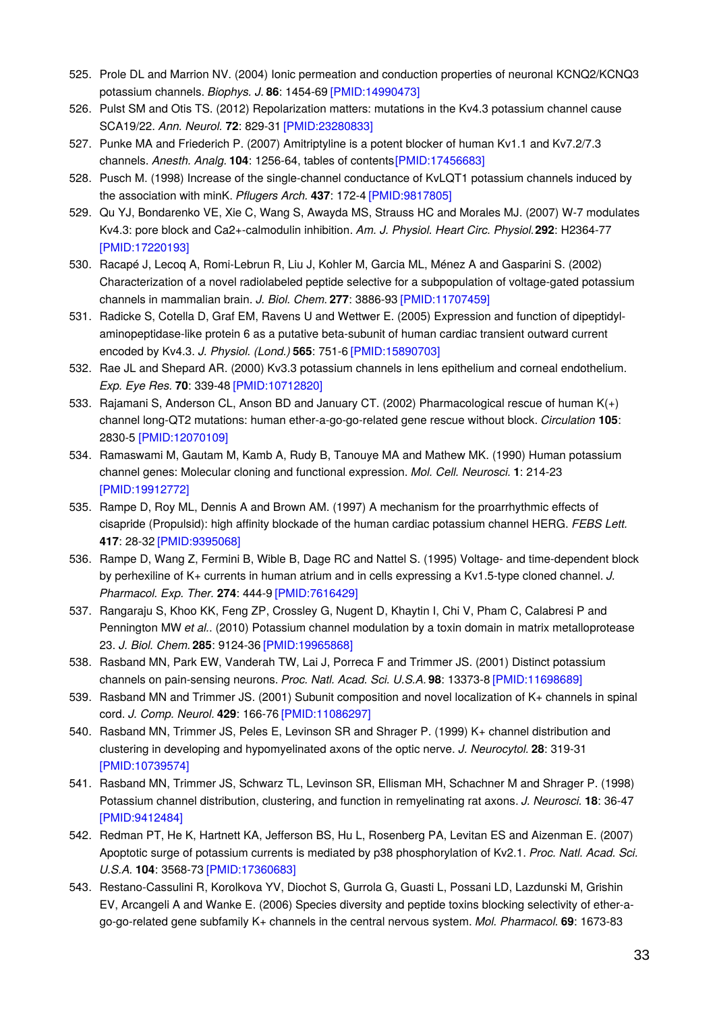- 525. Prole DL and Marrion NV. (2004) Ionic permeation and conduction properties of neuronal KCNQ2/KCNQ3 potassium channels. *Biophys. J.* **86**: 1454-69 [\[PMID:14990473\]](http://www.ncbi.nlm.nih.gov/pubmed/14990473?dopt=AbstractPlus)
- 526. Pulst SM and Otis TS. (2012) Repolarization matters: mutations in the Kv4.3 potassium channel cause SCA19/22. *Ann. Neurol.* **72**: 829-31 [\[PMID:23280833\]](http://www.ncbi.nlm.nih.gov/pubmed/23280833?dopt=AbstractPlus)
- 527. Punke MA and Friederich P. (2007) Amitriptyline is a potent blocker of human Kv1.1 and Kv7.2/7.3 channels. *Anesth. Analg.* **104**: 1256-64, tables of content[s\[PMID:17456683\]](http://www.ncbi.nlm.nih.gov/pubmed/17456683?dopt=AbstractPlus)
- 528. Pusch M. (1998) Increase of the single-channel conductance of KvLQT1 potassium channels induced by the association with minK. *Pflugers Arch.* **437**: 172-4 [\[PMID:9817805\]](http://www.ncbi.nlm.nih.gov/pubmed/9817805?dopt=AbstractPlus)
- 529. Qu YJ, Bondarenko VE, Xie C, Wang S, Awayda MS, Strauss HC and Morales MJ. (2007) W-7 modulates Kv4.3: pore block and Ca2+-calmodulin inhibition. *Am. J. Physiol. Heart Circ. Physiol.***292**: H2364-77 [\[PMID:17220193\]](http://www.ncbi.nlm.nih.gov/pubmed/17220193?dopt=AbstractPlus)
- 530. Racapé J, Lecoq A, Romi-Lebrun R, Liu J, Kohler M, Garcia ML, Ménez A and Gasparini S. (2002) Characterization of a novel radiolabeled peptide selective for a subpopulation of voltage-gated potassium channels in mammalian brain. *J. Biol. Chem.* **277**: 3886-93 [\[PMID:11707459\]](http://www.ncbi.nlm.nih.gov/pubmed/11707459?dopt=AbstractPlus)
- 531. Radicke S, Cotella D, Graf EM, Ravens U and Wettwer E. (2005) Expression and function of dipeptidylaminopeptidase-like protein 6 as a putative beta-subunit of human cardiac transient outward current encoded by Kv4.3. *J. Physiol. (Lond.)* **565**: 751-6 [\[PMID:15890703\]](http://www.ncbi.nlm.nih.gov/pubmed/15890703?dopt=AbstractPlus)
- 532. Rae JL and Shepard AR. (2000) Kv3.3 potassium channels in lens epithelium and corneal endothelium. *Exp. Eye Res.* **70**: 339-48 [\[PMID:10712820\]](http://www.ncbi.nlm.nih.gov/pubmed/10712820?dopt=AbstractPlus)
- 533. Rajamani S, Anderson CL, Anson BD and January CT. (2002) Pharmacological rescue of human K(+) channel long-QT2 mutations: human ether-a-go-go-related gene rescue without block. *Circulation* **105**: 2830-5 [\[PMID:12070109\]](http://www.ncbi.nlm.nih.gov/pubmed/12070109?dopt=AbstractPlus)
- 534. Ramaswami M, Gautam M, Kamb A, Rudy B, Tanouye MA and Mathew MK. (1990) Human potassium channel genes: Molecular cloning and functional expression. *Mol. Cell. Neurosci.* **1**: 214-23 [\[PMID:19912772\]](http://www.ncbi.nlm.nih.gov/pubmed/19912772?dopt=AbstractPlus)
- 535. Rampe D, Roy ML, Dennis A and Brown AM. (1997) A mechanism for the proarrhythmic effects of cisapride (Propulsid): high affinity blockade of the human cardiac potassium channel HERG. *FEBS Lett.* **417**: 28-32 [\[PMID:9395068\]](http://www.ncbi.nlm.nih.gov/pubmed/9395068?dopt=AbstractPlus)
- 536. Rampe D, Wang Z, Fermini B, Wible B, Dage RC and Nattel S. (1995) Voltage- and time-dependent block by perhexiline of K+ currents in human atrium and in cells expressing a Kv1.5-type cloned channel. *J. Pharmacol. Exp. Ther.* **274**: 444-9 [\[PMID:7616429\]](http://www.ncbi.nlm.nih.gov/pubmed/7616429?dopt=AbstractPlus)
- 537. Rangaraju S, Khoo KK, Feng ZP, Crossley G, Nugent D, Khaytin I, Chi V, Pham C, Calabresi P and Pennington MW *et al.*. (2010) Potassium channel modulation by a toxin domain in matrix metalloprotease 23. *J. Biol. Chem.* **285**: 9124-36 [\[PMID:19965868\]](http://www.ncbi.nlm.nih.gov/pubmed/19965868?dopt=AbstractPlus)
- 538. Rasband MN, Park EW, Vanderah TW, Lai J, Porreca F and Trimmer JS. (2001) Distinct potassium channels on pain-sensing neurons. *Proc. Natl. Acad. Sci. U.S.A.* **98**: 13373-8 [\[PMID:11698689\]](http://www.ncbi.nlm.nih.gov/pubmed/11698689?dopt=AbstractPlus)
- 539. Rasband MN and Trimmer JS. (2001) Subunit composition and novel localization of K+ channels in spinal cord. *J. Comp. Neurol.* **429**: 166-76 [\[PMID:11086297\]](http://www.ncbi.nlm.nih.gov/pubmed/11086297?dopt=AbstractPlus)
- 540. Rasband MN, Trimmer JS, Peles E, Levinson SR and Shrager P. (1999) K+ channel distribution and clustering in developing and hypomyelinated axons of the optic nerve. *J. Neurocytol.* **28**: 319-31 [\[PMID:10739574\]](http://www.ncbi.nlm.nih.gov/pubmed/10739574?dopt=AbstractPlus)
- 541. Rasband MN, Trimmer JS, Schwarz TL, Levinson SR, Ellisman MH, Schachner M and Shrager P. (1998) Potassium channel distribution, clustering, and function in remyelinating rat axons. *J. Neurosci.* **18**: 36-47 [\[PMID:9412484\]](http://www.ncbi.nlm.nih.gov/pubmed/9412484?dopt=AbstractPlus)
- 542. Redman PT, He K, Hartnett KA, Jefferson BS, Hu L, Rosenberg PA, Levitan ES and Aizenman E. (2007) Apoptotic surge of potassium currents is mediated by p38 phosphorylation of Kv2.1. *Proc. Natl. Acad. Sci. U.S.A.* **104**: 3568-73 [\[PMID:17360683\]](http://www.ncbi.nlm.nih.gov/pubmed/17360683?dopt=AbstractPlus)
- 543. Restano-Cassulini R, Korolkova YV, Diochot S, Gurrola G, Guasti L, Possani LD, Lazdunski M, Grishin EV, Arcangeli A and Wanke E. (2006) Species diversity and peptide toxins blocking selectivity of ether-ago-go-related gene subfamily K+ channels in the central nervous system. *Mol. Pharmacol.* **69**: 1673-83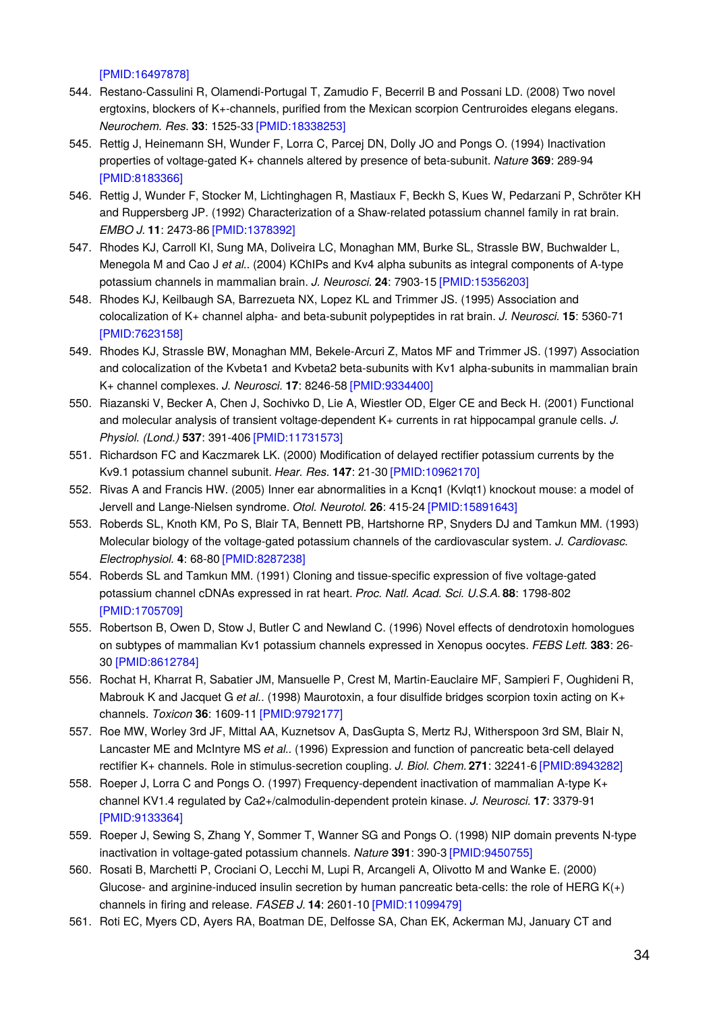[\[PMID:16497878\]](http://www.ncbi.nlm.nih.gov/pubmed/16497878?dopt=AbstractPlus)

- 544. Restano-Cassulini R, Olamendi-Portugal T, Zamudio F, Becerril B and Possani LD. (2008) Two novel ergtoxins, blockers of K+-channels, purified from the Mexican scorpion Centruroides elegans elegans. *Neurochem. Res.* **33**: 1525-33 [\[PMID:18338253\]](http://www.ncbi.nlm.nih.gov/pubmed/18338253?dopt=AbstractPlus)
- 545. Rettig J, Heinemann SH, Wunder F, Lorra C, Parcej DN, Dolly JO and Pongs O. (1994) Inactivation properties of voltage-gated K+ channels altered by presence of beta-subunit. *Nature* **369**: 289-94 [\[PMID:8183366\]](http://www.ncbi.nlm.nih.gov/pubmed/8183366?dopt=AbstractPlus)
- 546. Rettig J, Wunder F, Stocker M, Lichtinghagen R, Mastiaux F, Beckh S, Kues W, Pedarzani P, Schröter KH and Ruppersberg JP. (1992) Characterization of a Shaw-related potassium channel family in rat brain. *EMBO J.* **11**: 2473-86 [\[PMID:1378392\]](http://www.ncbi.nlm.nih.gov/pubmed/1378392?dopt=AbstractPlus)
- 547. Rhodes KJ, Carroll KI, Sung MA, Doliveira LC, Monaghan MM, Burke SL, Strassle BW, Buchwalder L, Menegola M and Cao J *et al.*. (2004) KChIPs and Kv4 alpha subunits as integral components of A-type potassium channels in mammalian brain. *J. Neurosci.* **24**: 7903-15 [\[PMID:15356203\]](http://www.ncbi.nlm.nih.gov/pubmed/15356203?dopt=AbstractPlus)
- 548. Rhodes KJ, Keilbaugh SA, Barrezueta NX, Lopez KL and Trimmer JS. (1995) Association and colocalization of K+ channel alpha- and beta-subunit polypeptides in rat brain. *J. Neurosci.* **15**: 5360-71 [\[PMID:7623158\]](http://www.ncbi.nlm.nih.gov/pubmed/7623158?dopt=AbstractPlus)
- 549. Rhodes KJ, Strassle BW, Monaghan MM, Bekele-Arcuri Z, Matos MF and Trimmer JS. (1997) Association and colocalization of the Kvbeta1 and Kvbeta2 beta-subunits with Kv1 alpha-subunits in mammalian brain K+ channel complexes. *J. Neurosci.* **17**: 8246-58 [\[PMID:9334400\]](http://www.ncbi.nlm.nih.gov/pubmed/9334400?dopt=AbstractPlus)
- 550. Riazanski V, Becker A, Chen J, Sochivko D, Lie A, Wiestler OD, Elger CE and Beck H. (2001) Functional and molecular analysis of transient voltage-dependent K+ currents in rat hippocampal granule cells. *J. Physiol. (Lond.)* **537**: 391-406 [\[PMID:11731573\]](http://www.ncbi.nlm.nih.gov/pubmed/11731573?dopt=AbstractPlus)
- 551. Richardson FC and Kaczmarek LK. (2000) Modification of delayed rectifier potassium currents by the Kv9.1 potassium channel subunit. *Hear. Res.* **147**: 21-30 [\[PMID:10962170\]](http://www.ncbi.nlm.nih.gov/pubmed/10962170?dopt=AbstractPlus)
- 552. Rivas A and Francis HW. (2005) Inner ear abnormalities in a Kcnq1 (Kvlqt1) knockout mouse: a model of Jervell and Lange-Nielsen syndrome. *Otol. Neurotol.* **26**: 415-24 [\[PMID:15891643\]](http://www.ncbi.nlm.nih.gov/pubmed/15891643?dopt=AbstractPlus)
- 553. Roberds SL, Knoth KM, Po S, Blair TA, Bennett PB, Hartshorne RP, Snyders DJ and Tamkun MM. (1993) Molecular biology of the voltage-gated potassium channels of the cardiovascular system. *J. Cardiovasc. Electrophysiol.* **4**: 68-80 [\[PMID:8287238\]](http://www.ncbi.nlm.nih.gov/pubmed/8287238?dopt=AbstractPlus)
- 554. Roberds SL and Tamkun MM. (1991) Cloning and tissue-specific expression of five voltage-gated potassium channel cDNAs expressed in rat heart. *Proc. Natl. Acad. Sci. U.S.A.* **88**: 1798-802 [\[PMID:1705709\]](http://www.ncbi.nlm.nih.gov/pubmed/1705709?dopt=AbstractPlus)
- 555. Robertson B, Owen D, Stow J, Butler C and Newland C. (1996) Novel effects of dendrotoxin homologues on subtypes of mammalian Kv1 potassium channels expressed in Xenopus oocytes. *FEBS Lett.* **383**: 26- 30 [\[PMID:8612784\]](http://www.ncbi.nlm.nih.gov/pubmed/8612784?dopt=AbstractPlus)
- 556. Rochat H, Kharrat R, Sabatier JM, Mansuelle P, Crest M, Martin-Eauclaire MF, Sampieri F, Oughideni R, Mabrouk K and Jacquet G *et al.*. (1998) Maurotoxin, a four disulfide bridges scorpion toxin acting on K+ channels. *Toxicon* **36**: 1609-11 [\[PMID:9792177\]](http://www.ncbi.nlm.nih.gov/pubmed/9792177?dopt=AbstractPlus)
- 557. Roe MW, Worley 3rd JF, Mittal AA, Kuznetsov A, DasGupta S, Mertz RJ, Witherspoon 3rd SM, Blair N, Lancaster ME and McIntyre MS *et al.*. (1996) Expression and function of pancreatic beta-cell delayed rectifier K+ channels. Role in stimulus-secretion coupling. *J. Biol. Chem.* **271**: 32241-6 [\[PMID:8943282\]](http://www.ncbi.nlm.nih.gov/pubmed/8943282?dopt=AbstractPlus)
- 558. Roeper J, Lorra C and Pongs O. (1997) Frequency-dependent inactivation of mammalian A-type K+ channel KV1.4 regulated by Ca2+/calmodulin-dependent protein kinase. *J. Neurosci.* **17**: 3379-91 [\[PMID:9133364\]](http://www.ncbi.nlm.nih.gov/pubmed/9133364?dopt=AbstractPlus)
- 559. Roeper J, Sewing S, Zhang Y, Sommer T, Wanner SG and Pongs O. (1998) NIP domain prevents N-type inactivation in voltage-gated potassium channels. *Nature* **391**: 390-3 [\[PMID:9450755\]](http://www.ncbi.nlm.nih.gov/pubmed/9450755?dopt=AbstractPlus)
- 560. Rosati B, Marchetti P, Crociani O, Lecchi M, Lupi R, Arcangeli A, Olivotto M and Wanke E. (2000) Glucose- and arginine-induced insulin secretion by human pancreatic beta-cells: the role of HERG  $K(+)$ channels in firing and release. *FASEB J.* **14**: 2601-10 [\[PMID:11099479\]](http://www.ncbi.nlm.nih.gov/pubmed/11099479?dopt=AbstractPlus)
- 561. Roti EC, Myers CD, Ayers RA, Boatman DE, Delfosse SA, Chan EK, Ackerman MJ, January CT and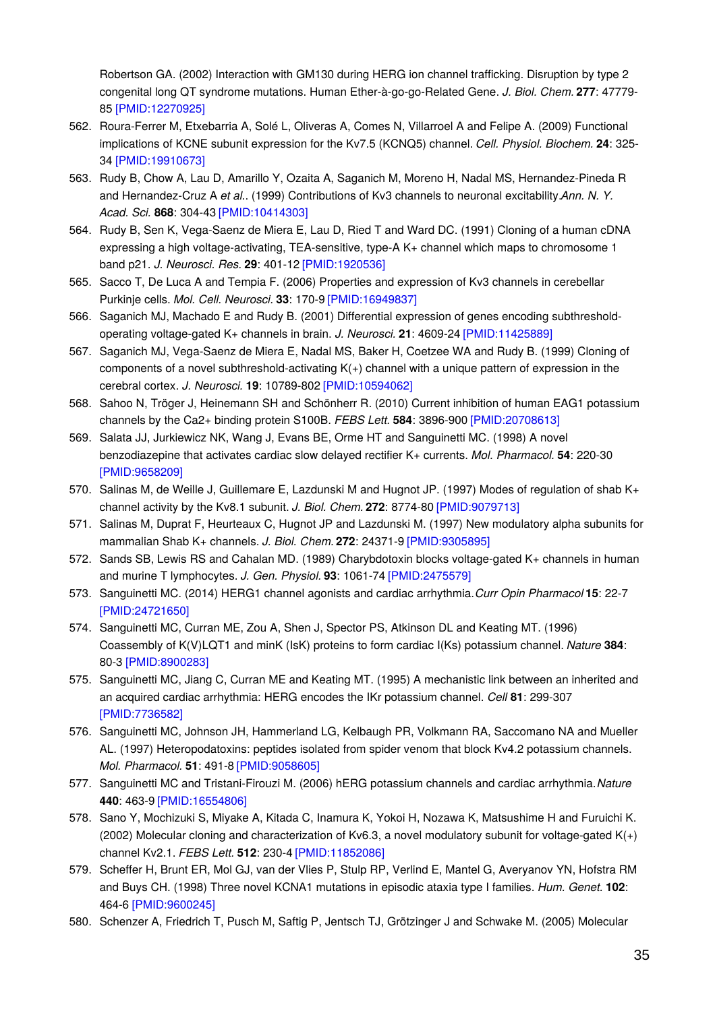Robertson GA. (2002) Interaction with GM130 during HERG ion channel trafficking. Disruption by type 2 congenital long QT syndrome mutations. Human Ether-à-go-go-Related Gene. *J. Biol. Chem.* **277**: 47779- 85 [\[PMID:12270925\]](http://www.ncbi.nlm.nih.gov/pubmed/12270925?dopt=AbstractPlus)

- 562. Roura-Ferrer M, Etxebarria A, Solé L, Oliveras A, Comes N, Villarroel A and Felipe A. (2009) Functional implications of KCNE subunit expression for the Kv7.5 (KCNQ5) channel. *Cell. Physiol. Biochem.* **24**: 325- 34 [\[PMID:19910673\]](http://www.ncbi.nlm.nih.gov/pubmed/19910673?dopt=AbstractPlus)
- 563. Rudy B, Chow A, Lau D, Amarillo Y, Ozaita A, Saganich M, Moreno H, Nadal MS, Hernandez-Pineda R and Hernandez-Cruz A *et al.*. (1999) Contributions of Kv3 channels to neuronal excitability.*Ann. N. Y. Acad. Sci.* **868**: 304-43 [\[PMID:10414303\]](http://www.ncbi.nlm.nih.gov/pubmed/10414303?dopt=AbstractPlus)
- 564. Rudy B, Sen K, Vega-Saenz de Miera E, Lau D, Ried T and Ward DC. (1991) Cloning of a human cDNA expressing a high voltage-activating, TEA-sensitive, type-A K+ channel which maps to chromosome 1 band p21. *J. Neurosci. Res.* **29**: 401-12 [\[PMID:1920536\]](http://www.ncbi.nlm.nih.gov/pubmed/1920536?dopt=AbstractPlus)
- 565. Sacco T, De Luca A and Tempia F. (2006) Properties and expression of Kv3 channels in cerebellar Purkinje cells. *Mol. Cell. Neurosci.* **33**: 170-9 [\[PMID:16949837\]](http://www.ncbi.nlm.nih.gov/pubmed/16949837?dopt=AbstractPlus)
- 566. Saganich MJ, Machado E and Rudy B. (2001) Differential expression of genes encoding subthresholdoperating voltage-gated K+ channels in brain. *J. Neurosci.* **21**: 4609-24 [\[PMID:11425889\]](http://www.ncbi.nlm.nih.gov/pubmed/11425889?dopt=AbstractPlus)
- 567. Saganich MJ, Vega-Saenz de Miera E, Nadal MS, Baker H, Coetzee WA and Rudy B. (1999) Cloning of components of a novel subthreshold-activating  $K(+)$  channel with a unique pattern of expression in the cerebral cortex. *J. Neurosci.* **19**: 10789-802 [\[PMID:10594062\]](http://www.ncbi.nlm.nih.gov/pubmed/10594062?dopt=AbstractPlus)
- 568. Sahoo N, Tröger J, Heinemann SH and Schönherr R. (2010) Current inhibition of human EAG1 potassium channels by the Ca2+ binding protein S100B. *FEBS Lett.* **584**: 3896-900 [\[PMID:20708613\]](http://www.ncbi.nlm.nih.gov/pubmed/20708613?dopt=AbstractPlus)
- 569. Salata JJ, Jurkiewicz NK, Wang J, Evans BE, Orme HT and Sanguinetti MC. (1998) A novel benzodiazepine that activates cardiac slow delayed rectifier K+ currents. *Mol. Pharmacol.* **54**: 220-30 [\[PMID:9658209\]](http://www.ncbi.nlm.nih.gov/pubmed/9658209?dopt=AbstractPlus)
- 570. Salinas M, de Weille J, Guillemare E, Lazdunski M and Hugnot JP. (1997) Modes of regulation of shab K+ channel activity by the Kv8.1 subunit. *J. Biol. Chem.* **272**: 8774-80 [\[PMID:9079713\]](http://www.ncbi.nlm.nih.gov/pubmed/9079713?dopt=AbstractPlus)
- 571. Salinas M, Duprat F, Heurteaux C, Hugnot JP and Lazdunski M. (1997) New modulatory alpha subunits for mammalian Shab K+ channels. *J. Biol. Chem.* **272**: 24371-9 [\[PMID:9305895\]](http://www.ncbi.nlm.nih.gov/pubmed/9305895?dopt=AbstractPlus)
- 572. Sands SB, Lewis RS and Cahalan MD. (1989) Charybdotoxin blocks voltage-gated K+ channels in human and murine T lymphocytes. *J. Gen. Physiol.* **93**: 1061-74 [\[PMID:2475579\]](http://www.ncbi.nlm.nih.gov/pubmed/2475579?dopt=AbstractPlus)
- 573. Sanguinetti MC. (2014) HERG1 channel agonists and cardiac arrhythmia.*Curr Opin Pharmacol* **15**: 22-7 [\[PMID:24721650\]](http://www.ncbi.nlm.nih.gov/pubmed/24721650?dopt=AbstractPlus)
- 574. Sanguinetti MC, Curran ME, Zou A, Shen J, Spector PS, Atkinson DL and Keating MT. (1996) Coassembly of K(V)LQT1 and minK (IsK) proteins to form cardiac I(Ks) potassium channel. *Nature* **384**: 80-3 [\[PMID:8900283\]](http://www.ncbi.nlm.nih.gov/pubmed/8900283?dopt=AbstractPlus)
- 575. Sanguinetti MC, Jiang C, Curran ME and Keating MT. (1995) A mechanistic link between an inherited and an acquired cardiac arrhythmia: HERG encodes the IKr potassium channel. *Cell* **81**: 299-307 [\[PMID:7736582\]](http://www.ncbi.nlm.nih.gov/pubmed/7736582?dopt=AbstractPlus)
- 576. Sanguinetti MC, Johnson JH, Hammerland LG, Kelbaugh PR, Volkmann RA, Saccomano NA and Mueller AL. (1997) Heteropodatoxins: peptides isolated from spider venom that block Kv4.2 potassium channels. *Mol. Pharmacol.* **51**: 491-8 [\[PMID:9058605\]](http://www.ncbi.nlm.nih.gov/pubmed/9058605?dopt=AbstractPlus)
- 577. Sanguinetti MC and Tristani-Firouzi M. (2006) hERG potassium channels and cardiac arrhythmia.*Nature* **440**: 463-9 [\[PMID:16554806\]](http://www.ncbi.nlm.nih.gov/pubmed/16554806?dopt=AbstractPlus)
- 578. Sano Y, Mochizuki S, Miyake A, Kitada C, Inamura K, Yokoi H, Nozawa K, Matsushime H and Furuichi K. (2002) Molecular cloning and characterization of Kv6.3, a novel modulatory subunit for voltage-gated K(+) channel Kv2.1. *FEBS Lett.* **512**: 230-4 [\[PMID:11852086\]](http://www.ncbi.nlm.nih.gov/pubmed/11852086?dopt=AbstractPlus)
- 579. Scheffer H, Brunt ER, Mol GJ, van der Vlies P, Stulp RP, Verlind E, Mantel G, Averyanov YN, Hofstra RM and Buys CH. (1998) Three novel KCNA1 mutations in episodic ataxia type I families. *Hum. Genet.* **102**: 464-6 [\[PMID:9600245\]](http://www.ncbi.nlm.nih.gov/pubmed/9600245?dopt=AbstractPlus)
- 580. Schenzer A, Friedrich T, Pusch M, Saftig P, Jentsch TJ, Grötzinger J and Schwake M. (2005) Molecular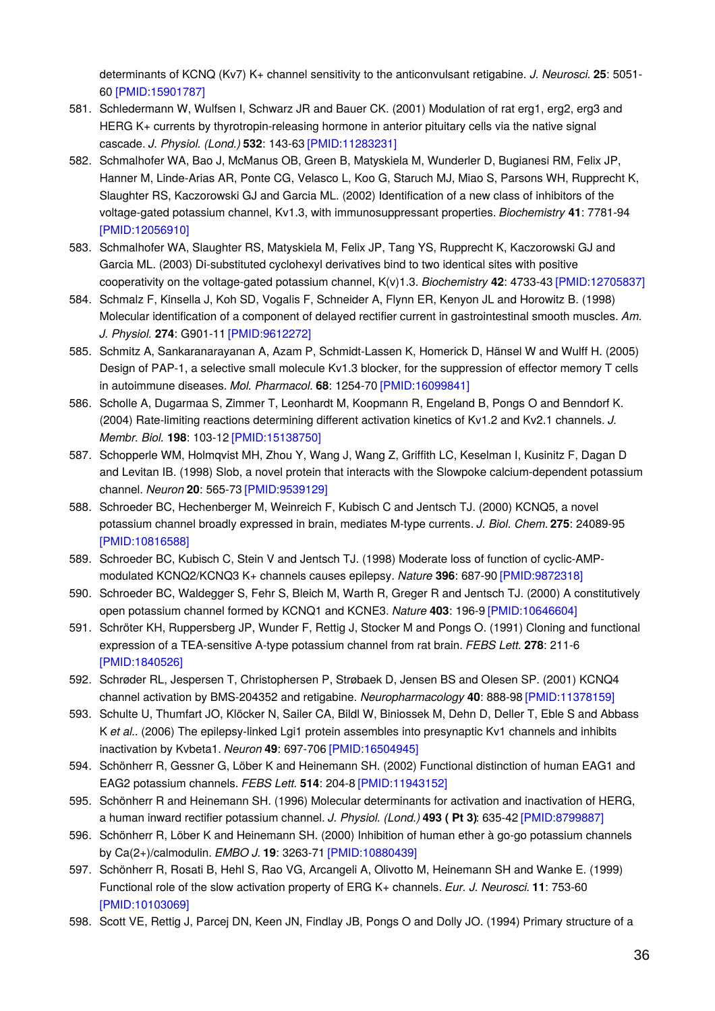determinants of KCNQ (Kv7) K+ channel sensitivity to the anticonvulsant retigabine. *J. Neurosci.* **25**: 5051- 60 [\[PMID:15901787\]](http://www.ncbi.nlm.nih.gov/pubmed/15901787?dopt=AbstractPlus)

- 581. Schledermann W, Wulfsen I, Schwarz JR and Bauer CK. (2001) Modulation of rat erg1, erg2, erg3 and HERG K+ currents by thyrotropin-releasing hormone in anterior pituitary cells via the native signal cascade. *J. Physiol. (Lond.)* **532**: 143-63 [\[PMID:11283231\]](http://www.ncbi.nlm.nih.gov/pubmed/11283231?dopt=AbstractPlus)
- 582. Schmalhofer WA, Bao J, McManus OB, Green B, Matyskiela M, Wunderler D, Bugianesi RM, Felix JP, Hanner M, Linde-Arias AR, Ponte CG, Velasco L, Koo G, Staruch MJ, Miao S, Parsons WH, Rupprecht K, Slaughter RS, Kaczorowski GJ and Garcia ML. (2002) Identification of a new class of inhibitors of the voltage-gated potassium channel, Kv1.3, with immunosuppressant properties. *Biochemistry* **41**: 7781-94 [\[PMID:12056910\]](http://www.ncbi.nlm.nih.gov/pubmed/12056910?dopt=AbstractPlus)
- 583. Schmalhofer WA, Slaughter RS, Matyskiela M, Felix JP, Tang YS, Rupprecht K, Kaczorowski GJ and Garcia ML. (2003) Di-substituted cyclohexyl derivatives bind to two identical sites with positive cooperativity on the voltage-gated potassium channel, K(v)1.3. *Biochemistry* **42**: 4733-43 [\[PMID:12705837\]](http://www.ncbi.nlm.nih.gov/pubmed/12705837?dopt=AbstractPlus)
- 584. Schmalz F, Kinsella J, Koh SD, Vogalis F, Schneider A, Flynn ER, Kenyon JL and Horowitz B. (1998) Molecular identification of a component of delayed rectifier current in gastrointestinal smooth muscles. *Am. J. Physiol.* **274**: G901-11 [\[PMID:9612272\]](http://www.ncbi.nlm.nih.gov/pubmed/9612272?dopt=AbstractPlus)
- 585. Schmitz A, Sankaranarayanan A, Azam P, Schmidt-Lassen K, Homerick D, Hänsel W and Wulff H. (2005) Design of PAP-1, a selective small molecule Kv1.3 blocker, for the suppression of effector memory T cells in autoimmune diseases. *Mol. Pharmacol.* **68**: 1254-70 [\[PMID:16099841\]](http://www.ncbi.nlm.nih.gov/pubmed/16099841?dopt=AbstractPlus)
- 586. Scholle A, Dugarmaa S, Zimmer T, Leonhardt M, Koopmann R, Engeland B, Pongs O and Benndorf K. (2004) Rate-limiting reactions determining different activation kinetics of Kv1.2 and Kv2.1 channels. *J. Membr. Biol.* **198**: 103-12 [\[PMID:15138750\]](http://www.ncbi.nlm.nih.gov/pubmed/15138750?dopt=AbstractPlus)
- 587. Schopperle WM, Holmqvist MH, Zhou Y, Wang J, Wang Z, Griffith LC, Keselman I, Kusinitz F, Dagan D and Levitan IB. (1998) Slob, a novel protein that interacts with the Slowpoke calcium-dependent potassium channel. *Neuron* **20**: 565-73 [\[PMID:9539129\]](http://www.ncbi.nlm.nih.gov/pubmed/9539129?dopt=AbstractPlus)
- 588. Schroeder BC, Hechenberger M, Weinreich F, Kubisch C and Jentsch TJ. (2000) KCNQ5, a novel potassium channel broadly expressed in brain, mediates M-type currents. *J. Biol. Chem.* **275**: 24089-95 [\[PMID:10816588\]](http://www.ncbi.nlm.nih.gov/pubmed/10816588?dopt=AbstractPlus)
- 589. Schroeder BC, Kubisch C, Stein V and Jentsch TJ. (1998) Moderate loss of function of cyclic-AMPmodulated KCNQ2/KCNQ3 K+ channels causes epilepsy. *Nature* **396**: 687-90 [\[PMID:9872318\]](http://www.ncbi.nlm.nih.gov/pubmed/9872318?dopt=AbstractPlus)
- 590. Schroeder BC, Waldegger S, Fehr S, Bleich M, Warth R, Greger R and Jentsch TJ. (2000) A constitutively open potassium channel formed by KCNQ1 and KCNE3. *Nature* **403**: 196-9 [\[PMID:10646604\]](http://www.ncbi.nlm.nih.gov/pubmed/10646604?dopt=AbstractPlus)
- 591. Schröter KH, Ruppersberg JP, Wunder F, Rettig J, Stocker M and Pongs O. (1991) Cloning and functional expression of a TEA-sensitive A-type potassium channel from rat brain. *FEBS Lett.* **278**: 211-6 [\[PMID:1840526\]](http://www.ncbi.nlm.nih.gov/pubmed/1840526?dopt=AbstractPlus)
- 592. Schrøder RL, Jespersen T, Christophersen P, Strøbaek D, Jensen BS and Olesen SP. (2001) KCNQ4 channel activation by BMS-204352 and retigabine. *Neuropharmacology* **40**: 888-98 [\[PMID:11378159\]](http://www.ncbi.nlm.nih.gov/pubmed/11378159?dopt=AbstractPlus)
- 593. Schulte U, Thumfart JO, Klöcker N, Sailer CA, Bildl W, Biniossek M, Dehn D, Deller T, Eble S and Abbass K *et al.*. (2006) The epilepsy-linked Lgi1 protein assembles into presynaptic Kv1 channels and inhibits inactivation by Kvbeta1. *Neuron* **49**: 697-706 [\[PMID:16504945\]](http://www.ncbi.nlm.nih.gov/pubmed/16504945?dopt=AbstractPlus)
- 594. Schönherr R, Gessner G, Löber K and Heinemann SH. (2002) Functional distinction of human EAG1 and EAG2 potassium channels. *FEBS Lett.* **514**: 204-8 [\[PMID:11943152\]](http://www.ncbi.nlm.nih.gov/pubmed/11943152?dopt=AbstractPlus)
- 595. Schönherr R and Heinemann SH. (1996) Molecular determinants for activation and inactivation of HERG, a human inward rectifier potassium channel. *J. Physiol. (Lond.)* **493 ( Pt 3)**: 635-42 [\[PMID:8799887\]](http://www.ncbi.nlm.nih.gov/pubmed/8799887?dopt=AbstractPlus)
- 596. Schönherr R, Löber K and Heinemann SH. (2000) Inhibition of human ether à go-go potassium channels by Ca(2+)/calmodulin. *EMBO J.* **19**: 3263-71 [\[PMID:10880439\]](http://www.ncbi.nlm.nih.gov/pubmed/10880439?dopt=AbstractPlus)
- 597. Schönherr R, Rosati B, Hehl S, Rao VG, Arcangeli A, Olivotto M, Heinemann SH and Wanke E. (1999) Functional role of the slow activation property of ERG K+ channels. *Eur. J. Neurosci.* **11**: 753-60 [\[PMID:10103069\]](http://www.ncbi.nlm.nih.gov/pubmed/10103069?dopt=AbstractPlus)
- 598. Scott VE, Rettig J, Parcej DN, Keen JN, Findlay JB, Pongs O and Dolly JO. (1994) Primary structure of a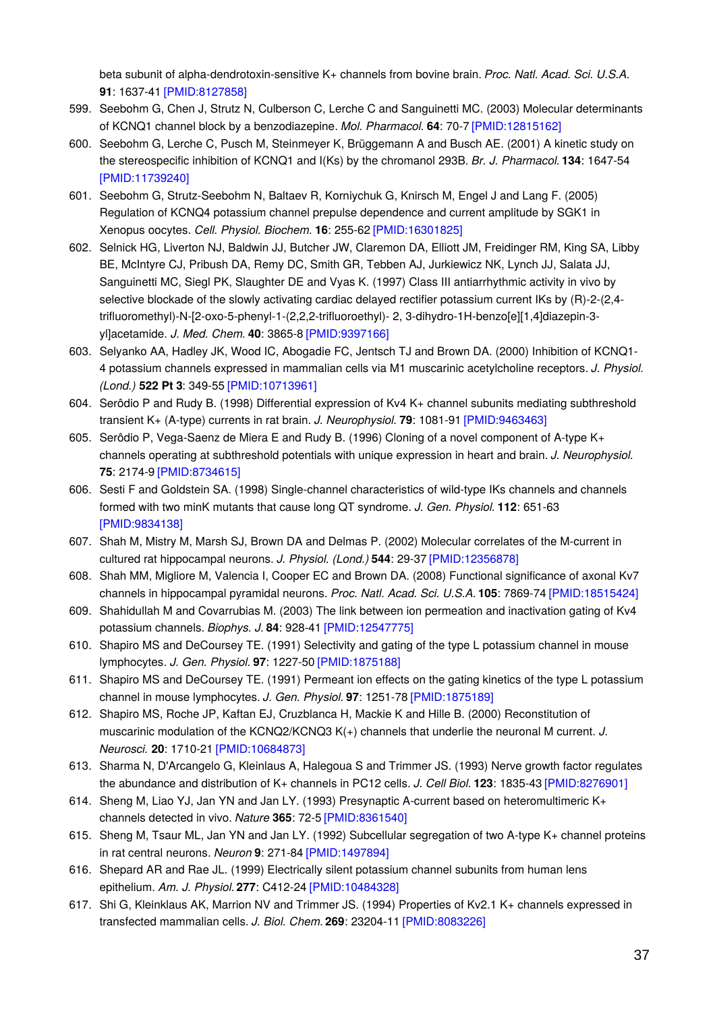beta subunit of alpha-dendrotoxin-sensitive K+ channels from bovine brain. *Proc. Natl. Acad. Sci. U.S.A.* **91**: 1637-41 [\[PMID:8127858\]](http://www.ncbi.nlm.nih.gov/pubmed/8127858?dopt=AbstractPlus)

- 599. Seebohm G, Chen J, Strutz N, Culberson C, Lerche C and Sanguinetti MC. (2003) Molecular determinants of KCNQ1 channel block by a benzodiazepine. *Mol. Pharmacol.* **64**: 70-7 [\[PMID:12815162\]](http://www.ncbi.nlm.nih.gov/pubmed/12815162?dopt=AbstractPlus)
- 600. Seebohm G, Lerche C, Pusch M, Steinmeyer K, Brüggemann A and Busch AE. (2001) A kinetic study on the stereospecific inhibition of KCNQ1 and I(Ks) by the chromanol 293B. *Br. J. Pharmacol.* **134**: 1647-54 [\[PMID:11739240\]](http://www.ncbi.nlm.nih.gov/pubmed/11739240?dopt=AbstractPlus)
- 601. Seebohm G, Strutz-Seebohm N, Baltaev R, Korniychuk G, Knirsch M, Engel J and Lang F. (2005) Regulation of KCNQ4 potassium channel prepulse dependence and current amplitude by SGK1 in Xenopus oocytes. *Cell. Physiol. Biochem.* **16**: 255-62 [\[PMID:16301825\]](http://www.ncbi.nlm.nih.gov/pubmed/16301825?dopt=AbstractPlus)
- 602. Selnick HG, Liverton NJ, Baldwin JJ, Butcher JW, Claremon DA, Elliott JM, Freidinger RM, King SA, Libby BE, McIntyre CJ, Pribush DA, Remy DC, Smith GR, Tebben AJ, Jurkiewicz NK, Lynch JJ, Salata JJ, Sanguinetti MC, Siegl PK, Slaughter DE and Vyas K. (1997) Class III antiarrhythmic activity in vivo by selective blockade of the slowly activating cardiac delayed rectifier potassium current IKs by (R)-2-(2,4 trifluoromethyl)-N-[2-oxo-5-phenyl-1-(2,2,2-trifluoroethyl)- 2, 3-dihydro-1H-benzo[e][1,4]diazepin-3 yl]acetamide. *J. Med. Chem.* **40**: 3865-8 [\[PMID:9397166\]](http://www.ncbi.nlm.nih.gov/pubmed/9397166?dopt=AbstractPlus)
- 603. Selyanko AA, Hadley JK, Wood IC, Abogadie FC, Jentsch TJ and Brown DA. (2000) Inhibition of KCNQ1- 4 potassium channels expressed in mammalian cells via M1 muscarinic acetylcholine receptors. *J. Physiol. (Lond.)* **522 Pt 3**: 349-55 [\[PMID:10713961\]](http://www.ncbi.nlm.nih.gov/pubmed/10713961?dopt=AbstractPlus)
- 604. Serôdio P and Rudy B. (1998) Differential expression of Kv4 K+ channel subunits mediating subthreshold transient K+ (A-type) currents in rat brain. *J. Neurophysiol.* **79**: 1081-91 [\[PMID:9463463\]](http://www.ncbi.nlm.nih.gov/pubmed/9463463?dopt=AbstractPlus)
- 605. Serôdio P, Vega-Saenz de Miera E and Rudy B. (1996) Cloning of a novel component of A-type K+ channels operating at subthreshold potentials with unique expression in heart and brain. *J. Neurophysiol.* **75**: 2174-9 [\[PMID:8734615\]](http://www.ncbi.nlm.nih.gov/pubmed/8734615?dopt=AbstractPlus)
- 606. Sesti F and Goldstein SA. (1998) Single-channel characteristics of wild-type IKs channels and channels formed with two minK mutants that cause long QT syndrome. *J. Gen. Physiol.* **112**: 651-63 [\[PMID:9834138\]](http://www.ncbi.nlm.nih.gov/pubmed/9834138?dopt=AbstractPlus)
- 607. Shah M, Mistry M, Marsh SJ, Brown DA and Delmas P. (2002) Molecular correlates of the M-current in cultured rat hippocampal neurons. *J. Physiol. (Lond.)* **544**: 29-37 [\[PMID:12356878\]](http://www.ncbi.nlm.nih.gov/pubmed/12356878?dopt=AbstractPlus)
- 608. Shah MM, Migliore M, Valencia I, Cooper EC and Brown DA. (2008) Functional significance of axonal Kv7 channels in hippocampal pyramidal neurons. *Proc. Natl. Acad. Sci. U.S.A.* **105**: 7869-74 [\[PMID:18515424\]](http://www.ncbi.nlm.nih.gov/pubmed/18515424?dopt=AbstractPlus)
- 609. Shahidullah M and Covarrubias M. (2003) The link between ion permeation and inactivation gating of Kv4 potassium channels. *Biophys. J.* **84**: 928-41 [\[PMID:12547775\]](http://www.ncbi.nlm.nih.gov/pubmed/12547775?dopt=AbstractPlus)
- 610. Shapiro MS and DeCoursey TE. (1991) Selectivity and gating of the type L potassium channel in mouse lymphocytes. *J. Gen. Physiol.* **97**: 1227-50 [\[PMID:1875188\]](http://www.ncbi.nlm.nih.gov/pubmed/1875188?dopt=AbstractPlus)
- 611. Shapiro MS and DeCoursey TE. (1991) Permeant ion effects on the gating kinetics of the type L potassium channel in mouse lymphocytes. *J. Gen. Physiol.* **97**: 1251-78 [\[PMID:1875189\]](http://www.ncbi.nlm.nih.gov/pubmed/1875189?dopt=AbstractPlus)
- 612. Shapiro MS, Roche JP, Kaftan EJ, Cruzblanca H, Mackie K and Hille B. (2000) Reconstitution of muscarinic modulation of the KCNQ2/KCNQ3 K(+) channels that underlie the neuronal M current. *J. Neurosci.* **20**: 1710-21 [\[PMID:10684873\]](http://www.ncbi.nlm.nih.gov/pubmed/10684873?dopt=AbstractPlus)
- 613. Sharma N, D'Arcangelo G, Kleinlaus A, Halegoua S and Trimmer JS. (1993) Nerve growth factor regulates the abundance and distribution of K+ channels in PC12 cells. *J. Cell Biol.* **123**: 1835-43 [\[PMID:8276901\]](http://www.ncbi.nlm.nih.gov/pubmed/8276901?dopt=AbstractPlus)
- 614. Sheng M, Liao YJ, Jan YN and Jan LY. (1993) Presynaptic A-current based on heteromultimeric K+ channels detected in vivo. *Nature* **365**: 72-5 [\[PMID:8361540\]](http://www.ncbi.nlm.nih.gov/pubmed/8361540?dopt=AbstractPlus)
- 615. Sheng M, Tsaur ML, Jan YN and Jan LY. (1992) Subcellular segregation of two A-type K+ channel proteins in rat central neurons. *Neuron* **9**: 271-84 [\[PMID:1497894\]](http://www.ncbi.nlm.nih.gov/pubmed/1497894?dopt=AbstractPlus)
- 616. Shepard AR and Rae JL. (1999) Electrically silent potassium channel subunits from human lens epithelium. *Am. J. Physiol.* **277**: C412-24 [\[PMID:10484328\]](http://www.ncbi.nlm.nih.gov/pubmed/10484328?dopt=AbstractPlus)
- 617. Shi G, Kleinklaus AK, Marrion NV and Trimmer JS. (1994) Properties of Kv2.1 K+ channels expressed in transfected mammalian cells. *J. Biol. Chem.* **269**: 23204-11 [\[PMID:8083226\]](http://www.ncbi.nlm.nih.gov/pubmed/8083226?dopt=AbstractPlus)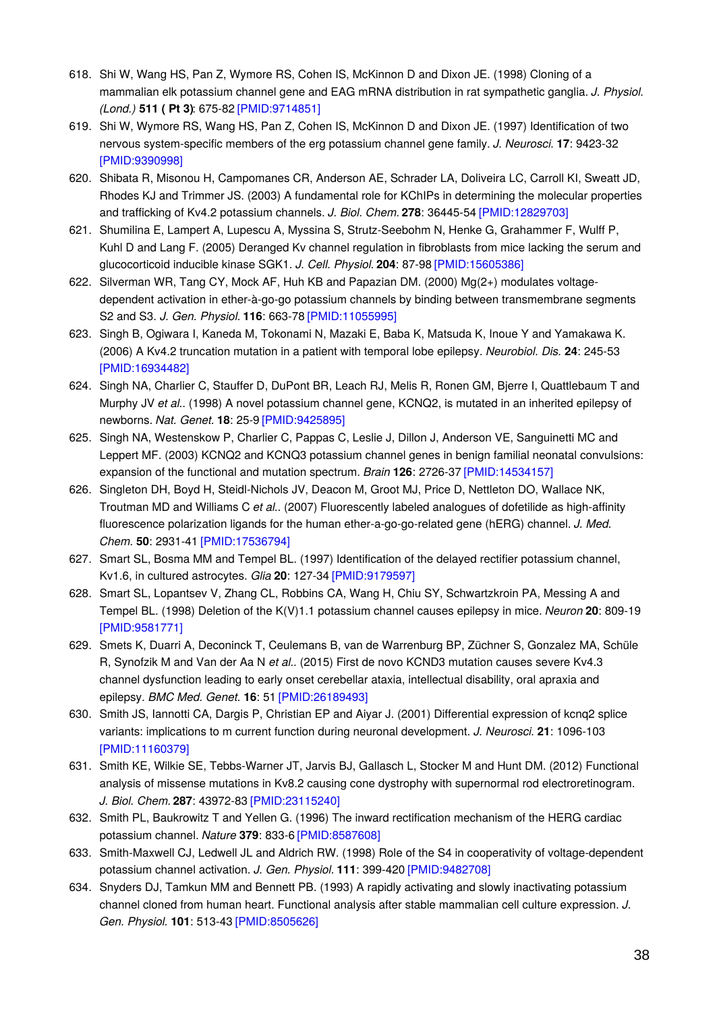- 618. Shi W, Wang HS, Pan Z, Wymore RS, Cohen IS, McKinnon D and Dixon JE. (1998) Cloning of a mammalian elk potassium channel gene and EAG mRNA distribution in rat sympathetic ganglia. *J. Physiol. (Lond.)* **511 ( Pt 3)**: 675-82 [\[PMID:9714851\]](http://www.ncbi.nlm.nih.gov/pubmed/9714851?dopt=AbstractPlus)
- 619. Shi W, Wymore RS, Wang HS, Pan Z, Cohen IS, McKinnon D and Dixon JE. (1997) Identification of two nervous system-specific members of the erg potassium channel gene family. *J. Neurosci.* **17**: 9423-32 [\[PMID:9390998\]](http://www.ncbi.nlm.nih.gov/pubmed/9390998?dopt=AbstractPlus)
- 620. Shibata R, Misonou H, Campomanes CR, Anderson AE, Schrader LA, Doliveira LC, Carroll KI, Sweatt JD, Rhodes KJ and Trimmer JS. (2003) A fundamental role for KChIPs in determining the molecular properties and trafficking of Kv4.2 potassium channels. *J. Biol. Chem.* **278**: 36445-54 [\[PMID:12829703\]](http://www.ncbi.nlm.nih.gov/pubmed/12829703?dopt=AbstractPlus)
- 621. Shumilina E, Lampert A, Lupescu A, Myssina S, Strutz-Seebohm N, Henke G, Grahammer F, Wulff P, Kuhl D and Lang F. (2005) Deranged Kv channel regulation in fibroblasts from mice lacking the serum and glucocorticoid inducible kinase SGK1. *J. Cell. Physiol.* **204**: 87-98 [\[PMID:15605386\]](http://www.ncbi.nlm.nih.gov/pubmed/15605386?dopt=AbstractPlus)
- 622. Silverman WR, Tang CY, Mock AF, Huh KB and Papazian DM. (2000) Mg(2+) modulates voltagedependent activation in ether-à-go-go potassium channels by binding between transmembrane segments S2 and S3. *J. Gen. Physiol.* **116**: 663-78 [\[PMID:11055995\]](http://www.ncbi.nlm.nih.gov/pubmed/11055995?dopt=AbstractPlus)
- 623. Singh B, Ogiwara I, Kaneda M, Tokonami N, Mazaki E, Baba K, Matsuda K, Inoue Y and Yamakawa K. (2006) A Kv4.2 truncation mutation in a patient with temporal lobe epilepsy. *Neurobiol. Dis.* **24**: 245-53 [\[PMID:16934482\]](http://www.ncbi.nlm.nih.gov/pubmed/16934482?dopt=AbstractPlus)
- 624. Singh NA, Charlier C, Stauffer D, DuPont BR, Leach RJ, Melis R, Ronen GM, Bjerre I, Quattlebaum T and Murphy JV *et al.*. (1998) A novel potassium channel gene, KCNQ2, is mutated in an inherited epilepsy of newborns. *Nat. Genet.* **18**: 25-9 [\[PMID:9425895\]](http://www.ncbi.nlm.nih.gov/pubmed/9425895?dopt=AbstractPlus)
- 625. Singh NA, Westenskow P, Charlier C, Pappas C, Leslie J, Dillon J, Anderson VE, Sanguinetti MC and Leppert MF. (2003) KCNQ2 and KCNQ3 potassium channel genes in benign familial neonatal convulsions: expansion of the functional and mutation spectrum. *Brain* **126**: 2726-37 [\[PMID:14534157\]](http://www.ncbi.nlm.nih.gov/pubmed/14534157?dopt=AbstractPlus)
- 626. Singleton DH, Boyd H, Steidl-Nichols JV, Deacon M, Groot MJ, Price D, Nettleton DO, Wallace NK, Troutman MD and Williams C *et al.*. (2007) Fluorescently labeled analogues of dofetilide as high-affinity fluorescence polarization ligands for the human ether-a-go-go-related gene (hERG) channel. *J. Med. Chem.* **50**: 2931-41 [\[PMID:17536794\]](http://www.ncbi.nlm.nih.gov/pubmed/17536794?dopt=AbstractPlus)
- 627. Smart SL, Bosma MM and Tempel BL. (1997) Identification of the delayed rectifier potassium channel, Kv1.6, in cultured astrocytes. *Glia* **20**: 127-34 [\[PMID:9179597\]](http://www.ncbi.nlm.nih.gov/pubmed/9179597?dopt=AbstractPlus)
- 628. Smart SL, Lopantsev V, Zhang CL, Robbins CA, Wang H, Chiu SY, Schwartzkroin PA, Messing A and Tempel BL. (1998) Deletion of the K(V)1.1 potassium channel causes epilepsy in mice. *Neuron* **20**: 809-19 [\[PMID:9581771\]](http://www.ncbi.nlm.nih.gov/pubmed/9581771?dopt=AbstractPlus)
- 629. Smets K, Duarri A, Deconinck T, Ceulemans B, van de Warrenburg BP, Züchner S, Gonzalez MA, Schüle R, Synofzik M and Van der Aa N *et al.*. (2015) First de novo KCND3 mutation causes severe Kv4.3 channel dysfunction leading to early onset cerebellar ataxia, intellectual disability, oral apraxia and epilepsy. *BMC Med. Genet.* **16**: 51 [\[PMID:26189493\]](http://www.ncbi.nlm.nih.gov/pubmed/26189493?dopt=AbstractPlus)
- 630. Smith JS, Iannotti CA, Dargis P, Christian EP and Aiyar J. (2001) Differential expression of kcnq2 splice variants: implications to m current function during neuronal development. *J. Neurosci.* **21**: 1096-103 [\[PMID:11160379\]](http://www.ncbi.nlm.nih.gov/pubmed/11160379?dopt=AbstractPlus)
- 631. Smith KE, Wilkie SE, Tebbs-Warner JT, Jarvis BJ, Gallasch L, Stocker M and Hunt DM. (2012) Functional analysis of missense mutations in Kv8.2 causing cone dystrophy with supernormal rod electroretinogram. *J. Biol. Chem.* **287**: 43972-83 [\[PMID:23115240\]](http://www.ncbi.nlm.nih.gov/pubmed/23115240?dopt=AbstractPlus)
- 632. Smith PL, Baukrowitz T and Yellen G. (1996) The inward rectification mechanism of the HERG cardiac potassium channel. *Nature* **379**: 833-6 [\[PMID:8587608\]](http://www.ncbi.nlm.nih.gov/pubmed/8587608?dopt=AbstractPlus)
- 633. Smith-Maxwell CJ, Ledwell JL and Aldrich RW. (1998) Role of the S4 in cooperativity of voltage-dependent potassium channel activation. *J. Gen. Physiol.* **111**: 399-420 [\[PMID:9482708\]](http://www.ncbi.nlm.nih.gov/pubmed/9482708?dopt=AbstractPlus)
- 634. Snyders DJ, Tamkun MM and Bennett PB. (1993) A rapidly activating and slowly inactivating potassium channel cloned from human heart. Functional analysis after stable mammalian cell culture expression. *J. Gen. Physiol.* **101**: 513-43 [\[PMID:8505626\]](http://www.ncbi.nlm.nih.gov/pubmed/8505626?dopt=AbstractPlus)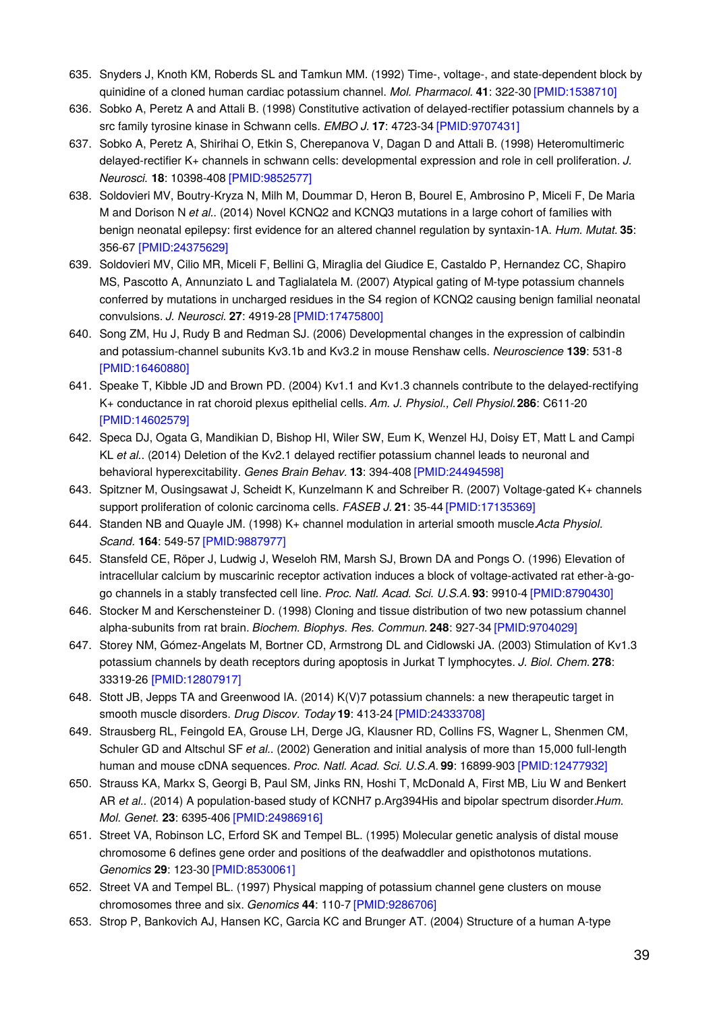- 635. Snyders J, Knoth KM, Roberds SL and Tamkun MM. (1992) Time-, voltage-, and state-dependent block by quinidine of a cloned human cardiac potassium channel. *Mol. Pharmacol.* **41**: 322-30 [\[PMID:1538710\]](http://www.ncbi.nlm.nih.gov/pubmed/1538710?dopt=AbstractPlus)
- 636. Sobko A, Peretz A and Attali B. (1998) Constitutive activation of delayed-rectifier potassium channels by a src family tyrosine kinase in Schwann cells. *EMBO J.* **17**: 4723-34 [\[PMID:9707431\]](http://www.ncbi.nlm.nih.gov/pubmed/9707431?dopt=AbstractPlus)
- 637. Sobko A, Peretz A, Shirihai O, Etkin S, Cherepanova V, Dagan D and Attali B. (1998) Heteromultimeric delayed-rectifier K+ channels in schwann cells: developmental expression and role in cell proliferation. *J. Neurosci.* **18**: 10398-408 [\[PMID:9852577\]](http://www.ncbi.nlm.nih.gov/pubmed/9852577?dopt=AbstractPlus)
- 638. Soldovieri MV, Boutry-Kryza N, Milh M, Doummar D, Heron B, Bourel E, Ambrosino P, Miceli F, De Maria M and Dorison N *et al.*. (2014) Novel KCNQ2 and KCNQ3 mutations in a large cohort of families with benign neonatal epilepsy: first evidence for an altered channel regulation by syntaxin-1A. *Hum. Mutat.* **35**: 356-67 [\[PMID:24375629\]](http://www.ncbi.nlm.nih.gov/pubmed/24375629?dopt=AbstractPlus)
- 639. Soldovieri MV, Cilio MR, Miceli F, Bellini G, Miraglia del Giudice E, Castaldo P, Hernandez CC, Shapiro MS, Pascotto A, Annunziato L and Taglialatela M. (2007) Atypical gating of M-type potassium channels conferred by mutations in uncharged residues in the S4 region of KCNQ2 causing benign familial neonatal convulsions. *J. Neurosci.* **27**: 4919-28 [\[PMID:17475800\]](http://www.ncbi.nlm.nih.gov/pubmed/17475800?dopt=AbstractPlus)
- 640. Song ZM, Hu J, Rudy B and Redman SJ. (2006) Developmental changes in the expression of calbindin and potassium-channel subunits Kv3.1b and Kv3.2 in mouse Renshaw cells. *Neuroscience* **139**: 531-8 [\[PMID:16460880\]](http://www.ncbi.nlm.nih.gov/pubmed/16460880?dopt=AbstractPlus)
- 641. Speake T, Kibble JD and Brown PD. (2004) Kv1.1 and Kv1.3 channels contribute to the delayed-rectifying K+ conductance in rat choroid plexus epithelial cells. *Am. J. Physiol., Cell Physiol.***286**: C611-20 [\[PMID:14602579\]](http://www.ncbi.nlm.nih.gov/pubmed/14602579?dopt=AbstractPlus)
- 642. Speca DJ, Ogata G, Mandikian D, Bishop HI, Wiler SW, Eum K, Wenzel HJ, Doisy ET, Matt L and Campi KL *et al.*. (2014) Deletion of the Kv2.1 delayed rectifier potassium channel leads to neuronal and behavioral hyperexcitability. *Genes Brain Behav.* **13**: 394-408 [\[PMID:24494598\]](http://www.ncbi.nlm.nih.gov/pubmed/24494598?dopt=AbstractPlus)
- 643. Spitzner M, Ousingsawat J, Scheidt K, Kunzelmann K and Schreiber R. (2007) Voltage-gated K+ channels support proliferation of colonic carcinoma cells. *FASEB J.* **21**: 35-44 [\[PMID:17135369\]](http://www.ncbi.nlm.nih.gov/pubmed/17135369?dopt=AbstractPlus)
- 644. Standen NB and Quayle JM. (1998) K+ channel modulation in arterial smooth muscle.*Acta Physiol. Scand.* **164**: 549-57 [\[PMID:9887977\]](http://www.ncbi.nlm.nih.gov/pubmed/9887977?dopt=AbstractPlus)
- 645. Stansfeld CE, Röper J, Ludwig J, Weseloh RM, Marsh SJ, Brown DA and Pongs O. (1996) Elevation of intracellular calcium by muscarinic receptor activation induces a block of voltage-activated rat ether-à-gogo channels in a stably transfected cell line. *Proc. Natl. Acad. Sci. U.S.A.* **93**: 9910-4 [\[PMID:8790430\]](http://www.ncbi.nlm.nih.gov/pubmed/8790430?dopt=AbstractPlus)
- 646. Stocker M and Kerschensteiner D. (1998) Cloning and tissue distribution of two new potassium channel alpha-subunits from rat brain. *Biochem. Biophys. Res. Commun.* **248**: 927-34 [\[PMID:9704029\]](http://www.ncbi.nlm.nih.gov/pubmed/9704029?dopt=AbstractPlus)
- 647. Storey NM, Gómez-Angelats M, Bortner CD, Armstrong DL and Cidlowski JA. (2003) Stimulation of Kv1.3 potassium channels by death receptors during apoptosis in Jurkat T lymphocytes. *J. Biol. Chem.* **278**: 33319-26 [\[PMID:12807917\]](http://www.ncbi.nlm.nih.gov/pubmed/12807917?dopt=AbstractPlus)
- 648. Stott JB, Jepps TA and Greenwood IA. (2014) K(V)7 potassium channels: a new therapeutic target in smooth muscle disorders. *Drug Discov. Today* **19**: 413-24 [\[PMID:24333708\]](http://www.ncbi.nlm.nih.gov/pubmed/24333708?dopt=AbstractPlus)
- 649. Strausberg RL, Feingold EA, Grouse LH, Derge JG, Klausner RD, Collins FS, Wagner L, Shenmen CM, Schuler GD and Altschul SF *et al.*. (2002) Generation and initial analysis of more than 15,000 full-length human and mouse cDNA sequences. *Proc. Natl. Acad. Sci. U.S.A.* **99**: 16899-903 [\[PMID:12477932\]](http://www.ncbi.nlm.nih.gov/pubmed/12477932?dopt=AbstractPlus)
- 650. Strauss KA, Markx S, Georgi B, Paul SM, Jinks RN, Hoshi T, McDonald A, First MB, Liu W and Benkert AR *et al.*. (2014) A population-based study of KCNH7 p.Arg394His and bipolar spectrum disorder.*Hum. Mol. Genet.* **23**: 6395-406 [\[PMID:24986916\]](http://www.ncbi.nlm.nih.gov/pubmed/24986916?dopt=AbstractPlus)
- 651. Street VA, Robinson LC, Erford SK and Tempel BL. (1995) Molecular genetic analysis of distal mouse chromosome 6 defines gene order and positions of the deafwaddler and opisthotonos mutations. *Genomics* **29**: 123-30 [\[PMID:8530061\]](http://www.ncbi.nlm.nih.gov/pubmed/8530061?dopt=AbstractPlus)
- 652. Street VA and Tempel BL. (1997) Physical mapping of potassium channel gene clusters on mouse chromosomes three and six. *Genomics* **44**: 110-7 [\[PMID:9286706\]](http://www.ncbi.nlm.nih.gov/pubmed/9286706?dopt=AbstractPlus)
- 653. Strop P, Bankovich AJ, Hansen KC, Garcia KC and Brunger AT. (2004) Structure of a human A-type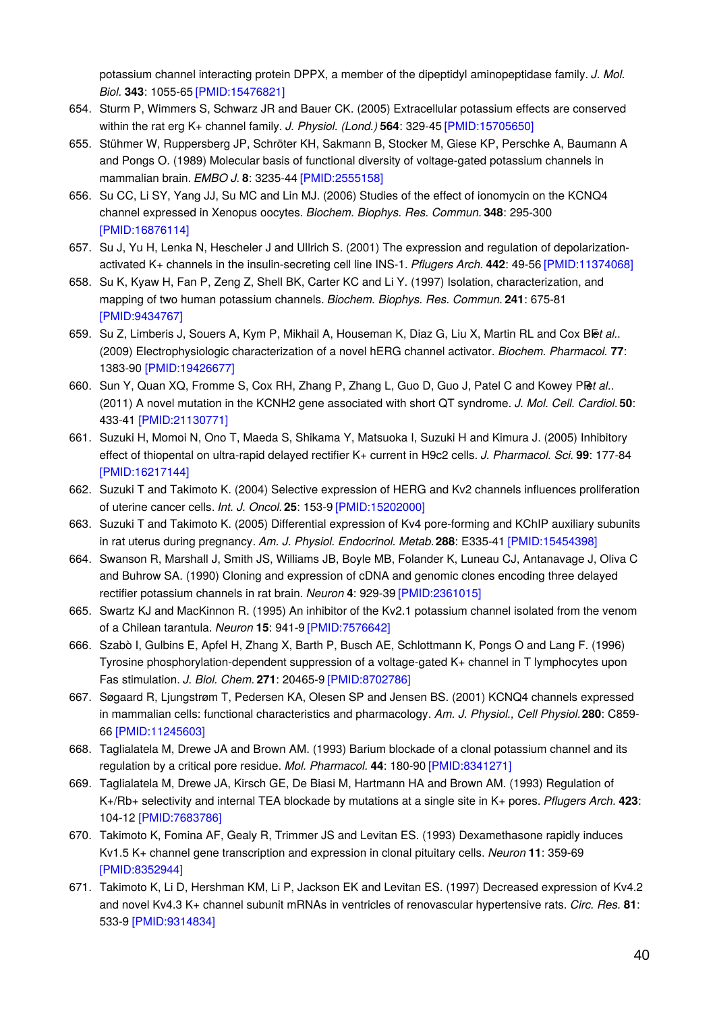potassium channel interacting protein DPPX, a member of the dipeptidyl aminopeptidase family. *J. Mol. Biol.* **343**: 1055-65 [\[PMID:15476821\]](http://www.ncbi.nlm.nih.gov/pubmed/15476821?dopt=AbstractPlus)

- 654. Sturm P, Wimmers S, Schwarz JR and Bauer CK. (2005) Extracellular potassium effects are conserved within the rat erg K+ channel family. *J. Physiol. (Lond.)* **564**: 329-45 [\[PMID:15705650\]](http://www.ncbi.nlm.nih.gov/pubmed/15705650?dopt=AbstractPlus)
- 655. Stühmer W, Ruppersberg JP, Schröter KH, Sakmann B, Stocker M, Giese KP, Perschke A, Baumann A and Pongs O. (1989) Molecular basis of functional diversity of voltage-gated potassium channels in mammalian brain. *EMBO J.* **8**: 3235-44 [\[PMID:2555158\]](http://www.ncbi.nlm.nih.gov/pubmed/2555158?dopt=AbstractPlus)
- 656. Su CC, Li SY, Yang JJ, Su MC and Lin MJ. (2006) Studies of the effect of ionomycin on the KCNQ4 channel expressed in Xenopus oocytes. *Biochem. Biophys. Res. Commun.* **348**: 295-300 [\[PMID:16876114\]](http://www.ncbi.nlm.nih.gov/pubmed/16876114?dopt=AbstractPlus)
- 657. Su J, Yu H, Lenka N, Hescheler J and Ullrich S. (2001) The expression and regulation of depolarizationactivated K+ channels in the insulin-secreting cell line INS-1. *Pflugers Arch.* **442**: 49-56 [\[PMID:11374068\]](http://www.ncbi.nlm.nih.gov/pubmed/11374068?dopt=AbstractPlus)
- 658. Su K, Kyaw H, Fan P, Zeng Z, Shell BK, Carter KC and Li Y. (1997) Isolation, characterization, and mapping of two human potassium channels. *Biochem. Biophys. Res. Commun.* **241**: 675-81 [\[PMID:9434767\]](http://www.ncbi.nlm.nih.gov/pubmed/9434767?dopt=AbstractPlus)
- 659. Su Z, Limberis J, Souers A, Kym P, Mikhail A, Houseman K, Diaz G, Liu X, Martin RL and Cox Blet al.. (2009) Electrophysiologic characterization of a novel hERG channel activator. *Biochem. Pharmacol.* **77**: 1383-90 [\[PMID:19426677\]](http://www.ncbi.nlm.nih.gov/pubmed/19426677?dopt=AbstractPlus)
- 660. Sun Y, Quan XQ, Fromme S, Cox RH, Zhang P, Zhang L, Guo D, Guo J, Patel C and Kowey PR*et al.*. (2011) A novel mutation in the KCNH2 gene associated with short QT syndrome. *J. Mol. Cell. Cardiol.***50**: 433-41 [\[PMID:21130771\]](http://www.ncbi.nlm.nih.gov/pubmed/21130771?dopt=AbstractPlus)
- 661. Suzuki H, Momoi N, Ono T, Maeda S, Shikama Y, Matsuoka I, Suzuki H and Kimura J. (2005) Inhibitory effect of thiopental on ultra-rapid delayed rectifier K+ current in H9c2 cells. *J. Pharmacol. Sci.* **99**: 177-84 [\[PMID:16217144\]](http://www.ncbi.nlm.nih.gov/pubmed/16217144?dopt=AbstractPlus)
- 662. Suzuki T and Takimoto K. (2004) Selective expression of HERG and Kv2 channels influences proliferation of uterine cancer cells. *Int. J. Oncol.* **25**: 153-9 [\[PMID:15202000\]](http://www.ncbi.nlm.nih.gov/pubmed/15202000?dopt=AbstractPlus)
- 663. Suzuki T and Takimoto K. (2005) Differential expression of Kv4 pore-forming and KChIP auxiliary subunits in rat uterus during pregnancy. *Am. J. Physiol. Endocrinol. Metab.***288**: E335-41 [\[PMID:15454398\]](http://www.ncbi.nlm.nih.gov/pubmed/15454398?dopt=AbstractPlus)
- 664. Swanson R, Marshall J, Smith JS, Williams JB, Boyle MB, Folander K, Luneau CJ, Antanavage J, Oliva C and Buhrow SA. (1990) Cloning and expression of cDNA and genomic clones encoding three delayed rectifier potassium channels in rat brain. *Neuron* **4**: 929-39 [\[PMID:2361015\]](http://www.ncbi.nlm.nih.gov/pubmed/2361015?dopt=AbstractPlus)
- 665. Swartz KJ and MacKinnon R. (1995) An inhibitor of the Kv2.1 potassium channel isolated from the venom of a Chilean tarantula. *Neuron* **15**: 941-9 [\[PMID:7576642\]](http://www.ncbi.nlm.nih.gov/pubmed/7576642?dopt=AbstractPlus)
- 666. Szabò I, Gulbins E, Apfel H, Zhang X, Barth P, Busch AE, Schlottmann K, Pongs O and Lang F. (1996) Tyrosine phosphorylation-dependent suppression of a voltage-gated K+ channel in T lymphocytes upon Fas stimulation. *J. Biol. Chem.* **271**: 20465-9 [\[PMID:8702786\]](http://www.ncbi.nlm.nih.gov/pubmed/8702786?dopt=AbstractPlus)
- 667. Søgaard R, Ljungstrøm T, Pedersen KA, Olesen SP and Jensen BS. (2001) KCNQ4 channels expressed in mammalian cells: functional characteristics and pharmacology. *Am. J. Physiol., Cell Physiol.***280**: C859- 66 [\[PMID:11245603\]](http://www.ncbi.nlm.nih.gov/pubmed/11245603?dopt=AbstractPlus)
- 668. Taglialatela M, Drewe JA and Brown AM. (1993) Barium blockade of a clonal potassium channel and its regulation by a critical pore residue. *Mol. Pharmacol.* **44**: 180-90 [\[PMID:8341271\]](http://www.ncbi.nlm.nih.gov/pubmed/8341271?dopt=AbstractPlus)
- 669. Taglialatela M, Drewe JA, Kirsch GE, De Biasi M, Hartmann HA and Brown AM. (1993) Regulation of K+/Rb+ selectivity and internal TEA blockade by mutations at a single site in K+ pores. *Pflugers Arch.* **423**: 104-12 [\[PMID:7683786\]](http://www.ncbi.nlm.nih.gov/pubmed/7683786?dopt=AbstractPlus)
- 670. Takimoto K, Fomina AF, Gealy R, Trimmer JS and Levitan ES. (1993) Dexamethasone rapidly induces Kv1.5 K+ channel gene transcription and expression in clonal pituitary cells. *Neuron* **11**: 359-69 [\[PMID:8352944\]](http://www.ncbi.nlm.nih.gov/pubmed/8352944?dopt=AbstractPlus)
- 671. Takimoto K, Li D, Hershman KM, Li P, Jackson EK and Levitan ES. (1997) Decreased expression of Kv4.2 and novel Kv4.3 K+ channel subunit mRNAs in ventricles of renovascular hypertensive rats. *Circ. Res.* **81**: 533-9 [\[PMID:9314834\]](http://www.ncbi.nlm.nih.gov/pubmed/9314834?dopt=AbstractPlus)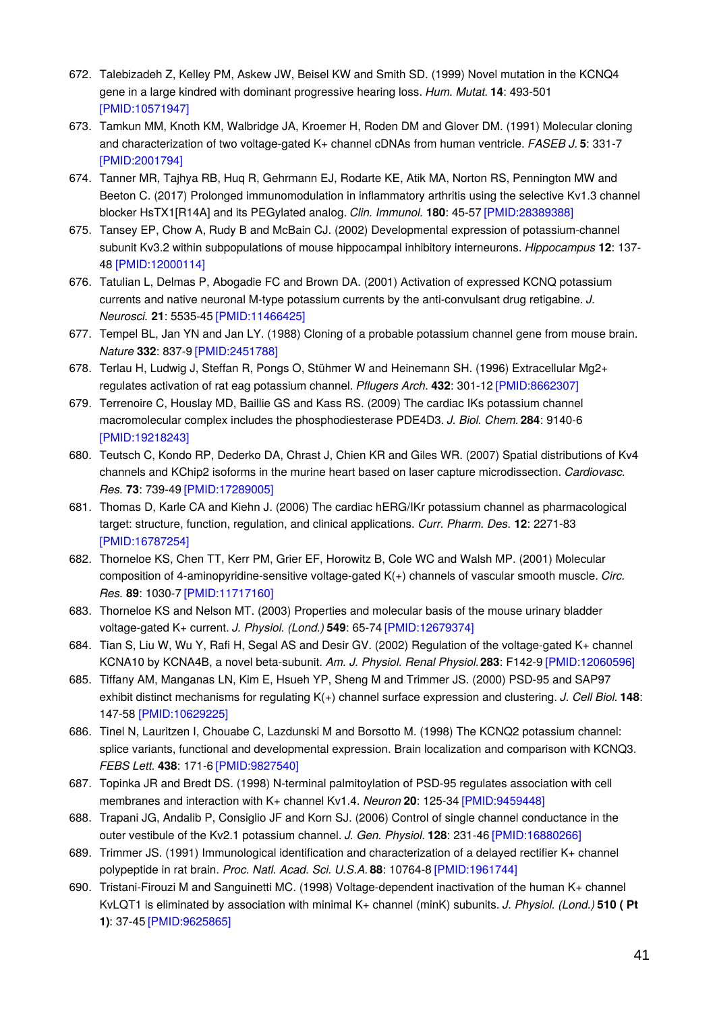- 672. Talebizadeh Z, Kelley PM, Askew JW, Beisel KW and Smith SD. (1999) Novel mutation in the KCNQ4 gene in a large kindred with dominant progressive hearing loss. *Hum. Mutat.* **14**: 493-501 [\[PMID:10571947\]](http://www.ncbi.nlm.nih.gov/pubmed/10571947?dopt=AbstractPlus)
- 673. Tamkun MM, Knoth KM, Walbridge JA, Kroemer H, Roden DM and Glover DM. (1991) Molecular cloning and characterization of two voltage-gated K+ channel cDNAs from human ventricle. *FASEB J.* **5**: 331-7 [\[PMID:2001794\]](http://www.ncbi.nlm.nih.gov/pubmed/2001794?dopt=AbstractPlus)
- 674. Tanner MR, Tajhya RB, Huq R, Gehrmann EJ, Rodarte KE, Atik MA, Norton RS, Pennington MW and Beeton C. (2017) Prolonged immunomodulation in inflammatory arthritis using the selective Kv1.3 channel blocker HsTX1[R14A] and its PEGylated analog. *Clin. Immunol.* **180**: 45-57 [\[PMID:28389388\]](http://www.ncbi.nlm.nih.gov/pubmed/28389388?dopt=AbstractPlus)
- 675. Tansey EP, Chow A, Rudy B and McBain CJ. (2002) Developmental expression of potassium-channel subunit Kv3.2 within subpopulations of mouse hippocampal inhibitory interneurons. *Hippocampus* **12**: 137- 48 [\[PMID:12000114\]](http://www.ncbi.nlm.nih.gov/pubmed/12000114?dopt=AbstractPlus)
- 676. Tatulian L, Delmas P, Abogadie FC and Brown DA. (2001) Activation of expressed KCNQ potassium currents and native neuronal M-type potassium currents by the anti-convulsant drug retigabine. *J. Neurosci.* **21**: 5535-45 [\[PMID:11466425\]](http://www.ncbi.nlm.nih.gov/pubmed/11466425?dopt=AbstractPlus)
- 677. Tempel BL, Jan YN and Jan LY. (1988) Cloning of a probable potassium channel gene from mouse brain. *Nature* **332**: 837-9 [\[PMID:2451788\]](http://www.ncbi.nlm.nih.gov/pubmed/2451788?dopt=AbstractPlus)
- 678. Terlau H, Ludwig J, Steffan R, Pongs O, Stühmer W and Heinemann SH. (1996) Extracellular Mg2+ regulates activation of rat eag potassium channel. *Pflugers Arch.* **432**: 301-12 [\[PMID:8662307\]](http://www.ncbi.nlm.nih.gov/pubmed/8662307?dopt=AbstractPlus)
- 679. Terrenoire C, Houslay MD, Baillie GS and Kass RS. (2009) The cardiac IKs potassium channel macromolecular complex includes the phosphodiesterase PDE4D3. *J. Biol. Chem.* **284**: 9140-6 [\[PMID:19218243\]](http://www.ncbi.nlm.nih.gov/pubmed/19218243?dopt=AbstractPlus)
- 680. Teutsch C, Kondo RP, Dederko DA, Chrast J, Chien KR and Giles WR. (2007) Spatial distributions of Kv4 channels and KChip2 isoforms in the murine heart based on laser capture microdissection. *Cardiovasc. Res.* **73**: 739-49 [\[PMID:17289005\]](http://www.ncbi.nlm.nih.gov/pubmed/17289005?dopt=AbstractPlus)
- 681. Thomas D, Karle CA and Kiehn J. (2006) The cardiac hERG/IKr potassium channel as pharmacological target: structure, function, regulation, and clinical applications. *Curr. Pharm. Des.* **12**: 2271-83 [\[PMID:16787254\]](http://www.ncbi.nlm.nih.gov/pubmed/16787254?dopt=AbstractPlus)
- 682. Thorneloe KS, Chen TT, Kerr PM, Grier EF, Horowitz B, Cole WC and Walsh MP. (2001) Molecular composition of 4-aminopyridine-sensitive voltage-gated K(+) channels of vascular smooth muscle. *Circ. Res.* **89**: 1030-7 [\[PMID:11717160\]](http://www.ncbi.nlm.nih.gov/pubmed/11717160?dopt=AbstractPlus)
- 683. Thorneloe KS and Nelson MT. (2003) Properties and molecular basis of the mouse urinary bladder voltage-gated K+ current. *J. Physiol. (Lond.)* **549**: 65-74 [\[PMID:12679374\]](http://www.ncbi.nlm.nih.gov/pubmed/12679374?dopt=AbstractPlus)
- 684. Tian S, Liu W, Wu Y, Rafi H, Segal AS and Desir GV. (2002) Regulation of the voltage-gated K+ channel KCNA10 by KCNA4B, a novel beta-subunit. *Am. J. Physiol. Renal Physiol.***283**: F142-9 [\[PMID:12060596\]](http://www.ncbi.nlm.nih.gov/pubmed/12060596?dopt=AbstractPlus)
- 685. Tiffany AM, Manganas LN, Kim E, Hsueh YP, Sheng M and Trimmer JS. (2000) PSD-95 and SAP97 exhibit distinct mechanisms for regulating K(+) channel surface expression and clustering. *J. Cell Biol.* **148**: 147-58 [\[PMID:10629225\]](http://www.ncbi.nlm.nih.gov/pubmed/10629225?dopt=AbstractPlus)
- 686. Tinel N, Lauritzen I, Chouabe C, Lazdunski M and Borsotto M. (1998) The KCNQ2 potassium channel: splice variants, functional and developmental expression. Brain localization and comparison with KCNQ3. *FEBS Lett.* **438**: 171-6 [\[PMID:9827540\]](http://www.ncbi.nlm.nih.gov/pubmed/9827540?dopt=AbstractPlus)
- 687. Topinka JR and Bredt DS. (1998) N-terminal palmitoylation of PSD-95 regulates association with cell membranes and interaction with K+ channel Kv1.4. *Neuron* **20**: 125-34 [\[PMID:9459448\]](http://www.ncbi.nlm.nih.gov/pubmed/9459448?dopt=AbstractPlus)
- 688. Trapani JG, Andalib P, Consiglio JF and Korn SJ. (2006) Control of single channel conductance in the outer vestibule of the Kv2.1 potassium channel. *J. Gen. Physiol.* **128**: 231-46 [\[PMID:16880266\]](http://www.ncbi.nlm.nih.gov/pubmed/16880266?dopt=AbstractPlus)
- 689. Trimmer JS. (1991) Immunological identification and characterization of a delayed rectifier K+ channel polypeptide in rat brain. *Proc. Natl. Acad. Sci. U.S.A.* **88**: 10764-8 [\[PMID:1961744\]](http://www.ncbi.nlm.nih.gov/pubmed/1961744?dopt=AbstractPlus)
- 690. Tristani-Firouzi M and Sanguinetti MC. (1998) Voltage-dependent inactivation of the human K+ channel KvLQT1 is eliminated by association with minimal K+ channel (minK) subunits. *J. Physiol. (Lond.)* **510 ( Pt 1)**: 37-45 [\[PMID:9625865\]](http://www.ncbi.nlm.nih.gov/pubmed/9625865?dopt=AbstractPlus)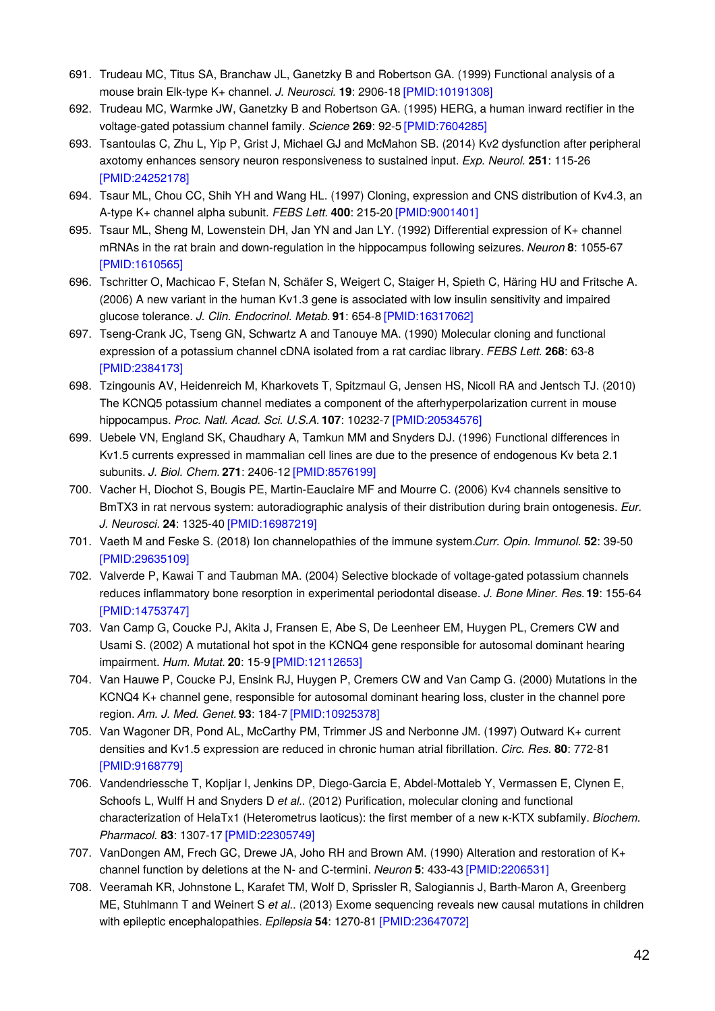- 691. Trudeau MC, Titus SA, Branchaw JL, Ganetzky B and Robertson GA. (1999) Functional analysis of a mouse brain Elk-type K+ channel. *J. Neurosci.* **19**: 2906-18 [\[PMID:10191308\]](http://www.ncbi.nlm.nih.gov/pubmed/10191308?dopt=AbstractPlus)
- 692. Trudeau MC, Warmke JW, Ganetzky B and Robertson GA. (1995) HERG, a human inward rectifier in the voltage-gated potassium channel family. *Science* **269**: 92-5 [\[PMID:7604285\]](http://www.ncbi.nlm.nih.gov/pubmed/7604285?dopt=AbstractPlus)
- 693. Tsantoulas C, Zhu L, Yip P, Grist J, Michael GJ and McMahon SB. (2014) Kv2 dysfunction after peripheral axotomy enhances sensory neuron responsiveness to sustained input. *Exp. Neurol.* **251**: 115-26 [\[PMID:24252178\]](http://www.ncbi.nlm.nih.gov/pubmed/24252178?dopt=AbstractPlus)
- 694. Tsaur ML, Chou CC, Shih YH and Wang HL. (1997) Cloning, expression and CNS distribution of Kv4.3, an A-type K+ channel alpha subunit. *FEBS Lett.* **400**: 215-20 [\[PMID:9001401\]](http://www.ncbi.nlm.nih.gov/pubmed/9001401?dopt=AbstractPlus)
- 695. Tsaur ML, Sheng M, Lowenstein DH, Jan YN and Jan LY. (1992) Differential expression of K+ channel mRNAs in the rat brain and down-regulation in the hippocampus following seizures. *Neuron* **8**: 1055-67 [\[PMID:1610565\]](http://www.ncbi.nlm.nih.gov/pubmed/1610565?dopt=AbstractPlus)
- 696. Tschritter O, Machicao F, Stefan N, Schäfer S, Weigert C, Staiger H, Spieth C, Häring HU and Fritsche A. (2006) A new variant in the human Kv1.3 gene is associated with low insulin sensitivity and impaired glucose tolerance. *J. Clin. Endocrinol. Metab.* **91**: 654-8 [\[PMID:16317062\]](http://www.ncbi.nlm.nih.gov/pubmed/16317062?dopt=AbstractPlus)
- 697. Tseng-Crank JC, Tseng GN, Schwartz A and Tanouye MA. (1990) Molecular cloning and functional expression of a potassium channel cDNA isolated from a rat cardiac library. *FEBS Lett.* **268**: 63-8 [\[PMID:2384173\]](http://www.ncbi.nlm.nih.gov/pubmed/2384173?dopt=AbstractPlus)
- 698. Tzingounis AV, Heidenreich M, Kharkovets T, Spitzmaul G, Jensen HS, Nicoll RA and Jentsch TJ. (2010) The KCNQ5 potassium channel mediates a component of the afterhyperpolarization current in mouse hippocampus. *Proc. Natl. Acad. Sci. U.S.A.* **107**: 10232-7 [\[PMID:20534576\]](http://www.ncbi.nlm.nih.gov/pubmed/20534576?dopt=AbstractPlus)
- 699. Uebele VN, England SK, Chaudhary A, Tamkun MM and Snyders DJ. (1996) Functional differences in Kv1.5 currents expressed in mammalian cell lines are due to the presence of endogenous Kv beta 2.1 subunits. *J. Biol. Chem.* **271**: 2406-12 [\[PMID:8576199\]](http://www.ncbi.nlm.nih.gov/pubmed/8576199?dopt=AbstractPlus)
- 700. Vacher H, Diochot S, Bougis PE, Martin-Eauclaire MF and Mourre C. (2006) Kv4 channels sensitive to BmTX3 in rat nervous system: autoradiographic analysis of their distribution during brain ontogenesis. *Eur. J. Neurosci.* **24**: 1325-40 [\[PMID:16987219\]](http://www.ncbi.nlm.nih.gov/pubmed/16987219?dopt=AbstractPlus)
- 701. Vaeth M and Feske S. (2018) Ion channelopathies of the immune system.*Curr. Opin. Immunol.* **52**: 39-50 [\[PMID:29635109\]](http://www.ncbi.nlm.nih.gov/pubmed/29635109?dopt=AbstractPlus)
- 702. Valverde P, Kawai T and Taubman MA. (2004) Selective blockade of voltage-gated potassium channels reduces inflammatory bone resorption in experimental periodontal disease. *J. Bone Miner. Res.***19**: 155-64 [\[PMID:14753747\]](http://www.ncbi.nlm.nih.gov/pubmed/14753747?dopt=AbstractPlus)
- 703. Van Camp G, Coucke PJ, Akita J, Fransen E, Abe S, De Leenheer EM, Huygen PL, Cremers CW and Usami S. (2002) A mutational hot spot in the KCNQ4 gene responsible for autosomal dominant hearing impairment. *Hum. Mutat.* **20**: 15-9 [\[PMID:12112653\]](http://www.ncbi.nlm.nih.gov/pubmed/12112653?dopt=AbstractPlus)
- 704. Van Hauwe P, Coucke PJ, Ensink RJ, Huygen P, Cremers CW and Van Camp G. (2000) Mutations in the KCNQ4 K+ channel gene, responsible for autosomal dominant hearing loss, cluster in the channel pore region. *Am. J. Med. Genet.* **93**: 184-7 [\[PMID:10925378\]](http://www.ncbi.nlm.nih.gov/pubmed/10925378?dopt=AbstractPlus)
- 705. Van Wagoner DR, Pond AL, McCarthy PM, Trimmer JS and Nerbonne JM. (1997) Outward K+ current densities and Kv1.5 expression are reduced in chronic human atrial fibrillation. *Circ. Res.* **80**: 772-81 [\[PMID:9168779\]](http://www.ncbi.nlm.nih.gov/pubmed/9168779?dopt=AbstractPlus)
- 706. Vandendriessche T, Kopljar I, Jenkins DP, Diego-Garcia E, Abdel-Mottaleb Y, Vermassen E, Clynen E, Schoofs L, Wulff H and Snyders D *et al.*. (2012) Purification, molecular cloning and functional characterization of HelaTx1 (Heterometrus laoticus): the first member of a new κ-KTX subfamily. *Biochem. Pharmacol.* **83**: 1307-17 [\[PMID:22305749\]](http://www.ncbi.nlm.nih.gov/pubmed/22305749?dopt=AbstractPlus)
- 707. VanDongen AM, Frech GC, Drewe JA, Joho RH and Brown AM. (1990) Alteration and restoration of K+ channel function by deletions at the N- and C-termini. *Neuron* **5**: 433-43 [\[PMID:2206531\]](http://www.ncbi.nlm.nih.gov/pubmed/2206531?dopt=AbstractPlus)
- 708. Veeramah KR, Johnstone L, Karafet TM, Wolf D, Sprissler R, Salogiannis J, Barth-Maron A, Greenberg ME, Stuhlmann T and Weinert S *et al.*. (2013) Exome sequencing reveals new causal mutations in children with epileptic encephalopathies. *Epilepsia* **54**: 1270-81 [\[PMID:23647072\]](http://www.ncbi.nlm.nih.gov/pubmed/23647072?dopt=AbstractPlus)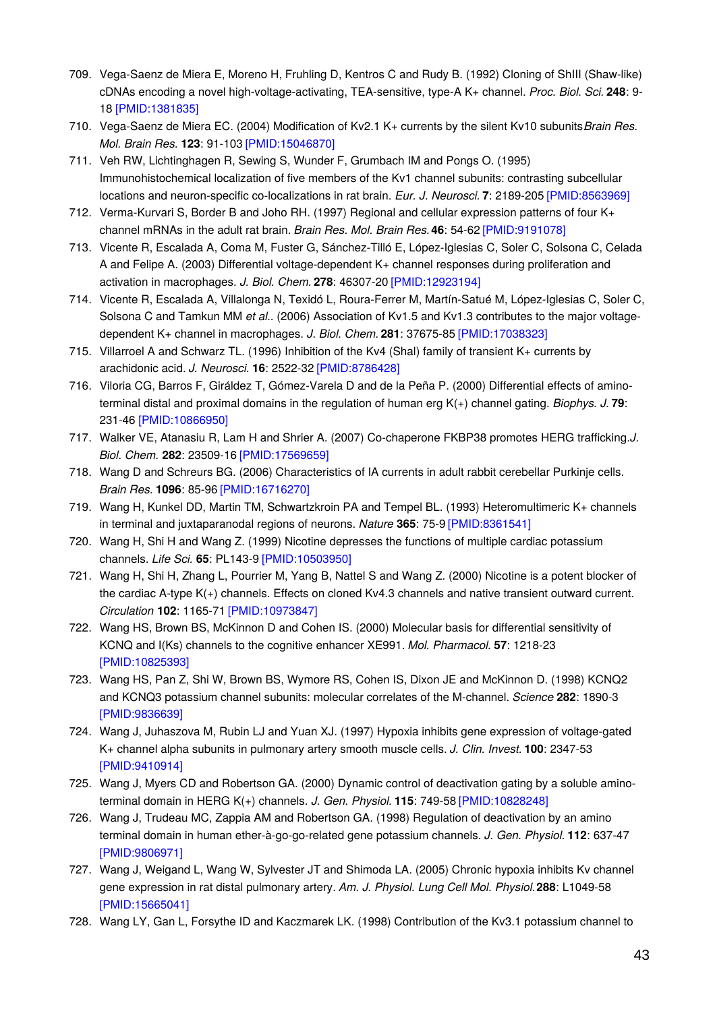- 709. Vega-Saenz de Miera E, Moreno H, Fruhling D, Kentros C and Rudy B. (1992) Cloning of ShIII (Shaw-like) cDNAs encoding a novel high-voltage-activating, TEA-sensitive, type-A K+ channel. *Proc. Biol. Sci.* **248**: 9- 18 [\[PMID:1381835\]](http://www.ncbi.nlm.nih.gov/pubmed/1381835?dopt=AbstractPlus)
- 710. Vega-Saenz de Miera EC. (2004) Modification of Kv2.1 K+ currents by the silent Kv10 subunits.*Brain Res. Mol. Brain Res.* **123**: 91-103 [\[PMID:15046870\]](http://www.ncbi.nlm.nih.gov/pubmed/15046870?dopt=AbstractPlus)
- 711. Veh RW, Lichtinghagen R, Sewing S, Wunder F, Grumbach IM and Pongs O. (1995) Immunohistochemical localization of five members of the Kv1 channel subunits: contrasting subcellular locations and neuron-specific co-localizations in rat brain. *Eur. J. Neurosci.* **7**: 2189-205 [\[PMID:8563969\]](http://www.ncbi.nlm.nih.gov/pubmed/8563969?dopt=AbstractPlus)
- 712. Verma-Kurvari S, Border B and Joho RH. (1997) Regional and cellular expression patterns of four K+ channel mRNAs in the adult rat brain. *Brain Res. Mol. Brain Res.***46**: 54-62 [\[PMID:9191078\]](http://www.ncbi.nlm.nih.gov/pubmed/9191078?dopt=AbstractPlus)
- 713. Vicente R, Escalada A, Coma M, Fuster G, Sánchez-Tilló E, López-Iglesias C, Soler C, Solsona C, Celada A and Felipe A. (2003) Differential voltage-dependent K+ channel responses during proliferation and activation in macrophages. *J. Biol. Chem.* **278**: 46307-20 [\[PMID:12923194\]](http://www.ncbi.nlm.nih.gov/pubmed/12923194?dopt=AbstractPlus)
- 714. Vicente R, Escalada A, Villalonga N, Texidó L, Roura-Ferrer M, Martín-Satué M, López-Iglesias C, Soler C, Solsona C and Tamkun MM *et al.*. (2006) Association of Kv1.5 and Kv1.3 contributes to the major voltagedependent K+ channel in macrophages. *J. Biol. Chem.* **281**: 37675-85 [\[PMID:17038323\]](http://www.ncbi.nlm.nih.gov/pubmed/17038323?dopt=AbstractPlus)
- 715. Villarroel A and Schwarz TL. (1996) Inhibition of the Kv4 (Shal) family of transient K+ currents by arachidonic acid. *J. Neurosci.* **16**: 2522-32 [\[PMID:8786428\]](http://www.ncbi.nlm.nih.gov/pubmed/8786428?dopt=AbstractPlus)
- 716. Viloria CG, Barros F, Giráldez T, Gómez-Varela D and de la Peña P. (2000) Differential effects of aminoterminal distal and proximal domains in the regulation of human erg K(+) channel gating. *Biophys. J.* **79**: 231-46 [\[PMID:10866950\]](http://www.ncbi.nlm.nih.gov/pubmed/10866950?dopt=AbstractPlus)
- 717. Walker VE, Atanasiu R, Lam H and Shrier A. (2007) Co-chaperone FKBP38 promotes HERG trafficking.*J. Biol. Chem.* **282**: 23509-16 [\[PMID:17569659\]](http://www.ncbi.nlm.nih.gov/pubmed/17569659?dopt=AbstractPlus)
- 718. Wang D and Schreurs BG. (2006) Characteristics of IA currents in adult rabbit cerebellar Purkinje cells. *Brain Res.* **1096**: 85-96 [\[PMID:16716270\]](http://www.ncbi.nlm.nih.gov/pubmed/16716270?dopt=AbstractPlus)
- 719. Wang H, Kunkel DD, Martin TM, Schwartzkroin PA and Tempel BL. (1993) Heteromultimeric K+ channels in terminal and juxtaparanodal regions of neurons. *Nature* **365**: 75-9 [\[PMID:8361541\]](http://www.ncbi.nlm.nih.gov/pubmed/8361541?dopt=AbstractPlus)
- 720. Wang H, Shi H and Wang Z. (1999) Nicotine depresses the functions of multiple cardiac potassium channels. *Life Sci.* **65**: PL143-9 [\[PMID:10503950\]](http://www.ncbi.nlm.nih.gov/pubmed/10503950?dopt=AbstractPlus)
- 721. Wang H, Shi H, Zhang L, Pourrier M, Yang B, Nattel S and Wang Z. (2000) Nicotine is a potent blocker of the cardiac A-type K(+) channels. Effects on cloned Kv4.3 channels and native transient outward current. *Circulation* **102**: 1165-71 [\[PMID:10973847\]](http://www.ncbi.nlm.nih.gov/pubmed/10973847?dopt=AbstractPlus)
- 722. Wang HS, Brown BS, McKinnon D and Cohen IS. (2000) Molecular basis for differential sensitivity of KCNQ and I(Ks) channels to the cognitive enhancer XE991. *Mol. Pharmacol.* **57**: 1218-23 [\[PMID:10825393\]](http://www.ncbi.nlm.nih.gov/pubmed/10825393?dopt=AbstractPlus)
- 723. Wang HS, Pan Z, Shi W, Brown BS, Wymore RS, Cohen IS, Dixon JE and McKinnon D. (1998) KCNQ2 and KCNQ3 potassium channel subunits: molecular correlates of the M-channel. *Science* **282**: 1890-3 [\[PMID:9836639\]](http://www.ncbi.nlm.nih.gov/pubmed/9836639?dopt=AbstractPlus)
- 724. Wang J, Juhaszova M, Rubin LJ and Yuan XJ. (1997) Hypoxia inhibits gene expression of voltage-gated K+ channel alpha subunits in pulmonary artery smooth muscle cells. *J. Clin. Invest.* **100**: 2347-53 [\[PMID:9410914\]](http://www.ncbi.nlm.nih.gov/pubmed/9410914?dopt=AbstractPlus)
- 725. Wang J, Myers CD and Robertson GA. (2000) Dynamic control of deactivation gating by a soluble aminoterminal domain in HERG K(+) channels. *J. Gen. Physiol.* **115**: 749-58 [\[PMID:10828248\]](http://www.ncbi.nlm.nih.gov/pubmed/10828248?dopt=AbstractPlus)
- 726. Wang J, Trudeau MC, Zappia AM and Robertson GA. (1998) Regulation of deactivation by an amino terminal domain in human ether-à-go-go-related gene potassium channels. *J. Gen. Physiol.* **112**: 637-47 [\[PMID:9806971\]](http://www.ncbi.nlm.nih.gov/pubmed/9806971?dopt=AbstractPlus)
- 727. Wang J, Weigand L, Wang W, Sylvester JT and Shimoda LA. (2005) Chronic hypoxia inhibits Kv channel gene expression in rat distal pulmonary artery. *Am. J. Physiol. Lung Cell Mol. Physiol.***288**: L1049-58 [\[PMID:15665041\]](http://www.ncbi.nlm.nih.gov/pubmed/15665041?dopt=AbstractPlus)
- 728. Wang LY, Gan L, Forsythe ID and Kaczmarek LK. (1998) Contribution of the Kv3.1 potassium channel to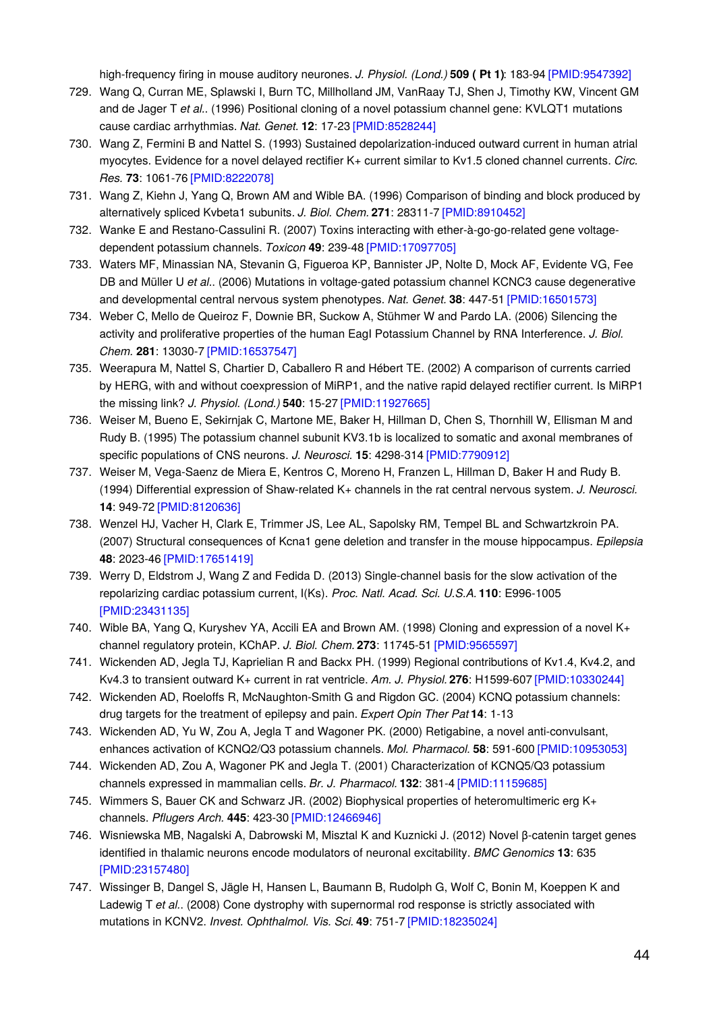high-frequency firing in mouse auditory neurones. *J. Physiol. (Lond.)* **509 ( Pt 1)**: 183-94 [\[PMID:9547392\]](http://www.ncbi.nlm.nih.gov/pubmed/9547392?dopt=AbstractPlus)

- 729. Wang Q, Curran ME, Splawski I, Burn TC, Millholland JM, VanRaay TJ, Shen J, Timothy KW, Vincent GM and de Jager T *et al.*. (1996) Positional cloning of a novel potassium channel gene: KVLQT1 mutations cause cardiac arrhythmias. *Nat. Genet.* **12**: 17-23 [\[PMID:8528244\]](http://www.ncbi.nlm.nih.gov/pubmed/8528244?dopt=AbstractPlus)
- 730. Wang Z, Fermini B and Nattel S. (1993) Sustained depolarization-induced outward current in human atrial myocytes. Evidence for a novel delayed rectifier K+ current similar to Kv1.5 cloned channel currents. *Circ. Res.* **73**: 1061-76 [\[PMID:8222078\]](http://www.ncbi.nlm.nih.gov/pubmed/8222078?dopt=AbstractPlus)
- 731. Wang Z, Kiehn J, Yang Q, Brown AM and Wible BA. (1996) Comparison of binding and block produced by alternatively spliced Kvbeta1 subunits. *J. Biol. Chem.* **271**: 28311-7 [\[PMID:8910452\]](http://www.ncbi.nlm.nih.gov/pubmed/8910452?dopt=AbstractPlus)
- 732. Wanke E and Restano-Cassulini R. (2007) Toxins interacting with ether-à-go-go-related gene voltagedependent potassium channels. *Toxicon* **49**: 239-48 [\[PMID:17097705\]](http://www.ncbi.nlm.nih.gov/pubmed/17097705?dopt=AbstractPlus)
- 733. Waters MF, Minassian NA, Stevanin G, Figueroa KP, Bannister JP, Nolte D, Mock AF, Evidente VG, Fee DB and Müller U *et al.*. (2006) Mutations in voltage-gated potassium channel KCNC3 cause degenerative and developmental central nervous system phenotypes. *Nat. Genet.* **38**: 447-51 [\[PMID:16501573\]](http://www.ncbi.nlm.nih.gov/pubmed/16501573?dopt=AbstractPlus)
- 734. Weber C, Mello de Queiroz F, Downie BR, Suckow A, Stühmer W and Pardo LA. (2006) Silencing the activity and proliferative properties of the human EagI Potassium Channel by RNA Interference. *J. Biol. Chem.* **281**: 13030-7 [\[PMID:16537547\]](http://www.ncbi.nlm.nih.gov/pubmed/16537547?dopt=AbstractPlus)
- 735. Weerapura M, Nattel S, Chartier D, Caballero R and Hébert TE. (2002) A comparison of currents carried by HERG, with and without coexpression of MiRP1, and the native rapid delayed rectifier current. Is MiRP1 the missing link? *J. Physiol. (Lond.)* **540**: 15-27 [\[PMID:11927665\]](http://www.ncbi.nlm.nih.gov/pubmed/11927665?dopt=AbstractPlus)
- 736. Weiser M, Bueno E, Sekirnjak C, Martone ME, Baker H, Hillman D, Chen S, Thornhill W, Ellisman M and Rudy B. (1995) The potassium channel subunit KV3.1b is localized to somatic and axonal membranes of specific populations of CNS neurons. *J. Neurosci.* **15**: 4298-314 [\[PMID:7790912\]](http://www.ncbi.nlm.nih.gov/pubmed/7790912?dopt=AbstractPlus)
- 737. Weiser M, Vega-Saenz de Miera E, Kentros C, Moreno H, Franzen L, Hillman D, Baker H and Rudy B. (1994) Differential expression of Shaw-related K+ channels in the rat central nervous system. *J. Neurosci.* **14**: 949-72 [\[PMID:8120636\]](http://www.ncbi.nlm.nih.gov/pubmed/8120636?dopt=AbstractPlus)
- 738. Wenzel HJ, Vacher H, Clark E, Trimmer JS, Lee AL, Sapolsky RM, Tempel BL and Schwartzkroin PA. (2007) Structural consequences of Kcna1 gene deletion and transfer in the mouse hippocampus. *Epilepsia* **48**: 2023-46 [\[PMID:17651419\]](http://www.ncbi.nlm.nih.gov/pubmed/17651419?dopt=AbstractPlus)
- 739. Werry D, Eldstrom J, Wang Z and Fedida D. (2013) Single-channel basis for the slow activation of the repolarizing cardiac potassium current, I(Ks). *Proc. Natl. Acad. Sci. U.S.A.* **110**: E996-1005 [\[PMID:23431135\]](http://www.ncbi.nlm.nih.gov/pubmed/23431135?dopt=AbstractPlus)
- 740. Wible BA, Yang Q, Kuryshev YA, Accili EA and Brown AM. (1998) Cloning and expression of a novel K+ channel regulatory protein, KChAP. *J. Biol. Chem.* **273**: 11745-51 [\[PMID:9565597\]](http://www.ncbi.nlm.nih.gov/pubmed/9565597?dopt=AbstractPlus)
- 741. Wickenden AD, Jegla TJ, Kaprielian R and Backx PH. (1999) Regional contributions of Kv1.4, Kv4.2, and Kv4.3 to transient outward K+ current in rat ventricle. *Am. J. Physiol.* **276**: H1599-607 [\[PMID:10330244\]](http://www.ncbi.nlm.nih.gov/pubmed/10330244?dopt=AbstractPlus)
- 742. Wickenden AD, Roeloffs R, McNaughton-Smith G and Rigdon GC. (2004) KCNQ potassium channels: drug targets for the treatment of epilepsy and pain. *Expert Opin Ther Pat* **14**: 1-13
- 743. Wickenden AD, Yu W, Zou A, Jegla T and Wagoner PK. (2000) Retigabine, a novel anti-convulsant, enhances activation of KCNQ2/Q3 potassium channels. *Mol. Pharmacol.* **58**: 591-600 [\[PMID:10953053\]](http://www.ncbi.nlm.nih.gov/pubmed/10953053?dopt=AbstractPlus)
- 744. Wickenden AD, Zou A, Wagoner PK and Jegla T. (2001) Characterization of KCNQ5/Q3 potassium channels expressed in mammalian cells. *Br. J. Pharmacol.* **132**: 381-4 [\[PMID:11159685\]](http://www.ncbi.nlm.nih.gov/pubmed/11159685?dopt=AbstractPlus)
- 745. Wimmers S, Bauer CK and Schwarz JR. (2002) Biophysical properties of heteromultimeric erg K+ channels. *Pflugers Arch.* **445**: 423-30 [\[PMID:12466946\]](http://www.ncbi.nlm.nih.gov/pubmed/12466946?dopt=AbstractPlus)
- 746. Wisniewska MB, Nagalski A, Dabrowski M, Misztal K and Kuznicki J. (2012) Novel β-catenin target genes identified in thalamic neurons encode modulators of neuronal excitability. *BMC Genomics* **13**: 635 [\[PMID:23157480\]](http://www.ncbi.nlm.nih.gov/pubmed/23157480?dopt=AbstractPlus)
- 747. Wissinger B, Dangel S, Jägle H, Hansen L, Baumann B, Rudolph G, Wolf C, Bonin M, Koeppen K and Ladewig T *et al.*. (2008) Cone dystrophy with supernormal rod response is strictly associated with mutations in KCNV2. *Invest. Ophthalmol. Vis. Sci.* **49**: 751-7 [\[PMID:18235024\]](http://www.ncbi.nlm.nih.gov/pubmed/18235024?dopt=AbstractPlus)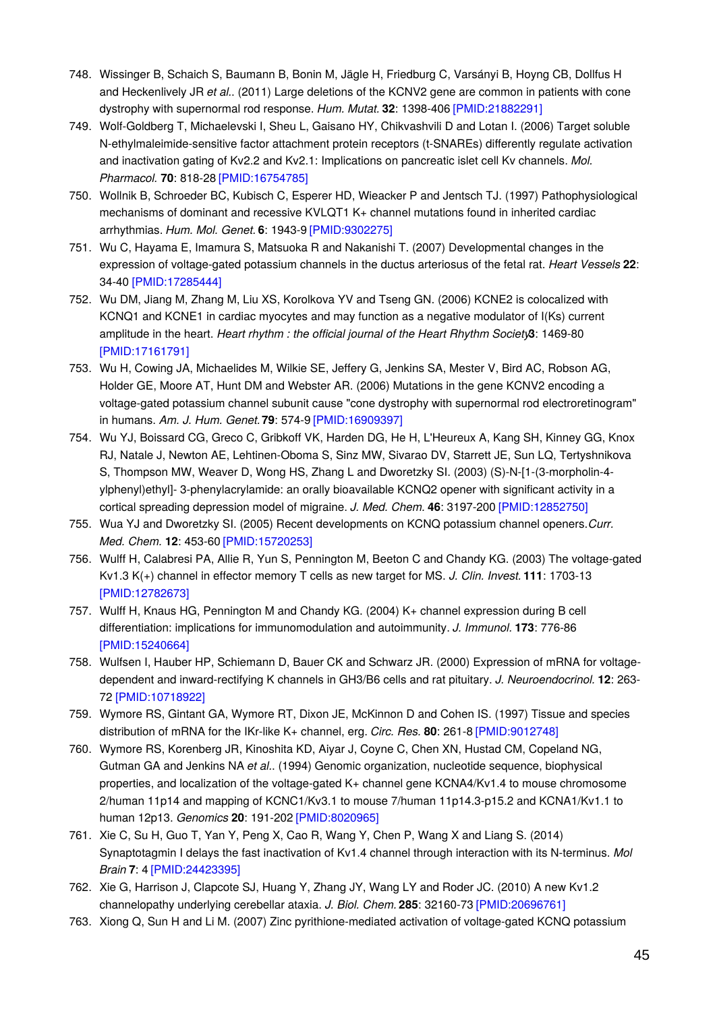- 748. Wissinger B, Schaich S, Baumann B, Bonin M, Jägle H, Friedburg C, Varsányi B, Hoyng CB, Dollfus H and Heckenlively JR *et al.*. (2011) Large deletions of the KCNV2 gene are common in patients with cone dystrophy with supernormal rod response. *Hum. Mutat.* **32**: 1398-406 [\[PMID:21882291\]](http://www.ncbi.nlm.nih.gov/pubmed/21882291?dopt=AbstractPlus)
- 749. Wolf-Goldberg T, Michaelevski I, Sheu L, Gaisano HY, Chikvashvili D and Lotan I. (2006) Target soluble N-ethylmaleimide-sensitive factor attachment protein receptors (t-SNAREs) differently regulate activation and inactivation gating of Kv2.2 and Kv2.1: Implications on pancreatic islet cell Kv channels. *Mol. Pharmacol.* **70**: 818-28 [\[PMID:16754785\]](http://www.ncbi.nlm.nih.gov/pubmed/16754785?dopt=AbstractPlus)
- 750. Wollnik B, Schroeder BC, Kubisch C, Esperer HD, Wieacker P and Jentsch TJ. (1997) Pathophysiological mechanisms of dominant and recessive KVLQT1 K+ channel mutations found in inherited cardiac arrhythmias. *Hum. Mol. Genet.* **6**: 1943-9 [\[PMID:9302275\]](http://www.ncbi.nlm.nih.gov/pubmed/9302275?dopt=AbstractPlus)
- 751. Wu C, Hayama E, Imamura S, Matsuoka R and Nakanishi T. (2007) Developmental changes in the expression of voltage-gated potassium channels in the ductus arteriosus of the fetal rat. *Heart Vessels* **22**: 34-40 [\[PMID:17285444\]](http://www.ncbi.nlm.nih.gov/pubmed/17285444?dopt=AbstractPlus)
- 752. Wu DM, Jiang M, Zhang M, Liu XS, Korolkova YV and Tseng GN. (2006) KCNE2 is colocalized with KCNQ1 and KCNE1 in cardiac myocytes and may function as a negative modulator of I(Ks) current amplitude in the heart. *Heart rhythm : the official journal of the Heart Rhythm Society***3**: 1469-80 [\[PMID:17161791\]](http://www.ncbi.nlm.nih.gov/pubmed/17161791?dopt=AbstractPlus)
- 753. Wu H, Cowing JA, Michaelides M, Wilkie SE, Jeffery G, Jenkins SA, Mester V, Bird AC, Robson AG, Holder GE, Moore AT, Hunt DM and Webster AR. (2006) Mutations in the gene KCNV2 encoding a voltage-gated potassium channel subunit cause "cone dystrophy with supernormal rod electroretinogram" in humans. *Am. J. Hum. Genet.***79**: 574-9 [\[PMID:16909397\]](http://www.ncbi.nlm.nih.gov/pubmed/16909397?dopt=AbstractPlus)
- 754. Wu YJ, Boissard CG, Greco C, Gribkoff VK, Harden DG, He H, L'Heureux A, Kang SH, Kinney GG, Knox RJ, Natale J, Newton AE, Lehtinen-Oboma S, Sinz MW, Sivarao DV, Starrett JE, Sun LQ, Tertyshnikova S, Thompson MW, Weaver D, Wong HS, Zhang L and Dworetzky SI. (2003) (S)-N-[1-(3-morpholin-4 ylphenyl)ethyl]- 3-phenylacrylamide: an orally bioavailable KCNQ2 opener with significant activity in a cortical spreading depression model of migraine. *J. Med. Chem.* **46**: 3197-200 [\[PMID:12852750\]](http://www.ncbi.nlm.nih.gov/pubmed/12852750?dopt=AbstractPlus)
- 755. Wua YJ and Dworetzky SI. (2005) Recent developments on KCNQ potassium channel openers.*Curr. Med. Chem.* **12**: 453-60 [\[PMID:15720253\]](http://www.ncbi.nlm.nih.gov/pubmed/15720253?dopt=AbstractPlus)
- 756. Wulff H, Calabresi PA, Allie R, Yun S, Pennington M, Beeton C and Chandy KG. (2003) The voltage-gated Kv1.3 K(+) channel in effector memory T cells as new target for MS. *J. Clin. Invest.* **111**: 1703-13 [\[PMID:12782673\]](http://www.ncbi.nlm.nih.gov/pubmed/12782673?dopt=AbstractPlus)
- 757. Wulff H, Knaus HG, Pennington M and Chandy KG. (2004) K+ channel expression during B cell differentiation: implications for immunomodulation and autoimmunity. *J. Immunol.* **173**: 776-86 [\[PMID:15240664\]](http://www.ncbi.nlm.nih.gov/pubmed/15240664?dopt=AbstractPlus)
- 758. Wulfsen I, Hauber HP, Schiemann D, Bauer CK and Schwarz JR. (2000) Expression of mRNA for voltagedependent and inward-rectifying K channels in GH3/B6 cells and rat pituitary. *J. Neuroendocrinol.* **12**: 263- 72 [\[PMID:10718922\]](http://www.ncbi.nlm.nih.gov/pubmed/10718922?dopt=AbstractPlus)
- 759. Wymore RS, Gintant GA, Wymore RT, Dixon JE, McKinnon D and Cohen IS. (1997) Tissue and species distribution of mRNA for the IKr-like K+ channel, erg. *Circ. Res.* **80**: 261-8 [\[PMID:9012748\]](http://www.ncbi.nlm.nih.gov/pubmed/9012748?dopt=AbstractPlus)
- 760. Wymore RS, Korenberg JR, Kinoshita KD, Aiyar J, Coyne C, Chen XN, Hustad CM, Copeland NG, Gutman GA and Jenkins NA *et al.*. (1994) Genomic organization, nucleotide sequence, biophysical properties, and localization of the voltage-gated K+ channel gene KCNA4/Kv1.4 to mouse chromosome 2/human 11p14 and mapping of KCNC1/Kv3.1 to mouse 7/human 11p14.3-p15.2 and KCNA1/Kv1.1 to human 12p13. *Genomics* **20**: 191-202 [\[PMID:8020965\]](http://www.ncbi.nlm.nih.gov/pubmed/8020965?dopt=AbstractPlus)
- 761. Xie C, Su H, Guo T, Yan Y, Peng X, Cao R, Wang Y, Chen P, Wang X and Liang S. (2014) Synaptotagmin I delays the fast inactivation of Kv1.4 channel through interaction with its N-terminus. *Mol Brain* **7**: 4 [\[PMID:24423395\]](http://www.ncbi.nlm.nih.gov/pubmed/24423395?dopt=AbstractPlus)
- 762. Xie G, Harrison J, Clapcote SJ, Huang Y, Zhang JY, Wang LY and Roder JC. (2010) A new Kv1.2 channelopathy underlying cerebellar ataxia. *J. Biol. Chem.* **285**: 32160-73 [\[PMID:20696761\]](http://www.ncbi.nlm.nih.gov/pubmed/20696761?dopt=AbstractPlus)
- 763. Xiong Q, Sun H and Li M. (2007) Zinc pyrithione-mediated activation of voltage-gated KCNQ potassium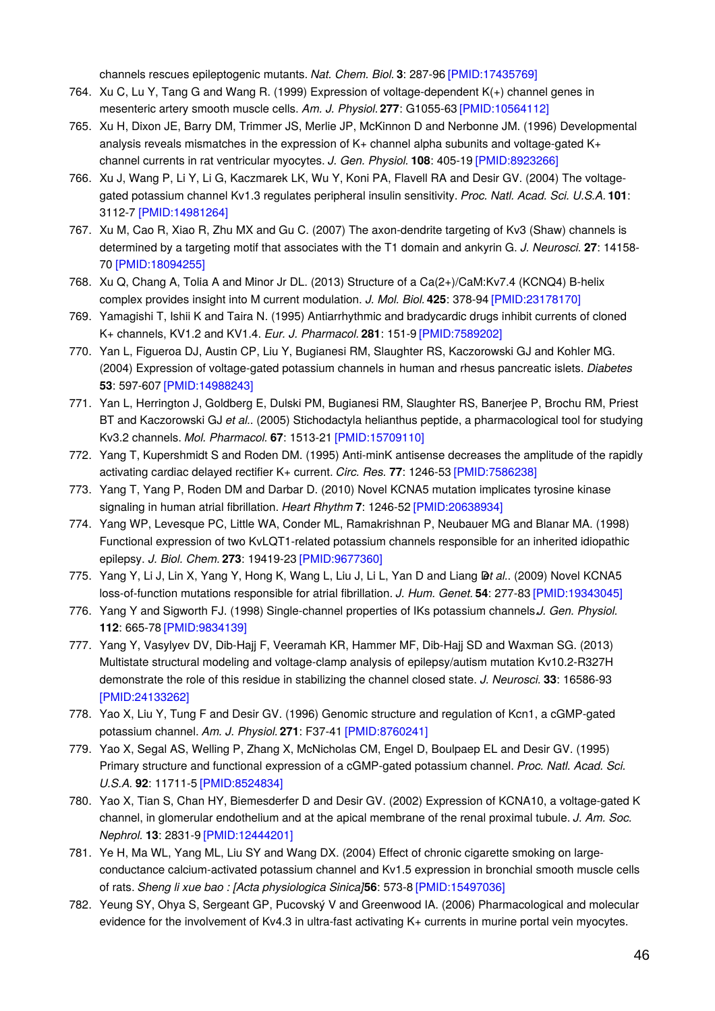channels rescues epileptogenic mutants. *Nat. Chem. Biol.* **3**: 287-96 [\[PMID:17435769\]](http://www.ncbi.nlm.nih.gov/pubmed/17435769?dopt=AbstractPlus)

- 764. Xu C, Lu Y, Tang G and Wang R. (1999) Expression of voltage-dependent K(+) channel genes in mesenteric artery smooth muscle cells. *Am. J. Physiol.* **277**: G1055-63 [\[PMID:10564112\]](http://www.ncbi.nlm.nih.gov/pubmed/10564112?dopt=AbstractPlus)
- 765. Xu H, Dixon JE, Barry DM, Trimmer JS, Merlie JP, McKinnon D and Nerbonne JM. (1996) Developmental analysis reveals mismatches in the expression of K+ channel alpha subunits and voltage-gated K+ channel currents in rat ventricular myocytes. *J. Gen. Physiol.* **108**: 405-19 [\[PMID:8923266\]](http://www.ncbi.nlm.nih.gov/pubmed/8923266?dopt=AbstractPlus)
- 766. Xu J, Wang P, Li Y, Li G, Kaczmarek LK, Wu Y, Koni PA, Flavell RA and Desir GV. (2004) The voltagegated potassium channel Kv1.3 regulates peripheral insulin sensitivity. *Proc. Natl. Acad. Sci. U.S.A.* **101**: 3112-7 [\[PMID:14981264\]](http://www.ncbi.nlm.nih.gov/pubmed/14981264?dopt=AbstractPlus)
- 767. Xu M, Cao R, Xiao R, Zhu MX and Gu C. (2007) The axon-dendrite targeting of Kv3 (Shaw) channels is determined by a targeting motif that associates with the T1 domain and ankyrin G. *J. Neurosci.* **27**: 14158- 70 [\[PMID:18094255\]](http://www.ncbi.nlm.nih.gov/pubmed/18094255?dopt=AbstractPlus)
- 768. Xu Q, Chang A, Tolia A and Minor Jr DL. (2013) Structure of a Ca(2+)/CaM:Kv7.4 (KCNQ4) B-helix complex provides insight into M current modulation. *J. Mol. Biol.* **425**: 378-94 [\[PMID:23178170\]](http://www.ncbi.nlm.nih.gov/pubmed/23178170?dopt=AbstractPlus)
- 769. Yamagishi T, Ishii K and Taira N. (1995) Antiarrhythmic and bradycardic drugs inhibit currents of cloned K+ channels, KV1.2 and KV1.4. *Eur. J. Pharmacol.* **281**: 151-9 [\[PMID:7589202\]](http://www.ncbi.nlm.nih.gov/pubmed/7589202?dopt=AbstractPlus)
- 770. Yan L, Figueroa DJ, Austin CP, Liu Y, Bugianesi RM, Slaughter RS, Kaczorowski GJ and Kohler MG. (2004) Expression of voltage-gated potassium channels in human and rhesus pancreatic islets. *Diabetes* **53**: 597-607 [\[PMID:14988243\]](http://www.ncbi.nlm.nih.gov/pubmed/14988243?dopt=AbstractPlus)
- 771. Yan L, Herrington J, Goldberg E, Dulski PM, Bugianesi RM, Slaughter RS, Banerjee P, Brochu RM, Priest BT and Kaczorowski GJ *et al.*. (2005) Stichodactyla helianthus peptide, a pharmacological tool for studying Kv3.2 channels. *Mol. Pharmacol.* **67**: 1513-21 [\[PMID:15709110\]](http://www.ncbi.nlm.nih.gov/pubmed/15709110?dopt=AbstractPlus)
- 772. Yang T, Kupershmidt S and Roden DM. (1995) Anti-minK antisense decreases the amplitude of the rapidly activating cardiac delayed rectifier K+ current. *Circ. Res.* **77**: 1246-53 [\[PMID:7586238\]](http://www.ncbi.nlm.nih.gov/pubmed/7586238?dopt=AbstractPlus)
- 773. Yang T, Yang P, Roden DM and Darbar D. (2010) Novel KCNA5 mutation implicates tyrosine kinase signaling in human atrial fibrillation. *Heart Rhythm* **7**: 1246-52 [\[PMID:20638934\]](http://www.ncbi.nlm.nih.gov/pubmed/20638934?dopt=AbstractPlus)
- 774. Yang WP, Levesque PC, Little WA, Conder ML, Ramakrishnan P, Neubauer MG and Blanar MA. (1998) Functional expression of two KvLQT1-related potassium channels responsible for an inherited idiopathic epilepsy. *J. Biol. Chem.* **273**: 19419-23 [\[PMID:9677360\]](http://www.ncbi.nlm.nih.gov/pubmed/9677360?dopt=AbstractPlus)
- 775. Yang Y, Li J, Lin X, Yang Y, Hong K, Wang L, Liu J, Li L, Yan D and Liang **Det al.**. (2009) Novel KCNA5 loss-of-function mutations responsible for atrial fibrillation. *J. Hum. Genet.* **54**: 277-83 [\[PMID:19343045\]](http://www.ncbi.nlm.nih.gov/pubmed/19343045?dopt=AbstractPlus)
- 776. Yang Y and Sigworth FJ. (1998) Single-channel properties of IKs potassium channels.*J. Gen. Physiol.* **112**: 665-78 [\[PMID:9834139\]](http://www.ncbi.nlm.nih.gov/pubmed/9834139?dopt=AbstractPlus)
- 777. Yang Y, Vasylyev DV, Dib-Hajj F, Veeramah KR, Hammer MF, Dib-Hajj SD and Waxman SG. (2013) Multistate structural modeling and voltage-clamp analysis of epilepsy/autism mutation Kv10.2-R327H demonstrate the role of this residue in stabilizing the channel closed state. *J. Neurosci.* **33**: 16586-93 [\[PMID:24133262\]](http://www.ncbi.nlm.nih.gov/pubmed/24133262?dopt=AbstractPlus)
- 778. Yao X, Liu Y, Tung F and Desir GV. (1996) Genomic structure and regulation of Kcn1, a cGMP-gated potassium channel. *Am. J. Physiol.* **271**: F37-41 [\[PMID:8760241\]](http://www.ncbi.nlm.nih.gov/pubmed/8760241?dopt=AbstractPlus)
- 779. Yao X, Segal AS, Welling P, Zhang X, McNicholas CM, Engel D, Boulpaep EL and Desir GV. (1995) Primary structure and functional expression of a cGMP-gated potassium channel. *Proc. Natl. Acad. Sci. U.S.A.* **92**: 11711-5 [\[PMID:8524834\]](http://www.ncbi.nlm.nih.gov/pubmed/8524834?dopt=AbstractPlus)
- 780. Yao X, Tian S, Chan HY, Biemesderfer D and Desir GV. (2002) Expression of KCNA10, a voltage-gated K channel, in glomerular endothelium and at the apical membrane of the renal proximal tubule. *J. Am. Soc. Nephrol.* **13**: 2831-9 [\[PMID:12444201\]](http://www.ncbi.nlm.nih.gov/pubmed/12444201?dopt=AbstractPlus)
- 781. Ye H, Ma WL, Yang ML, Liu SY and Wang DX. (2004) Effect of chronic cigarette smoking on largeconductance calcium-activated potassium channel and Kv1.5 expression in bronchial smooth muscle cells of rats. *Sheng li xue bao : [Acta physiologica Sinica]***56**: 573-8 [\[PMID:15497036\]](http://www.ncbi.nlm.nih.gov/pubmed/15497036?dopt=AbstractPlus)
- 782. Yeung SY, Ohya S, Sergeant GP, Pucovský V and Greenwood IA. (2006) Pharmacological and molecular evidence for the involvement of Kv4.3 in ultra-fast activating K+ currents in murine portal vein myocytes.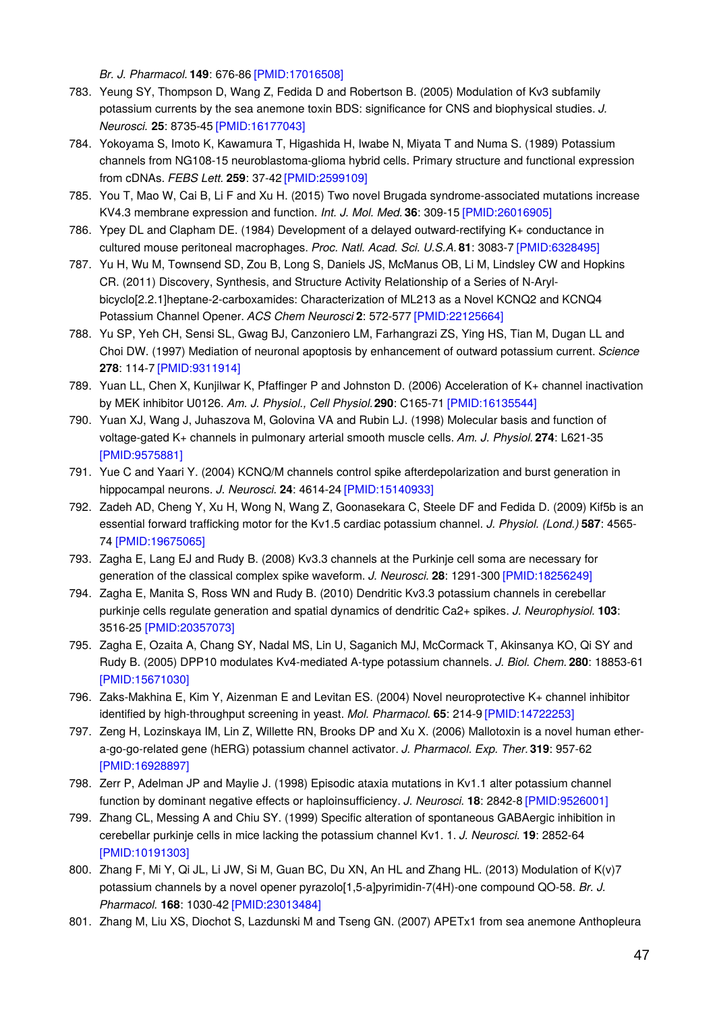*Br. J. Pharmacol.* **149**: 676-86 [\[PMID:17016508\]](http://www.ncbi.nlm.nih.gov/pubmed/17016508?dopt=AbstractPlus)

- 783. Yeung SY, Thompson D, Wang Z, Fedida D and Robertson B. (2005) Modulation of Kv3 subfamily potassium currents by the sea anemone toxin BDS: significance for CNS and biophysical studies. *J. Neurosci.* **25**: 8735-45 [\[PMID:16177043\]](http://www.ncbi.nlm.nih.gov/pubmed/16177043?dopt=AbstractPlus)
- 784. Yokoyama S, Imoto K, Kawamura T, Higashida H, Iwabe N, Miyata T and Numa S. (1989) Potassium channels from NG108-15 neuroblastoma-glioma hybrid cells. Primary structure and functional expression from cDNAs. *FEBS Lett.* **259**: 37-42 [\[PMID:2599109\]](http://www.ncbi.nlm.nih.gov/pubmed/2599109?dopt=AbstractPlus)
- 785. You T, Mao W, Cai B, Li F and Xu H. (2015) Two novel Brugada syndrome-associated mutations increase KV4.3 membrane expression and function. *Int. J. Mol. Med.* **36**: 309-15 [\[PMID:26016905\]](http://www.ncbi.nlm.nih.gov/pubmed/26016905?dopt=AbstractPlus)
- 786. Ypey DL and Clapham DE. (1984) Development of a delayed outward-rectifying K+ conductance in cultured mouse peritoneal macrophages. *Proc. Natl. Acad. Sci. U.S.A.* **81**: 3083-7 [\[PMID:6328495\]](http://www.ncbi.nlm.nih.gov/pubmed/6328495?dopt=AbstractPlus)
- 787. Yu H, Wu M, Townsend SD, Zou B, Long S, Daniels JS, McManus OB, Li M, Lindsley CW and Hopkins CR. (2011) Discovery, Synthesis, and Structure Activity Relationship of a Series of N-Arylbicyclo[2.2.1]heptane-2-carboxamides: Characterization of ML213 as a Novel KCNQ2 and KCNQ4 Potassium Channel Opener. *ACS Chem Neurosci* **2**: 572-577 [\[PMID:22125664\]](http://www.ncbi.nlm.nih.gov/pubmed/22125664?dopt=AbstractPlus)
- 788. Yu SP, Yeh CH, Sensi SL, Gwag BJ, Canzoniero LM, Farhangrazi ZS, Ying HS, Tian M, Dugan LL and Choi DW. (1997) Mediation of neuronal apoptosis by enhancement of outward potassium current. *Science* **278**: 114-7 [\[PMID:9311914\]](http://www.ncbi.nlm.nih.gov/pubmed/9311914?dopt=AbstractPlus)
- 789. Yuan LL, Chen X, Kunjilwar K, Pfaffinger P and Johnston D. (2006) Acceleration of K+ channel inactivation by MEK inhibitor U0126. *Am. J. Physiol., Cell Physiol.***290**: C165-71 [\[PMID:16135544\]](http://www.ncbi.nlm.nih.gov/pubmed/16135544?dopt=AbstractPlus)
- 790. Yuan XJ, Wang J, Juhaszova M, Golovina VA and Rubin LJ. (1998) Molecular basis and function of voltage-gated K+ channels in pulmonary arterial smooth muscle cells. *Am. J. Physiol.* **274**: L621-35 [\[PMID:9575881\]](http://www.ncbi.nlm.nih.gov/pubmed/9575881?dopt=AbstractPlus)
- 791. Yue C and Yaari Y. (2004) KCNQ/M channels control spike afterdepolarization and burst generation in hippocampal neurons. *J. Neurosci.* **24**: 4614-24 [\[PMID:15140933\]](http://www.ncbi.nlm.nih.gov/pubmed/15140933?dopt=AbstractPlus)
- 792. Zadeh AD, Cheng Y, Xu H, Wong N, Wang Z, Goonasekara C, Steele DF and Fedida D. (2009) Kif5b is an essential forward trafficking motor for the Kv1.5 cardiac potassium channel. *J. Physiol. (Lond.)* **587**: 4565- 74 [\[PMID:19675065\]](http://www.ncbi.nlm.nih.gov/pubmed/19675065?dopt=AbstractPlus)
- 793. Zagha E, Lang EJ and Rudy B. (2008) Kv3.3 channels at the Purkinje cell soma are necessary for generation of the classical complex spike waveform. *J. Neurosci.* **28**: 1291-300 [\[PMID:18256249\]](http://www.ncbi.nlm.nih.gov/pubmed/18256249?dopt=AbstractPlus)
- 794. Zagha E, Manita S, Ross WN and Rudy B. (2010) Dendritic Kv3.3 potassium channels in cerebellar purkinje cells regulate generation and spatial dynamics of dendritic Ca2+ spikes. *J. Neurophysiol.* **103**: 3516-25 [\[PMID:20357073\]](http://www.ncbi.nlm.nih.gov/pubmed/20357073?dopt=AbstractPlus)
- 795. Zagha E, Ozaita A, Chang SY, Nadal MS, Lin U, Saganich MJ, McCormack T, Akinsanya KO, Qi SY and Rudy B. (2005) DPP10 modulates Kv4-mediated A-type potassium channels. *J. Biol. Chem.* **280**: 18853-61 [\[PMID:15671030\]](http://www.ncbi.nlm.nih.gov/pubmed/15671030?dopt=AbstractPlus)
- 796. Zaks-Makhina E, Kim Y, Aizenman E and Levitan ES. (2004) Novel neuroprotective K+ channel inhibitor identified by high-throughput screening in yeast. *Mol. Pharmacol.* **65**: 214-9 [\[PMID:14722253\]](http://www.ncbi.nlm.nih.gov/pubmed/14722253?dopt=AbstractPlus)
- 797. Zeng H, Lozinskaya IM, Lin Z, Willette RN, Brooks DP and Xu X. (2006) Mallotoxin is a novel human ethera-go-go-related gene (hERG) potassium channel activator. *J. Pharmacol. Exp. Ther.***319**: 957-62 [\[PMID:16928897\]](http://www.ncbi.nlm.nih.gov/pubmed/16928897?dopt=AbstractPlus)
- 798. Zerr P, Adelman JP and Maylie J. (1998) Episodic ataxia mutations in Kv1.1 alter potassium channel function by dominant negative effects or haploinsufficiency. *J. Neurosci.* **18**: 2842-8 [\[PMID:9526001\]](http://www.ncbi.nlm.nih.gov/pubmed/9526001?dopt=AbstractPlus)
- 799. Zhang CL, Messing A and Chiu SY. (1999) Specific alteration of spontaneous GABAergic inhibition in cerebellar purkinje cells in mice lacking the potassium channel Kv1. 1. *J. Neurosci.* **19**: 2852-64 [\[PMID:10191303\]](http://www.ncbi.nlm.nih.gov/pubmed/10191303?dopt=AbstractPlus)
- 800. Zhang F, Mi Y, Qi JL, Li JW, Si M, Guan BC, Du XN, An HL and Zhang HL. (2013) Modulation of K(v)7 potassium channels by a novel opener pyrazolo[1,5-a]pyrimidin-7(4H)-one compound QO-58. *Br. J. Pharmacol.* **168**: 1030-42 [\[PMID:23013484\]](http://www.ncbi.nlm.nih.gov/pubmed/23013484?dopt=AbstractPlus)
- 801. Zhang M, Liu XS, Diochot S, Lazdunski M and Tseng GN. (2007) APETx1 from sea anemone Anthopleura